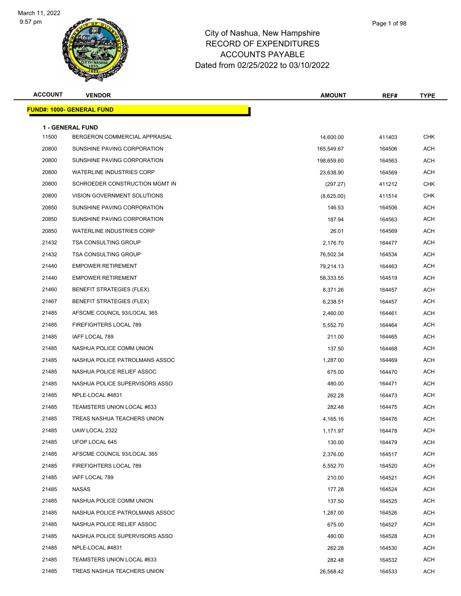

| <b>ACCOUNT</b> | <b>VENDOR</b>                                            | <b>AMOUNT</b> | REF#   | <b>TYPE</b> |
|----------------|----------------------------------------------------------|---------------|--------|-------------|
|                | <b>FUND#: 1000- GENERAL FUND</b>                         |               |        |             |
|                |                                                          |               |        |             |
| 11500          | <b>1 - GENERAL FUND</b><br>BERGERON COMMERCIAL APPRAISAL | 14,600.00     | 411403 | <b>CHK</b>  |
| 20800          | SUNSHINE PAVING CORPORATION                              | 165,549.67    | 164506 | <b>ACH</b>  |
| 20800          | SUNSHINE PAVING CORPORATION                              | 198,659.60    | 164563 | <b>ACH</b>  |
| 20800          | <b>WATERLINE INDUSTRIES CORP</b>                         | 23,638.90     | 164569 | <b>ACH</b>  |
| 20800          | SCHROEDER CONSTRUCTION MGMT IN                           | (297.27)      | 411212 | <b>CHK</b>  |
| 20800          | VISION GOVERNMENT SOLUTIONS                              | (8,625.00)    | 411514 | <b>CHK</b>  |
| 20850          | SUNSHINE PAVING CORPORATION                              | 146.53        | 164506 | <b>ACH</b>  |
| 20850          | SUNSHINE PAVING CORPORATION                              | 187.94        | 164563 | <b>ACH</b>  |
| 20850          | <b>WATERLINE INDUSTRIES CORP</b>                         | 26.01         | 164569 | <b>ACH</b>  |
| 21432          | <b>TSA CONSULTING GROUP</b>                              | 2,176.70      | 164477 | <b>ACH</b>  |
| 21432          | <b>TSA CONSULTING GROUP</b>                              | 76,502.34     | 164534 | <b>ACH</b>  |
| 21440          | <b>EMPOWER RETIREMENT</b>                                | 79,214.13     | 164463 | <b>ACH</b>  |
| 21440          | <b>EMPOWER RETIREMENT</b>                                | 58,333.55     | 164519 | <b>ACH</b>  |
| 21460          | <b>BENEFIT STRATEGIES (FLEX)</b>                         | 8,371.26      | 164457 | <b>ACH</b>  |
| 21467          | <b>BENEFIT STRATEGIES (FLEX)</b>                         | 6,238.51      | 164457 | <b>ACH</b>  |
| 21485          | AFSCME COUNCIL 93/LOCAL 365                              | 2,460.00      | 164461 | <b>ACH</b>  |
| 21485          | FIREFIGHTERS LOCAL 789                                   | 5,552.70      | 164464 | <b>ACH</b>  |
| 21485          | IAFF LOCAL 789                                           | 211.00        | 164465 | <b>ACH</b>  |
| 21485          | NASHUA POLICE COMM UNION                                 | 137.50        | 164468 | <b>ACH</b>  |
| 21485          | NASHUA POLICE PATROLMANS ASSOC                           | 1,287.00      | 164469 | <b>ACH</b>  |
| 21485          | NASHUA POLICE RELIEF ASSOC                               | 675.00        | 164470 | <b>ACH</b>  |
| 21485          | NASHUA POLICE SUPERVISORS ASSO                           | 480.00        | 164471 | <b>ACH</b>  |
| 21485          | NPLE-LOCAL #4831                                         | 262.28        | 164473 | <b>ACH</b>  |
| 21485          | TEAMSTERS UNION LOCAL #633                               | 282.48        | 164475 | <b>ACH</b>  |
| 21485          | TREAS NASHUA TEACHERS UNION                              | 4,165.16      | 164476 | <b>ACH</b>  |
| 21485          | UAW LOCAL 2322                                           | 1,171.97      | 164478 | ACH         |
| 21485          | UFOP LOCAL 645                                           | 130.00        | 164479 | <b>ACH</b>  |
| 21485          | AFSCME COUNCIL 93/LOCAL 365                              | 2,376.00      | 164517 | <b>ACH</b>  |
| 21485          | FIREFIGHTERS LOCAL 789                                   | 5,552.70      | 164520 | <b>ACH</b>  |
| 21485          | IAFF LOCAL 789                                           | 210.00        | 164521 | <b>ACH</b>  |
| 21485          | <b>NASAS</b>                                             | 177.28        | 164524 | <b>ACH</b>  |
| 21485          | NASHUA POLICE COMM UNION                                 | 137.50        | 164525 | <b>ACH</b>  |
| 21485          | NASHUA POLICE PATROLMANS ASSOC                           | 1,287.00      | 164526 | <b>ACH</b>  |
| 21485          | NASHUA POLICE RELIEF ASSOC                               | 675.00        | 164527 | <b>ACH</b>  |
| 21485          | NASHUA POLICE SUPERVISORS ASSO                           | 480.00        | 164528 | <b>ACH</b>  |
| 21485          | NPLE-LOCAL #4831                                         | 262.28        | 164530 | <b>ACH</b>  |
| 21485          | TEAMSTERS UNION LOCAL #633                               | 282.48        | 164532 | <b>ACH</b>  |
| 21485          | TREAS NASHUA TEACHERS UNION                              | 26,568.42     | 164533 | <b>ACH</b>  |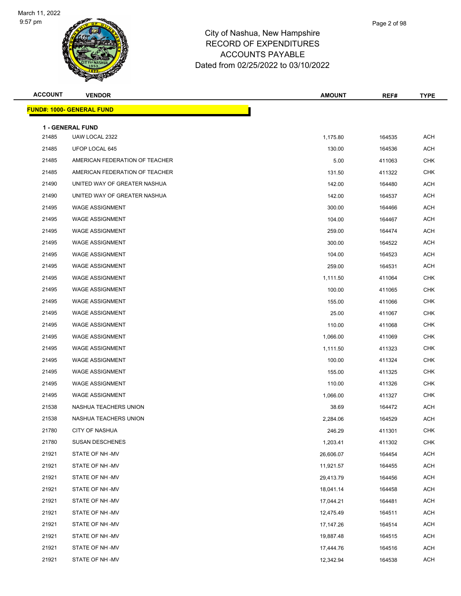

| <b>ACCOUNT</b> | <b>VENDOR</b>                             | <b>AMOUNT</b> | REF#   | <b>TYPE</b> |
|----------------|-------------------------------------------|---------------|--------|-------------|
|                | <b>FUND#: 1000- GENERAL FUND</b>          |               |        |             |
|                |                                           |               |        |             |
| 21485          | <b>1 - GENERAL FUND</b><br>UAW LOCAL 2322 | 1,175.80      | 164535 | <b>ACH</b>  |
| 21485          | UFOP LOCAL 645                            | 130.00        | 164536 | <b>ACH</b>  |
| 21485          | AMERICAN FEDERATION OF TEACHER            | 5.00          | 411063 | CHK         |
| 21485          | AMERICAN FEDERATION OF TEACHER            | 131.50        | 411322 | <b>CHK</b>  |
| 21490          | UNITED WAY OF GREATER NASHUA              | 142.00        | 164480 | <b>ACH</b>  |
| 21490          | UNITED WAY OF GREATER NASHUA              | 142.00        | 164537 | <b>ACH</b>  |
| 21495          | <b>WAGE ASSIGNMENT</b>                    | 300.00        | 164466 | ACH         |
| 21495          | <b>WAGE ASSIGNMENT</b>                    |               |        | <b>ACH</b>  |
| 21495          | <b>WAGE ASSIGNMENT</b>                    | 104.00        | 164467 | <b>ACH</b>  |
| 21495          | <b>WAGE ASSIGNMENT</b>                    | 259.00        | 164474 | ACH         |
|                |                                           | 300.00        | 164522 |             |
| 21495          | <b>WAGE ASSIGNMENT</b>                    | 104.00        | 164523 | <b>ACH</b>  |
| 21495          | <b>WAGE ASSIGNMENT</b>                    | 259.00        | 164531 | <b>ACH</b>  |
| 21495          | <b>WAGE ASSIGNMENT</b>                    | 1,111.50      | 411064 | CHK         |
| 21495          | <b>WAGE ASSIGNMENT</b>                    | 100.00        | 411065 | CHK         |
| 21495          | <b>WAGE ASSIGNMENT</b>                    | 155.00        | 411066 | <b>CHK</b>  |
| 21495          | <b>WAGE ASSIGNMENT</b>                    | 25.00         | 411067 | CHK         |
| 21495          | <b>WAGE ASSIGNMENT</b>                    | 110.00        | 411068 | CHK         |
| 21495          | <b>WAGE ASSIGNMENT</b>                    | 1,066.00      | 411069 | CHK         |
| 21495          | <b>WAGE ASSIGNMENT</b>                    | 1,111.50      | 411323 | <b>CHK</b>  |
| 21495          | <b>WAGE ASSIGNMENT</b>                    | 100.00        | 411324 | <b>CHK</b>  |
| 21495          | <b>WAGE ASSIGNMENT</b>                    | 155.00        | 411325 | CHK         |
| 21495          | <b>WAGE ASSIGNMENT</b>                    | 110.00        | 411326 | <b>CHK</b>  |
| 21495          | <b>WAGE ASSIGNMENT</b>                    | 1,066.00      | 411327 | CHK         |
| 21538          | NASHUA TEACHERS UNION                     | 38.69         | 164472 | <b>ACH</b>  |
| 21538          | NASHUA TEACHERS UNION                     | 2,284.06      | 164529 | <b>ACH</b>  |
| 21780          | <b>CITY OF NASHUA</b>                     | 246.29        | 411301 | CHK         |
| 21780          | <b>SUSAN DESCHENES</b>                    | 1,203.41      | 411302 | <b>CHK</b>  |
| 21921          | STATE OF NH -MV                           | 26,606.07     | 164454 | <b>ACH</b>  |
| 21921          | STATE OF NH-MV                            | 11,921.57     | 164455 | <b>ACH</b>  |
| 21921          | STATE OF NH-MV                            | 29,413.79     | 164456 | <b>ACH</b>  |
| 21921          | STATE OF NH-MV                            | 18,041.14     | 164458 | <b>ACH</b>  |
| 21921          | STATE OF NH-MV                            | 17,044.21     | 164481 | <b>ACH</b>  |
| 21921          | STATE OF NH-MV                            | 12,475.49     | 164511 | <b>ACH</b>  |
| 21921          | STATE OF NH -MV                           | 17,147.26     | 164514 | <b>ACH</b>  |
| 21921          | STATE OF NH-MV                            | 19,887.48     | 164515 | <b>ACH</b>  |
| 21921          | STATE OF NH-MV                            | 17,444.76     | 164516 | ACH         |
| 21921          | STATE OF NH-MV                            | 12,342.94     | 164538 | ACH         |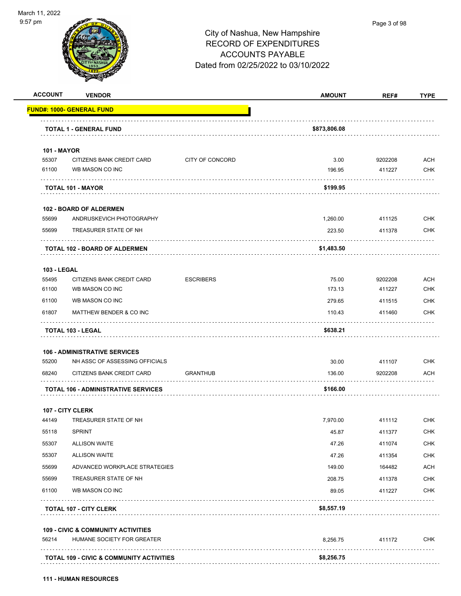

|                             |                                               |                  | <b>AMOUNT</b> | REF#    | <b>TYPE</b>                                                                                                                              |
|-----------------------------|-----------------------------------------------|------------------|---------------|---------|------------------------------------------------------------------------------------------------------------------------------------------|
|                             | <u> FUND#: 1000- GENERAL FUND</u>             |                  |               |         |                                                                                                                                          |
|                             | <b>TOTAL 1 - GENERAL FUND</b>                 |                  | \$873,806.08  |         |                                                                                                                                          |
|                             |                                               |                  |               |         |                                                                                                                                          |
| <b>101 - MAYOR</b><br>55307 | CITIZENS BANK CREDIT CARD                     | CITY OF CONCORD  | 3.00          | 9202208 | ACH                                                                                                                                      |
| 61100                       | WB MASON CO INC                               |                  | 196.95        | 411227  | <b>CHK</b>                                                                                                                               |
|                             | <b>TOTAL 101 - MAYOR</b>                      |                  | \$199.95      |         |                                                                                                                                          |
|                             | <b>102 - BOARD OF ALDERMEN</b>                |                  |               |         |                                                                                                                                          |
| 55699                       | ANDRUSKEVICH PHOTOGRAPHY                      |                  | 1,260.00      | 411125  | <b>CHK</b>                                                                                                                               |
| 55699                       | TREASURER STATE OF NH                         |                  | 223.50        | 411378  | <b>CHK</b>                                                                                                                               |
|                             | <b>TOTAL 102 - BOARD OF ALDERMEN</b>          |                  | \$1,483.50    |         |                                                                                                                                          |
| <b>103 - LEGAL</b>          |                                               |                  |               |         |                                                                                                                                          |
| 55495                       | CITIZENS BANK CREDIT CARD                     | <b>ESCRIBERS</b> | 75.00         | 9202208 | <b>ACH</b>                                                                                                                               |
| 61100                       | WB MASON CO INC                               |                  | 173.13        | 411227  | <b>CHK</b>                                                                                                                               |
| 61100                       | WB MASON CO INC                               |                  | 279.65        | 411515  | <b>CHK</b>                                                                                                                               |
| 61807                       | MATTHEW BENDER & CO INC                       |                  | 110.43        | 411460  | <b>CHK</b>                                                                                                                               |
|                             | <b>TOTAL 103 - LEGAL</b>                      |                  | \$638.21      |         |                                                                                                                                          |
|                             |                                               |                  |               |         |                                                                                                                                          |
|                             |                                               |                  |               |         |                                                                                                                                          |
|                             | <b>106 - ADMINISTRATIVE SERVICES</b>          |                  |               |         |                                                                                                                                          |
| 55200                       | NH ASSC OF ASSESSING OFFICIALS                |                  | 30.00         | 411107  |                                                                                                                                          |
|                             | CITIZENS BANK CREDIT CARD                     | <b>GRANTHUB</b>  | 136.00        | 9202208 |                                                                                                                                          |
| 68240                       | <b>TOTAL 106 - ADMINISTRATIVE SERVICES</b>    |                  | \$166.00      |         |                                                                                                                                          |
|                             | 107 - CITY CLERK                              |                  |               |         |                                                                                                                                          |
|                             | TREASURER STATE OF NH                         |                  | 7,970.00      | 411112  |                                                                                                                                          |
| 55118                       | <b>SPRINT</b>                                 |                  | 45.87         | 411377  |                                                                                                                                          |
|                             | <b>ALLISON WAITE</b>                          |                  | 47.26         | 411074  |                                                                                                                                          |
|                             | <b>ALLISON WAITE</b>                          |                  | 47.26         | 411354  |                                                                                                                                          |
| 55307<br>55307<br>55699     | ADVANCED WORKPLACE STRATEGIES                 |                  | 149.00        | 164482  |                                                                                                                                          |
|                             | TREASURER STATE OF NH                         |                  | 208.75        | 411378  |                                                                                                                                          |
| 44149<br>55699<br>61100     | WB MASON CO INC                               |                  | 89.05         | 411227  |                                                                                                                                          |
|                             | <b>TOTAL 107 - CITY CLERK</b>                 |                  | \$8,557.19    | .       |                                                                                                                                          |
|                             | <b>109 - CIVIC &amp; COMMUNITY ACTIVITIES</b> |                  |               |         |                                                                                                                                          |
| 56214                       | HUMANE SOCIETY FOR GREATER                    |                  | 8,256.75      | 411172  | <b>CHK</b><br><b>ACH</b><br><b>CHK</b><br><b>CHK</b><br><b>CHK</b><br><b>CHK</b><br><b>ACH</b><br><b>CHK</b><br><b>CHK</b><br><b>CHK</b> |

**111 - HUMAN RESOURCES**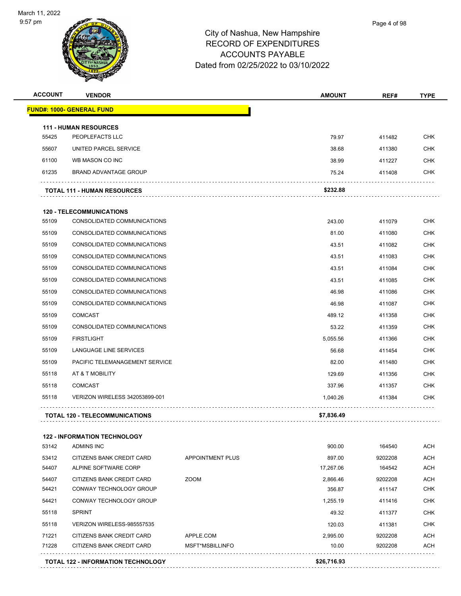

| <b>ACCOUNT</b> | <b>VENDOR</b>                                   |                         | <b>AMOUNT</b> | REF#    | <b>TYPE</b> |
|----------------|-------------------------------------------------|-------------------------|---------------|---------|-------------|
|                | <b>FUND#: 1000- GENERAL FUND</b>                |                         |               |         |             |
|                |                                                 |                         |               |         |             |
| 55425          | <b>111 - HUMAN RESOURCES</b><br>PEOPLEFACTS LLC |                         | 79.97         | 411482  | <b>CHK</b>  |
| 55607          | UNITED PARCEL SERVICE                           |                         | 38.68         | 411380  | <b>CHK</b>  |
| 61100          | WB MASON CO INC                                 |                         | 38.99         | 411227  | CHK         |
| 61235          | <b>BRAND ADVANTAGE GROUP</b>                    |                         | 75.24         | 411408  | CHK         |
|                |                                                 |                         | \$232.88      |         |             |
|                | <b>TOTAL 111 - HUMAN RESOURCES</b>              |                         |               |         |             |
|                | <b>120 - TELECOMMUNICATIONS</b>                 |                         |               |         |             |
| 55109          | CONSOLIDATED COMMUNICATIONS                     |                         | 243.00        | 411079  | <b>CHK</b>  |
| 55109          | CONSOLIDATED COMMUNICATIONS                     |                         | 81.00         | 411080  | <b>CHK</b>  |
| 55109          | CONSOLIDATED COMMUNICATIONS                     |                         | 43.51         | 411082  | CHK         |
| 55109          | CONSOLIDATED COMMUNICATIONS                     |                         | 43.51         | 411083  | <b>CHK</b>  |
| 55109          | CONSOLIDATED COMMUNICATIONS                     |                         | 43.51         | 411084  | <b>CHK</b>  |
| 55109          | CONSOLIDATED COMMUNICATIONS                     |                         | 43.51         | 411085  | <b>CHK</b>  |
| 55109          | CONSOLIDATED COMMUNICATIONS                     |                         | 46.98         | 411086  | <b>CHK</b>  |
| 55109          | CONSOLIDATED COMMUNICATIONS                     |                         | 46.98         | 411087  | CHK         |
| 55109          | <b>COMCAST</b>                                  |                         | 489.12        | 411358  | <b>CHK</b>  |
| 55109          | CONSOLIDATED COMMUNICATIONS                     |                         | 53.22         | 411359  | <b>CHK</b>  |
| 55109          | <b>FIRSTLIGHT</b>                               |                         | 5,055.56      | 411366  | <b>CHK</b>  |
| 55109          | LANGUAGE LINE SERVICES                          |                         | 56.68         | 411454  | <b>CHK</b>  |
| 55109          | PACIFIC TELEMANAGEMENT SERVICE                  |                         | 82.00         | 411480  | CHK         |
| 55118          | AT & T MOBILITY                                 |                         | 129.69        | 411356  | <b>CHK</b>  |
| 55118          | <b>COMCAST</b>                                  |                         | 337.96        | 411357  | CHK         |
| 55118          | VERIZON WIRELESS 342053899-001                  |                         | 1.040.26      | 411384  | <b>CHK</b>  |
|                | <b>TOTAL 120 - TELECOMMUNICATIONS</b>           |                         | \$7,836.49    |         |             |
|                | <b>122 - INFORMATION TECHNOLOGY</b>             |                         |               |         |             |
| 53142          | ADMINS INC                                      |                         | 900.00        | 164540  | ACH         |
| 53412          | CITIZENS BANK CREDIT CARD                       | <b>APPOINTMENT PLUS</b> | 897.00        | 9202208 | ACH         |
| 54407          | ALPINE SOFTWARE CORP                            |                         | 17,267.06     | 164542  | ACH         |
| 54407          | CITIZENS BANK CREDIT CARD                       | <b>ZOOM</b>             | 2,866.46      | 9202208 | ACH         |
| 54421          | CONWAY TECHNOLOGY GROUP                         |                         | 356.87        | 411147  | <b>CHK</b>  |
| 54421          | CONWAY TECHNOLOGY GROUP                         |                         | 1,255.19      | 411416  | <b>CHK</b>  |
| 55118          | <b>SPRINT</b>                                   |                         | 49.32         | 411377  | <b>CHK</b>  |
| 55118          | VERIZON WIRELESS-985557535                      |                         | 120.03        | 411381  | <b>CHK</b>  |
| 71221          | CITIZENS BANK CREDIT CARD                       | APPLE.COM               | 2,995.00      | 9202208 | ACH         |

71228 CITIZENS BANK CREDIT CARD MSFT\*MSBILLINFO 10.00 10.00 9202208 ACH



**TOTAL 122 - INFORMATION TECHNOLOGY \$26,716.93**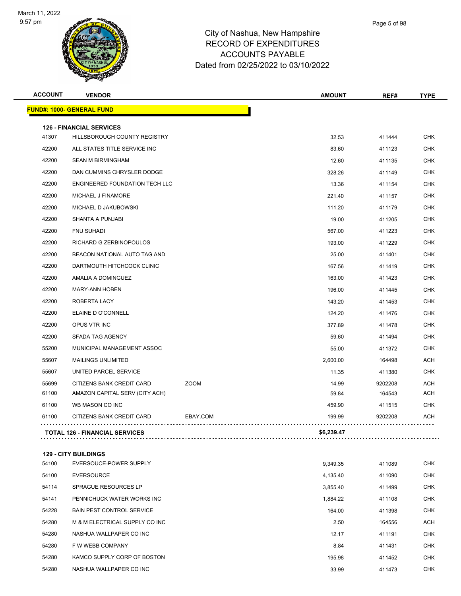

| <b>ACCOUNT</b> | <b>VENDOR</b>                         |             | <b>AMOUNT</b> | REF#    | <b>TYPE</b> |
|----------------|---------------------------------------|-------------|---------------|---------|-------------|
|                | FUND#: 1000- GENERAL FUND             |             |               |         |             |
|                | <b>126 - FINANCIAL SERVICES</b>       |             |               |         |             |
| 41307          | HILLSBOROUGH COUNTY REGISTRY          |             | 32.53         | 411444  | <b>CHK</b>  |
| 42200          | ALL STATES TITLE SERVICE INC          |             | 83.60         | 411123  | CHK         |
| 42200          | <b>SEAN M BIRMINGHAM</b>              |             | 12.60         | 411135  | <b>CHK</b>  |
| 42200          | DAN CUMMINS CHRYSLER DODGE            |             | 328.26        | 411149  | CHK         |
| 42200          | <b>ENGINEERED FOUNDATION TECH LLC</b> |             | 13.36         | 411154  | <b>CHK</b>  |
| 42200          | MICHAEL J FINAMORE                    |             | 221.40        | 411157  | <b>CHK</b>  |
| 42200          | MICHAEL D JAKUBOWSKI                  |             | 111.20        | 411179  | CHK         |
| 42200          | SHANTA A PUNJABI                      |             | 19.00         | 411205  | <b>CHK</b>  |
| 42200          | <b>FNU SUHADI</b>                     |             | 567.00        | 411223  | CHK         |
| 42200          | RICHARD G ZERBINOPOULOS               |             | 193.00        | 411229  | <b>CHK</b>  |
| 42200          | BEACON NATIONAL AUTO TAG AND          |             | 25.00         | 411401  | <b>CHK</b>  |
| 42200          | DARTMOUTH HITCHCOCK CLINIC            |             | 167.56        | 411419  | CHK         |
| 42200          | AMALIA A DOMINGUEZ                    |             | 163.00        | 411423  | <b>CHK</b>  |
| 42200          | <b>MARY-ANN HOBEN</b>                 |             | 196.00        | 411445  | CHK         |
| 42200          | ROBERTA LACY                          |             | 143.20        | 411453  | <b>CHK</b>  |
| 42200          | ELAINE D O'CONNELL                    |             | 124.20        | 411476  | <b>CHK</b>  |
| 42200          | OPUS VTR INC                          |             | 377.89        | 411478  | CHK         |
| 42200          | <b>SFADA TAG AGENCY</b>               |             | 59.60         | 411494  | <b>CHK</b>  |
| 55200          | MUNICIPAL MANAGEMENT ASSOC            |             | 55.00         | 411372  | CHK         |
| 55607          | <b>MAILINGS UNLIMITED</b>             |             | 2,600.00      | 164498  | ACH         |
| 55607          | UNITED PARCEL SERVICE                 |             | 11.35         | 411380  | <b>CHK</b>  |
| 55699          | CITIZENS BANK CREDIT CARD             | <b>ZOOM</b> | 14.99         | 9202208 | <b>ACH</b>  |
| 61100          | AMAZON CAPITAL SERV (CITY ACH)        |             | 59.84         | 164543  | <b>ACH</b>  |
| 61100          | WB MASON CO INC                       |             | 459.90        | 411515  | CHK         |
| 61100          | CITIZENS BANK CREDIT CARD             | EBAY.COM    | 199.99        | 9202208 | ACH         |
|                | <b>TOTAL 126 - FINANCIAL SERVICES</b> |             | \$6,239.47    |         |             |
|                |                                       |             |               |         |             |
|                | <b>129 - CITY BUILDINGS</b>           |             |               |         |             |
| 54100          | EVERSOUCE-POWER SUPPLY                |             | 9,349.35      | 411089  | <b>CHK</b>  |
| 54100          | <b>EVERSOURCE</b>                     |             | 4,135.40      | 411090  | <b>CHK</b>  |
| 54114          | SPRAGUE RESOURCES LP                  |             | 3,855.40      | 411499  | CHK         |
| 54141          | PENNICHUCK WATER WORKS INC            |             | 1,884.22      | 411108  | <b>CHK</b>  |
| 54228          | <b>BAIN PEST CONTROL SERVICE</b>      |             | 164.00        | 411398  | CHK         |
| 54280          | M & M ELECTRICAL SUPPLY CO INC        |             | 2.50          | 164556  | ACH         |
| 54280          | NASHUA WALLPAPER CO INC               |             | 12.17         | 411191  | CHK         |
| 54280          | F W WEBB COMPANY                      |             | 8.84          | 411431  | CHK         |
| 54280          | KAMCO SUPPLY CORP OF BOSTON           |             | 195.98        | 411452  | <b>CHK</b>  |
| 54280          | NASHUA WALLPAPER CO INC               |             | 33.99         | 411473  | CHK         |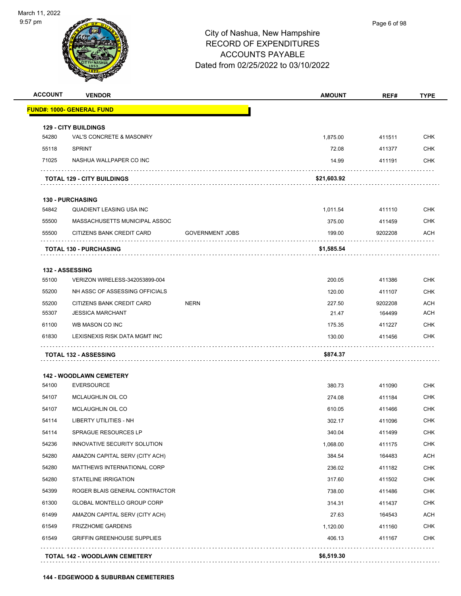

| <b>ACCOUNT</b> | <b>VENDOR</b>                      |                        | <b>AMOUNT</b> | REF#    | <b>TYPE</b> |
|----------------|------------------------------------|------------------------|---------------|---------|-------------|
|                | <u> FUND#: 1000- GENERAL FUND</u>  |                        |               |         |             |
|                | <b>129 - CITY BUILDINGS</b>        |                        |               |         |             |
| 54280          | VAL'S CONCRETE & MASONRY           |                        | 1,875.00      | 411511  | <b>CHK</b>  |
| 55118          | <b>SPRINT</b>                      |                        | 72.08         | 411377  | CHK         |
| 71025          | NASHUA WALLPAPER CO INC            |                        | 14.99         | 411191  | <b>CHK</b>  |
|                | <b>TOTAL 129 - CITY BUILDINGS</b>  |                        | \$21,603.92   |         |             |
|                | <b>130 - PURCHASING</b>            |                        |               |         |             |
| 54842          | QUADIENT LEASING USA INC           |                        | 1,011.54      | 411110  | <b>CHK</b>  |
| 55500          | MASSACHUSETTS MUNICIPAL ASSOC      |                        | 375.00        | 411459  | <b>CHK</b>  |
| 55500          | CITIZENS BANK CREDIT CARD          | <b>GOVERNMENT JOBS</b> | 199.00        | 9202208 | ACH         |
|                | <b>TOTAL 130 - PURCHASING</b>      |                        | \$1,585.54    |         |             |
|                | <b>132 - ASSESSING</b>             |                        |               |         |             |
| 55100          | VERIZON WIRELESS-342053899-004     |                        | 200.05        | 411386  | <b>CHK</b>  |
| 55200          | NH ASSC OF ASSESSING OFFICIALS     |                        | 120.00        | 411107  | <b>CHK</b>  |
| 55200          | CITIZENS BANK CREDIT CARD          | <b>NERN</b>            | 227.50        | 9202208 | ACH         |
| 55307          | <b>JESSICA MARCHANT</b>            |                        | 21.47         | 164499  | <b>ACH</b>  |
| 61100          | WB MASON CO INC                    |                        | 175.35        | 411227  | CHK         |
| 61830          | LEXISNEXIS RISK DATA MGMT INC      |                        | 130.00        | 411456  | <b>CHK</b>  |
|                | TOTAL 132 - ASSESSING              |                        | \$874.37      |         |             |
|                | <b>142 - WOODLAWN CEMETERY</b>     |                        |               |         |             |
| 54100          | <b>EVERSOURCE</b>                  |                        | 380.73        | 411090  | <b>CHK</b>  |
| 54107          | <b>MCLAUGHLIN OIL CO</b>           |                        | 274.08        | 411184  | <b>CHK</b>  |
| 54107          | <b>MCLAUGHLIN OIL CO</b>           |                        | 610.05        | 411466  | <b>CHK</b>  |
| 54114          | <b>LIBERTY UTILITIES - NH</b>      |                        | 302.17        | 411096  | CHK         |
| 54114          | SPRAGUE RESOURCES LP               |                        | 340.04        | 411499  | CHK         |
| 54236          | INNOVATIVE SECURITY SOLUTION       |                        | 1,068.00      | 411175  | <b>CHK</b>  |
| 54280          | AMAZON CAPITAL SERV (CITY ACH)     |                        | 384.54        | 164483  | <b>ACH</b>  |
| 54280          | MATTHEWS INTERNATIONAL CORP        |                        | 236.02        | 411182  | <b>CHK</b>  |
| 54280          | <b>STATELINE IRRIGATION</b>        |                        | 317.60        | 411502  | <b>CHK</b>  |
| 54399          | ROGER BLAIS GENERAL CONTRACTOR     |                        | 738.00        | 411486  | <b>CHK</b>  |
| 61300          | GLOBAL MONTELLO GROUP CORP         |                        | 314.31        | 411437  | <b>CHK</b>  |
| 61499          | AMAZON CAPITAL SERV (CITY ACH)     |                        | 27.63         | 164543  | <b>ACH</b>  |
| 61549          | FRIZZHOME GARDENS                  |                        | 1,120.00      | 411160  | <b>CHK</b>  |
| 61549          | <b>GRIFFIN GREENHOUSE SUPPLIES</b> |                        | 406.13        | 411167  | <b>CHK</b>  |
|                |                                    |                        |               |         |             |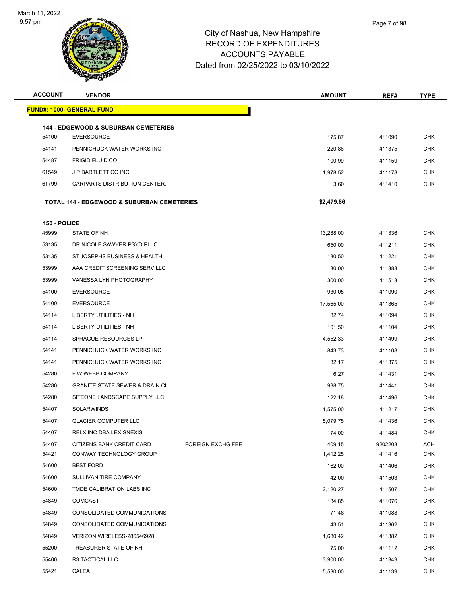

| <b>ACCOUNT</b> | <b>VENDOR</b>                                                        |                          | <b>AMOUNT</b> | REF#             | <b>TYPE</b> |
|----------------|----------------------------------------------------------------------|--------------------------|---------------|------------------|-------------|
|                | <u> FUND#: 1000- GENERAL FUND</u>                                    |                          |               |                  |             |
|                |                                                                      |                          |               |                  |             |
| 54100          | <b>144 - EDGEWOOD &amp; SUBURBAN CEMETERIES</b><br><b>EVERSOURCE</b> |                          | 175.87        | 411090           | <b>CHK</b>  |
| 54141          | PENNICHUCK WATER WORKS INC                                           |                          | 220.88        | 411375           | CHK         |
| 54487          | <b>FRIGID FLUID CO</b>                                               |                          | 100.99        |                  | <b>CHK</b>  |
| 61549          | <b>J P BARTLETT CO INC</b>                                           |                          | 1.978.52      | 411159<br>411178 | CHK         |
| 61799          | CARPARTS DISTRIBUTION CENTER,                                        |                          | 3.60          | 411410           | <b>CHK</b>  |
|                |                                                                      |                          |               |                  |             |
|                | <b>TOTAL 144 - EDGEWOOD &amp; SUBURBAN CEMETERIES</b>                |                          | \$2,479.86    |                  |             |
| 150 - POLICE   |                                                                      |                          |               |                  |             |
| 45999          | STATE OF NH                                                          |                          | 13,288.00     | 411336           | <b>CHK</b>  |
| 53135          | DR NICOLE SAWYER PSYD PLLC                                           |                          | 650.00        | 411211           | CHK         |
| 53135          | ST JOSEPHS BUSINESS & HEALTH                                         |                          | 130.50        | 411221           | <b>CHK</b>  |
| 53999          | AAA CREDIT SCREENING SERV LLC                                        |                          | 30.00         | 411388           | <b>CHK</b>  |
| 53999          | VANESSA LYN PHOTOGRAPHY                                              |                          | 300.00        | 411513           | <b>CHK</b>  |
| 54100          | <b>EVERSOURCE</b>                                                    |                          | 930.05        | 411090           | <b>CHK</b>  |
| 54100          | <b>EVERSOURCE</b>                                                    |                          | 17,565.00     | 411365           | CHK         |
| 54114          | LIBERTY UTILITIES - NH                                               |                          | 82.74         | 411094           | <b>CHK</b>  |
| 54114          | LIBERTY UTILITIES - NH                                               |                          | 101.50        | 411104           | <b>CHK</b>  |
| 54114          | <b>SPRAGUE RESOURCES LP</b>                                          |                          | 4,552.33      | 411499           | <b>CHK</b>  |
| 54141          | PENNICHUCK WATER WORKS INC                                           |                          | 843.73        | 411108           | CHK         |
| 54141          | PENNICHUCK WATER WORKS INC                                           |                          | 32.17         | 411375           | CHK         |
| 54280          | F W WEBB COMPANY                                                     |                          | 6.27          | 411431           | <b>CHK</b>  |
| 54280          | <b>GRANITE STATE SEWER &amp; DRAIN CL</b>                            |                          | 938.75        | 411441           | CHK         |
| 54280          | SITEONE LANDSCAPE SUPPLY LLC                                         |                          | 122.18        | 411496           | <b>CHK</b>  |
| 54407          | <b>SOLARWINDS</b>                                                    |                          | 1,575.00      | 411217           | <b>CHK</b>  |
| 54407          | <b>GLACIER COMPUTER LLC</b>                                          |                          | 5,079.75      | 411436           | <b>CHK</b>  |
| 54407          | RELX INC DBA LEXISNEXIS                                              |                          | 174.00        | 411484           | <b>CHK</b>  |
| 54407          | CITIZENS BANK CREDIT CARD                                            | <b>FOREIGN EXCHG FEE</b> | 409.15        | 9202208          | ACH         |
| 54421          | CONWAY TECHNOLOGY GROUP                                              |                          | 1,412.25      | 411416           | <b>CHK</b>  |
| 54600          | <b>BEST FORD</b>                                                     |                          | 162.00        | 411406           | CHK         |
| 54600          | SULLIVAN TIRE COMPANY                                                |                          | 42.00         | 411503           | <b>CHK</b>  |
| 54600          | TMDE CALIBRATION LABS INC                                            |                          | 2,120.27      | 411507           | <b>CHK</b>  |
| 54849          | COMCAST                                                              |                          | 184.85        | 411076           | <b>CHK</b>  |
| 54849          | CONSOLIDATED COMMUNICATIONS                                          |                          | 71.48         | 411088           | <b>CHK</b>  |
| 54849          | CONSOLIDATED COMMUNICATIONS                                          |                          | 43.51         | 411362           | <b>CHK</b>  |
| 54849          | VERIZON WIRELESS-286546928                                           |                          | 1,680.42      | 411382           | <b>CHK</b>  |
| 55200          | TREASURER STATE OF NH                                                |                          | 75.00         | 411112           | <b>CHK</b>  |
| 55400          | R3 TACTICAL LLC                                                      |                          | 3,900.00      | 411349           | <b>CHK</b>  |
| 55421          | CALEA                                                                |                          | 5,530.00      | 411139           | <b>CHK</b>  |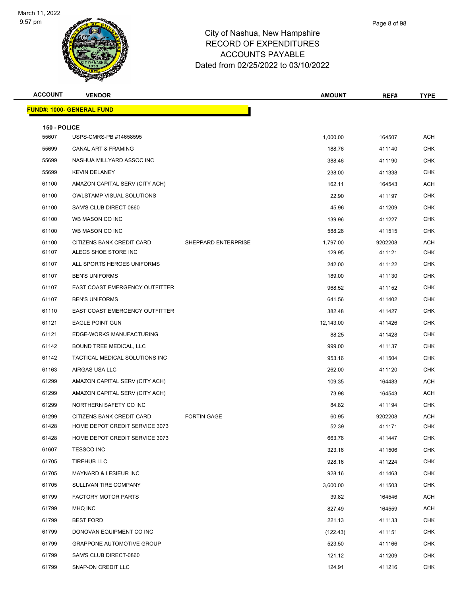

| Page 8 of 98 |
|--------------|
|              |

| <b>ACCOUNT</b>        | <b>VENDOR</b>                         |                     | <b>AMOUNT</b> | REF#    | <b>TYPE</b>              |
|-----------------------|---------------------------------------|---------------------|---------------|---------|--------------------------|
|                       | <b>FUND#: 1000- GENERAL FUND</b>      |                     |               |         |                          |
|                       |                                       |                     |               |         |                          |
| 150 - POLICE<br>55607 | USPS-CMRS-PB #14658595                |                     | 1,000.00      | 164507  | <b>ACH</b>               |
| 55699                 | <b>CANAL ART &amp; FRAMING</b>        |                     | 188.76        | 411140  | <b>CHK</b>               |
| 55699                 | NASHUA MILLYARD ASSOC INC             |                     | 388.46        | 411190  | <b>CHK</b>               |
| 55699                 | <b>KEVIN DELANEY</b>                  |                     | 238.00        | 411338  | <b>CHK</b>               |
| 61100                 | AMAZON CAPITAL SERV (CITY ACH)        |                     | 162.11        | 164543  | <b>ACH</b>               |
| 61100                 | <b>OWLSTAMP VISUAL SOLUTIONS</b>      |                     | 22.90         | 411197  | <b>CHK</b>               |
| 61100                 | SAM'S CLUB DIRECT-0860                |                     | 45.96         | 411209  | <b>CHK</b>               |
| 61100                 | WB MASON CO INC                       |                     | 139.96        | 411227  | <b>CHK</b>               |
| 61100                 | WB MASON CO INC                       |                     | 588.26        | 411515  | <b>CHK</b>               |
| 61100                 | CITIZENS BANK CREDIT CARD             | SHEPPARD ENTERPRISE | 1,797.00      | 9202208 | <b>ACH</b>               |
| 61107                 | ALECS SHOE STORE INC                  |                     | 129.95        | 411121  | CHK                      |
| 61107                 | ALL SPORTS HEROES UNIFORMS            |                     | 242.00        | 411122  | <b>CHK</b>               |
| 61107                 | <b>BEN'S UNIFORMS</b>                 |                     | 189.00        | 411130  | <b>CHK</b>               |
| 61107                 | <b>EAST COAST EMERGENCY OUTFITTER</b> |                     | 968.52        | 411152  | <b>CHK</b>               |
| 61107                 | <b>BEN'S UNIFORMS</b>                 |                     | 641.56        | 411402  | <b>CHK</b>               |
| 61110                 | EAST COAST EMERGENCY OUTFITTER        |                     | 382.48        | 411427  | CHK                      |
| 61121                 | <b>EAGLE POINT GUN</b>                |                     | 12,143.00     | 411426  | <b>CHK</b>               |
| 61121                 | EDGE-WORKS MANUFACTURING              |                     | 88.25         | 411428  | <b>CHK</b>               |
| 61142                 | BOUND TREE MEDICAL, LLC               |                     | 999.00        | 411137  | <b>CHK</b>               |
| 61142                 | TACTICAL MEDICAL SOLUTIONS INC        |                     | 953.16        | 411504  | <b>CHK</b>               |
| 61163                 | AIRGAS USA LLC                        |                     | 262.00        | 411120  | <b>CHK</b>               |
| 61299                 | AMAZON CAPITAL SERV (CITY ACH)        |                     | 109.35        | 164483  | <b>ACH</b>               |
| 61299                 | AMAZON CAPITAL SERV (CITY ACH)        |                     | 73.98         | 164543  | <b>ACH</b>               |
| 61299                 | NORTHERN SAFETY CO INC                |                     | 84.82         | 411194  | <b>CHK</b>               |
| 61299                 | CITIZENS BANK CREDIT CARD             | <b>FORTIN GAGE</b>  | 60.95         | 9202208 | <b>ACH</b>               |
| 61428                 | HOME DEPOT CREDIT SERVICE 3073        |                     | 52.39         | 411171  | CHK                      |
| 61428                 | HOME DEPOT CREDIT SERVICE 3073        |                     | 663.76        | 411447  | CHK                      |
| 61607                 | <b>TESSCO INC</b>                     |                     | 323.16        | 411506  | <b>CHK</b>               |
| 61705                 | <b>TIREHUB LLC</b>                    |                     | 928.16        | 411224  | <b>CHK</b>               |
| 61705                 | MAYNARD & LESIEUR INC                 |                     | 928.16        | 411463  | <b>CHK</b>               |
| 61705                 | SULLIVAN TIRE COMPANY                 |                     | 3,600.00      | 411503  | <b>CHK</b>               |
| 61799                 | <b>FACTORY MOTOR PARTS</b>            |                     | 39.82         | 164546  | <b>ACH</b>               |
| 61799                 | MHQ INC                               |                     | 827.49        | 164559  | <b>ACH</b>               |
| 61799                 | <b>BEST FORD</b>                      |                     | 221.13        | 411133  | <b>CHK</b>               |
| 61799                 | DONOVAN EQUIPMENT CO INC              |                     | (122.43)      | 411151  | <b>CHK</b>               |
| 61799<br>61799        | <b>GRAPPONE AUTOMOTIVE GROUP</b>      |                     | 523.50        | 411166  | <b>CHK</b><br><b>CHK</b> |
|                       | SAM'S CLUB DIRECT-0860                |                     | 121.12        | 411209  |                          |
| 61799                 | SNAP-ON CREDIT LLC                    |                     | 124.91        | 411216  | <b>CHK</b>               |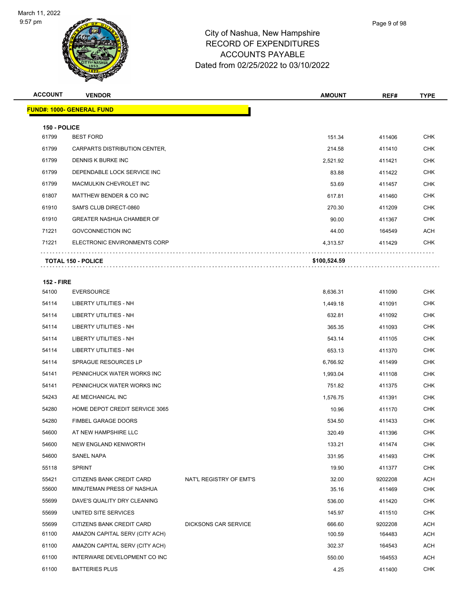

| <b>ACCOUNT</b> | <b>VENDOR</b>                    | <b>AMOUNT</b> | REF#   | <b>TYPE</b> |
|----------------|----------------------------------|---------------|--------|-------------|
|                | <b>FUND#: 1000- GENERAL FUND</b> |               |        |             |
| 150 - POLICE   |                                  |               |        |             |
| 61799          | <b>BEST FORD</b>                 | 151.34        | 411406 | <b>CHK</b>  |
| 61799          | CARPARTS DISTRIBUTION CENTER,    | 214.58        | 411410 | <b>CHK</b>  |
| 61799          | DENNIS K BURKE INC               | 2,521.92      | 411421 | <b>CHK</b>  |
| 61799          | DEPENDABLE LOCK SERVICE INC      | 83.88         | 411422 | <b>CHK</b>  |
| 61799          | <b>MACMULKIN CHEVROLET INC</b>   | 53.69         | 411457 | <b>CHK</b>  |
| 61807          | MATTHEW BENDER & CO INC          | 617.81        | 411460 | <b>CHK</b>  |
| 61910          | SAM'S CLUB DIRECT-0860           | 270.30        | 411209 | <b>CHK</b>  |
| 61910          | <b>GREATER NASHUA CHAMBER OF</b> | 90.00         | 411367 | <b>CHK</b>  |
| 71221          | <b>GOVCONNECTION INC</b>         | 44.00         | 164549 | <b>ACH</b>  |
| 71221          | ELECTRONIC ENVIRONMENTS CORP     | 4,313.57      | 411429 | <b>CHK</b>  |
|                | <b>TOTAL 150 - POLICE</b>        | \$100,524.59  |        |             |

#### **152 - FIRE**

| 54100 | <b>EVERSOURCE</b>              |                             | 8,636.31 | 411090  | <b>CHK</b> |
|-------|--------------------------------|-----------------------------|----------|---------|------------|
| 54114 | <b>LIBERTY UTILITIES - NH</b>  |                             | 1,449.18 | 411091  | <b>CHK</b> |
| 54114 | <b>LIBERTY UTILITIES - NH</b>  |                             | 632.81   | 411092  | <b>CHK</b> |
| 54114 | <b>LIBERTY UTILITIES - NH</b>  |                             | 365.35   | 411093  | <b>CHK</b> |
| 54114 | <b>LIBERTY UTILITIES - NH</b>  |                             | 543.14   | 411105  | <b>CHK</b> |
| 54114 | <b>LIBERTY UTILITIES - NH</b>  |                             | 653.13   | 411370  | <b>CHK</b> |
| 54114 | SPRAGUE RESOURCES LP           |                             | 6,766.92 | 411499  | <b>CHK</b> |
| 54141 | PENNICHUCK WATER WORKS INC     |                             | 1,993.04 | 411108  | <b>CHK</b> |
| 54141 | PENNICHUCK WATER WORKS INC     |                             | 751.82   | 411375  | <b>CHK</b> |
| 54243 | AE MECHANICAL INC              |                             | 1,576.75 | 411391  | <b>CHK</b> |
| 54280 | HOME DEPOT CREDIT SERVICE 3065 |                             | 10.96    | 411170  | <b>CHK</b> |
| 54280 | FIMBEL GARAGE DOORS            |                             | 534.50   | 411433  | <b>CHK</b> |
| 54600 | AT NEW HAMPSHIRE LLC           |                             | 320.49   | 411396  | <b>CHK</b> |
| 54600 | NEW ENGLAND KENWORTH           |                             | 133.21   | 411474  | <b>CHK</b> |
| 54600 | <b>SANEL NAPA</b>              |                             | 331.95   | 411493  | <b>CHK</b> |
| 55118 | <b>SPRINT</b>                  |                             | 19.90    | 411377  | <b>CHK</b> |
| 55421 | CITIZENS BANK CREDIT CARD      | NAT'L REGISTRY OF EMT'S     | 32.00    | 9202208 | ACH        |
| 55600 | MINUTEMAN PRESS OF NASHUA      |                             | 35.16    | 411469  | <b>CHK</b> |
| 55699 | DAVE'S QUALITY DRY CLEANING    |                             | 536.00   | 411420  | <b>CHK</b> |
| 55699 | UNITED SITE SERVICES           |                             | 145.97   | 411510  | <b>CHK</b> |
| 55699 | CITIZENS BANK CREDIT CARD      | <b>DICKSONS CAR SERVICE</b> | 666.60   | 9202208 | <b>ACH</b> |
| 61100 | AMAZON CAPITAL SERV (CITY ACH) |                             | 100.59   | 164483  | ACH        |
| 61100 | AMAZON CAPITAL SERV (CITY ACH) |                             | 302.37   | 164543  | <b>ACH</b> |
| 61100 | INTERWARE DEVELOPMENT CO INC   |                             | 550.00   | 164553  | <b>ACH</b> |
| 61100 | <b>BATTERIES PLUS</b>          |                             | 4.25     | 411400  | <b>CHK</b> |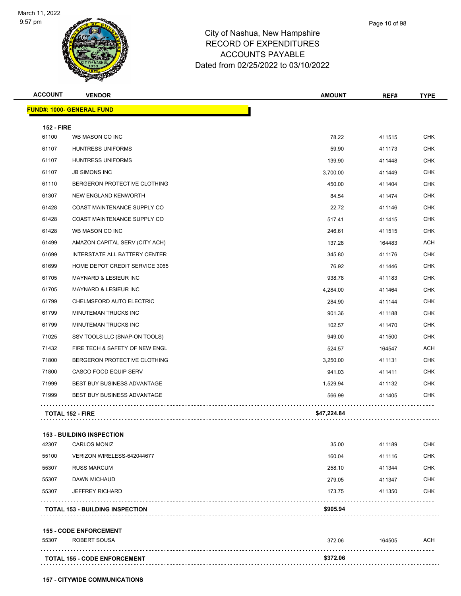

**ACCOUNT VENDOR AMOUNT REF# TYPE**

|                   | <u> FUND#: 1000- GENERAL FUND</u>      |             |        |            |
|-------------------|----------------------------------------|-------------|--------|------------|
| <b>152 - FIRE</b> |                                        |             |        |            |
| 61100             | WB MASON CO INC                        | 78.22       | 411515 | <b>CHK</b> |
| 61107             | <b>HUNTRESS UNIFORMS</b>               | 59.90       | 411173 | CHK        |
| 61107             | <b>HUNTRESS UNIFORMS</b>               | 139.90      | 411448 | <b>CHK</b> |
| 61107             | <b>JB SIMONS INC</b>                   | 3,700.00    | 411449 | CHK        |
| 61110             | BERGERON PROTECTIVE CLOTHING           | 450.00      | 411404 | <b>CHK</b> |
| 61307             | NEW ENGLAND KENWORTH                   | 84.54       | 411474 | <b>CHK</b> |
| 61428             | COAST MAINTENANCE SUPPLY CO            | 22.72       | 411146 | CHK        |
| 61428             | COAST MAINTENANCE SUPPLY CO            | 517.41      | 411415 | <b>CHK</b> |
| 61428             | WB MASON CO INC                        | 246.61      | 411515 | CHK        |
| 61499             | AMAZON CAPITAL SERV (CITY ACH)         | 137.28      | 164483 | ACH        |
| 61699             | INTERSTATE ALL BATTERY CENTER          | 345.80      | 411176 | <b>CHK</b> |
| 61699             | HOME DEPOT CREDIT SERVICE 3065         | 76.92       | 411446 | <b>CHK</b> |
| 61705             | <b>MAYNARD &amp; LESIEUR INC</b>       | 938.78      | 411183 | <b>CHK</b> |
| 61705             | MAYNARD & LESIEUR INC                  | 4,284.00    | 411464 | CHK        |
| 61799             | CHELMSFORD AUTO ELECTRIC               | 284.90      | 411144 | <b>CHK</b> |
| 61799             | MINUTEMAN TRUCKS INC                   | 901.36      | 411188 | <b>CHK</b> |
| 61799             | MINUTEMAN TRUCKS INC                   | 102.57      | 411470 | <b>CHK</b> |
| 71025             | SSV TOOLS LLC (SNAP-ON TOOLS)          | 949.00      | 411500 | <b>CHK</b> |
| 71432             | FIRE TECH & SAFETY OF NEW ENGL         | 524.57      | 164547 | <b>ACH</b> |
| 71800             | BERGERON PROTECTIVE CLOTHING           | 3,250.00    | 411131 | <b>CHK</b> |
| 71800             | CASCO FOOD EQUIP SERV                  | 941.03      | 411411 | CHK        |
| 71999             | BEST BUY BUSINESS ADVANTAGE            | 1,529.94    | 411132 | CHK        |
| 71999             | <b>BEST BUY BUSINESS ADVANTAGE</b>     | 566.99      | 411405 | CHK        |
|                   | <b>TOTAL 152 - FIRE</b>                | \$47,224.84 |        |            |
|                   | <b>153 - BUILDING INSPECTION</b>       |             |        |            |
| 42307             | <b>CARLOS MONIZ</b>                    | 35.00       | 411189 | <b>CHK</b> |
| 55100             | VERIZON WIRELESS-642044677             | 160.04      | 411116 | <b>CHK</b> |
| 55307             | <b>RUSS MARCUM</b>                     | 258.10      | 411344 | <b>CHK</b> |
| 55307             | DAWN MICHAUD                           | 279.05      | 411347 | <b>CHK</b> |
| 55307             | <b>JEFFREY RICHARD</b>                 | 173.75      | 411350 | <b>CHK</b> |
|                   | <b>TOTAL 153 - BUILDING INSPECTION</b> | \$905.94    |        |            |
|                   | <b>155 - CODE ENFORCEMENT</b>          |             |        |            |
| 55307             | ROBERT SOUSA                           | 372.06      | 164505 | ACH        |
|                   | <b>TOTAL 155 - CODE ENFORCEMENT</b>    | \$372.06    |        |            |

**157 - CITYWIDE COMMUNICATIONS**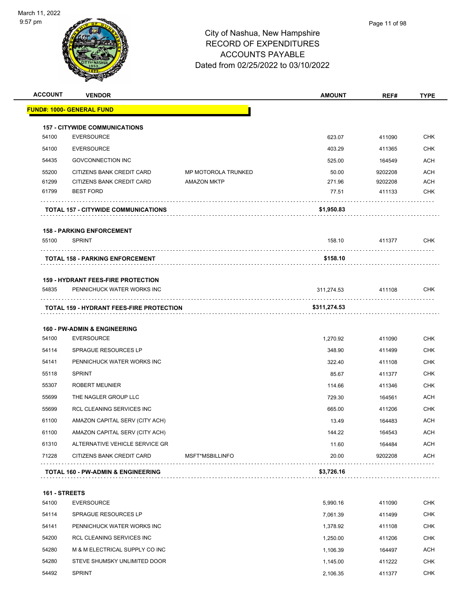

| <b>ACCOUNT</b> | <b>VENDOR</b>                                   |                            | <b>AMOUNT</b> | REF#    | TYPE       |
|----------------|-------------------------------------------------|----------------------------|---------------|---------|------------|
|                | <b>FUND#: 1000- GENERAL FUND</b>                |                            |               |         |            |
|                | <b>157 - CITYWIDE COMMUNICATIONS</b>            |                            |               |         |            |
| 54100          | <b>EVERSOURCE</b>                               |                            | 623.07        | 411090  | <b>CHK</b> |
| 54100          | <b>EVERSOURCE</b>                               |                            | 403.29        | 411365  | <b>CHK</b> |
| 54435          | <b>GOVCONNECTION INC</b>                        |                            | 525.00        | 164549  | <b>ACH</b> |
| 55200          | CITIZENS BANK CREDIT CARD                       | <b>MP MOTOROLA TRUNKED</b> | 50.00         | 9202208 | <b>ACH</b> |
| 61299          | CITIZENS BANK CREDIT CARD                       | <b>AMAZON MKTP</b>         | 271.96        | 9202208 | ACH        |
| 61799          | <b>BEST FORD</b>                                |                            | 77.51         | 411133  | <b>CHK</b> |
|                | <b>TOTAL 157 - CITYWIDE COMMUNICATIONS</b>      |                            | \$1,950.83    |         |            |
|                | <b>158 - PARKING ENFORCEMENT</b>                |                            |               |         |            |
| 55100          | <b>SPRINT</b>                                   |                            | 158.10        | 411377  | <b>CHK</b> |
|                | <b>TOTAL 158 - PARKING ENFORCEMENT</b>          |                            | \$158.10      |         |            |
|                | <b>159 - HYDRANT FEES-FIRE PROTECTION</b>       |                            |               |         |            |
| 54835          | PENNICHUCK WATER WORKS INC                      |                            | 311,274.53    | 411108  | <b>CHK</b> |
|                | <b>TOTAL 159 - HYDRANT FEES-FIRE PROTECTION</b> |                            | \$311,274.53  |         |            |
|                | <b>160 - PW-ADMIN &amp; ENGINEERING</b>         |                            |               |         |            |
| 54100          | <b>EVERSOURCE</b>                               |                            | 1,270.92      | 411090  | <b>CHK</b> |
| 54114          | <b>SPRAGUE RESOURCES LP</b>                     |                            | 348.90        | 411499  | <b>CHK</b> |
| 54141          | PENNICHUCK WATER WORKS INC                      |                            | 322.40        | 411108  | <b>CHK</b> |
| 55118          | <b>SPRINT</b>                                   |                            | 85.67         | 411377  | <b>CHK</b> |
| 55307          | <b>ROBERT MEUNIER</b>                           |                            | 114.66        | 411346  | <b>CHK</b> |
| 55699          | THE NAGLER GROUP LLC                            |                            | 729.30        | 164561  | ACH        |
| 55699          | <b>RCL CLEANING SERVICES INC</b>                |                            | 665.00        | 411206  | <b>CHK</b> |
| 61100          | AMAZON CAPITAL SERV (CITY ACH)                  |                            | 13.49         | 164483  | <b>ACH</b> |
| 61100          | AMAZON CAPITAL SERV (CITY ACH)                  |                            | 144.22        | 164543  | <b>ACH</b> |
| 61310          | ALTERNATIVE VEHICLE SERVICE GR                  |                            | 11.60         | 164484  | <b>ACH</b> |
| 71228          | CITIZENS BANK CREDIT CARD                       | MSFT*MSBILLINFO            | 20.00         | 9202208 | ACH        |
|                | <b>TOTAL 160 - PW-ADMIN &amp; ENGINEERING</b>   |                            | \$3,726.16    |         |            |
| 161 - STREETS  |                                                 |                            |               |         |            |
| 54100          | <b>EVERSOURCE</b>                               |                            | 5,990.16      | 411090  | <b>CHK</b> |
| 54114          | SPRAGUE RESOURCES LP                            |                            | 7,061.39      | 411499  | <b>CHK</b> |
| 54141          | PENNICHUCK WATER WORKS INC                      |                            | 1,378.92      | 411108  | <b>CHK</b> |
| 54200          | RCL CLEANING SERVICES INC                       |                            | 1,250.00      | 411206  | <b>CHK</b> |
|                |                                                 |                            |               |         |            |

| 54280 | M & M ELECTRICAL SUPPLY CO INC | 1.106.39 | 164497 | ACH        |
|-------|--------------------------------|----------|--------|------------|
| 54280 | STEVE SHUMSKY UNLIMITED DOOR   | 1.145.00 | 411222 | <b>CHK</b> |
| 54492 | <b>SPRINT</b>                  | 2.106.35 | 411377 | <b>CHK</b> |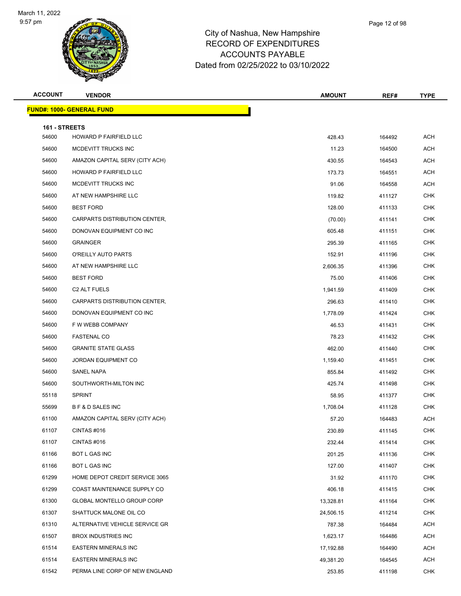

| Page 12 of 98 |  |
|---------------|--|
|               |  |

| <b>ACCOUNT</b>         | <b>VENDOR</b>                     | <b>AMOUNT</b> | REF#   | <b>TYPE</b> |
|------------------------|-----------------------------------|---------------|--------|-------------|
|                        | <u> FUND#: 1000- GENERAL FUND</u> |               |        |             |
|                        |                                   |               |        |             |
| 161 - STREETS<br>54600 | HOWARD P FAIRFIELD LLC            | 428.43        | 164492 | <b>ACH</b>  |
| 54600                  | MCDEVITT TRUCKS INC               | 11.23         | 164500 | <b>ACH</b>  |
| 54600                  | AMAZON CAPITAL SERV (CITY ACH)    | 430.55        | 164543 | ACH         |
| 54600                  | HOWARD P FAIRFIELD LLC            | 173.73        | 164551 | <b>ACH</b>  |
| 54600                  | MCDEVITT TRUCKS INC               | 91.06         | 164558 | <b>ACH</b>  |
| 54600                  | AT NEW HAMPSHIRE LLC              | 119.82        | 411127 | <b>CHK</b>  |
| 54600                  | <b>BEST FORD</b>                  | 128.00        | 411133 | <b>CHK</b>  |
| 54600                  | CARPARTS DISTRIBUTION CENTER,     | (70.00)       | 411141 | <b>CHK</b>  |
| 54600                  | DONOVAN EQUIPMENT CO INC          | 605.48        | 411151 | <b>CHK</b>  |
| 54600                  | <b>GRAINGER</b>                   | 295.39        | 411165 | <b>CHK</b>  |
| 54600                  | O'REILLY AUTO PARTS               | 152.91        | 411196 | <b>CHK</b>  |
| 54600                  | AT NEW HAMPSHIRE LLC              | 2,606.35      | 411396 | <b>CHK</b>  |
| 54600                  | <b>BEST FORD</b>                  | 75.00         | 411406 | CHK         |
| 54600                  | C2 ALT FUELS                      | 1,941.59      | 411409 | <b>CHK</b>  |
| 54600                  | CARPARTS DISTRIBUTION CENTER,     | 296.63        | 411410 | <b>CHK</b>  |
| 54600                  | DONOVAN EQUIPMENT CO INC          | 1,778.09      | 411424 | <b>CHK</b>  |
| 54600                  | F W WEBB COMPANY                  | 46.53         | 411431 | <b>CHK</b>  |
| 54600                  | <b>FASTENAL CO</b>                | 78.23         | 411432 | <b>CHK</b>  |
| 54600                  | <b>GRANITE STATE GLASS</b>        | 462.00        | 411440 | <b>CHK</b>  |
| 54600                  | JORDAN EQUIPMENT CO               | 1,159.40      | 411451 | <b>CHK</b>  |
| 54600                  | SANEL NAPA                        | 855.84        | 411492 | <b>CHK</b>  |
| 54600                  | SOUTHWORTH-MILTON INC             | 425.74        | 411498 | <b>CHK</b>  |
| 55118                  | <b>SPRINT</b>                     | 58.95         | 411377 | CHK         |
| 55699                  | B F & D SALES INC                 | 1,708.04      | 411128 | <b>CHK</b>  |
| 61100                  | AMAZON CAPITAL SERV (CITY ACH)    | 57.20         | 164483 | <b>ACH</b>  |
| 61107                  | CINTAS #016                       | 230.89        | 411145 | <b>CHK</b>  |
| 61107                  | CINTAS #016                       | 232.44        | 411414 | <b>CHK</b>  |
| 61166                  | BOT L GAS INC                     | 201.25        | 411136 | <b>CHK</b>  |
| 61166                  | BOT L GAS INC                     | 127.00        | 411407 | <b>CHK</b>  |
| 61299                  | HOME DEPOT CREDIT SERVICE 3065    | 31.92         | 411170 | <b>CHK</b>  |
| 61299                  | COAST MAINTENANCE SUPPLY CO       | 406.18        | 411415 | <b>CHK</b>  |
| 61300                  | <b>GLOBAL MONTELLO GROUP CORP</b> | 13,328.81     | 411164 | <b>CHK</b>  |
| 61307                  | SHATTUCK MALONE OIL CO            | 24,506.15     | 411214 | <b>CHK</b>  |
| 61310                  | ALTERNATIVE VEHICLE SERVICE GR    | 787.38        | 164484 | ACH         |
| 61507                  | <b>BROX INDUSTRIES INC</b>        | 1,623.17      | 164486 | ACH         |
| 61514                  | <b>EASTERN MINERALS INC</b>       | 17,192.88     | 164490 | <b>ACH</b>  |
| 61514                  | <b>EASTERN MINERALS INC</b>       | 49,381.20     | 164545 | ACH         |
| 61542                  | PERMA LINE CORP OF NEW ENGLAND    | 253.85        | 411198 | <b>CHK</b>  |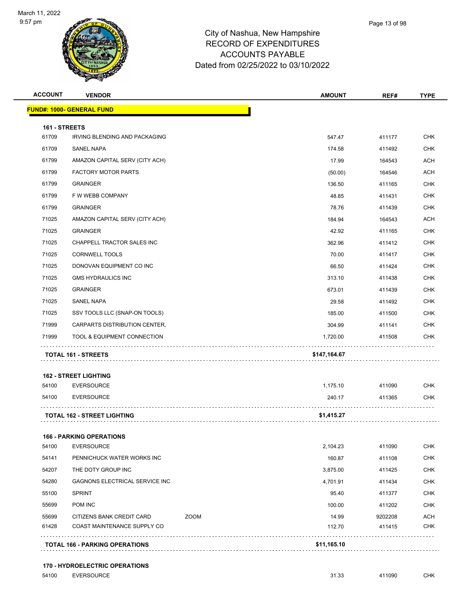

| <b>ACCOUNT</b> | <b>VENDOR</b>                      |      | <b>AMOUNT</b> | REF#    | <b>TYPE</b> |
|----------------|------------------------------------|------|---------------|---------|-------------|
|                | <b>FUND#: 1000- GENERAL FUND</b>   |      |               |         |             |
| 161 - STREETS  |                                    |      |               |         |             |
| 61709          | IRVING BLENDING AND PACKAGING      |      | 547.47        | 411177  | <b>CHK</b>  |
| 61709          | SANEL NAPA                         |      | 174.58        | 411492  | <b>CHK</b>  |
| 61799          | AMAZON CAPITAL SERV (CITY ACH)     |      | 17.99         | 164543  | <b>ACH</b>  |
| 61799          | <b>FACTORY MOTOR PARTS</b>         |      | (50.00)       | 164546  | <b>ACH</b>  |
| 61799          | <b>GRAINGER</b>                    |      | 136.50        | 411165  | <b>CHK</b>  |
| 61799          | F W WEBB COMPANY                   |      | 48.85         | 411431  | <b>CHK</b>  |
| 61799          | <b>GRAINGER</b>                    |      | 78.76         | 411439  | CHK         |
| 71025          | AMAZON CAPITAL SERV (CITY ACH)     |      | 184.94        | 164543  | <b>ACH</b>  |
| 71025          | <b>GRAINGER</b>                    |      | 42.92         | 411165  | <b>CHK</b>  |
| 71025          | CHAPPELL TRACTOR SALES INC         |      | 362.96        | 411412  | <b>CHK</b>  |
| 71025          | <b>CORNWELL TOOLS</b>              |      | 70.00         | 411417  | <b>CHK</b>  |
| 71025          | DONOVAN EQUIPMENT CO INC           |      | 66.50         | 411424  | <b>CHK</b>  |
| 71025          | <b>GMS HYDRAULICS INC</b>          |      | 313.10        | 411438  | <b>CHK</b>  |
| 71025          | <b>GRAINGER</b>                    |      | 673.01        | 411439  | <b>CHK</b>  |
| 71025          | SANEL NAPA                         |      | 29.58         | 411492  | <b>CHK</b>  |
| 71025          | SSV TOOLS LLC (SNAP-ON TOOLS)      |      | 185.00        | 411500  | <b>CHK</b>  |
| 71999          | CARPARTS DISTRIBUTION CENTER,      |      | 304.99        | 411141  | CHK         |
| 71999          | TOOL & EQUIPMENT CONNECTION        |      | 1,720.00      | 411508  | <b>CHK</b>  |
|                | TOTAL 161 - STREETS                |      | \$147,164.67  |         |             |
|                | <b>162 - STREET LIGHTING</b>       |      |               |         |             |
| 54100          | <b>EVERSOURCE</b>                  |      | 1,175.10      | 411090  | <b>CHK</b>  |
| 54100          | <b>EVERSOURCE</b>                  |      | 240.17        | 411365  | <b>CHK</b>  |
|                | <b>TOTAL 162 - STREET LIGHTING</b> |      | \$1,415.27    |         |             |
|                | <b>166 - PARKING OPERATIONS</b>    |      |               |         |             |
| 54100          | <b>EVERSOURCE</b>                  |      | 2,104.23      | 411090  | <b>CHK</b>  |
| 54141          | PENNICHUCK WATER WORKS INC         |      | 160.87        | 411108  | <b>CHK</b>  |
| 54207          | THE DOTY GROUP INC                 |      | 3,875.00      | 411425  | <b>CHK</b>  |
| 54280          | GAGNONS ELECTRICAL SERVICE INC     |      | 4,701.91      | 411434  | <b>CHK</b>  |
| 55100          | SPRINT                             |      | 95.40         | 411377  | <b>CHK</b>  |
| 55699          | POM INC                            |      | 100.00        | 411202  | <b>CHK</b>  |
| 55699          | CITIZENS BANK CREDIT CARD          | ZOOM | 14.99         | 9202208 | <b>ACH</b>  |
| 61428          | COAST MAINTENANCE SUPPLY CO        |      | 112.70        | 411415  | <b>CHK</b>  |

## **TOTAL 166 - PARKING OPERATIONS \$11,165.10**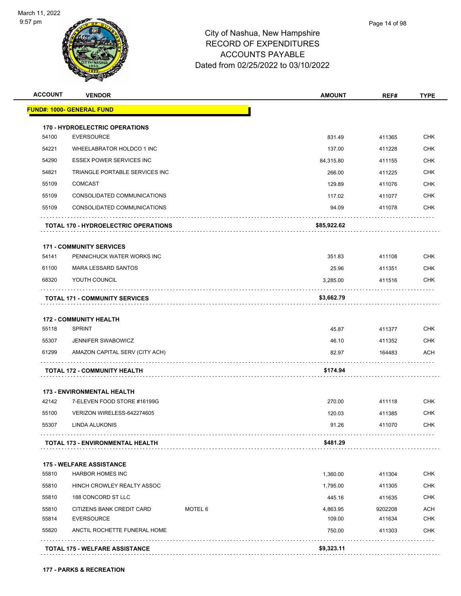

| <b>ACCOUNT</b> | <b>VENDOR</b>                               |         | <b>AMOUNT</b> | REF#    | <b>TYPE</b> |
|----------------|---------------------------------------------|---------|---------------|---------|-------------|
|                | <u> FUND#: 1000- GENERAL FUND</u>           |         |               |         |             |
|                | <b>170 - HYDROELECTRIC OPERATIONS</b>       |         |               |         |             |
| 54100          | <b>EVERSOURCE</b>                           |         | 831.49        | 411365  | <b>CHK</b>  |
| 54221          | WHEELABRATOR HOLDCO 1 INC                   |         | 137.00        | 411228  | <b>CHK</b>  |
| 54290          | ESSEX POWER SERVICES INC                    |         | 84,315.80     | 411155  | <b>CHK</b>  |
| 54821          | TRIANGLE PORTABLE SERVICES INC              |         | 266.00        | 411225  | <b>CHK</b>  |
| 55109          | <b>COMCAST</b>                              |         | 129.89        | 411076  | <b>CHK</b>  |
| 55109          | CONSOLIDATED COMMUNICATIONS                 |         | 117.02        | 411077  | <b>CHK</b>  |
| 55109          | CONSOLIDATED COMMUNICATIONS                 |         | 94.09         | 411078  | <b>CHK</b>  |
|                | <b>TOTAL 170 - HYDROELECTRIC OPERATIONS</b> |         | \$85,922.62   |         |             |
|                | <b>171 - COMMUNITY SERVICES</b>             |         |               |         |             |
| 54141          | PENNICHUCK WATER WORKS INC                  |         | 351.83        | 411108  | <b>CHK</b>  |
| 61100          | <b>MARA LESSARD SANTOS</b>                  |         | 25.96         | 411351  | <b>CHK</b>  |
| 68320          | YOUTH COUNCIL                               |         | 3,285.00      | 411516  | <b>CHK</b>  |
|                | <b>TOTAL 171 - COMMUNITY SERVICES</b>       |         | \$3,662.79    |         |             |
|                | <b>172 - COMMUNITY HEALTH</b>               |         |               |         |             |
| 55118          | <b>SPRINT</b>                               |         | 45.87         | 411377  | <b>CHK</b>  |
| 55307          | <b>JENNIFER SWABOWICZ</b>                   |         | 46.10         | 411352  | <b>CHK</b>  |
| 61299          | AMAZON CAPITAL SERV (CITY ACH)              |         | 82.97         | 164483  | ACH         |
|                | <b>TOTAL 172 - COMMUNITY HEALTH</b>         |         | \$174.94      |         |             |
|                | <b>173 - ENVIRONMENTAL HEALTH</b>           |         |               |         |             |
| 42142          | 7-ELEVEN FOOD STORE #16199G                 |         | 270.00        | 411118  | <b>CHK</b>  |
| 55100          | VERIZON WIRELESS-642274605                  |         | 120.03        | 411385  | <b>CHK</b>  |
| 55307          | <b>LINDA ALUKONIS</b>                       |         | 91.26         | 411070  | <b>CHK</b>  |
|                | TOTAL 173 - ENVIRONMENTAL HEALTH            |         | \$481.29      |         |             |
|                | <b>175 - WELFARE ASSISTANCE</b>             |         |               |         |             |
| 55810          | <b>HARBOR HOMES INC</b>                     |         | 1,360.00      | 411304  | <b>CHK</b>  |
| 55810          | HINCH CROWLEY REALTY ASSOC                  |         | 1,795.00      | 411305  | <b>CHK</b>  |
| 55810          | 188 CONCORD ST LLC                          |         | 445.16        | 411635  | <b>CHK</b>  |
| 55810          | CITIZENS BANK CREDIT CARD                   | MOTEL 6 | 4,863.95      | 9202208 | <b>ACH</b>  |
| 55814          | <b>EVERSOURCE</b>                           |         | 109.00        | 411634  | <b>CHK</b>  |
| 55820          | ANCTIL ROCHETTE FUNERAL HOME                |         | 750.00        | 411303  | <b>CHK</b>  |
|                |                                             |         |               |         |             |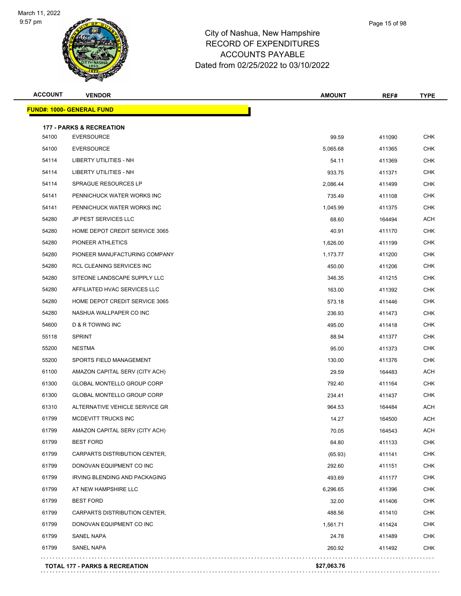

| <b>ACCOUNT</b> | <b>VENDOR</b>                             | <b>AMOUNT</b> | REF#   | <b>TYPE</b> |
|----------------|-------------------------------------------|---------------|--------|-------------|
|                | <u> FUND#: 1000- GENERAL FUND</u>         |               |        |             |
|                | <b>177 - PARKS &amp; RECREATION</b>       |               |        |             |
| 54100          | <b>EVERSOURCE</b>                         | 99.59         | 411090 | <b>CHK</b>  |
| 54100          | <b>EVERSOURCE</b>                         | 5,065.68      | 411365 | <b>CHK</b>  |
| 54114          | LIBERTY UTILITIES - NH                    | 54.11         | 411369 | <b>CHK</b>  |
| 54114          | LIBERTY UTILITIES - NH                    | 933.75        | 411371 | <b>CHK</b>  |
| 54114          | <b>SPRAGUE RESOURCES LP</b>               | 2,086.44      | 411499 | <b>CHK</b>  |
| 54141          | PENNICHUCK WATER WORKS INC                | 735.49        | 411108 | <b>CHK</b>  |
| 54141          | PENNICHUCK WATER WORKS INC                | 1,045.99      | 411375 | <b>CHK</b>  |
| 54280          | JP PEST SERVICES LLC                      | 68.60         | 164494 | <b>ACH</b>  |
| 54280          | HOME DEPOT CREDIT SERVICE 3065            | 40.91         | 411170 | <b>CHK</b>  |
| 54280          | PIONEER ATHLETICS                         | 1,626.00      | 411199 | <b>CHK</b>  |
| 54280          | PIONEER MANUFACTURING COMPANY             | 1,173.77      | 411200 | <b>CHK</b>  |
| 54280          | RCL CLEANING SERVICES INC                 | 450.00        | 411206 | CHK         |
| 54280          | SITEONE LANDSCAPE SUPPLY LLC              | 346.35        | 411215 | <b>CHK</b>  |
| 54280          | AFFILIATED HVAC SERVICES LLC              | 163.00        | 411392 | <b>CHK</b>  |
| 54280          | HOME DEPOT CREDIT SERVICE 3065            | 573.18        | 411446 | <b>CHK</b>  |
| 54280          | NASHUA WALLPAPER CO INC                   | 236.93        | 411473 | <b>CHK</b>  |
| 54600          | D & R TOWING INC                          | 495.00        | 411418 | CHK         |
| 55118          | <b>SPRINT</b>                             | 88.94         | 411377 | <b>CHK</b>  |
| 55200          | <b>NESTMA</b>                             | 95.00         | 411373 | <b>CHK</b>  |
| 55200          | SPORTS FIELD MANAGEMENT                   | 130.00        | 411376 | <b>CHK</b>  |
| 61100          | AMAZON CAPITAL SERV (CITY ACH)            | 29.59         | 164483 | <b>ACH</b>  |
| 61300          | GLOBAL MONTELLO GROUP CORP                | 792.40        | 411164 | <b>CHK</b>  |
| 61300          | GLOBAL MONTELLO GROUP CORP                | 234.41        | 411437 | <b>CHK</b>  |
| 61310          | ALTERNATIVE VEHICLE SERVICE GR            | 964.53        | 164484 | ACH         |
| 61799          | MCDEVITT TRUCKS INC                       | 14.27         | 164500 | ACH         |
| 61799          | AMAZON CAPITAL SERV (CITY ACH)            | 70.05         | 164543 | ACH         |
| 61799          | <b>BEST FORD</b>                          | 64.80         | 411133 | <b>CHK</b>  |
| 61799          | CARPARTS DISTRIBUTION CENTER,             | (65.93)       | 411141 | <b>CHK</b>  |
| 61799          | DONOVAN EQUIPMENT CO INC                  | 292.60        | 411151 | <b>CHK</b>  |
| 61799          | IRVING BLENDING AND PACKAGING             | 493.69        | 411177 | <b>CHK</b>  |
| 61799          | AT NEW HAMPSHIRE LLC                      | 6,296.65      | 411396 | <b>CHK</b>  |
| 61799          | <b>BEST FORD</b>                          | 32.00         | 411406 | CHK         |
| 61799          | CARPARTS DISTRIBUTION CENTER,             | 488.56        | 411410 | <b>CHK</b>  |
| 61799          | DONOVAN EQUIPMENT CO INC                  | 1,561.71      | 411424 | <b>CHK</b>  |
| 61799          | SANEL NAPA                                | 24.78         | 411489 | <b>CHK</b>  |
| 61799          | SANEL NAPA                                | 260.92        | 411492 | <b>CHK</b>  |
|                | <b>TOTAL 177 - PARKS &amp; RECREATION</b> | \$27,063.76   |        |             |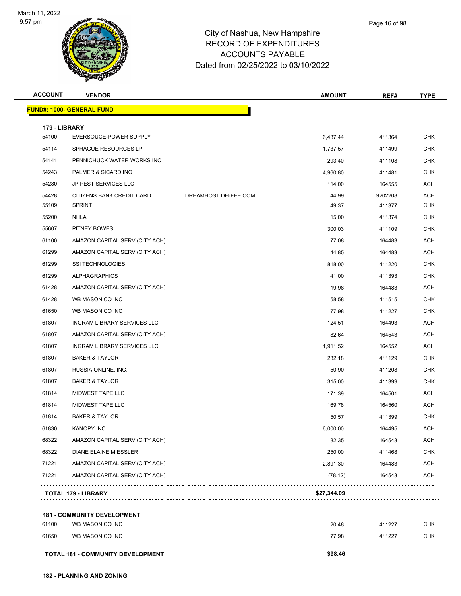

|    | Page 16 of 98 |
|----|---------------|
| re |               |
|    |               |

| <b>ACCOUNT</b> | <b>VENDOR</b>                    |                      | <b>AMOUNT</b> | REF#    | <b>TYPE</b> |
|----------------|----------------------------------|----------------------|---------------|---------|-------------|
|                | <b>FUND#: 1000- GENERAL FUND</b> |                      |               |         |             |
| 179 - LIBRARY  |                                  |                      |               |         |             |
| 54100          | EVERSOUCE-POWER SUPPLY           |                      | 6,437.44      | 411364  | <b>CHK</b>  |
| 54114          | SPRAGUE RESOURCES LP             |                      | 1,737.57      | 411499  | <b>CHK</b>  |
| 54141          | PENNICHUCK WATER WORKS INC       |                      | 293.40        | 411108  | <b>CHK</b>  |
| 54243          | PALMER & SICARD INC              |                      | 4,960.80      | 411481  | <b>CHK</b>  |
| 54280          | JP PEST SERVICES LLC             |                      | 114.00        | 164555  | ACH         |
| 54428          | CITIZENS BANK CREDIT CARD        | DREAMHOST DH-FEE.COM | 44.99         | 9202208 | ACH         |
| 55109          | <b>SPRINT</b>                    |                      | 49.37         | 411377  | <b>CHK</b>  |
| 55200          | <b>NHLA</b>                      |                      | 15.00         | 411374  | <b>CHK</b>  |
| 55607          | PITNEY BOWES                     |                      | 300.03        | 411109  | <b>CHK</b>  |
| 61100          | AMAZON CAPITAL SERV (CITY ACH)   |                      | 77.08         | 164483  | ACH         |
| 61299          | AMAZON CAPITAL SERV (CITY ACH)   |                      | 44.85         | 164483  | ACH         |
| 61299          | <b>SSI TECHNOLOGIES</b>          |                      | 818.00        | 411220  | <b>CHK</b>  |
| 61299          | <b>ALPHAGRAPHICS</b>             |                      | 41.00         | 411393  | <b>CHK</b>  |
| 61428          | AMAZON CAPITAL SERV (CITY ACH)   |                      | 19.98         | 164483  | ACH         |
| 61428          | WB MASON CO INC                  |                      | 58.58         | 411515  | <b>CHK</b>  |
| 61650          | WB MASON CO INC                  |                      | 77.98         | 411227  | <b>CHK</b>  |
| 61807          | INGRAM LIBRARY SERVICES LLC      |                      | 124.51        | 164493  | <b>ACH</b>  |
| 61807          | AMAZON CAPITAL SERV (CITY ACH)   |                      | 82.64         | 164543  | <b>ACH</b>  |
| 61807          | INGRAM LIBRARY SERVICES LLC      |                      | 1,911.52      | 164552  | ACH         |
| 61807          | <b>BAKER &amp; TAYLOR</b>        |                      | 232.18        | 411129  | <b>CHK</b>  |
| 61807          | RUSSIA ONLINE, INC.              |                      | 50.90         | 411208  | <b>CHK</b>  |
| 61807          | <b>BAKER &amp; TAYLOR</b>        |                      | 315.00        | 411399  | <b>CHK</b>  |
| 61814          | MIDWEST TAPE LLC                 |                      | 171.39        | 164501  | ACH         |
| 61814          | <b>MIDWEST TAPE LLC</b>          |                      | 169.78        | 164560  | ACH         |
| 61814          | <b>BAKER &amp; TAYLOR</b>        |                      | 50.57         | 411399  | <b>CHK</b>  |
| 61830          | <b>KANOPY INC</b>                |                      | 6,000.00      | 164495  | <b>ACH</b>  |
| 68322          | AMAZON CAPITAL SERV (CITY ACH)   |                      | 82.35         | 164543  | <b>ACH</b>  |
| 68322          | DIANE ELAINE MIESSLER            |                      | 250.00        | 411468  | CHK         |
| 71221          | AMAZON CAPITAL SERV (CITY ACH)   |                      | 2,891.30      | 164483  | <b>ACH</b>  |
| 71221          | AMAZON CAPITAL SERV (CITY ACH)   |                      | (78.12)       | 164543  | <b>ACH</b>  |
|                | <b>TOTAL 179 - LIBRARY</b>       |                      | \$27,344.09   |         |             |

 WB MASON CO INC 20.48 411227 CHK WB MASON CO INC 77.98 411227 CHK **TOTAL 181 - COMMUNITY DEVELOPMENT \$98.46**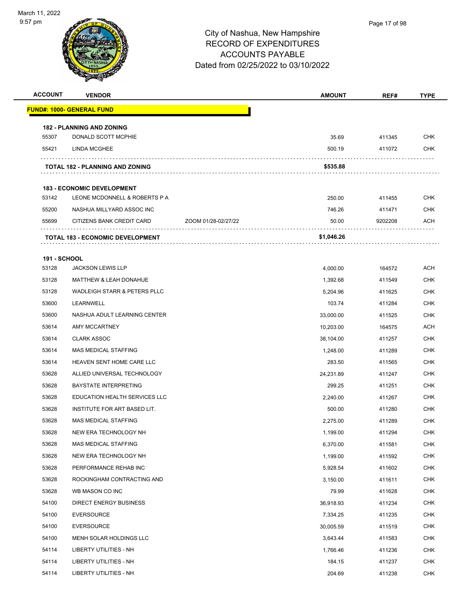

| <b>ACCOUNT</b>      | <b>VENDOR</b>                           |                     | <b>AMOUNT</b> | REF#    | <b>TYPE</b> |
|---------------------|-----------------------------------------|---------------------|---------------|---------|-------------|
|                     | <b>FUND#: 1000- GENERAL FUND</b>        |                     |               |         |             |
|                     | <b>182 - PLANNING AND ZONING</b>        |                     |               |         |             |
| 55307               | DONALD SCOTT MCPHIE                     |                     | 35.69         | 411345  | <b>CHK</b>  |
| 55421               | LINDA MCGHEE                            |                     | 500.19        | 411072  | CHK         |
|                     | <b>TOTAL 182 - PLANNING AND ZONING</b>  |                     | \$535.88      |         |             |
|                     | <b>183 - ECONOMIC DEVELOPMENT</b>       |                     |               |         |             |
| 53142               | LEONE MCDONNELL & ROBERTS P A           |                     | 250.00        | 411455  | <b>CHK</b>  |
| 55200               | NASHUA MILLYARD ASSOC INC               |                     | 746.26        | 411471  | <b>CHK</b>  |
| 55699               | CITIZENS BANK CREDIT CARD               | ZOOM 01/28-02/27/22 | 50.00         | 9202208 | ACH         |
|                     | <b>TOTAL 183 - ECONOMIC DEVELOPMENT</b> |                     | \$1,046.26    |         |             |
| <b>191 - SCHOOL</b> |                                         |                     |               |         |             |
| 53128               | <b>JACKSON LEWIS LLP</b>                |                     | 4,000.00      | 164572  | ACH         |
| 53128               | <b>MATTHEW &amp; LEAH DONAHUE</b>       |                     | 1,392.68      | 411549  | <b>CHK</b>  |
| 53128               | WADLEIGH STARR & PETERS PLLC            |                     | 5,204.96      | 411625  | <b>CHK</b>  |
| 53600               | LEARNWELL                               |                     | 103.74        | 411284  | <b>CHK</b>  |
| 53600               | NASHUA ADULT LEARNING CENTER            |                     | 33,000.00     | 411525  | <b>CHK</b>  |
| 53614               | AMY MCCARTNEY                           |                     | 10,203.00     | 164575  | <b>ACH</b>  |
| 53614               | <b>CLARK ASSOC</b>                      |                     | 38,104.00     | 411257  | <b>CHK</b>  |
| 53614               | <b>MAS MEDICAL STAFFING</b>             |                     | 1,248.00      | 411289  | <b>CHK</b>  |
| 53614               | HEAVEN SENT HOME CARE LLC               |                     | 283.50        | 411565  | CHK         |
| 53628               | ALLIED UNIVERSAL TECHNOLOGY             |                     | 24,231.89     | 411247  | <b>CHK</b>  |
| 53628               | <b>BAYSTATE INTERPRETING</b>            |                     | 299.25        | 411251  | <b>CHK</b>  |
| 53628               | EDUCATION HEALTH SERVICES LLC           |                     | 2.240.00      | 411267  | <b>CHK</b>  |
| 53628               | INSTITUTE FOR ART BASED LIT.            |                     | 500.00        | 411280  | <b>CHK</b>  |
| 53628               | MAS MEDICAL STAFFING                    |                     | 2,275.00      | 411289  | CHK         |
| 53628               | NEW ERA TECHNOLOGY NH                   |                     | 1,199.00      | 411294  | <b>CHK</b>  |
| 53628               | MAS MEDICAL STAFFING                    |                     | 6,370.00      | 411581  | <b>CHK</b>  |
| 53628               | NEW ERA TECHNOLOGY NH                   |                     | 1,199.00      | 411592  | <b>CHK</b>  |
| 53628               | PERFORMANCE REHAB INC                   |                     | 5,928.54      | 411602  | <b>CHK</b>  |
| 53628               | ROCKINGHAM CONTRACTING AND              |                     | 3,150.00      | 411611  | <b>CHK</b>  |
| 53628               | WB MASON CO INC                         |                     | 79.99         | 411628  | <b>CHK</b>  |
| 54100               | <b>DIRECT ENERGY BUSINESS</b>           |                     | 36,918.93     | 411234  | <b>CHK</b>  |
| 54100               | <b>EVERSOURCE</b>                       |                     | 7,334.25      | 411235  | <b>CHK</b>  |
| 54100               | <b>EVERSOURCE</b>                       |                     | 30,005.59     | 411519  | <b>CHK</b>  |
| 54100               | MENH SOLAR HOLDINGS LLC                 |                     | 3,643.44      | 411583  | CHK         |
| 54114               | LIBERTY UTILITIES - NH                  |                     | 1,766.46      | 411236  | <b>CHK</b>  |
| 54114               | LIBERTY UTILITIES - NH                  |                     | 184.15        | 411237  | <b>CHK</b>  |
| 54114               | LIBERTY UTILITIES - NH                  |                     | 204.69        | 411238  | <b>CHK</b>  |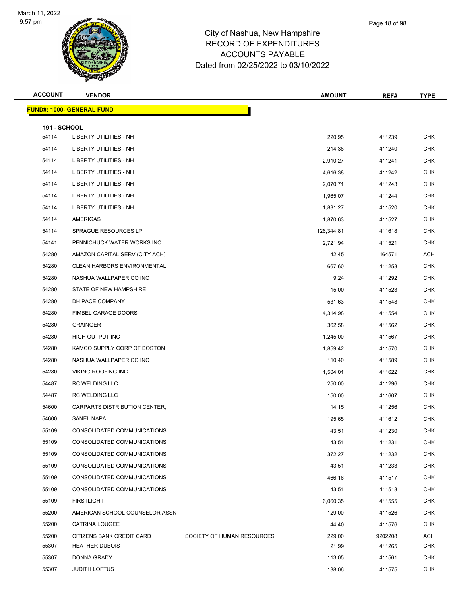| <b>ACCOUNT</b>               | <b>VENDOR</b>                      |                            | <b>AMOUNT</b> | REF#    | <b>TYPE</b> |
|------------------------------|------------------------------------|----------------------------|---------------|---------|-------------|
|                              | <u> FUND#: 1000- GENERAL FUND</u>  |                            |               |         |             |
|                              |                                    |                            |               |         |             |
| <b>191 - SCHOOL</b><br>54114 | <b>LIBERTY UTILITIES - NH</b>      |                            | 220.95        | 411239  | <b>CHK</b>  |
| 54114                        | <b>LIBERTY UTILITIES - NH</b>      |                            | 214.38        | 411240  | <b>CHK</b>  |
| 54114                        | LIBERTY UTILITIES - NH             |                            | 2,910.27      | 411241  | <b>CHK</b>  |
| 54114                        | LIBERTY UTILITIES - NH             |                            | 4,616.38      | 411242  | <b>CHK</b>  |
| 54114                        | <b>LIBERTY UTILITIES - NH</b>      |                            | 2,070.71      | 411243  | <b>CHK</b>  |
| 54114                        | <b>LIBERTY UTILITIES - NH</b>      |                            | 1,965.07      | 411244  | CHK         |
| 54114                        | LIBERTY UTILITIES - NH             |                            | 1,831.27      | 411520  | <b>CHK</b>  |
| 54114                        | AMERIGAS                           |                            | 1,870.63      | 411527  | <b>CHK</b>  |
| 54114                        | SPRAGUE RESOURCES LP               |                            | 126,344.81    | 411618  | <b>CHK</b>  |
| 54141                        | PENNICHUCK WATER WORKS INC         |                            | 2,721.94      | 411521  | <b>CHK</b>  |
| 54280                        | AMAZON CAPITAL SERV (CITY ACH)     |                            | 42.45         | 164571  | ACH         |
| 54280                        | <b>CLEAN HARBORS ENVIRONMENTAL</b> |                            | 667.60        | 411258  | <b>CHK</b>  |
| 54280                        | NASHUA WALLPAPER CO INC            |                            | 9.24          | 411292  | <b>CHK</b>  |
| 54280                        | STATE OF NEW HAMPSHIRE             |                            | 15.00         | 411523  | <b>CHK</b>  |
| 54280                        | DH PACE COMPANY                    |                            | 531.63        | 411548  | <b>CHK</b>  |
| 54280                        | FIMBEL GARAGE DOORS                |                            | 4,314.98      | 411554  | CHK         |
| 54280                        | <b>GRAINGER</b>                    |                            | 362.58        | 411562  | <b>CHK</b>  |
| 54280                        | HIGH OUTPUT INC                    |                            | 1,245.00      | 411567  | <b>CHK</b>  |
| 54280                        | KAMCO SUPPLY CORP OF BOSTON        |                            | 1,859.42      | 411570  | <b>CHK</b>  |
| 54280                        | NASHUA WALLPAPER CO INC            |                            | 110.40        | 411589  | <b>CHK</b>  |
| 54280                        | <b>VIKING ROOFING INC</b>          |                            | 1,504.01      | 411622  | CHK         |
| 54487                        | <b>RC WELDING LLC</b>              |                            | 250.00        | 411296  | <b>CHK</b>  |
| 54487                        | <b>RC WELDING LLC</b>              |                            | 150.00        | 411607  | <b>CHK</b>  |
| 54600                        | CARPARTS DISTRIBUTION CENTER,      |                            | 14.15         | 411256  | <b>CHK</b>  |
| 54600                        | <b>SANEL NAPA</b>                  |                            | 195.65        | 411612  | <b>CHK</b>  |
| 55109                        | CONSOLIDATED COMMUNICATIONS        |                            | 43.51         | 411230  | <b>CHK</b>  |
| 55109                        | CONSOLIDATED COMMUNICATIONS        |                            | 43.51         | 411231  | <b>CHK</b>  |
| 55109                        | CONSOLIDATED COMMUNICATIONS        |                            | 372.27        | 411232  | <b>CHK</b>  |
| 55109                        | CONSOLIDATED COMMUNICATIONS        |                            | 43.51         | 411233  | <b>CHK</b>  |
| 55109                        | CONSOLIDATED COMMUNICATIONS        |                            | 466.16        | 411517  | <b>CHK</b>  |
| 55109                        | CONSOLIDATED COMMUNICATIONS        |                            | 43.51         | 411518  | <b>CHK</b>  |
| 55109                        | <b>FIRSTLIGHT</b>                  |                            | 6,060.35      | 411555  | <b>CHK</b>  |
| 55200                        | AMERICAN SCHOOL COUNSELOR ASSN     |                            | 129.00        | 411526  | <b>CHK</b>  |
| 55200                        | <b>CATRINA LOUGEE</b>              |                            | 44.40         | 411576  | <b>CHK</b>  |
| 55200                        | CITIZENS BANK CREDIT CARD          | SOCIETY OF HUMAN RESOURCES | 229.00        | 9202208 | <b>ACH</b>  |
| 55307                        | <b>HEATHER DUBOIS</b>              |                            | 21.99         | 411265  | CHK         |
| 55307                        | DONNA GRADY                        |                            | 113.05        | 411561  | <b>CHK</b>  |
| 55307                        | <b>JUDITH LOFTUS</b>               |                            | 138.06        | 411575  | <b>CHK</b>  |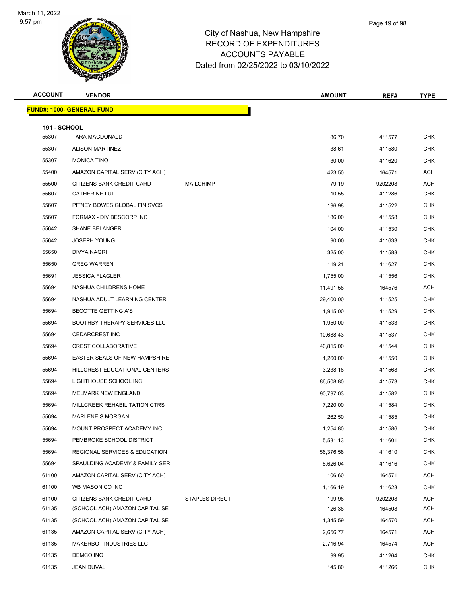

| Page 19 of 98 |  |
|---------------|--|
|               |  |

| <b>ACCOUNT</b>               | <b>VENDOR</b>                    |                       | <b>AMOUNT</b> | REF#    | <b>TYPE</b> |
|------------------------------|----------------------------------|-----------------------|---------------|---------|-------------|
|                              | <b>FUND#: 1000- GENERAL FUND</b> |                       |               |         |             |
|                              |                                  |                       |               |         |             |
| <b>191 - SCHOOL</b><br>55307 | <b>TARA MACDONALD</b>            |                       | 86.70         | 411577  | <b>CHK</b>  |
| 55307                        | <b>ALISON MARTINEZ</b>           |                       | 38.61         | 411580  | <b>CHK</b>  |
| 55307                        | <b>MONICA TINO</b>               |                       | 30.00         | 411620  | <b>CHK</b>  |
| 55400                        | AMAZON CAPITAL SERV (CITY ACH)   |                       | 423.50        | 164571  | <b>ACH</b>  |
| 55500                        | CITIZENS BANK CREDIT CARD        | <b>MAILCHIMP</b>      | 79.19         | 9202208 | <b>ACH</b>  |
| 55607                        | <b>CATHERINE LUI</b>             |                       | 10.55         | 411286  | <b>CHK</b>  |
| 55607                        | PITNEY BOWES GLOBAL FIN SVCS     |                       | 196.98        | 411522  | <b>CHK</b>  |
| 55607                        | FORMAX - DIV BESCORP INC         |                       | 186.00        | 411558  | <b>CHK</b>  |
| 55642                        | <b>SHANE BELANGER</b>            |                       | 104.00        | 411530  | <b>CHK</b>  |
| 55642                        | <b>JOSEPH YOUNG</b>              |                       | 90.00         | 411633  | <b>CHK</b>  |
| 55650                        | <b>DIVYA NAGRI</b>               |                       | 325.00        | 411588  | <b>CHK</b>  |
| 55650                        | <b>GREG WARREN</b>               |                       | 119.21        | 411627  | <b>CHK</b>  |
| 55691                        | <b>JESSICA FLAGLER</b>           |                       | 1,755.00      | 411556  | <b>CHK</b>  |
| 55694                        | NASHUA CHILDRENS HOME            |                       | 11,491.58     | 164576  | <b>ACH</b>  |
| 55694                        | NASHUA ADULT LEARNING CENTER     |                       | 29,400.00     | 411525  | <b>CHK</b>  |
| 55694                        | <b>BECOTTE GETTING A'S</b>       |                       | 1,915.00      | 411529  | <b>CHK</b>  |
| 55694                        | BOOTHBY THERAPY SERVICES LLC     |                       | 1,950.00      | 411533  | <b>CHK</b>  |
| 55694                        | <b>CEDARCREST INC</b>            |                       | 10,688.43     | 411537  | <b>CHK</b>  |
| 55694                        | <b>CREST COLLABORATIVE</b>       |                       | 40,815.00     | 411544  | <b>CHK</b>  |
| 55694                        | EASTER SEALS OF NEW HAMPSHIRE    |                       | 1,260.00      | 411550  | <b>CHK</b>  |
| 55694                        | HILLCREST EDUCATIONAL CENTERS    |                       | 3,238.18      | 411568  | <b>CHK</b>  |
| 55694                        | LIGHTHOUSE SCHOOL INC            |                       | 86,508.80     | 411573  | <b>CHK</b>  |
| 55694                        | MELMARK NEW ENGLAND              |                       | 90,797.03     | 411582  | <b>CHK</b>  |
| 55694                        | MILLCREEK REHABILITATION CTRS    |                       | 7,220.00      | 411584  | <b>CHK</b>  |
| 55694                        | <b>MARLENE S MORGAN</b>          |                       | 262.50        | 411585  | <b>CHK</b>  |
| 55694                        | MOUNT PROSPECT ACADEMY INC       |                       | 1,254.80      | 411586  | <b>CHK</b>  |
| 55694                        | PEMBROKE SCHOOL DISTRICT         |                       | 5,531.13      | 411601  | <b>CHK</b>  |
| 55694                        | REGIONAL SERVICES & EDUCATION    |                       | 56,376.58     | 411610  | <b>CHK</b>  |
| 55694                        | SPAULDING ACADEMY & FAMILY SER   |                       | 8,626.04      | 411616  | <b>CHK</b>  |
| 61100                        | AMAZON CAPITAL SERV (CITY ACH)   |                       | 106.60        | 164571  | <b>ACH</b>  |
| 61100                        | WB MASON CO INC                  |                       | 1,166.19      | 411628  | <b>CHK</b>  |
| 61100                        | CITIZENS BANK CREDIT CARD        | <b>STAPLES DIRECT</b> | 199.98        | 9202208 | <b>ACH</b>  |
| 61135                        | (SCHOOL ACH) AMAZON CAPITAL SE   |                       | 126.38        | 164508  | <b>ACH</b>  |
| 61135                        | (SCHOOL ACH) AMAZON CAPITAL SE   |                       | 1,345.59      | 164570  | <b>ACH</b>  |
| 61135                        | AMAZON CAPITAL SERV (CITY ACH)   |                       | 2,656.77      | 164571  | <b>ACH</b>  |
| 61135                        | MAKERBOT INDUSTRIES LLC          |                       | 2,716.94      | 164574  | <b>ACH</b>  |
| 61135                        | DEMCO INC                        |                       | 99.95         | 411264  | CHK         |
| 61135                        | JEAN DUVAL                       |                       | 145.80        | 411266  | <b>CHK</b>  |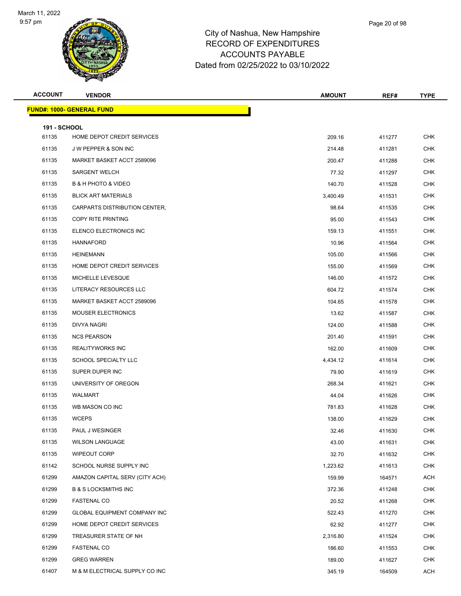

|     | Page 20 of 98 |
|-----|---------------|
| ire |               |
| ΞS  |               |

| <b>ACCOUNT</b>      | <b>VENDOR</b>                       | <b>AMOUNT</b> | REF#   | <b>TYPE</b> |
|---------------------|-------------------------------------|---------------|--------|-------------|
|                     | <b>FUND#: 1000- GENERAL FUND</b>    |               |        |             |
| <b>191 - SCHOOL</b> |                                     |               |        |             |
| 61135               | HOME DEPOT CREDIT SERVICES          | 209.16        | 411277 | <b>CHK</b>  |
| 61135               | J W PEPPER & SON INC                | 214.48        | 411281 | <b>CHK</b>  |
| 61135               | MARKET BASKET ACCT 2589096          | 200.47        | 411288 | <b>CHK</b>  |
| 61135               | <b>SARGENT WELCH</b>                | 77.32         | 411297 | <b>CHK</b>  |
| 61135               | <b>B &amp; H PHOTO &amp; VIDEO</b>  | 140.70        | 411528 | <b>CHK</b>  |
| 61135               | <b>BLICK ART MATERIALS</b>          | 3,400.49      | 411531 | <b>CHK</b>  |
| 61135               | CARPARTS DISTRIBUTION CENTER,       | 98.64         | 411535 | <b>CHK</b>  |
| 61135               | COPY RITE PRINTING                  | 95.00         | 411543 | <b>CHK</b>  |
| 61135               | ELENCO ELECTRONICS INC              | 159.13        | 411551 | <b>CHK</b>  |
| 61135               | <b>HANNAFORD</b>                    | 10.96         | 411564 | <b>CHK</b>  |
| 61135               | <b>HEINEMANN</b>                    | 105.00        | 411566 | <b>CHK</b>  |
| 61135               | HOME DEPOT CREDIT SERVICES          | 155.00        | 411569 | <b>CHK</b>  |
| 61135               | MICHELLE LEVESQUE                   | 146.00        | 411572 | <b>CHK</b>  |
| 61135               | LITERACY RESOURCES LLC              | 604.72        | 411574 | <b>CHK</b>  |
| 61135               | MARKET BASKET ACCT 2589096          | 104.65        | 411578 | <b>CHK</b>  |
| 61135               | <b>MOUSER ELECTRONICS</b>           | 13.62         | 411587 | <b>CHK</b>  |
| 61135               | DIVYA NAGRI                         | 124.00        | 411588 | <b>CHK</b>  |
| 61135               | <b>NCS PEARSON</b>                  | 201.40        | 411591 | <b>CHK</b>  |
| 61135               | <b>REALITYWORKS INC</b>             | 162.00        | 411609 | <b>CHK</b>  |
| 61135               | SCHOOL SPECIALTY LLC                | 4,434.12      | 411614 | <b>CHK</b>  |
| 61135               | SUPER DUPER INC                     | 79.90         | 411619 | <b>CHK</b>  |
| 61135               | UNIVERSITY OF OREGON                | 268.34        | 411621 | <b>CHK</b>  |
| 61135               | <b>WALMART</b>                      | 44.04         | 411626 | <b>CHK</b>  |
| 61135               | WB MASON CO INC                     | 781.83        | 411628 | CHK         |
| 61135               | <b>WCEPS</b>                        | 138.00        | 411629 | <b>CHK</b>  |
| 61135               | PAUL J WESINGER                     | 32.46         | 411630 | <b>CHK</b>  |
| 61135               | <b>WILSON LANGUAGE</b>              | 43.00         | 411631 | <b>CHK</b>  |
| 61135               | <b>WIPEOUT CORP</b>                 | 32.70         | 411632 | <b>CHK</b>  |
| 61142               | SCHOOL NURSE SUPPLY INC             | 1,223.62      | 411613 | <b>CHK</b>  |
| 61299               | AMAZON CAPITAL SERV (CITY ACH)      | 159.99        | 164571 | ACH         |
| 61299               | <b>B &amp; S LOCKSMITHS INC</b>     | 372.36        | 411248 | <b>CHK</b>  |
| 61299               | <b>FASTENAL CO</b>                  | 20.52         | 411268 | <b>CHK</b>  |
| 61299               | <b>GLOBAL EQUIPMENT COMPANY INC</b> | 522.43        | 411270 | <b>CHK</b>  |
| 61299               | HOME DEPOT CREDIT SERVICES          | 62.92         | 411277 | <b>CHK</b>  |
| 61299               | TREASURER STATE OF NH               | 2,316.80      | 411524 | <b>CHK</b>  |
| 61299               | <b>FASTENAL CO</b>                  | 186.60        | 411553 | <b>CHK</b>  |
| 61299               | <b>GREG WARREN</b>                  | 189.00        | 411627 | <b>CHK</b>  |
| 61407               | M & M ELECTRICAL SUPPLY CO INC      | 345.19        | 164509 | <b>ACH</b>  |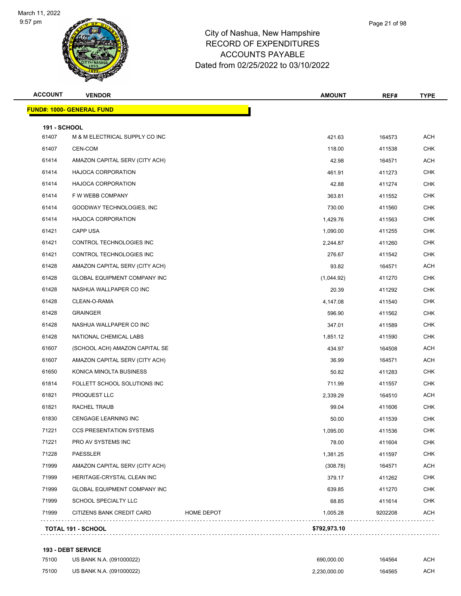

| <b>ACCOUNT</b>      | <b>VENDOR</b>                       |                   | <b>AMOUNT</b> | REF#    | TYPE       |
|---------------------|-------------------------------------|-------------------|---------------|---------|------------|
|                     | <u> FUND#: 1000- GENERAL FUND</u>   |                   |               |         |            |
| <b>191 - SCHOOL</b> |                                     |                   |               |         |            |
| 61407               | M & M ELECTRICAL SUPPLY CO INC      |                   | 421.63        | 164573  | ACH        |
| 61407               | CEN-COM                             |                   | 118.00        | 411538  | <b>CHK</b> |
| 61414               | AMAZON CAPITAL SERV (CITY ACH)      |                   | 42.98         | 164571  | ACH        |
| 61414               | <b>HAJOCA CORPORATION</b>           |                   | 461.91        | 411273  | CHK        |
| 61414               | <b>HAJOCA CORPORATION</b>           |                   | 42.88         | 411274  | <b>CHK</b> |
| 61414               | F W WEBB COMPANY                    |                   | 363.81        | 411552  | CHK        |
| 61414               | GOODWAY TECHNOLOGIES, INC           |                   | 730.00        | 411560  | <b>CHK</b> |
| 61414               | <b>HAJOCA CORPORATION</b>           |                   | 1,429.76      | 411563  | <b>CHK</b> |
| 61421               | <b>CAPP USA</b>                     |                   | 1,090.00      | 411255  | <b>CHK</b> |
| 61421               | CONTROL TECHNOLOGIES INC            |                   | 2,244.87      | 411260  | <b>CHK</b> |
| 61421               | CONTROL TECHNOLOGIES INC            |                   | 276.67        | 411542  | <b>CHK</b> |
| 61428               | AMAZON CAPITAL SERV (CITY ACH)      |                   | 93.82         | 164571  | ACH        |
| 61428               | <b>GLOBAL EQUIPMENT COMPANY INC</b> |                   | (1,044.92)    | 411270  | <b>CHK</b> |
| 61428               | NASHUA WALLPAPER CO INC             |                   | 20.39         | 411292  | <b>CHK</b> |
| 61428               | CLEAN-O-RAMA                        |                   | 4,147.08      | 411540  | CHK        |
| 61428               | <b>GRAINGER</b>                     |                   | 596.90        | 411562  | CHK        |
| 61428               | NASHUA WALLPAPER CO INC             |                   | 347.01        | 411589  | <b>CHK</b> |
| 61428               | NATIONAL CHEMICAL LABS              |                   | 1,851.12      | 411590  | <b>CHK</b> |
| 61607               | (SCHOOL ACH) AMAZON CAPITAL SE      |                   | 434.97        | 164508  | ACH        |
| 61607               | AMAZON CAPITAL SERV (CITY ACH)      |                   | 36.99         | 164571  | ACH        |
| 61650               | KONICA MINOLTA BUSINESS             |                   | 50.82         | 411283  | <b>CHK</b> |
| 61814               | FOLLETT SCHOOL SOLUTIONS INC        |                   | 711.99        | 411557  | <b>CHK</b> |
| 61821               | PROQUEST LLC                        |                   | 2,339.29      | 164510  | ACH        |
| 61821               | RACHEL TRAUB                        |                   | 99.04         | 411606  | <b>CHK</b> |
| 61830               | <b>CENGAGE LEARNING INC</b>         |                   | 50.00         | 411539  | <b>CHK</b> |
| 71221               | CCS PRESENTATION SYSTEMS            |                   | 1,095.00      | 411536  | CHK        |
| 71221               | PRO AV SYSTEMS INC                  |                   | 78.00         | 411604  | <b>CHK</b> |
| 71228               | <b>PAESSLER</b>                     |                   | 1,381.25      | 411597  | <b>CHK</b> |
| 71999               | AMAZON CAPITAL SERV (CITY ACH)      |                   | (308.78)      | 164571  | ACH        |
| 71999               | HERITAGE-CRYSTAL CLEAN INC          |                   | 379.17        | 411262  | <b>CHK</b> |
| 71999               | <b>GLOBAL EQUIPMENT COMPANY INC</b> |                   | 639.85        | 411270  | <b>CHK</b> |
| 71999               | SCHOOL SPECIALTY LLC                |                   | 68.85         | 411614  | <b>CHK</b> |
| 71999               | CITIZENS BANK CREDIT CARD           | <b>HOME DEPOT</b> | 1,005.28      | 9202208 | <b>ACH</b> |

#### **193 - DEBT SERVICE**

| 75100 | US BANK N.A. (091000022) | 690.000.00   | 164564 | ACH |
|-------|--------------------------|--------------|--------|-----|
| 75100 | US BANK N.A. (091000022) | 2.230.000.00 | 164565 | ACH |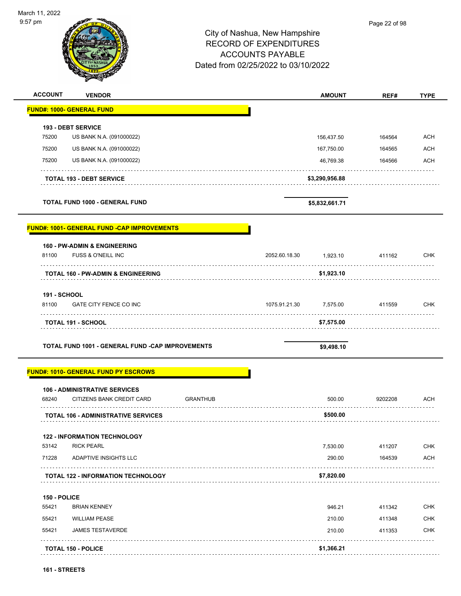| March 11, 2022<br>9:57 pm    |                                                                         | City of Nashua, New Hampshire<br><b>RECORD OF EXPENDITURES</b><br><b>ACCOUNTS PAYABLE</b><br>Dated from 02/25/2022 to 03/10/2022 |                        | Page 22 of 98 |                   |
|------------------------------|-------------------------------------------------------------------------|----------------------------------------------------------------------------------------------------------------------------------|------------------------|---------------|-------------------|
| <b>ACCOUNT</b>               | <b>VENDOR</b>                                                           |                                                                                                                                  | <b>AMOUNT</b>          | REF#          | <b>TYPE</b>       |
|                              | <b>FUND#: 1000- GENERAL FUND</b>                                        |                                                                                                                                  |                        |               |                   |
|                              | <b>193 - DEBT SERVICE</b>                                               |                                                                                                                                  |                        |               |                   |
| 75200                        | US BANK N.A. (091000022)                                                |                                                                                                                                  | 156,437.50             | 164564        | <b>ACH</b>        |
| 75200                        | US BANK N.A. (091000022)                                                |                                                                                                                                  | 167,750.00             | 164565        | <b>ACH</b>        |
| 75200                        | US BANK N.A. (091000022)                                                |                                                                                                                                  | 46,769.38              | 164566        | <b>ACH</b>        |
|                              | <b>TOTAL 193 - DEBT SERVICE</b>                                         |                                                                                                                                  | \$3,290,956.88         |               |                   |
|                              | <b>TOTAL FUND 1000 - GENERAL FUND</b>                                   |                                                                                                                                  | \$5,832,661.71         |               |                   |
|                              | <b>FUND#: 1001- GENERAL FUND -CAP IMPROVEMENTS</b>                      |                                                                                                                                  |                        |               |                   |
|                              | 160 - PW-ADMIN & ENGINEERING                                            |                                                                                                                                  |                        |               |                   |
| 81100                        | FUSS & O'NEILL INC                                                      | 2052.60.18.30                                                                                                                    | 1,923.10               | 411162        | <b>CHK</b>        |
| <b>191 - SCHOOL</b><br>81100 | <b>TOTAL 160 - PW-ADMIN &amp; ENGINEERING</b><br>GATE CITY FENCE CO INC | 1075.91.21.30                                                                                                                    | \$1,923.10<br>7,575.00 | 411559        | <b>CHK</b>        |
|                              | .<br><b>TOTAL 191 - SCHOOL</b>                                          |                                                                                                                                  | \$7,575.00             |               |                   |
|                              | TOTAL FUND 1001 - GENERAL FUND -CAP IMPROVEMENTS                        |                                                                                                                                  | \$9,498.10             |               |                   |
|                              | <b>FUND#: 1010- GENERAL FUND PY ESCROWS</b>                             |                                                                                                                                  |                        |               |                   |
| 68240                        | <b>106 - ADMINISTRATIVE SERVICES</b><br>CITIZENS BANK CREDIT CARD       | <b>GRANTHUB</b>                                                                                                                  | 500.00                 | 9202208       | ACH               |
|                              | <b>TOTAL 106 - ADMINISTRATIVE SERVICES</b>                              |                                                                                                                                  | \$500.00               |               |                   |
|                              | <b>122 - INFORMATION TECHNOLOGY</b>                                     |                                                                                                                                  |                        |               |                   |
| 53142                        | <b>RICK PEARL</b>                                                       |                                                                                                                                  | 7,530.00               | 411207        | <b>CHK</b>        |
| 71228                        | ADAPTIVE INSIGHTS LLC                                                   |                                                                                                                                  | 290.00                 | 164539        | <b>ACH</b>        |
|                              | <b>TOTAL 122 - INFORMATION TECHNOLOGY</b>                               |                                                                                                                                  | \$7,820.00             | .             |                   |
|                              |                                                                         |                                                                                                                                  |                        |               |                   |
| 150 - POLICE                 |                                                                         |                                                                                                                                  |                        |               |                   |
| 55421                        | <b>BRIAN KENNEY</b>                                                     |                                                                                                                                  | 946.21                 | 411342        |                   |
| 55421                        | <b>WILLIAM PEASE</b>                                                    |                                                                                                                                  | 210.00                 | 411348        | CHK<br><b>CHK</b> |
| 55421                        | <b>JAMES TESTAVERDE</b>                                                 |                                                                                                                                  | 210.00                 | 411353        | <b>CHK</b>        |

-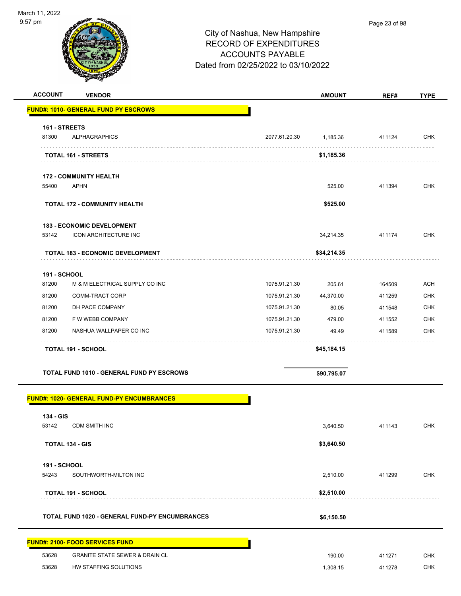| <b>ACCOUNT</b><br><b>VENDOR</b>                       |               | <b>AMOUNT</b> | REF#   | <b>TYPE</b> |
|-------------------------------------------------------|---------------|---------------|--------|-------------|
| <b>FUND#: 1010- GENERAL FUND PY ESCROWS</b>           |               |               |        |             |
| 161 - STREETS                                         |               |               |        |             |
| <b>ALPHAGRAPHICS</b><br>81300                         | 2077.61.20.30 | 1,185.36      | 411124 | <b>CHK</b>  |
| .<br>TOTAL 161 - STREETS                              | .             | \$1,185.36    |        |             |
| <b>172 - COMMUNITY HEALTH</b>                         |               |               |        |             |
| <b>APHN</b><br>55400                                  |               | 525.00        | 411394 | <b>CHK</b>  |
| TOTAL 172 - COMMUNITY HEALTH                          |               | \$525.00      |        |             |
| <b>183 - ECONOMIC DEVELOPMENT</b>                     |               |               |        |             |
| 53142<br><b>ICON ARCHITECTURE INC</b>                 |               | 34,214.35     | 411174 | <b>CHK</b>  |
| <b>TOTAL 183 - ECONOMIC DEVELOPMENT</b>               |               | \$34,214.35   |        |             |
| <b>191 - SCHOOL</b>                                   |               |               |        |             |
| 81200<br>M & M ELECTRICAL SUPPLY CO INC               | 1075.91.21.30 | 205.61        | 164509 | ACH         |
| 81200<br>COMM-TRACT CORP                              | 1075.91.21.30 | 44,370.00     | 411259 | <b>CHK</b>  |
| 81200<br>DH PACE COMPANY                              | 1075.91.21.30 | 80.05         | 411548 | <b>CHK</b>  |
| 81200<br>F W WEBB COMPANY                             | 1075.91.21.30 | 479.00        | 411552 | <b>CHK</b>  |
| 81200<br>NASHUA WALLPAPER CO INC                      | 1075.91.21.30 | 49.49         | 411589 | <b>CHK</b>  |
| <b>TOTAL 191 - SCHOOL</b>                             |               | \$45,184.15   |        |             |
| TOTAL FUND 1010 - GENERAL FUND PY ESCROWS             |               | \$90,795.07   |        |             |
| <b>FUND#: 1020- GENERAL FUND-PY ENCUMBRANCES</b>      |               |               |        |             |
| 134 - GIS                                             |               |               |        |             |
| 53142<br>CDM SMITH INC                                |               | 3,640.50      | 411143 | <b>CHK</b>  |
| TOTAL 134 - GIS                                       |               | \$3,640.50    |        |             |
| <b>191 - SCHOOL</b>                                   |               |               |        |             |
| SOUTHWORTH-MILTON INC<br>54243                        |               | 2,510.00      | 411299 | <b>CHK</b>  |
| <b>TOTAL 191 - SCHOOL</b>                             |               | \$2,510.00    |        |             |
| <b>TOTAL FUND 1020 - GENERAL FUND-PY ENCUMBRANCES</b> |               | \$6,150.50    |        |             |
| <b>FUND#: 2100- FOOD SERVICES FUND</b>                |               |               |        |             |
| 53628<br><b>GRANITE STATE SEWER &amp; DRAIN CL</b>    |               | 190.00        | 411271 | <b>CHK</b>  |
| 53628<br>HW STAFFING SOLUTIONS                        |               | 1,308.15      | 411278 | <b>CHK</b>  |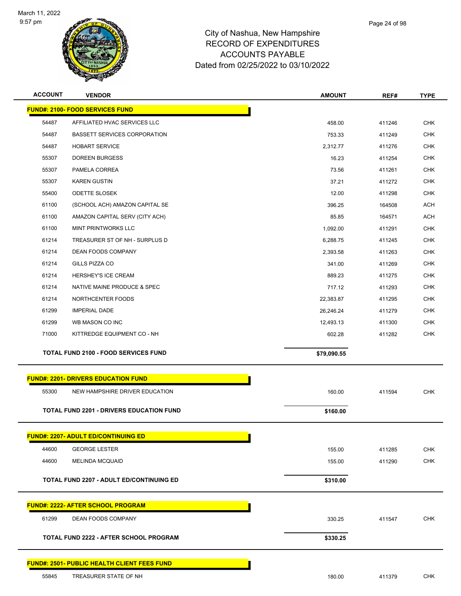

| <b>ACCOUNT</b> | <b>VENDOR</b>                                      | <b>AMOUNT</b> | REF#   | <b>TYPE</b> |
|----------------|----------------------------------------------------|---------------|--------|-------------|
|                | <b>FUND#: 2100- FOOD SERVICES FUND</b>             |               |        |             |
| 54487          | AFFILIATED HVAC SERVICES LLC                       | 458.00        | 411246 | <b>CHK</b>  |
| 54487          | <b>BASSETT SERVICES CORPORATION</b>                | 753.33        | 411249 | <b>CHK</b>  |
| 54487          | <b>HOBART SERVICE</b>                              | 2,312.77      | 411276 | <b>CHK</b>  |
| 55307          | <b>DOREEN BURGESS</b>                              | 16.23         | 411254 | <b>CHK</b>  |
| 55307          | PAMELA CORREA                                      | 73.56         | 411261 | <b>CHK</b>  |
| 55307          | <b>KAREN GUSTIN</b>                                | 37.21         | 411272 | <b>CHK</b>  |
| 55400          | <b>ODETTE SLOSEK</b>                               | 12.00         | 411298 | <b>CHK</b>  |
| 61100          | (SCHOOL ACH) AMAZON CAPITAL SE                     | 396.25        | 164508 | <b>ACH</b>  |
| 61100          | AMAZON CAPITAL SERV (CITY ACH)                     | 85.85         | 164571 | <b>ACH</b>  |
| 61100          | <b>MINT PRINTWORKS LLC</b>                         | 1,092.00      | 411291 | <b>CHK</b>  |
| 61214          | TREASURER ST OF NH - SURPLUS D                     | 6,288.75      | 411245 | <b>CHK</b>  |
| 61214          | <b>DEAN FOODS COMPANY</b>                          | 2,393.58      | 411263 | <b>CHK</b>  |
| 61214          | GILLS PIZZA CO                                     | 341.00        | 411269 | <b>CHK</b>  |
| 61214          | HERSHEY'S ICE CREAM                                | 889.23        | 411275 | <b>CHK</b>  |
| 61214          | NATIVE MAINE PRODUCE & SPEC                        | 717.12        | 411293 | <b>CHK</b>  |
| 61214          | NORTHCENTER FOODS                                  | 22,383.87     | 411295 | <b>CHK</b>  |
| 61299          | <b>IMPERIAL DADE</b>                               | 26,246.24     | 411279 | <b>CHK</b>  |
| 61299          | WB MASON CO INC                                    | 12,493.13     | 411300 | <b>CHK</b>  |
| 71000          | KITTREDGE EQUIPMENT CO - NH                        | 602.28        | 411282 | <b>CHK</b>  |
|                | <b>TOTAL FUND 2100 - FOOD SERVICES FUND</b>        | \$79,090.55   |        |             |
|                |                                                    |               |        |             |
|                | <b>FUND#: 2201- DRIVERS EDUCATION FUND</b>         |               |        |             |
| 55300          | NEW HAMPSHIRE DRIVER EDUCATION                     | 160.00        | 411594 | <b>CHK</b>  |
|                | <b>TOTAL FUND 2201 - DRIVERS EDUCATION FUND</b>    | \$160.00      |        |             |
|                |                                                    |               |        |             |
|                | <b>FUND#: 2207- ADULT ED/CONTINUING ED</b>         |               |        |             |
| 44600          | <b>GEORGE LESTER</b>                               | 155.00        | 411285 | <b>CHK</b>  |
| 44600          | <b>MELINDA MCQUAID</b>                             | 155.00        | 411290 | <b>CHK</b>  |
|                |                                                    |               |        |             |
|                | <b>TOTAL FUND 2207 - ADULT ED/CONTINUING ED</b>    | \$310.00      |        |             |
|                | <u> FUND#: 2222- AFTER SCHOOL PROGRAM</u>          |               |        |             |
| 61299          | DEAN FOODS COMPANY                                 | 330.25        | 411547 | <b>CHK</b>  |
|                | <b>TOTAL FUND 2222 - AFTER SCHOOL PROGRAM</b>      | \$330.25      |        |             |
|                |                                                    |               |        |             |
|                | <b>FUND#: 2501- PUBLIC HEALTH CLIENT FEES FUND</b> |               |        |             |
| 55845          | TREASURER STATE OF NH                              | 180.00        | 411379 | <b>CHK</b>  |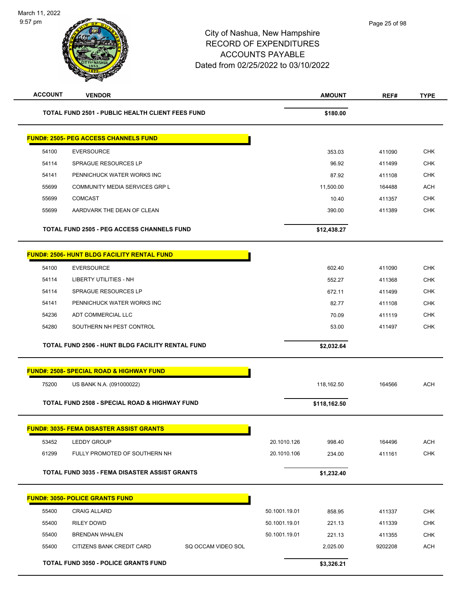| <b>ACCOUNT</b> | <b>VENDOR</b>                                            |               | <b>AMOUNT</b> | REF#    | <b>TYPE</b> |
|----------------|----------------------------------------------------------|---------------|---------------|---------|-------------|
|                | <b>TOTAL FUND 2501 - PUBLIC HEALTH CLIENT FEES FUND</b>  |               | \$180.00      |         |             |
|                | <b>FUND#: 2505- PEG ACCESS CHANNELS FUND</b>             |               |               |         |             |
| 54100          | <b>EVERSOURCE</b>                                        |               | 353.03        | 411090  | <b>CHK</b>  |
| 54114          | SPRAGUE RESOURCES LP                                     |               | 96.92         | 411499  | <b>CHK</b>  |
| 54141          | PENNICHUCK WATER WORKS INC                               |               | 87.92         | 411108  | <b>CHK</b>  |
| 55699          | COMMUNITY MEDIA SERVICES GRP L                           |               | 11,500.00     | 164488  | <b>ACH</b>  |
| 55699          | <b>COMCAST</b>                                           |               | 10.40         | 411357  | <b>CHK</b>  |
| 55699          | AARDVARK THE DEAN OF CLEAN                               |               | 390.00        | 411389  | <b>CHK</b>  |
|                | <b>TOTAL FUND 2505 - PEG ACCESS CHANNELS FUND</b>        |               | \$12,438.27   |         |             |
|                | <b>FUND#: 2506- HUNT BLDG FACILITY RENTAL FUND</b>       |               |               |         |             |
| 54100          | <b>EVERSOURCE</b>                                        |               | 602.40        | 411090  | <b>CHK</b>  |
| 54114          | <b>LIBERTY UTILITIES - NH</b>                            |               | 552.27        | 411368  | <b>CHK</b>  |
| 54114          | SPRAGUE RESOURCES LP                                     |               | 672.11        | 411499  | <b>CHK</b>  |
| 54141          | PENNICHUCK WATER WORKS INC                               |               | 82.77         | 411108  | <b>CHK</b>  |
| 54236          | ADT COMMERCIAL LLC                                       |               | 70.09         | 411119  | <b>CHK</b>  |
| 54280          | SOUTHERN NH PEST CONTROL                                 |               | 53.00         | 411497  | <b>CHK</b>  |
|                | TOTAL FUND 2506 - HUNT BLDG FACILITY RENTAL FUND         |               | \$2,032.64    |         |             |
|                | <b>FUND#: 2508- SPECIAL ROAD &amp; HIGHWAY FUND</b>      |               |               |         |             |
| 75200          | US BANK N.A. (091000022)                                 |               | 118,162.50    | 164566  | <b>ACH</b>  |
|                | <b>TOTAL FUND 2508 - SPECIAL ROAD &amp; HIGHWAY FUND</b> |               | \$118,162.50  |         |             |
|                | <b>FUND#: 3035- FEMA DISASTER ASSIST GRANTS</b>          |               |               |         |             |
| 53452          | <b>LEDDY GROUP</b>                                       | 20.1010.126   | 998.40        | 164496  | <b>ACH</b>  |
| 61299          | FULLY PROMOTED OF SOUTHERN NH                            | 20.1010.106   | 234.00        | 411161  | CHK         |
|                | <b>TOTAL FUND 3035 - FEMA DISASTER ASSIST GRANTS</b>     |               | \$1,232.40    |         |             |
|                | <b>FUND#: 3050- POLICE GRANTS FUND</b>                   |               |               |         |             |
| 55400          | <b>CRAIG ALLARD</b>                                      | 50.1001.19.01 | 858.95        | 411337  | <b>CHK</b>  |
| 55400          | <b>RILEY DOWD</b>                                        | 50.1001.19.01 | 221.13        | 411339  | <b>CHK</b>  |
| 55400          | <b>BRENDAN WHALEN</b>                                    | 50.1001.19.01 | 221.13        | 411355  | <b>CHK</b>  |
| 55400          | CITIZENS BANK CREDIT CARD<br>SQ OCCAM VIDEO SOL          |               | 2,025.00      | 9202208 | <b>ACH</b>  |
|                | <b>TOTAL FUND 3050 - POLICE GRANTS FUND</b>              |               | \$3,326.21    |         |             |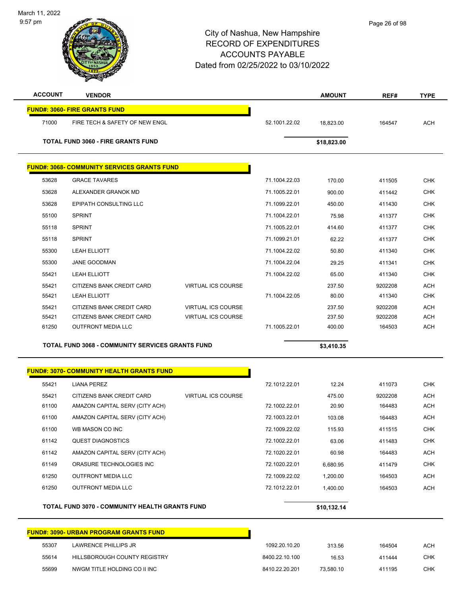| <b>ACCOUNT</b> | <b>VENDOR</b>                                           |                           |                | <b>AMOUNT</b> | REF#    | <b>TYPE</b> |
|----------------|---------------------------------------------------------|---------------------------|----------------|---------------|---------|-------------|
|                | <b>FUND#: 3060- FIRE GRANTS FUND</b>                    |                           |                |               |         |             |
| 71000          | FIRE TECH & SAFETY OF NEW ENGL                          |                           | 52.1001.22.02  | 18,823.00     | 164547  | ACH         |
|                | <b>TOTAL FUND 3060 - FIRE GRANTS FUND</b>               |                           |                | \$18,823.00   |         |             |
|                |                                                         |                           |                |               |         |             |
|                | <b>FUND#: 3068- COMMUNITY SERVICES GRANTS FUND</b>      |                           |                |               |         |             |
| 53628          | <b>GRACE TAVARES</b>                                    |                           | 71.1004.22.03  | 170.00        | 411505  | <b>CHK</b>  |
| 53628          | ALEXANDER GRANOK MD                                     |                           | 71.1005.22.01  | 900.00        | 411442  | <b>CHK</b>  |
| 53628          | EPIPATH CONSULTING LLC                                  |                           | 71.1099.22.01  | 450.00        | 411430  | <b>CHK</b>  |
| 55100          | <b>SPRINT</b>                                           |                           | 71.1004.22.01  | 75.98         | 411377  | <b>CHK</b>  |
| 55118          | <b>SPRINT</b>                                           |                           | 71.1005.22.01  | 414.60        | 411377  | <b>CHK</b>  |
| 55118          | <b>SPRINT</b>                                           |                           | 71.1099.21.01  | 62.22         | 411377  | <b>CHK</b>  |
| 55300          | <b>LEAH ELLIOTT</b>                                     |                           | 71.1004.22.02  | 50.80         | 411340  | <b>CHK</b>  |
| 55300          | JANE GOODMAN                                            |                           | 71.1004.22.04  | 29.25         | 411341  | <b>CHK</b>  |
| 55421          | <b>LEAH ELLIOTT</b>                                     |                           | 71.1004.22.02  | 65.00         | 411340  | <b>CHK</b>  |
| 55421          | CITIZENS BANK CREDIT CARD                               | <b>VIRTUAL ICS COURSE</b> |                | 237.50        | 9202208 | <b>ACH</b>  |
| 55421          | <b>LEAH ELLIOTT</b>                                     |                           | 71.1004.22.05  | 80.00         | 411340  | <b>CHK</b>  |
| 55421          | CITIZENS BANK CREDIT CARD                               | <b>VIRTUAL ICS COURSE</b> |                | 237.50        | 9202208 | <b>ACH</b>  |
| 55421          | CITIZENS BANK CREDIT CARD                               | <b>VIRTUAL ICS COURSE</b> |                | 237.50        | 9202208 | <b>ACH</b>  |
| 61250          | <b>OUTFRONT MEDIA LLC</b>                               |                           | 71.1005.22.01  | 400.00        | 164503  | <b>ACH</b>  |
|                | <b>TOTAL FUND 3068 - COMMUNITY SERVICES GRANTS FUND</b> |                           |                | \$3,410.35    |         |             |
|                |                                                         |                           |                |               |         |             |
|                | <b>FUND#: 3070- COMMUNITY HEALTH GRANTS FUND</b>        |                           |                |               |         |             |
| 55421          | <b>LIANA PEREZ</b>                                      |                           | 72.1012.22.01  | 12.24         | 411073  | <b>CHK</b>  |
| 55421          | CITIZENS BANK CREDIT CARD                               | <b>VIRTUAL ICS COURSE</b> |                | 475.00        | 9202208 | <b>ACH</b>  |
| 61100          | AMAZON CAPITAL SERV (CITY ACH)                          |                           | 72.1002.22.01  | 20.90         | 164483  | <b>ACH</b>  |
| 61100          | AMAZON CAPITAL SERV (CITY ACH)                          |                           | 72.1003.22.01  | 103.08        | 164483  | <b>ACH</b>  |
| 61100          | WB MASON CO INC                                         |                           | 72.1009.22.02  | 115.93        | 411515  | CHK         |
| 61142          | <b>QUEST DIAGNOSTICS</b>                                |                           | 72.1002.22.01  | 63.06         | 411483  | <b>CHK</b>  |
| 61142          | AMAZON CAPITAL SERV (CITY ACH)                          |                           | 72.1020.22.01  | 60.98         | 164483  | ACH         |
| 61149          | ORASURE TECHNOLOGIES INC                                |                           | 72.1020.22.01  | 6,680.95      | 411479  | <b>CHK</b>  |
| 61250          | <b>OUTFRONT MEDIA LLC</b>                               |                           | 72.1009.22.02  | 1,200.00      | 164503  | <b>ACH</b>  |
| 61250          | <b>OUTFRONT MEDIA LLC</b>                               |                           | 72.1012.22.01  | 1,400.00      | 164503  | ACH         |
|                | TOTAL FUND 3070 - COMMUNITY HEALTH GRANTS FUND          |                           |                | \$10,132.14   |         |             |
|                | <b>FUND#: 3090- URBAN PROGRAM GRANTS FUND</b>           |                           |                |               |         |             |
| 55307          | LAWRENCE PHILLIPS JR                                    |                           | 1092.20.10.20  | 313.56        | 164504  | ACH         |
| 55614          | HILLSBOROUGH COUNTY REGISTRY                            |                           | 8400.22.10.100 | 16.53         | 411444  | <b>CHK</b>  |

55699 NWGM TITLE HOLDING CO II INC 8410.22.20.201 73,580.10 411195 CHK

9:57 pm

March 11, 2022

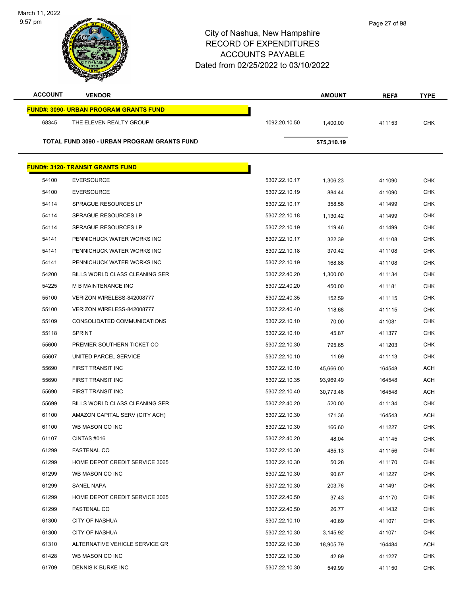| Page 27 of 98 |
|---------------|
|---------------|

| City of Nashua, New Hampshire       |
|-------------------------------------|
| RECORD OF EXPENDITURES              |
| <b>ACCOUNTS PAYABLE</b>             |
| Dated from 02/25/2022 to 03/10/2022 |

March 11, 2022 9:57 pm

| <b>ACCOUNT</b> | <b>VENDOR</b>                                 |               | <b>AMOUNT</b> | REF#   | <b>TYPE</b> |
|----------------|-----------------------------------------------|---------------|---------------|--------|-------------|
|                | <b>FUND#: 3090- URBAN PROGRAM GRANTS FUND</b> |               |               |        |             |
| 68345          | THE ELEVEN REALTY GROUP                       | 1092.20.10.50 | 1,400.00      | 411153 | <b>CHK</b>  |
|                | TOTAL FUND 3090 - URBAN PROGRAM GRANTS FUND   |               | \$75,310.19   |        |             |
|                |                                               |               |               |        |             |
|                | <b>FUND#: 3120- TRANSIT GRANTS FUND</b>       |               |               |        |             |
| 54100          | <b>EVERSOURCE</b>                             | 5307.22.10.17 | 1,306.23      | 411090 | <b>CHK</b>  |
| 54100          | <b>EVERSOURCE</b>                             | 5307.22.10.19 | 884.44        | 411090 | <b>CHK</b>  |
| 54114          | <b>SPRAGUE RESOURCES LP</b>                   | 5307.22.10.17 | 358.58        | 411499 | <b>CHK</b>  |
| 54114          | SPRAGUE RESOURCES LP                          | 5307.22.10.18 | 1,130.42      | 411499 | <b>CHK</b>  |
| 54114          | <b>SPRAGUE RESOURCES LP</b>                   | 5307.22.10.19 | 119.46        | 411499 | <b>CHK</b>  |
| 54141          | PENNICHUCK WATER WORKS INC                    | 5307.22.10.17 | 322.39        | 411108 | <b>CHK</b>  |
| 54141          | PENNICHUCK WATER WORKS INC                    | 5307.22.10.18 | 370.42        | 411108 | <b>CHK</b>  |
| 54141          | PENNICHUCK WATER WORKS INC                    | 5307.22.10.19 | 168.88        | 411108 | <b>CHK</b>  |
| 54200          | BILLS WORLD CLASS CLEANING SER                | 5307.22.40.20 | 1,300.00      | 411134 | <b>CHK</b>  |
| 54225          | M B MAINTENANCE INC                           | 5307.22.40.20 | 450.00        | 411181 | <b>CHK</b>  |
| 55100          | VERIZON WIRELESS-842008777                    | 5307.22.40.35 | 152.59        | 411115 | <b>CHK</b>  |
| 55100          | VERIZON WIRELESS-842008777                    | 5307.22.40.40 | 118.68        | 411115 | <b>CHK</b>  |
| 55109          | CONSOLIDATED COMMUNICATIONS                   | 5307.22.10.10 | 70.00         | 411081 | <b>CHK</b>  |
| 55118          | <b>SPRINT</b>                                 | 5307.22.10.10 | 45.87         | 411377 | <b>CHK</b>  |
| 55600          | PREMIER SOUTHERN TICKET CO                    | 5307.22.10.30 | 795.65        | 411203 | <b>CHK</b>  |
| 55607          | UNITED PARCEL SERVICE                         | 5307.22.10.10 | 11.69         | 411113 | <b>CHK</b>  |
| 55690          | FIRST TRANSIT INC                             | 5307.22.10.10 | 45,666.00     | 164548 | <b>ACH</b>  |
| 55690          | FIRST TRANSIT INC                             | 5307.22.10.35 | 93,969.49     | 164548 | <b>ACH</b>  |
| 55690          | FIRST TRANSIT INC                             | 5307.22.10.40 | 30,773.46     | 164548 | <b>ACH</b>  |
| 55699          | <b>BILLS WORLD CLASS CLEANING SER</b>         | 5307.22.40.20 | 520.00        | 411134 | <b>CHK</b>  |
| 61100          | AMAZON CAPITAL SERV (CITY ACH)                | 5307.22.10.30 | 171.36        | 164543 | ACH         |
| 61100          | WB MASON CO INC                               | 5307.22.10.30 | 166.60        | 411227 | <b>CHK</b>  |
| 61107          | CINTAS #016                                   | 5307.22.40.20 | 48.04         | 411145 | <b>CHK</b>  |
| 61299          | <b>FASTENAL CO</b>                            | 5307.22.10.30 | 485.13        | 411156 | <b>CHK</b>  |
| 61299          | HOME DEPOT CREDIT SERVICE 3065                | 5307.22.10.30 | 50.28         | 411170 | <b>CHK</b>  |
| 61299          | WB MASON CO INC                               | 5307.22.10.30 | 90.67         | 411227 | <b>CHK</b>  |
| 61299          | SANEL NAPA                                    | 5307.22.10.30 | 203.76        | 411491 | <b>CHK</b>  |
| 61299          | HOME DEPOT CREDIT SERVICE 3065                | 5307.22.40.50 | 37.43         | 411170 | <b>CHK</b>  |
| 61299          | <b>FASTENAL CO</b>                            | 5307.22.40.50 | 26.77         | 411432 | <b>CHK</b>  |
| 61300          | <b>CITY OF NASHUA</b>                         | 5307.22.10.10 | 40.69         | 411071 | <b>CHK</b>  |
| 61300          | <b>CITY OF NASHUA</b>                         | 5307.22.10.30 | 3,145.92      | 411071 | <b>CHK</b>  |
| 61310          | ALTERNATIVE VEHICLE SERVICE GR                | 5307.22.10.30 | 18,905.79     | 164484 | ACH         |
| 61428          | WB MASON CO INC                               | 5307.22.10.30 | 42.89         | 411227 | <b>CHK</b>  |
| 61709          | DENNIS K BURKE INC                            | 5307.22.10.30 | 549.99        | 411150 | <b>CHK</b>  |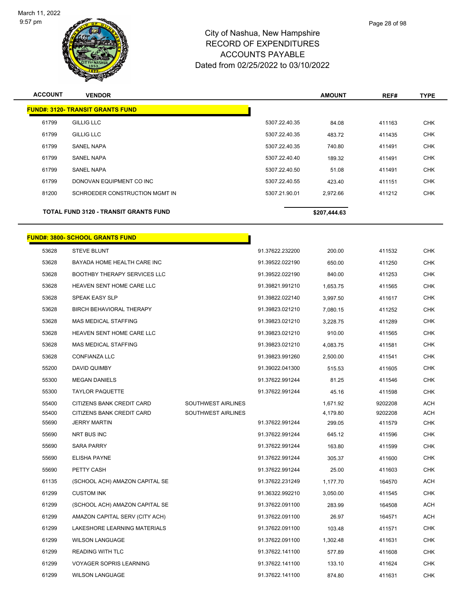

| <b>ACCOUNT</b> | <b>VENDOR</b>                                |               | <b>AMOUNT</b> | REF#   | <b>TYPE</b> |
|----------------|----------------------------------------------|---------------|---------------|--------|-------------|
|                | <b>FUND#: 3120- TRANSIT GRANTS FUND</b>      |               |               |        |             |
| 61799          | <b>GILLIG LLC</b>                            | 5307.22.40.35 | 84.08         | 411163 | <b>CHK</b>  |
| 61799          | <b>GILLIG LLC</b>                            | 5307.22.40.35 | 483.72        | 411435 | <b>CHK</b>  |
| 61799          | <b>SANEL NAPA</b>                            | 5307.22.40.35 | 740.80        | 411491 | <b>CHK</b>  |
| 61799          | <b>SANEL NAPA</b>                            | 5307.22.40.40 | 189.32        | 411491 | <b>CHK</b>  |
| 61799          | <b>SANEL NAPA</b>                            | 5307.22.40.50 | 51.08         | 411491 | <b>CHK</b>  |
| 61799          | DONOVAN EQUIPMENT CO INC                     | 5307.22.40.55 | 423.40        | 411151 | <b>CHK</b>  |
| 81200          | SCHROEDER CONSTRUCTION MGMT IN               | 5307.21.90.01 | 2,972.66      | 411212 | <b>CHK</b>  |
|                | <b>TOTAL FUND 3120 - TRANSIT GRANTS FUND</b> |               | \$207,444.63  |        |             |

# **FUND#: 3800- SCHOOL GRANTS FUND**

| 53628 | <b>STEVE BLUNT</b>                  |                    | 91.37622.232200 | 200.00   | 411532  | CHK        |
|-------|-------------------------------------|--------------------|-----------------|----------|---------|------------|
| 53628 | BAYADA HOME HEALTH CARE INC         |                    | 91.39522.022190 | 650.00   | 411250  | <b>CHK</b> |
| 53628 | <b>BOOTHBY THERAPY SERVICES LLC</b> |                    | 91.39522.022190 | 840.00   | 411253  | CHK        |
| 53628 | HEAVEN SENT HOME CARE LLC           |                    | 91.39821.991210 | 1,653.75 | 411565  | <b>CHK</b> |
| 53628 | SPEAK EASY SLP                      |                    | 91.39822.022140 | 3,997.50 | 411617  | CHK        |
| 53628 | BIRCH BEHAVIORAL THERAPY            |                    | 91.39823.021210 | 7,080.15 | 411252  | CHK        |
| 53628 | <b>MAS MEDICAL STAFFING</b>         |                    | 91.39823.021210 | 3,228.75 | 411289  | <b>CHK</b> |
| 53628 | HEAVEN SENT HOME CARE LLC           |                    | 91.39823.021210 | 910.00   | 411565  | CHK        |
| 53628 | <b>MAS MEDICAL STAFFING</b>         |                    | 91.39823.021210 | 4,083.75 | 411581  | <b>CHK</b> |
| 53628 | CONFIANZA LLC                       |                    | 91.39823.991260 | 2,500.00 | 411541  | CHK        |
| 55200 | DAVID QUIMBY                        |                    | 91.39022.041300 | 515.53   | 411605  | <b>CHK</b> |
| 55300 | <b>MEGAN DANIELS</b>                |                    | 91.37622.991244 | 81.25    | 411546  | <b>CHK</b> |
| 55300 | <b>TAYLOR PAQUETTE</b>              |                    | 91.37622.991244 | 45.16    | 411598  | CHK        |
| 55400 | CITIZENS BANK CREDIT CARD           | SOUTHWEST AIRLINES |                 | 1,671.92 | 9202208 | ACH        |
| 55400 | CITIZENS BANK CREDIT CARD           | SOUTHWEST AIRLINES |                 | 4,179.80 | 9202208 | ACH        |
| 55690 | <b>JERRY MARTIN</b>                 |                    | 91.37622.991244 | 299.05   | 411579  | CHK        |
| 55690 | NRT BUS INC                         |                    | 91.37622.991244 | 645.12   | 411596  | CHK        |
| 55690 | <b>SARA PARRY</b>                   |                    | 91.37622.991244 | 163.80   | 411599  | <b>CHK</b> |
| 55690 | <b>ELISHA PAYNE</b>                 |                    | 91.37622.991244 | 305.37   | 411600  | <b>CHK</b> |
| 55690 | PETTY CASH                          |                    | 91.37622.991244 | 25.00    | 411603  | <b>CHK</b> |
| 61135 | (SCHOOL ACH) AMAZON CAPITAL SE      |                    | 91.37622.231249 | 1,177.70 | 164570  | ACH        |
| 61299 | <b>CUSTOM INK</b>                   |                    | 91.36322.992210 | 3,050.00 | 411545  | <b>CHK</b> |
| 61299 | (SCHOOL ACH) AMAZON CAPITAL SE      |                    | 91.37622.091100 | 283.99   | 164508  | ACH        |
| 61299 | AMAZON CAPITAL SERV (CITY ACH)      |                    | 91.37622.091100 | 26.97    | 164571  | ACH        |
| 61299 | LAKESHORE LEARNING MATERIALS        |                    | 91.37622.091100 | 103.48   | 411571  | <b>CHK</b> |
| 61299 | <b>WILSON LANGUAGE</b>              |                    | 91.37622.091100 | 1,302.48 | 411631  | <b>CHK</b> |
| 61299 | <b>READING WITH TLC</b>             |                    | 91.37622.141100 | 577.89   | 411608  | CHK        |
| 61299 | <b>VOYAGER SOPRIS LEARNING</b>      |                    | 91.37622.141100 | 133.10   | 411624  | <b>CHK</b> |
| 61299 | <b>WILSON LANGUAGE</b>              |                    | 91.37622.141100 | 874.80   | 411631  | CHK        |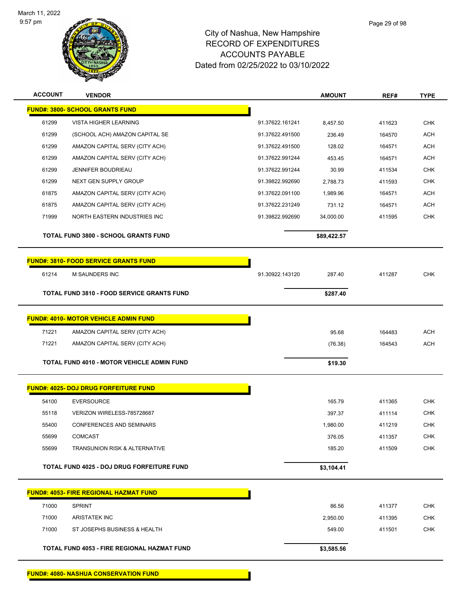

| <b>ACCOUNT</b> | <b>VENDOR</b>                                     |                 | <b>AMOUNT</b> | REF#   | <b>TYPE</b> |
|----------------|---------------------------------------------------|-----------------|---------------|--------|-------------|
|                | FUND#: 3800- SCHOOL GRANTS FUND                   |                 |               |        |             |
| 61299          | <b>VISTA HIGHER LEARNING</b>                      | 91.37622.161241 | 8,457.50      | 411623 | <b>CHK</b>  |
| 61299          | (SCHOOL ACH) AMAZON CAPITAL SE                    | 91.37622.491500 | 236.49        | 164570 | <b>ACH</b>  |
| 61299          | AMAZON CAPITAL SERV (CITY ACH)                    | 91.37622.491500 | 128.02        | 164571 | <b>ACH</b>  |
| 61299          | AMAZON CAPITAL SERV (CITY ACH)                    | 91.37622.991244 | 453.45        | 164571 | <b>ACH</b>  |
| 61299          | <b>JENNIFER BOUDRIEAU</b>                         | 91.37622.991244 | 30.99         | 411534 | <b>CHK</b>  |
| 61299          | NEXT GEN SUPPLY GROUP                             | 91.39822.992690 | 2,788.73      | 411593 | CHK         |
| 61875          | AMAZON CAPITAL SERV (CITY ACH)                    | 91.37622.091100 | 1,989.96      | 164571 | <b>ACH</b>  |
| 61875          | AMAZON CAPITAL SERV (CITY ACH)                    | 91.37622.231249 | 731.12        | 164571 | <b>ACH</b>  |
| 71999          | NORTH EASTERN INDUSTRIES INC                      | 91.39822.992690 | 34,000.00     | 411595 | <b>CHK</b>  |
|                | <b>TOTAL FUND 3800 - SCHOOL GRANTS FUND</b>       |                 | \$89,422.57   |        |             |
|                | <b>FUND#: 3810- FOOD SERVICE GRANTS FUND</b>      |                 |               |        |             |
| 61214          | <b>M SAUNDERS INC</b>                             | 91.30922.143120 | 287.40        | 411287 | <b>CHK</b>  |
|                | <b>TOTAL FUND 3810 - FOOD SERVICE GRANTS FUND</b> |                 | \$287.40      |        |             |
|                | <b>FUND#: 4010- MOTOR VEHICLE ADMIN FUND</b>      |                 |               |        |             |
| 71221          | AMAZON CAPITAL SERV (CITY ACH)                    |                 | 95.68         | 164483 | <b>ACH</b>  |
| 71221          | AMAZON CAPITAL SERV (CITY ACH)                    |                 | (76.38)       | 164543 | <b>ACH</b>  |
|                |                                                   |                 |               |        |             |
|                | <b>TOTAL FUND 4010 - MOTOR VEHICLE ADMIN FUND</b> |                 | \$19.30       |        |             |
|                | <b>FUND#: 4025- DOJ DRUG FORFEITURE FUND</b>      |                 |               |        |             |
| 54100          | <b>EVERSOURCE</b>                                 |                 | 165.79        | 411365 | <b>CHK</b>  |
| 55118          | VERIZON WIRELESS-785728687                        |                 | 397.37        | 411114 | <b>CHK</b>  |
| 55400          | <b>CONFERENCES AND SEMINARS</b>                   |                 | 1,980.00      | 411219 | <b>CHK</b>  |
| 55699          | <b>COMCAST</b>                                    |                 | 376.05        | 411357 | <b>CHK</b>  |
| 55699          | <b>TRANSUNION RISK &amp; ALTERNATIVE</b>          |                 | 185.20        | 411509 | <b>CHK</b>  |
|                | TOTAL FUND 4025 - DOJ DRUG FORFEITURE FUND        |                 | \$3,104.41    |        |             |
|                | <b>FUND#: 4053- FIRE REGIONAL HAZMAT FUND</b>     |                 |               |        |             |
| 71000          | <b>SPRINT</b>                                     |                 | 86.56         | 411377 | <b>CHK</b>  |
| 71000          | <b>ARISTATEK INC</b>                              |                 | 2,950.00      | 411395 | <b>CHK</b>  |
| 71000          | ST JOSEPHS BUSINESS & HEALTH                      |                 | 549.00        | 411501 | <b>CHK</b>  |
|                | TOTAL FUND 4053 - FIRE REGIONAL HAZMAT FUND       |                 | \$3,585.56    |        |             |
|                |                                                   |                 |               |        |             |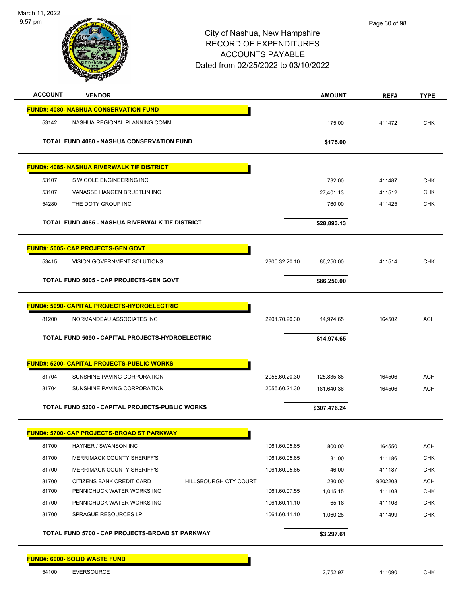

| <b>ACCOUNT</b>                            | <b>VENDOR</b>                                          |                       |               | <b>AMOUNT</b> | REF#    | <b>TYPE</b> |
|-------------------------------------------|--------------------------------------------------------|-----------------------|---------------|---------------|---------|-------------|
|                                           | <b>FUND#: 4080- NASHUA CONSERVATION FUND</b>           |                       |               |               |         |             |
| 53142                                     | NASHUA REGIONAL PLANNING COMM                          |                       |               | 175.00        | 411472  | <b>CHK</b>  |
|                                           |                                                        |                       |               |               |         |             |
|                                           | <b>TOTAL FUND 4080 - NASHUA CONSERVATION FUND</b>      |                       |               | \$175.00      |         |             |
|                                           | <b>FUND#: 4085- NASHUA RIVERWALK TIF DISTRICT</b>      |                       |               |               |         |             |
| 53107                                     | S W COLE ENGINEERING INC                               |                       |               | 732.00        | 411487  | <b>CHK</b>  |
| 53107                                     | VANASSE HANGEN BRUSTLIN INC                            |                       |               | 27,401.13     | 411512  | <b>CHK</b>  |
| 54280                                     | THE DOTY GROUP INC                                     |                       |               | 760.00        | 411425  | <b>CHK</b>  |
|                                           | <b>TOTAL FUND 4085 - NASHUA RIVERWALK TIF DISTRICT</b> |                       |               | \$28,893.13   |         |             |
| <b>FUND#: 5005- CAP PROJECTS-GEN GOVT</b> |                                                        |                       |               |               |         |             |
| 53415                                     | VISION GOVERNMENT SOLUTIONS                            |                       | 2300.32.20.10 | 86,250.00     | 411514  | <b>CHK</b>  |
|                                           | <b>TOTAL FUND 5005 - CAP PROJECTS-GEN GOVT</b>         |                       |               | \$86,250.00   |         |             |
|                                           | <b>FUND#: 5090- CAPITAL PROJECTS-HYDROELECTRIC</b>     |                       |               |               |         |             |
| 81200                                     | NORMANDEAU ASSOCIATES INC                              |                       | 2201.70.20.30 | 14,974.65     | 164502  | <b>ACH</b>  |
|                                           | TOTAL FUND 5090 - CAPITAL PROJECTS-HYDROELECTRIC       |                       |               | \$14,974.65   |         |             |
|                                           | <b>FUND#: 5200- CAPITAL PROJECTS-PUBLIC WORKS</b>      |                       |               |               |         |             |
| 81704                                     | SUNSHINE PAVING CORPORATION                            |                       | 2055.60.20.30 | 125,835.88    | 164506  | <b>ACH</b>  |
| 81704                                     | SUNSHINE PAVING CORPORATION                            |                       | 2055.60.21.30 | 181,640.36    | 164506  | <b>ACH</b>  |
|                                           | TOTAL FUND 5200 - CAPITAL PROJECTS-PUBLIC WORKS        |                       |               | \$307,476.24  |         |             |
|                                           | <b>FUND#: 5700- CAP PROJECTS-BROAD ST PARKWAY</b>      |                       |               |               |         |             |
| 81700                                     | HAYNER / SWANSON INC                                   |                       | 1061.60.05.65 | 800.00        | 164550  | <b>ACH</b>  |
| 81700                                     | MERRIMACK COUNTY SHERIFF'S                             |                       | 1061.60.05.65 | 31.00         | 411186  | <b>CHK</b>  |
| 81700                                     | MERRIMACK COUNTY SHERIFF'S                             |                       | 1061.60.05.65 | 46.00         | 411187  | <b>CHK</b>  |
| 81700                                     | CITIZENS BANK CREDIT CARD                              | HILLSBOURGH CTY COURT |               | 280.00        | 9202208 | <b>ACH</b>  |
| 81700                                     | PENNICHUCK WATER WORKS INC                             |                       | 1061.60.07.55 | 1,015.15      | 411108  | CHK         |
| 81700                                     | PENNICHUCK WATER WORKS INC                             |                       | 1061.60.11.10 | 65.18         | 411108  | <b>CHK</b>  |
| 81700                                     | SPRAGUE RESOURCES LP                                   |                       | 1061.60.11.10 | 1,060.28      | 411499  | <b>CHK</b>  |
|                                           | TOTAL FUND 5700 - CAP PROJECTS-BROAD ST PARKWAY        |                       |               | \$3,297.61    |         |             |
| <b>FUND#: 6000- SOLID WASTE FUND</b>      |                                                        |                       |               |               |         |             |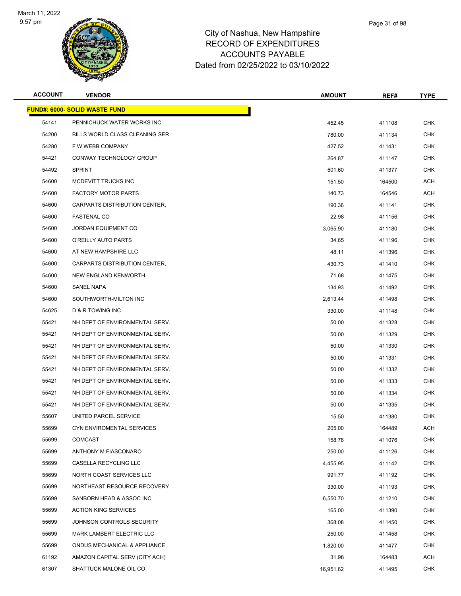

**FUND#: 6000- SOLID WASTE FUND**

#### City of Nashua, New Hampshire RECORD OF EXPENDITURES AC Dated from

|         | Æ.                                   | <b>ACCOUNTS PAYABLE</b><br>Dated from 02/25/2022 to 03/10/2022 |               |        |             |  |
|---------|--------------------------------------|----------------------------------------------------------------|---------------|--------|-------------|--|
| ACCOUNT | <b>VENDOR</b>                        |                                                                | <b>AMOUNT</b> | REF#   | <b>TYPE</b> |  |
|         | <u> IND#: 6000- SOLID WASTE FUND</u> |                                                                |               |        |             |  |
| 54141   | PENNICHUCK WATER WORKS INC           |                                                                | 452.45        | 411108 | CHK         |  |
| 54200   | BILLS WORLD CLASS CLEANING SER       |                                                                | 780.00        | 411134 | <b>CHK</b>  |  |
| 54280   | F W WEBB COMPANY                     |                                                                | 427.52        | 411431 | <b>CHK</b>  |  |
| 54421   | CONWAY TECHNOLOGY GROUP              |                                                                | 264.87        | 411147 | <b>CHK</b>  |  |
| 54492   | <b>SPRINT</b>                        |                                                                | 501.60        | 411377 | <b>CHK</b>  |  |
| 54600   | MCDEVITT TRUCKS INC                  |                                                                | 151.50        | 164500 | <b>ACH</b>  |  |

| 54280 | F W WEBB COMPANY               | 427.52    | 411431 | <b>CHK</b> |
|-------|--------------------------------|-----------|--------|------------|
| 54421 | CONWAY TECHNOLOGY GROUP        | 264.87    | 411147 | CHK        |
| 54492 | <b>SPRINT</b>                  | 501.60    | 411377 | CHK        |
| 54600 | MCDEVITT TRUCKS INC            | 151.50    | 164500 | <b>ACH</b> |
| 54600 | <b>FACTORY MOTOR PARTS</b>     | 140.73    | 164546 | ACH        |
| 54600 | CARPARTS DISTRIBUTION CENTER,  | 190.36    | 411141 | CHK        |
| 54600 | <b>FASTENAL CO</b>             | 22.98     | 411156 | CHK        |
| 54600 | JORDAN EQUIPMENT CO            | 3,065.90  | 411180 | CHK        |
| 54600 | O'REILLY AUTO PARTS            | 34.65     | 411196 | CHK        |
| 54600 | AT NEW HAMPSHIRE LLC           | 48.11     | 411396 | <b>CHK</b> |
| 54600 | CARPARTS DISTRIBUTION CENTER,  | 430.73    | 411410 | CHK        |
| 54600 | <b>NEW ENGLAND KENWORTH</b>    | 71.68     | 411475 | CHK        |
| 54600 | SANEL NAPA                     | 134.93    | 411492 | <b>CHK</b> |
| 54600 | SOUTHWORTH-MILTON INC          | 2,613.44  | 411498 | CHK        |
| 54625 | <b>D &amp; R TOWING INC</b>    | 330.00    | 411148 | <b>CHK</b> |
| 55421 | NH DEPT OF ENVIRONMENTAL SERV. | 50.00     | 411328 | CHK        |
| 55421 | NH DEPT OF ENVIRONMENTAL SERV. | 50.00     | 411329 | CHK        |
| 55421 | NH DEPT OF ENVIRONMENTAL SERV. | 50.00     | 411330 | CHK        |
| 55421 | NH DEPT OF ENVIRONMENTAL SERV. | 50.00     | 411331 | CHK        |
| 55421 | NH DEPT OF ENVIRONMENTAL SERV. | 50.00     | 411332 | <b>CHK</b> |
| 55421 | NH DEPT OF ENVIRONMENTAL SERV. | 50.00     | 411333 | CHK        |
| 55421 | NH DEPT OF ENVIRONMENTAL SERV. | 50.00     | 411334 | CHK        |
| 55421 | NH DEPT OF ENVIRONMENTAL SERV. | 50.00     | 411335 | CHK        |
| 55607 | UNITED PARCEL SERVICE          | 15.50     | 411380 | CHK        |
| 55699 | CYN ENVIROMENTAL SERVICES      | 205.00    | 164489 | ACH        |
| 55699 | <b>COMCAST</b>                 | 158.76    | 411076 | CHK        |
| 55699 | ANTHONY M FIASCONARO           | 250.00    | 411126 | CHK        |
| 55699 | <b>CASELLA RECYCLING LLC</b>   | 4,455.95  | 411142 | CHK        |
| 55699 | NORTH COAST SERVICES LLC       | 991.77    | 411192 | CHK        |
| 55699 | NORTHEAST RESOURCE RECOVERY    | 330.00    | 411193 | <b>CHK</b> |
| 55699 | SANBORN HEAD & ASSOC INC       | 6,550.70  | 411210 | CHK        |
| 55699 | <b>ACTION KING SERVICES</b>    | 165.00    | 411390 | <b>CHK</b> |
| 55699 | JOHNSON CONTROLS SECURITY      | 368.08    | 411450 | CHK        |
| 55699 | MARK LAMBERT ELECTRIC LLC      | 250.00    | 411458 | CHK        |
| 55699 | ONDUS MECHANICAL & APPLIANCE   | 1,820.00  | 411477 | <b>CHK</b> |
| 61192 | AMAZON CAPITAL SERV (CITY ACH) | 31.98     | 164483 | ACH        |
| 61307 | SHATTUCK MALONE OIL CO         | 16,951.62 | 411495 | <b>CHK</b> |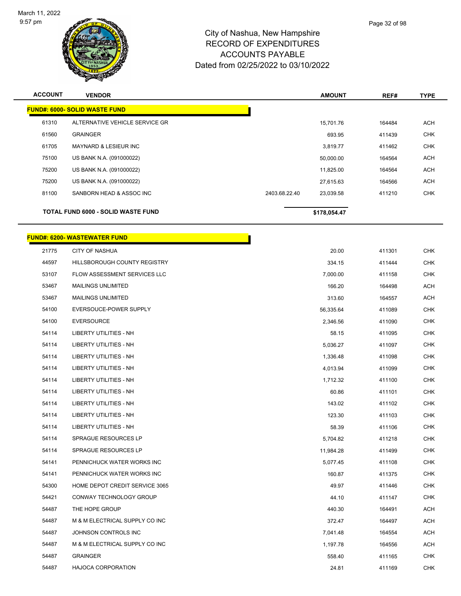

| <b>ACCOUNT</b>                            | <b>VENDOR</b>                        |               | <b>AMOUNT</b> | REF#   | <b>TYPE</b> |
|-------------------------------------------|--------------------------------------|---------------|---------------|--------|-------------|
|                                           | <b>FUND#: 6000- SOLID WASTE FUND</b> |               |               |        |             |
| 61310                                     | ALTERNATIVE VEHICLE SERVICE GR       |               | 15,701.76     | 164484 | <b>ACH</b>  |
| 61560                                     | <b>GRAINGER</b>                      |               | 693.95        | 411439 | <b>CHK</b>  |
| 61705                                     | <b>MAYNARD &amp; LESIEUR INC</b>     |               | 3,819.77      | 411462 | <b>CHK</b>  |
| 75100                                     | US BANK N.A. (091000022)             |               | 50,000.00     | 164564 | <b>ACH</b>  |
| 75200                                     | US BANK N.A. (091000022)             |               | 11,825.00     | 164564 | ACH         |
| 75200                                     | US BANK N.A. (091000022)             |               | 27.615.63     | 164566 | <b>ACH</b>  |
| 81100                                     | SANBORN HEAD & ASSOC INC             | 2403.68.22.40 | 23,039.58     | 411210 | <b>CHK</b>  |
| <b>TOTAL FUND 6000 - SOLID WASTE FUND</b> |                                      |               | \$178,054.47  |        |             |

|       | <b>FUND#: 6200- WASTEWATER FUND</b> |           |        |  |
|-------|-------------------------------------|-----------|--------|--|
| 21775 | <b>CITY OF NASHUA</b>               | 20.00     | 411301 |  |
| 44597 | HILLSBOROUGH COUNTY REGISTRY        | 334.15    | 411444 |  |
| 53107 | FLOW ASSESSMENT SERVICES LLC        | 7,000.00  | 411158 |  |
| 53467 | <b>MAILINGS UNLIMITED</b>           | 166.20    | 164498 |  |
| 53467 | <b>MAILINGS UNLIMITED</b>           | 313.60    | 164557 |  |
| 54100 | EVERSOUCE-POWER SUPPLY              | 56,335.64 | 411089 |  |
| 54100 | <b>EVERSOURCE</b>                   | 2,346.56  | 411090 |  |
| 54114 | <b>LIBERTY UTILITIES - NH</b>       | 58.15     | 411095 |  |
| 54114 | <b>LIBERTY UTILITIES - NH</b>       | 5,036.27  | 411097 |  |
| 54114 | <b>LIBERTY UTILITIES - NH</b>       | 1,336.48  | 411098 |  |
| 54114 | LIBERTY UTILITIES - NH              | 4,013.94  | 411099 |  |
| 54114 | <b>LIBERTY UTILITIES - NH</b>       | 1,712.32  | 411100 |  |
| 54114 | <b>LIBERTY UTILITIES - NH</b>       | 60.86     | 411101 |  |
| 54114 | LIBERTY UTILITIES - NH              | 143.02    | 411102 |  |
| 54114 | <b>LIBERTY UTILITIES - NH</b>       | 123.30    | 411103 |  |
| 54114 | LIBERTY UTILITIES - NH              | 58.39     | 411106 |  |
| 54114 | SPRAGUE RESOURCES LP                | 5,704.82  | 411218 |  |
| 54114 | SPRAGUE RESOURCES LP                | 11,984.28 | 411499 |  |
| 54141 | PENNICHUCK WATER WORKS INC          | 5,077.45  | 411108 |  |
| 54141 | PENNICHUCK WATER WORKS INC          | 160.87    | 411375 |  |
| 54300 | HOME DEPOT CREDIT SERVICE 3065      | 49.97     | 411446 |  |
| 54421 | CONWAY TECHNOLOGY GROUP             | 44.10     | 411147 |  |
| 54487 | THE HOPE GROUP                      | 440.30    | 164491 |  |
| 54487 | M & M ELECTRICAL SUPPLY CO INC      | 372.47    | 164497 |  |
| 54487 | JOHNSON CONTROLS INC                | 7,041.48  | 164554 |  |
| 54487 | M & M ELECTRICAL SUPPLY CO INC      | 1,197.78  | 164556 |  |
| 54487 | <b>GRAINGER</b>                     | 558.40    | 411165 |  |
| 54487 | <b>HAJOCA CORPORATION</b>           | 24.81     | 411169 |  |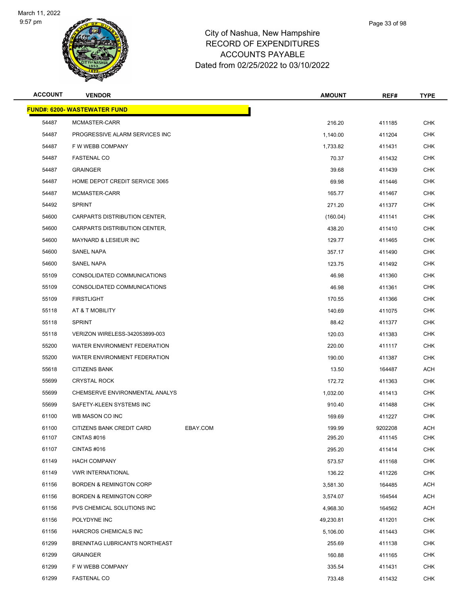

|    | Page 33 of 98 |
|----|---------------|
| re |               |
| S. |               |

| <b>ACCOUNT</b> | <b>VENDOR</b>                       |          | <b>AMOUNT</b> | REF#    | <b>TYPE</b> |
|----------------|-------------------------------------|----------|---------------|---------|-------------|
|                | <b>FUND#: 6200- WASTEWATER FUND</b> |          |               |         |             |
| 54487          | MCMASTER-CARR                       |          | 216.20        | 411185  | <b>CHK</b>  |
| 54487          | PROGRESSIVE ALARM SERVICES INC      |          | 1,140.00      | 411204  | <b>CHK</b>  |
| 54487          | F W WEBB COMPANY                    |          | 1,733.82      | 411431  | CHK         |
| 54487          | <b>FASTENAL CO</b>                  |          | 70.37         | 411432  | <b>CHK</b>  |
| 54487          | <b>GRAINGER</b>                     |          | 39.68         | 411439  | <b>CHK</b>  |
| 54487          | HOME DEPOT CREDIT SERVICE 3065      |          | 69.98         | 411446  | <b>CHK</b>  |
| 54487          | MCMASTER-CARR                       |          | 165.77        | 411467  | <b>CHK</b>  |
| 54492          | <b>SPRINT</b>                       |          | 271.20        | 411377  | CHK         |
| 54600          | CARPARTS DISTRIBUTION CENTER,       |          | (160.04)      | 411141  | <b>CHK</b>  |
| 54600          | CARPARTS DISTRIBUTION CENTER,       |          | 438.20        | 411410  | <b>CHK</b>  |
| 54600          | <b>MAYNARD &amp; LESIEUR INC</b>    |          | 129.77        | 411465  | <b>CHK</b>  |
| 54600          | SANEL NAPA                          |          | 357.17        | 411490  | <b>CHK</b>  |
| 54600          | SANEL NAPA                          |          | 123.75        | 411492  | CHK         |
| 55109          | CONSOLIDATED COMMUNICATIONS         |          | 46.98         | 411360  | <b>CHK</b>  |
| 55109          | CONSOLIDATED COMMUNICATIONS         |          | 46.98         | 411361  | <b>CHK</b>  |
| 55109          | <b>FIRSTLIGHT</b>                   |          | 170.55        | 411366  | <b>CHK</b>  |
| 55118          | AT & T MOBILITY                     |          | 140.69        | 411075  | <b>CHK</b>  |
| 55118          | <b>SPRINT</b>                       |          | 88.42         | 411377  | <b>CHK</b>  |
| 55118          | VERIZON WIRELESS-342053899-003      |          | 120.03        | 411383  | <b>CHK</b>  |
| 55200          | WATER ENVIRONMENT FEDERATION        |          | 220.00        | 411117  | <b>CHK</b>  |
| 55200          | WATER ENVIRONMENT FEDERATION        |          | 190.00        | 411387  | <b>CHK</b>  |
| 55618          | <b>CITIZENS BANK</b>                |          | 13.50         | 164487  | <b>ACH</b>  |
| 55699          | <b>CRYSTAL ROCK</b>                 |          | 172.72        | 411363  | CHK         |
| 55699          | CHEMSERVE ENVIRONMENTAL ANALYS      |          | 1,032.00      | 411413  | <b>CHK</b>  |
| 55699          | SAFETY-KLEEN SYSTEMS INC            |          | 910.40        | 411488  | CHK         |
| 61100          | WB MASON CO INC                     |          | 169.69        | 411227  | <b>CHK</b>  |
| 61100          | CITIZENS BANK CREDIT CARD           | EBAY.COM | 199.99        | 9202208 | <b>ACH</b>  |
| 61107          | CINTAS #016                         |          | 295.20        | 411145  | <b>CHK</b>  |
| 61107          | CINTAS #016                         |          | 295.20        | 411414  | <b>CHK</b>  |
| 61149          | <b>HACH COMPANY</b>                 |          | 573.57        | 411168  | <b>CHK</b>  |
| 61149          | <b>VWR INTERNATIONAL</b>            |          | 136.22        | 411226  | <b>CHK</b>  |
| 61156          | <b>BORDEN &amp; REMINGTON CORP</b>  |          | 3,581.30      | 164485  | <b>ACH</b>  |
| 61156          | <b>BORDEN &amp; REMINGTON CORP</b>  |          | 3,574.07      | 164544  | ACH         |
| 61156          | PVS CHEMICAL SOLUTIONS INC          |          | 4,968.30      | 164562  | ACH         |
| 61156          | POLYDYNE INC                        |          | 49,230.81     | 411201  | <b>CHK</b>  |
| 61156          | HARCROS CHEMICALS INC               |          | 5,106.00      | 411443  | <b>CHK</b>  |
| 61299          | BRENNTAG LUBRICANTS NORTHEAST       |          | 255.69        | 411138  | <b>CHK</b>  |
| 61299          | <b>GRAINGER</b>                     |          | 160.88        | 411165  | CHK         |
| 61299          | F W WEBB COMPANY                    |          | 335.54        | 411431  | <b>CHK</b>  |
| 61299          | <b>FASTENAL CO</b>                  |          | 733.48        | 411432  | <b>CHK</b>  |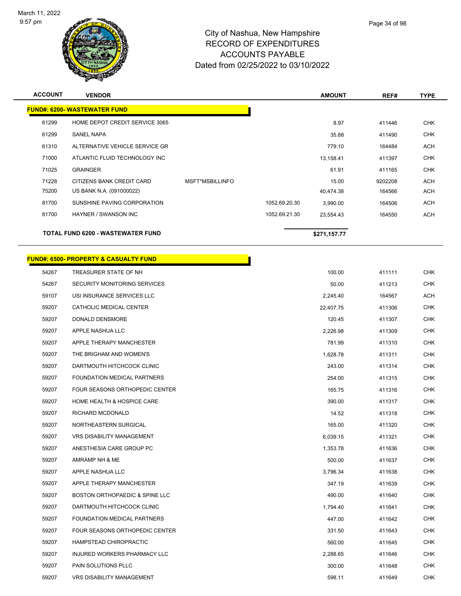

| Page 34 of 98 |
|---------------|
|               |

| <b>ACCOUNT</b> | <b>VENDOR</b>                            |                 |               | <b>AMOUNT</b> | REF#    | <b>TYPE</b> |
|----------------|------------------------------------------|-----------------|---------------|---------------|---------|-------------|
|                | <b>FUND#: 6200- WASTEWATER FUND</b>      |                 |               |               |         |             |
| 61299          | HOME DEPOT CREDIT SERVICE 3065           |                 |               | 8.97          | 411446  | <b>CHK</b>  |
| 61299          | <b>SANEL NAPA</b>                        |                 |               | 35.88         | 411490  | <b>CHK</b>  |
| 61310          | ALTERNATIVE VEHICLE SERVICE GR           |                 |               | 779.10        | 164484  | <b>ACH</b>  |
| 71000          | ATLANTIC FLUID TECHNOLOGY INC            |                 |               | 13,158.41     | 411397  | <b>CHK</b>  |
| 71025          | <b>GRAINGER</b>                          |                 |               | 61.91         | 411165  | <b>CHK</b>  |
| 71228          | CITIZENS BANK CREDIT CARD                | MSFT*MSBILLINFO |               | 15.00         | 9202208 | <b>ACH</b>  |
| 75200          | US BANK N.A. (091000022)                 |                 |               | 40,474.38     | 164566  | ACH         |
| 81700          | SUNSHINE PAVING CORPORATION              |                 | 1052.69.20.30 | 3,990.00      | 164506  | ACH         |
| 81700          | HAYNER / SWANSON INC                     |                 | 1052.69.21.30 | 23,554.43     | 164550  | ACH         |
|                | <b>TOTAL FUND 6200 - WASTEWATER FUND</b> |                 |               | \$271,157.77  |         |             |

Г

#### **FUND#: 6500- PROPERTY & CASUALTY FUND**

| 54267 | TREASURER STATE OF NH            | 100.00    | 411111 | <b>CHK</b> |
|-------|----------------------------------|-----------|--------|------------|
| 54267 | SECURITY MONITORING SERVICES     | 50.00     | 411213 | <b>CHK</b> |
| 59107 | USI INSURANCE SERVICES LLC       | 2,245.40  | 164567 | ACH        |
| 59207 | CATHOLIC MEDICAL CENTER          | 22,407.75 | 411306 | <b>CHK</b> |
| 59207 | DONALD DENSMORE                  | 120.45    | 411307 | <b>CHK</b> |
| 59207 | APPLE NASHUA LLC                 | 2,226.98  | 411309 | CHK        |
| 59207 | APPLE THERAPY MANCHESTER         | 781.99    | 411310 | CHK        |
| 59207 | THE BRIGHAM AND WOMEN'S          | 1,628.78  | 411311 | <b>CHK</b> |
| 59207 | DARTMOUTH HITCHCOCK CLINIC       | 243.00    | 411314 | <b>CHK</b> |
| 59207 | FOUNDATION MEDICAL PARTNERS      | 254.00    | 411315 | <b>CHK</b> |
| 59207 | FOUR SEASONS ORTHOPEDIC CENTER   | 165.75    | 411316 | <b>CHK</b> |
| 59207 | HOME HEALTH & HOSPICE CARE       | 390.00    | 411317 | <b>CHK</b> |
| 59207 | RICHARD MCDONALD                 | 14.52     | 411318 | <b>CHK</b> |
| 59207 | NORTHEASTERN SURGICAL            | 165.00    | 411320 | <b>CHK</b> |
| 59207 | <b>VRS DISABILITY MANAGEMENT</b> | 6,039.15  | 411321 | CHK        |
| 59207 | ANESTHESIA CARE GROUP PC         | 1,353.78  | 411636 | CHK        |
| 59207 | AMRAMP NH & ME                   | 500.00    | 411637 | <b>CHK</b> |
| 59207 | APPLE NASHUA LLC                 | 3,796.34  | 411638 | <b>CHK</b> |
| 59207 | APPLE THERAPY MANCHESTER         | 347.19    | 411639 | <b>CHK</b> |
| 59207 | BOSTON ORTHOPAEDIC & SPINE LLC   | 490.00    | 411640 | <b>CHK</b> |
| 59207 | DARTMOUTH HITCHCOCK CLINIC       | 1,794.40  | 411641 | <b>CHK</b> |
| 59207 | FOUNDATION MEDICAL PARTNERS      | 447.00    | 411642 | <b>CHK</b> |
| 59207 | FOUR SEASONS ORTHOPEDIC CENTER   | 331.50    | 411643 | <b>CHK</b> |
| 59207 | HAMPSTEAD CHIROPRACTIC           | 560.00    | 411645 | <b>CHK</b> |
| 59207 | INJURED WORKERS PHARMACY LLC     | 2,288.65  | 411646 | CHK        |
| 59207 | PAIN SOLUTIONS PLLC              | 300.00    | 411648 | <b>CHK</b> |
| 59207 | VRS DISABILITY MANAGEMENT        | 598.11    | 411649 | <b>CHK</b> |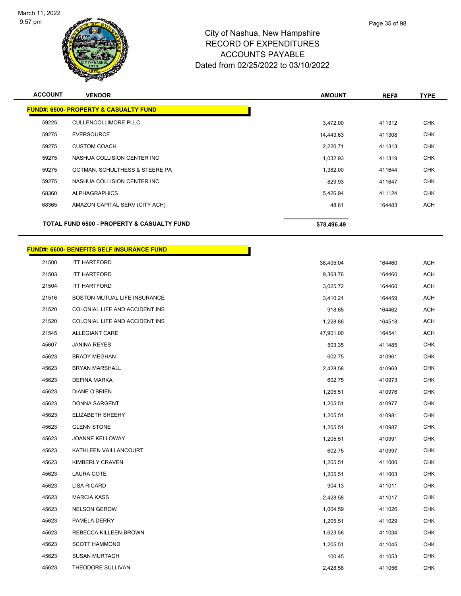

# City of Nashua, New Hampshire RECORD OF EXPENDITURES ACCOUNTS PAYABLE

| AUUUUNIS PATABLE                    |  |
|-------------------------------------|--|
| Dated from 02/25/2022 to 03/10/2022 |  |
|                                     |  |
|                                     |  |

| <b>ACCOUNT</b> | <b>VENDOR</b>                                         | <b>AMOUNT</b> | REF#   | <b>TYPE</b> |
|----------------|-------------------------------------------------------|---------------|--------|-------------|
|                | <b>FUND#: 6500- PROPERTY &amp; CASUALTY FUND</b>      |               |        |             |
| 59225          | <b>CULLENCOLLIMORE PLLC</b>                           | 3,472.00      | 411312 | <b>CHK</b>  |
| 59275          | <b>EVERSOURCE</b>                                     | 14,443.63     | 411308 | <b>CHK</b>  |
| 59275          | <b>CUSTOM COACH</b>                                   | 2,220.71      | 411313 | <b>CHK</b>  |
| 59275          | NASHUA COLLISION CENTER INC                           | 1,032.93      | 411319 | <b>CHK</b>  |
| 59275          | GOTMAN, SCHULTHESS & STEERE PA                        | 1,382.00      | 411644 | <b>CHK</b>  |
| 59275          | NASHUA COLLISION CENTER INC                           | 829.93        | 411647 | <b>CHK</b>  |
| 68360          | <b>ALPHAGRAPHICS</b>                                  | 5,426.94      | 411124 | <b>CHK</b>  |
| 68365          | AMAZON CAPITAL SERV (CITY ACH)                        | 48.61         | 164483 | ACH         |
|                | <b>TOTAL FUND 6500 - PROPERTY &amp; CASUALTY FUND</b> | \$78,496.49   |        |             |
|                |                                                       |               |        |             |

|       | <b>FUND#: 6600- BENEFITS SELF INSURANCE FUND</b> |           |        |
|-------|--------------------------------------------------|-----------|--------|
| 21500 | <b>ITT HARTFORD</b>                              | 38,405.04 | 164460 |
| 21503 | <b>ITT HARTFORD</b>                              | 9,363.76  | 164460 |
| 21504 | <b>ITT HARTFORD</b>                              | 3,025.72  | 164460 |
| 21516 | BOSTON MUTUAL LIFE INSURANCE                     | 3,410.21  | 164459 |
| 21520 | COLONIAL LIFE AND ACCIDENT INS                   | 918.65    | 164462 |
| 21520 | COLONIAL LIFE AND ACCIDENT INS                   | 1,228.86  | 164518 |
| 21545 | <b>ALLEGIANT CARE</b>                            | 47,901.00 | 164541 |
| 45607 | <b>JANINA REYES</b>                              | 503.35    | 411485 |
| 45623 | <b>BRADY MEGHAN</b>                              | 602.75    | 410961 |
| 45623 | <b>BRYAN MARSHALL</b>                            | 2,428.58  | 410963 |
| 45623 | DEFINA MARKA                                     | 602.75    | 410973 |
| 45623 | <b>DIANE O'BRIEN</b>                             | 1,205.51  | 410976 |
| 45623 | DONNA SARGENT                                    | 1,205.51  | 410977 |
| 45623 | ELIZABETH SHEEHY                                 | 1,205.51  | 410981 |
| 45623 | <b>GLENN STONE</b>                               | 1,205.51  | 410987 |
| 45623 | <b>JOANNE KELLOWAY</b>                           | 1,205.51  | 410991 |
| 45623 | KATHLEEN VAILLANCOURT                            | 602.75    | 410997 |
| 45623 | <b>KIMBERLY CRAVEN</b>                           | 1,205.51  | 411000 |
| 45623 | LAURA COTE                                       | 1,205.51  | 411003 |
| 45623 | <b>LISA RICARD</b>                               | 904.13    | 411011 |
| 45623 | <b>MARCIA KASS</b>                               | 2,428.58  | 411017 |
| 45623 | <b>NELSON GEROW</b>                              | 1,004.59  | 411026 |
| 45623 | PAMELA DERRY                                     | 1,205.51  | 411029 |
| 45623 | REBECCA KILLEEN-BROWN                            | 1,623.58  | 411034 |
| 45623 | <b>SCOTT HAMMOND</b>                             | 1,205.51  | 411045 |

 SUSAN MURTAGH 100.45 411053 CHK THEODORE SULLIVAN 2,428.58 411056 CHK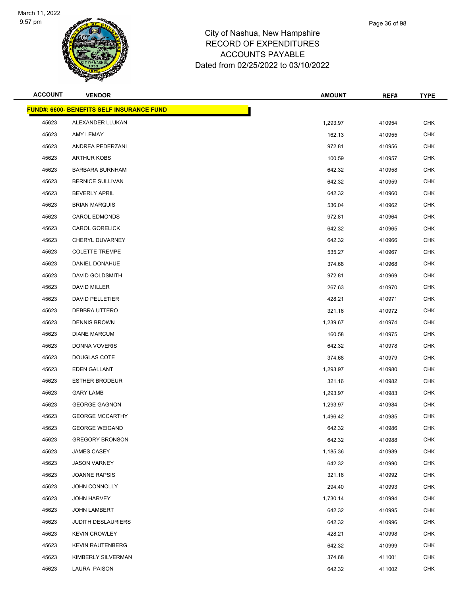

| <b>ACCOUNT</b> | <b>VENDOR</b>                                    | <b>AMOUNT</b> | REF#   | <b>TYPE</b> |
|----------------|--------------------------------------------------|---------------|--------|-------------|
|                | <b>FUND#: 6600- BENEFITS SELF INSURANCE FUND</b> |               |        |             |
| 45623          | ALEXANDER LLUKAN                                 | 1,293.97      | 410954 | <b>CHK</b>  |
| 45623          | AMY LEMAY                                        | 162.13        | 410955 | <b>CHK</b>  |
| 45623          | ANDREA PEDERZANI                                 | 972.81        | 410956 | <b>CHK</b>  |
| 45623          | <b>ARTHUR KOBS</b>                               | 100.59        | 410957 | <b>CHK</b>  |
| 45623          | <b>BARBARA BURNHAM</b>                           | 642.32        | 410958 | <b>CHK</b>  |
| 45623          | <b>BERNICE SULLIVAN</b>                          | 642.32        | 410959 | <b>CHK</b>  |
| 45623          | <b>BEVERLY APRIL</b>                             | 642.32        | 410960 | <b>CHK</b>  |
| 45623          | <b>BRIAN MARQUIS</b>                             | 536.04        | 410962 | <b>CHK</b>  |
| 45623          | <b>CAROL EDMONDS</b>                             | 972.81        | 410964 | <b>CHK</b>  |
| 45623          | <b>CAROL GORELICK</b>                            | 642.32        | 410965 | <b>CHK</b>  |
| 45623          | CHERYL DUVARNEY                                  | 642.32        | 410966 | <b>CHK</b>  |
| 45623          | <b>COLETTE TREMPE</b>                            | 535.27        | 410967 | <b>CHK</b>  |
| 45623          | DANIEL DONAHUE                                   | 374.68        | 410968 | CHK         |
| 45623          | DAVID GOLDSMITH                                  | 972.81        | 410969 | <b>CHK</b>  |
| 45623          | DAVID MILLER                                     | 267.63        | 410970 | <b>CHK</b>  |
| 45623          | <b>DAVID PELLETIER</b>                           | 428.21        | 410971 | <b>CHK</b>  |
| 45623          | DEBBRA UTTERO                                    | 321.16        | 410972 | <b>CHK</b>  |
| 45623          | <b>DENNIS BROWN</b>                              | 1,239.67      | 410974 | CHK         |
| 45623          | <b>DIANE MARCUM</b>                              | 160.58        | 410975 | <b>CHK</b>  |
| 45623          | DONNA VOVERIS                                    | 642.32        | 410978 | <b>CHK</b>  |
| 45623          | DOUGLAS COTE                                     | 374.68        | 410979 | <b>CHK</b>  |
| 45623          | EDEN GALLANT                                     | 1,293.97      | 410980 | <b>CHK</b>  |
| 45623          | <b>ESTHER BRODEUR</b>                            | 321.16        | 410982 | CHK         |
| 45623          | <b>GARY LAMB</b>                                 | 1,293.97      | 410983 | <b>CHK</b>  |
| 45623          | <b>GEORGE GAGNON</b>                             | 1,293.97      | 410984 | <b>CHK</b>  |
| 45623          | <b>GEORGE MCCARTHY</b>                           | 1,496.42      | 410985 | <b>CHK</b>  |
| 45623          | <b>GEORGE WEIGAND</b>                            | 642.32        | 410986 | CHK         |
| 45623          | <b>GREGORY BRONSON</b>                           | 642.32        | 410988 | <b>CHK</b>  |
| 45623          | <b>JAMES CASEY</b>                               | 1,185.36      | 410989 | <b>CHK</b>  |
| 45623          | <b>JASON VARNEY</b>                              | 642.32        | 410990 | <b>CHK</b>  |
| 45623          | <b>JOANNE RAPSIS</b>                             | 321.16        | 410992 | <b>CHK</b>  |
| 45623          | JOHN CONNOLLY                                    | 294.40        | 410993 | <b>CHK</b>  |
| 45623          | <b>JOHN HARVEY</b>                               | 1,730.14      | 410994 | <b>CHK</b>  |
| 45623          | <b>JOHN LAMBERT</b>                              | 642.32        | 410995 | <b>CHK</b>  |
| 45623          | <b>JUDITH DESLAURIERS</b>                        | 642.32        | 410996 | <b>CHK</b>  |
| 45623          | <b>KEVIN CROWLEY</b>                             | 428.21        | 410998 | <b>CHK</b>  |
| 45623          | <b>KEVIN RAUTENBERG</b>                          | 642.32        | 410999 | <b>CHK</b>  |
| 45623          | KIMBERLY SILVERMAN                               | 374.68        | 411001 | CHK         |
| 45623          | LAURA PAISON                                     | 642.32        | 411002 | <b>CHK</b>  |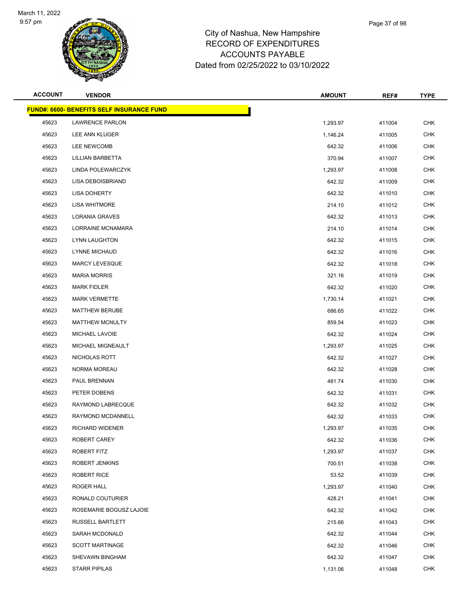

| <b>ACCOUNT</b> | <b>VENDOR</b>                                    | <b>AMOUNT</b> | REF#   | <b>TYPE</b> |
|----------------|--------------------------------------------------|---------------|--------|-------------|
|                | <b>FUND#: 6600- BENEFITS SELF INSURANCE FUND</b> |               |        |             |
| 45623          | <b>LAWRENCE PARLON</b>                           | 1,293.97      | 411004 | <b>CHK</b>  |
| 45623          | LEE ANN KLUGER                                   | 1,146.24      | 411005 | <b>CHK</b>  |
| 45623          | LEE NEWCOMB                                      | 642.32        | 411006 | <b>CHK</b>  |
| 45623          | LILLIAN BARBETTA                                 | 370.94        | 411007 | <b>CHK</b>  |
| 45623          | LINDA POLEWARCZYK                                | 1,293.97      | 411008 | <b>CHK</b>  |
| 45623          | LISA DEBOISBRIAND                                | 642.32        | 411009 | <b>CHK</b>  |
| 45623          | <b>LISA DOHERTY</b>                              | 642.32        | 411010 | <b>CHK</b>  |
| 45623          | LISA WHITMORE                                    | 214.10        | 411012 | <b>CHK</b>  |
| 45623          | LORANIA GRAVES                                   | 642.32        | 411013 | <b>CHK</b>  |
| 45623          | LORRAINE MCNAMARA                                | 214.10        | 411014 | <b>CHK</b>  |
| 45623          | LYNN LAUGHTON                                    | 642.32        | 411015 | <b>CHK</b>  |
| 45623          | LYNNE MICHAUD                                    | 642.32        | 411016 | <b>CHK</b>  |
| 45623          | <b>MARCY LEVESQUE</b>                            | 642.32        | 411018 | <b>CHK</b>  |
| 45623          | <b>MARIA MORRIS</b>                              | 321.16        | 411019 | <b>CHK</b>  |
| 45623          | <b>MARK FIDLER</b>                               | 642.32        | 411020 | <b>CHK</b>  |
| 45623          | <b>MARK VERMETTE</b>                             | 1,730.14      | 411021 | <b>CHK</b>  |
| 45623          | <b>MATTHEW BERUBE</b>                            | 686.65        | 411022 | <b>CHK</b>  |
| 45623          | MATTHEW MCNULTY                                  | 859.54        | 411023 | <b>CHK</b>  |
| 45623          | MICHAEL LAVOIE                                   | 642.32        | 411024 | <b>CHK</b>  |
| 45623          | MICHAEL MIGNEAULT                                | 1,293.97      | 411025 | <b>CHK</b>  |
| 45623          | NICHOLAS ROTT                                    | 642.32        | 411027 | <b>CHK</b>  |
| 45623          | NORMA MOREAU                                     | 642.32        | 411028 | <b>CHK</b>  |
| 45623          | PAUL BRENNAN                                     | 481.74        | 411030 | <b>CHK</b>  |
| 45623          | PETER DOBENS                                     | 642.32        | 411031 | <b>CHK</b>  |
| 45623          | RAYMOND LABRECQUE                                | 642.32        | 411032 | CHK         |
| 45623          | RAYMOND MCDANNELL                                | 642.32        | 411033 | <b>CHK</b>  |
| 45623          | RICHARD WIDENER                                  | 1,293.97      | 411035 | <b>CHK</b>  |
| 45623          | ROBERT CAREY                                     | 642.32        | 411036 | <b>CHK</b>  |
| 45623          | ROBERT FITZ                                      | 1,293.97      | 411037 | <b>CHK</b>  |
| 45623          | <b>ROBERT JENKINS</b>                            | 700.51        | 411038 | <b>CHK</b>  |
| 45623          | ROBERT RICE                                      | 53.52         | 411039 | <b>CHK</b>  |
| 45623          | ROGER HALL                                       | 1,293.97      | 411040 | <b>CHK</b>  |
| 45623          | RONALD COUTURIER                                 | 428.21        | 411041 | <b>CHK</b>  |
| 45623          | ROSEMARIE BOGUSZ LAJOIE                          | 642.32        | 411042 | <b>CHK</b>  |
| 45623          | RUSSELL BARTLETT                                 | 215.66        | 411043 | <b>CHK</b>  |
| 45623          | SARAH MCDONALD                                   | 642.32        | 411044 | <b>CHK</b>  |
| 45623          | <b>SCOTT MARTINAGE</b>                           | 642.32        | 411046 | <b>CHK</b>  |
| 45623          | SHEVAWN BINGHAM                                  | 642.32        | 411047 | <b>CHK</b>  |
| 45623          | <b>STARR PIPILAS</b>                             | 1,131.06      | 411048 | <b>CHK</b>  |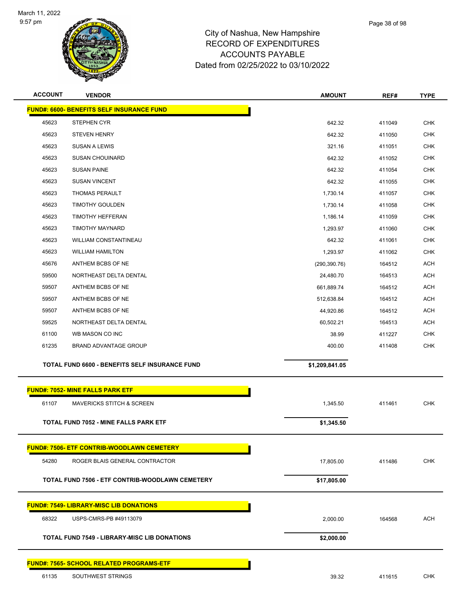

| <b>ACCOUNT</b> | <b>VENDOR</b>                                       | <b>AMOUNT</b>  | REF#   | <b>TYPE</b> |
|----------------|-----------------------------------------------------|----------------|--------|-------------|
|                | <b>FUND#: 6600- BENEFITS SELF INSURANCE FUND</b>    |                |        |             |
| 45623          | STEPHEN CYR                                         | 642.32         | 411049 | <b>CHK</b>  |
| 45623          | <b>STEVEN HENRY</b>                                 | 642.32         | 411050 | <b>CHK</b>  |
| 45623          | <b>SUSAN A LEWIS</b>                                | 321.16         | 411051 | <b>CHK</b>  |
| 45623          | <b>SUSAN CHOUINARD</b>                              | 642.32         | 411052 | <b>CHK</b>  |
| 45623          | <b>SUSAN PAINE</b>                                  | 642.32         | 411054 | <b>CHK</b>  |
| 45623          | <b>SUSAN VINCENT</b>                                | 642.32         | 411055 | <b>CHK</b>  |
| 45623          | <b>THOMAS PERAULT</b>                               | 1,730.14       | 411057 | <b>CHK</b>  |
| 45623          | <b>TIMOTHY GOULDEN</b>                              | 1,730.14       | 411058 | <b>CHK</b>  |
| 45623          | <b>TIMOTHY HEFFERAN</b>                             | 1,186.14       | 411059 | <b>CHK</b>  |
| 45623          | <b>TIMOTHY MAYNARD</b>                              | 1,293.97       | 411060 | <b>CHK</b>  |
| 45623          | WILLIAM CONSTANTINEAU                               | 642.32         | 411061 | <b>CHK</b>  |
| 45623          | <b>WILLIAM HAMILTON</b>                             | 1,293.97       | 411062 | <b>CHK</b>  |
| 45676          | ANTHEM BCBS OF NE                                   | (290, 390.76)  | 164512 | <b>ACH</b>  |
| 59500          | NORTHEAST DELTA DENTAL                              | 24,480.70      | 164513 | <b>ACH</b>  |
| 59507          | ANTHEM BCBS OF NE                                   | 661,889.74     | 164512 | <b>ACH</b>  |
| 59507          | ANTHEM BCBS OF NE                                   | 512,638.84     | 164512 | <b>ACH</b>  |
| 59507          | ANTHEM BCBS OF NE                                   | 44,920.86      | 164512 | <b>ACH</b>  |
| 59525          | NORTHEAST DELTA DENTAL                              | 60,502.21      | 164513 | <b>ACH</b>  |
| 61100          | WB MASON CO INC                                     | 38.99          | 411227 | <b>CHK</b>  |
| 61235          | <b>BRAND ADVANTAGE GROUP</b>                        | 400.00         | 411408 | <b>CHK</b>  |
|                | TOTAL FUND 6600 - BENEFITS SELF INSURANCE FUND      | \$1,209,841.05 |        |             |
|                | <b>FUND#: 7052- MINE FALLS PARK ETF</b>             |                |        |             |
| 61107          | <b>MAVERICKS STITCH &amp; SCREEN</b>                | 1,345.50       | 411461 | <b>CHK</b>  |
|                | TOTAL FUND 7052 - MINE FALLS PARK ETF               | \$1,345.50     |        |             |
|                | <b>FUND#: 7506- ETF CONTRIB-WOODLAWN CEMETERY</b>   |                |        |             |
| 54280          | ROGER BLAIS GENERAL CONTRACTOR                      | 17,805.00      | 411486 | <b>CHK</b>  |
|                | TOTAL FUND 7506 - ETF CONTRIB-WOODLAWN CEMETERY     | \$17,805.00    |        |             |
|                | <b>FUND#: 7549- LIBRARY-MISC LIB DONATIONS</b>      |                |        |             |
| 68322          | USPS-CMRS-PB #49113079                              | 2,000.00       | 164568 | <b>ACH</b>  |
|                |                                                     |                |        |             |
|                | <b>TOTAL FUND 7549 - LIBRARY-MISC LIB DONATIONS</b> | \$2,000.00     |        |             |
|                | <b>FUND#: 7565- SCHOOL RELATED PROGRAMS-ETF</b>     |                |        |             |
| 61135          | SOUTHWEST STRINGS                                   | 39.32          | 411615 | <b>CHK</b>  |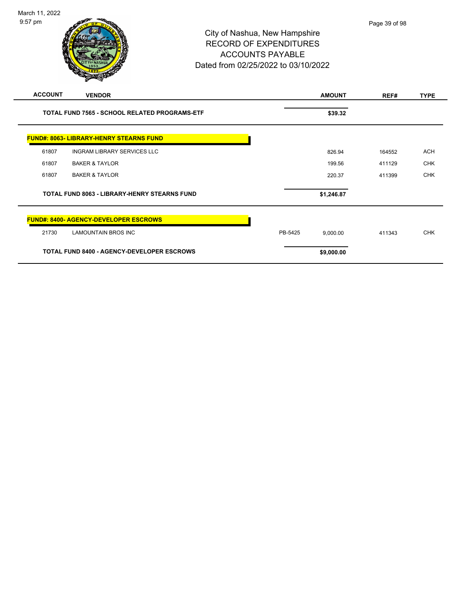| March 11, 2022 |                                     |           |
|----------------|-------------------------------------|-----------|
| $9:57$ pm      |                                     | Page 39 o |
|                | City of Nashua, New Hampshire       |           |
|                | <b>RECORD OF EXPENDITURES</b>       |           |
|                | <b>ACCOUNTS PAYABLE</b>             |           |
|                | Dated from 02/25/2022 to 03/10/2022 |           |
|                |                                     |           |

| <b>ACCOUNT</b> | <b>VENDOR</b>                                        | <b>AMOUNT</b>       | REF#   | <b>TYPE</b> |
|----------------|------------------------------------------------------|---------------------|--------|-------------|
|                | <b>TOTAL FUND 7565 - SCHOOL RELATED PROGRAMS-ETF</b> | \$39.32             |        |             |
|                | <b>FUND#: 8063- LIBRARY-HENRY STEARNS FUND</b>       |                     |        |             |
| 61807          | <b>INGRAM LIBRARY SERVICES LLC</b>                   | 826.94              | 164552 | <b>ACH</b>  |
| 61807          | <b>BAKER &amp; TAYLOR</b>                            | 199.56              | 411129 | <b>CHK</b>  |
| 61807          | <b>BAKER &amp; TAYLOR</b>                            | 220.37              | 411399 | <b>CHK</b>  |
|                | <b>TOTAL FUND 8063 - LIBRARY-HENRY STEARNS FUND</b>  | \$1,246.87          |        |             |
|                | <b>FUND#: 8400- AGENCY-DEVELOPER ESCROWS</b>         |                     |        |             |
| 21730          | <b>LAMOUNTAIN BROS INC</b>                           | PB-5425<br>9,000.00 | 411343 | <b>CHK</b>  |
|                | <b>TOTAL FUND 8400 - AGENCY-DEVELOPER ESCROWS</b>    | \$9,000.00          |        |             |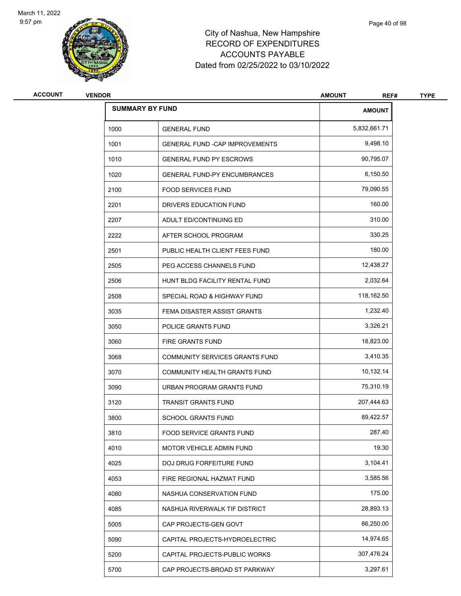

| <b>VENDOR</b> |                                        | <b>AMOUNT</b><br>REF#  | <b>TYPE</b> |
|---------------|----------------------------------------|------------------------|-------------|
|               |                                        | <b>AMOUNT</b>          |             |
| 1000          | <b>GENERAL FUND</b>                    | 5,832,661.71           |             |
| 1001          | <b>GENERAL FUND - CAP IMPROVEMENTS</b> | 9,498.10               |             |
| 1010          | <b>GENERAL FUND PY ESCROWS</b>         | 90,795.07              |             |
| 1020          | <b>GENERAL FUND-PY ENCUMBRANCES</b>    | 6,150.50               |             |
| 2100          | <b>FOOD SERVICES FUND</b>              | 79,090.55              |             |
| 2201          | DRIVERS EDUCATION FUND                 | 160.00                 |             |
| 2207          | ADULT ED/CONTINUING ED                 | 310.00                 |             |
| 2222          | AFTER SCHOOL PROGRAM                   | 330.25                 |             |
| 2501          | PUBLIC HEALTH CLIENT FEES FUND         | 180.00                 |             |
| 2505          | PEG ACCESS CHANNELS FUND               | 12,438.27              |             |
| 2506          | HUNT BLDG FACILITY RENTAL FUND         | 2,032.64               |             |
| 2508          | SPECIAL ROAD & HIGHWAY FUND            | 118,162.50             |             |
| 3035          | FEMA DISASTER ASSIST GRANTS            | 1,232.40               |             |
| 3050          | POLICE GRANTS FUND                     | 3,326.21               |             |
| 3060          | <b>FIRE GRANTS FUND</b>                | 18,823.00              |             |
| 3068          | COMMUNITY SERVICES GRANTS FUND         | 3,410.35               |             |
| 3070          | COMMUNITY HEALTH GRANTS FUND           | 10,132.14              |             |
| 3090          | URBAN PROGRAM GRANTS FUND              | 75,310.19              |             |
| 3120          | <b>TRANSIT GRANTS FUND</b>             | 207,444.63             |             |
| 3800          | <b>SCHOOL GRANTS FUND</b>              | 89,422.57              |             |
| 3810          | FOOD SERVICE GRANTS FUND               | 287.40                 |             |
| 4010          | MOTOR VEHICLE ADMIN FUND               | 19.30                  |             |
| 4025          | DOJ DRUG FORFEITURE FUND               | 3,104.41               |             |
| 4053          | FIRE REGIONAL HAZMAT FUND              | 3,585.56               |             |
| 4080          | NASHUA CONSERVATION FUND               | 175.00                 |             |
| 4085          | NASHUA RIVERWALK TIF DISTRICT          | 28,893.13              |             |
| 5005          | CAP PROJECTS-GEN GOVT                  | 86,250.00              |             |
| 5090          | CAPITAL PROJECTS-HYDROELECTRIC         | 14,974.65              |             |
| 5200          | CAPITAL PROJECTS-PUBLIC WORKS          | 307,476.24             |             |
| 5700          | CAP PROJECTS-BROAD ST PARKWAY          | 3,297.61               |             |
|               |                                        | <b>SUMMARY BY FUND</b> |             |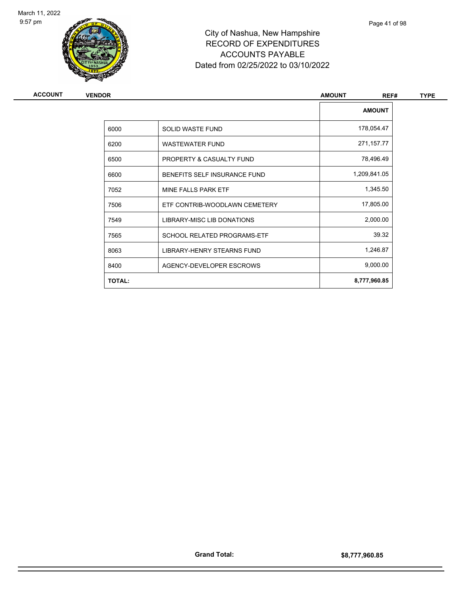

| ACCOUNT | <b>VENDOR</b> |                               | <b>AMOUNT</b><br>REF# | <b>TYPE</b> |  |
|---------|---------------|-------------------------------|-----------------------|-------------|--|
|         |               |                               | <b>AMOUNT</b>         |             |  |
|         | 6000          | SOLID WASTE FUND              | 178,054.47            |             |  |
|         | 6200          | <b>WASTEWATER FUND</b>        | 271,157.77            |             |  |
|         | 6500          | PROPERTY & CASUALTY FUND      | 78,496.49             |             |  |
|         | 6600          | BENEFITS SELF INSURANCE FUND  | 1,209,841.05          |             |  |
|         | 7052          | MINE FALLS PARK ETF           | 1,345.50              |             |  |
|         | 7506          | ETF CONTRIB-WOODLAWN CEMETERY | 17,805.00             |             |  |
|         | 7549          | LIBRARY-MISC LIB DONATIONS    | 2,000.00              |             |  |
|         | 7565          | SCHOOL RELATED PROGRAMS-ETF   | 39.32                 |             |  |
|         | 8063          | LIBRARY-HENRY STEARNS FUND    | 1,246.87              |             |  |
|         | 8400          | AGENCY-DEVELOPER ESCROWS      | 9,000.00              |             |  |
|         | <b>TOTAL:</b> |                               | 8,777,960.85          |             |  |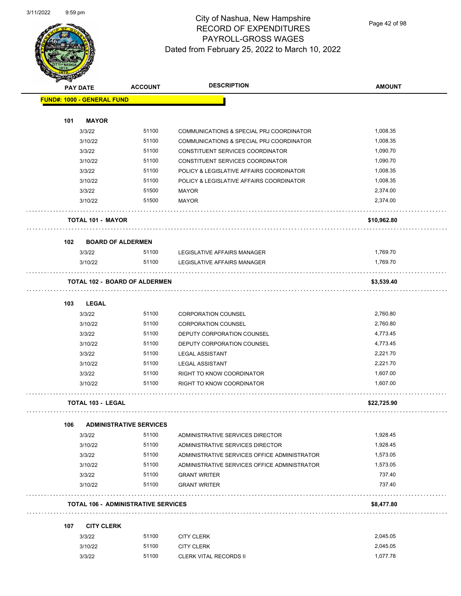

Page 42 of 98

| <b>PAY DATE</b>            | <b>ACCOUNT</b>                             | <b>DESCRIPTION</b>                           | <b>AMOUNT</b> |
|----------------------------|--------------------------------------------|----------------------------------------------|---------------|
| FUND#: 1000 - GENERAL FUND |                                            |                                              |               |
| 101<br><b>MAYOR</b>        |                                            |                                              |               |
| 3/3/22                     | 51100                                      | COMMUNICATIONS & SPECIAL PRJ COORDINATOR     | 1,008.35      |
| 3/10/22                    | 51100                                      | COMMUNICATIONS & SPECIAL PRJ COORDINATOR     | 1,008.35      |
| 3/3/22                     | 51100                                      | CONSTITUENT SERVICES COORDINATOR             | 1,090.70      |
| 3/10/22                    | 51100                                      | CONSTITUENT SERVICES COORDINATOR             | 1,090.70      |
| 3/3/22                     | 51100                                      | POLICY & LEGISLATIVE AFFAIRS COORDINATOR     | 1,008.35      |
| 3/10/22                    | 51100                                      | POLICY & LEGISLATIVE AFFAIRS COORDINATOR     | 1,008.35      |
| 3/3/22                     | 51500                                      | <b>MAYOR</b>                                 | 2,374.00      |
| 3/10/22                    | 51500                                      | <b>MAYOR</b>                                 | 2,374.00      |
| <b>TOTAL 101 - MAYOR</b>   |                                            |                                              | \$10,962.80   |
|                            |                                            |                                              |               |
| 102                        | <b>BOARD OF ALDERMEN</b>                   |                                              |               |
| 3/3/22                     | 51100                                      | LEGISLATIVE AFFAIRS MANAGER                  | 1,769.70      |
| 3/10/22                    | 51100                                      | LEGISLATIVE AFFAIRS MANAGER                  | 1,769.70      |
|                            | <b>TOTAL 102 - BOARD OF ALDERMEN</b>       |                                              | \$3,539.40    |
| <b>LEGAL</b><br>103        |                                            |                                              |               |
| 3/3/22                     | 51100                                      | <b>CORPORATION COUNSEL</b>                   | 2,760.80      |
| 3/10/22                    | 51100                                      | <b>CORPORATION COUNSEL</b>                   | 2,760.80      |
| 3/3/22                     | 51100                                      | DEPUTY CORPORATION COUNSEL                   | 4,773.45      |
| 3/10/22                    | 51100                                      | DEPUTY CORPORATION COUNSEL                   | 4,773.45      |
| 3/3/22                     | 51100                                      | <b>LEGAL ASSISTANT</b>                       | 2,221.70      |
| 3/10/22                    | 51100                                      | <b>LEGAL ASSISTANT</b>                       | 2,221.70      |
| 3/3/22                     | 51100                                      | RIGHT TO KNOW COORDINATOR                    | 1,607.00      |
| 3/10/22                    | 51100                                      | RIGHT TO KNOW COORDINATOR                    | 1,607.00      |
| <b>TOTAL 103 - LEGAL</b>   |                                            |                                              | \$22,725.90   |
| 106                        | <b>ADMINISTRATIVE SERVICES</b>             |                                              |               |
| 3/3/22                     | 51100                                      | ADMINISTRATIVE SERVICES DIRECTOR             | 1,928.45      |
| 3/10/22                    | 51100                                      | ADMINISTRATIVE SERVICES DIRECTOR             | 1,928.45      |
| 3/3/22                     | 51100                                      | ADMINISTRATIVE SERVICES OFFICE ADMINISTRATOR | 1,573.05      |
| 3/10/22                    | 51100                                      | ADMINISTRATIVE SERVICES OFFICE ADMINISTRATOR | 1,573.05      |
| 3/3/22                     | 51100                                      | <b>GRANT WRITER</b>                          | 737.40        |
| 3/10/22                    | 51100                                      | <b>GRANT WRITER</b>                          | 737.40        |
|                            | <b>TOTAL 106 - ADMINISTRATIVE SERVICES</b> |                                              | \$8,477.80    |
| 107<br><b>CITY CLERK</b>   |                                            |                                              |               |
| 3/3/22                     | 51100                                      | <b>CITY CLERK</b>                            | 2,045.05      |
| 3/10/22                    | 51100                                      | <b>CITY CLERK</b>                            | 2,045.05      |
| 3/3/22                     | 51100                                      | <b>CLERK VITAL RECORDS II</b>                | 1,077.78      |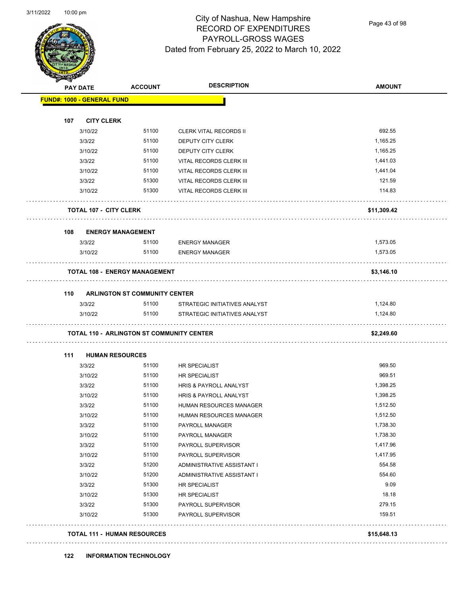$\overline{\phantom{0}}$ 



# City of Nashua, New Hampshire RECORD OF EXPENDITURES PAYROLL-GROSS WAGES Dated from February 25, 2022 to March 10, 2022

Page 43 of 98

|                                                  | <b>ACCOUNT</b>                       | <b>DESCRIPTION</b>                                 | <b>AMOUNT</b> |
|--------------------------------------------------|--------------------------------------|----------------------------------------------------|---------------|
| <b>FUND#: 1000 - GENERAL FUND</b>                |                                      |                                                    |               |
|                                                  |                                      |                                                    |               |
| 107<br><b>CITY CLERK</b><br>3/10/22              | 51100                                |                                                    | 692.55        |
| 3/3/22                                           | 51100                                | <b>CLERK VITAL RECORDS II</b><br>DEPUTY CITY CLERK | 1,165.25      |
| 3/10/22                                          | 51100                                | DEPUTY CITY CLERK                                  | 1,165.25      |
| 3/3/22                                           | 51100                                | VITAL RECORDS CLERK III                            | 1,441.03      |
| 3/10/22                                          | 51100                                | VITAL RECORDS CLERK III                            | 1,441.04      |
| 3/3/22                                           | 51300                                | VITAL RECORDS CLERK III                            | 121.59        |
| 3/10/22                                          | 51300                                | VITAL RECORDS CLERK III                            | 114.83        |
| <b>TOTAL 107 - CITY CLERK</b>                    |                                      |                                                    | \$11,309.42   |
| 108                                              | <b>ENERGY MANAGEMENT</b>             |                                                    |               |
| 3/3/22                                           | 51100                                | <b>ENERGY MANAGER</b>                              | 1,573.05      |
| 3/10/22                                          | 51100                                | <b>ENERGY MANAGER</b>                              | 1,573.05      |
| <b>TOTAL 108 - ENERGY MANAGEMENT</b>             |                                      |                                                    | \$3,146.10    |
| 110                                              | <b>ARLINGTON ST COMMUNITY CENTER</b> |                                                    |               |
| 3/3/22                                           | 51100                                | STRATEGIC INITIATIVES ANALYST                      | 1,124.80      |
| 3/10/22                                          | 51100                                | STRATEGIC INITIATIVES ANALYST                      | 1,124.80      |
| <b>TOTAL 110 - ARLINGTON ST COMMUNITY CENTER</b> |                                      |                                                    | \$2,249.60    |
| 111<br><b>HUMAN RESOURCES</b>                    |                                      |                                                    |               |
| 3/3/22                                           | 51100                                | HR SPECIALIST                                      | 969.50        |
| 3/10/22                                          | 51100                                | HR SPECIALIST                                      | 969.51        |
| 3/3/22                                           | 51100                                | HRIS & PAYROLL ANALYST                             | 1,398.25      |
| 3/10/22                                          | 51100                                | HRIS & PAYROLL ANALYST                             | 1,398.25      |
| 3/3/22                                           | 51100                                | HUMAN RESOURCES MANAGER                            | 1,512.50      |
| 3/10/22                                          | 51100                                | HUMAN RESOURCES MANAGER                            | 1,512.50      |
| 3/3/22                                           | 51100                                | PAYROLL MANAGER                                    | 1,738.30      |
| 3/10/22                                          | 51100                                | PAYROLL MANAGER                                    | 1,738.30      |
| 3/3/22                                           | 51100                                | PAYROLL SUPERVISOR                                 | 1,417.96      |
|                                                  | 51100                                | PAYROLL SUPERVISOR                                 | 1,417.95      |
| 3/10/22                                          | 51200                                | ADMINISTRATIVE ASSISTANT I                         | 554.58        |
| 3/3/22                                           |                                      |                                                    | 554.60        |
| 3/10/22                                          | 51200                                | ADMINISTRATIVE ASSISTANT I                         |               |
| 3/3/22                                           | 51300                                | <b>HR SPECIALIST</b>                               | 9.09          |
| 3/10/22                                          | 51300                                | HR SPECIALIST                                      | 18.18         |
| 3/3/22                                           | 51300                                | PAYROLL SUPERVISOR                                 | 279.15        |
| 3/10/22                                          | 51300                                | PAYROLL SUPERVISOR                                 | 159.51        |

### **122 INFORMATION TECHNOLOGY**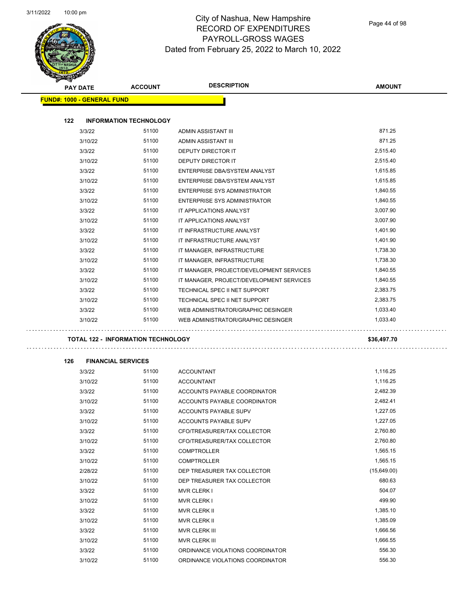$\overline{\phantom{0}}$ 



### City of Nashua, New Hampshire RECORD OF EXPENDITURES PAYROLL-GROSS WAGES Dated from February 25, 2022 to March 10, 2022

Page 44 of 98

| PAY DATE                          | <b>ACCOUNT</b>                            | <b>DESCRIPTION</b>                       | <b>AMOUNT</b> |
|-----------------------------------|-------------------------------------------|------------------------------------------|---------------|
| <b>FUND#: 1000 - GENERAL FUND</b> |                                           |                                          |               |
|                                   |                                           |                                          |               |
| 122                               | <b>INFORMATION TECHNOLOGY</b>             |                                          |               |
| 3/3/22                            | 51100                                     | ADMIN ASSISTANT III                      | 871.25        |
| 3/10/22                           | 51100                                     | ADMIN ASSISTANT III                      | 871.25        |
| 3/3/22                            | 51100                                     | DEPUTY DIRECTOR IT                       | 2,515.40      |
| 3/10/22                           | 51100                                     | DEPUTY DIRECTOR IT                       | 2,515.40      |
| 3/3/22                            | 51100                                     | ENTERPRISE DBA/SYSTEM ANALYST            | 1,615.85      |
| 3/10/22                           | 51100                                     | ENTERPRISE DBA/SYSTEM ANALYST            | 1,615.85      |
| 3/3/22                            | 51100                                     | ENTERPRISE SYS ADMINISTRATOR             | 1,840.55      |
| 3/10/22                           | 51100                                     | ENTERPRISE SYS ADMINISTRATOR             | 1,840.55      |
| 3/3/22                            | 51100                                     | IT APPLICATIONS ANALYST                  | 3,007.90      |
| 3/10/22                           | 51100                                     | IT APPLICATIONS ANALYST                  | 3,007.90      |
| 3/3/22                            | 51100                                     | IT INFRASTRUCTURE ANALYST                | 1,401.90      |
| 3/10/22                           | 51100                                     | IT INFRASTRUCTURE ANALYST                | 1,401.90      |
| 3/3/22                            | 51100                                     | IT MANAGER, INFRASTRUCTURE               | 1,738.30      |
| 3/10/22                           | 51100                                     | IT MANAGER, INFRASTRUCTURE               | 1,738.30      |
| 3/3/22                            | 51100                                     | IT MANAGER, PROJECT/DEVELOPMENT SERVICES | 1,840.55      |
| 3/10/22                           | 51100                                     | IT MANAGER, PROJECT/DEVELOPMENT SERVICES | 1,840.55      |
| 3/3/22                            | 51100                                     | TECHNICAL SPEC II NET SUPPORT            | 2,383.75      |
| 3/10/22                           | 51100                                     | TECHNICAL SPEC II NET SUPPORT            | 2,383.75      |
| 3/3/22                            | 51100                                     | WEB ADMINISTRATOR/GRAPHIC DESINGER       | 1,033.40      |
| 3/10/22                           | 51100                                     | WEB ADMINISTRATOR/GRAPHIC DESINGER       | 1,033.40      |
|                                   | <b>TOTAL 122 - INFORMATION TECHNOLOGY</b> |                                          | \$36,497.70   |
|                                   |                                           |                                          |               |
| 126                               | <b>FINANCIAL SERVICES</b>                 |                                          |               |
| 3/3/22                            | 51100                                     | <b>ACCOUNTANT</b>                        | 1,116.25      |
| 3/10/22                           | 51100                                     | <b>ACCOUNTANT</b>                        | 1,116.25      |
| 3/3/22                            | 51100                                     | ACCOUNTS PAYABLE COORDINATOR             | 2,482.39      |
| 3/10/22                           | 51100                                     | ACCOUNTS PAYABLE COORDINATOR             | 2,482.41      |
| 3/3/22                            | 51100                                     | ACCOUNTS PAYABLE SUPV                    | 1,227.05      |
| 3/10/22                           | 51100                                     | <b>ACCOUNTS PAYABLE SUPV</b>             | 1,227.05      |
| 3/3/22                            | 51100                                     | CFO/TREASURER/TAX COLLECTOR              | 2,760.80      |
| 3/10/22                           | 51100                                     | CFO/TREASURER/TAX COLLECTOR              | 2,760.80      |
| 3/3/22                            | 51100                                     | <b>COMPTROLLER</b>                       | 1,565.15      |
| 3/10/22                           | 51100                                     | <b>COMPTROLLER</b>                       | 1,565.15      |
| 2/28/22                           | 51100                                     | DEP TREASURER TAX COLLECTOR              | (15,649.00)   |
| 3/10/22                           | 51100                                     | DEP TREASURER TAX COLLECTOR              | 680.63        |
| 3/3/22                            | 51100                                     | MVR CLERK I                              | 504.07        |
| 3/10/22                           | 51100                                     | <b>MVR CLERK I</b>                       | 499.90        |
| 3/3/22                            | 51100                                     | MVR CLERK II                             | 1,385.10      |
| 3/10/22                           | 51100                                     | MVR CLERK II                             | 1,385.09      |
| 3/3/22                            | 51100                                     | MVR CLERK III                            | 1,666.56      |
| 3/10/22                           | 51100                                     | MVR CLERK III                            | 1,666.55      |
| 3/3/22                            | 51100                                     | ORDINANCE VIOLATIONS COORDINATOR         | 556.30        |
| 3/10/22                           | 51100                                     | ORDINANCE VIOLATIONS COORDINATOR         | 556.30        |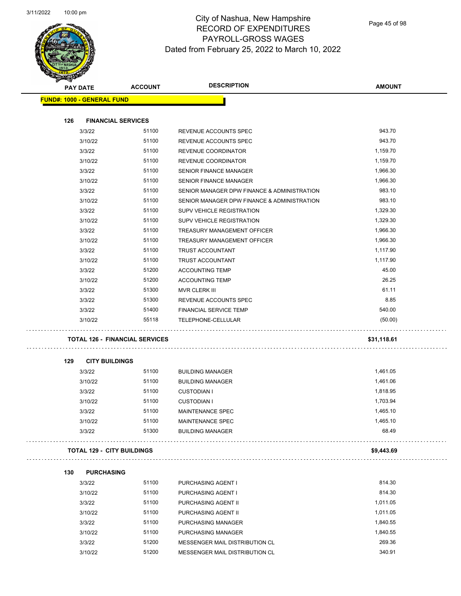

Page 45 of 98

|     | <b>PAY DATE</b>                   | <b>ACCOUNT</b>                        | <b>DESCRIPTION</b>                          | <b>AMOUNT</b> |
|-----|-----------------------------------|---------------------------------------|---------------------------------------------|---------------|
|     | <b>FUND#: 1000 - GENERAL FUND</b> |                                       |                                             |               |
|     |                                   |                                       |                                             |               |
| 126 | <b>FINANCIAL SERVICES</b>         |                                       |                                             |               |
|     | 3/3/22                            | 51100                                 | REVENUE ACCOUNTS SPEC                       | 943.70        |
|     | 3/10/22                           | 51100                                 | REVENUE ACCOUNTS SPEC                       | 943.70        |
|     | 3/3/22                            | 51100                                 | REVENUE COORDINATOR                         | 1,159.70      |
|     | 3/10/22                           | 51100                                 | REVENUE COORDINATOR                         | 1,159.70      |
|     | 3/3/22                            | 51100                                 | SENIOR FINANCE MANAGER                      | 1,966.30      |
|     | 3/10/22                           | 51100                                 | <b>SENIOR FINANCE MANAGER</b>               | 1,966.30      |
|     | 3/3/22                            | 51100                                 | SENIOR MANAGER DPW FINANCE & ADMINISTRATION | 983.10        |
|     | 3/10/22                           | 51100                                 | SENIOR MANAGER DPW FINANCE & ADMINISTRATION | 983.10        |
|     | 3/3/22                            | 51100                                 | SUPV VEHICLE REGISTRATION                   | 1,329.30      |
|     | 3/10/22                           | 51100                                 | <b>SUPV VEHICLE REGISTRATION</b>            | 1,329.30      |
|     | 3/3/22                            | 51100                                 | TREASURY MANAGEMENT OFFICER                 | 1,966.30      |
|     | 3/10/22                           | 51100                                 | <b>TREASURY MANAGEMENT OFFICER</b>          | 1,966.30      |
|     | 3/3/22                            | 51100                                 | TRUST ACCOUNTANT                            | 1,117.90      |
|     | 3/10/22                           | 51100                                 | TRUST ACCOUNTANT                            | 1,117.90      |
|     | 3/3/22                            | 51200                                 | <b>ACCOUNTING TEMP</b>                      | 45.00         |
|     | 3/10/22                           | 51200                                 | <b>ACCOUNTING TEMP</b>                      | 26.25         |
|     | 3/3/22                            | 51300                                 | MVR CLERK III                               | 61.11         |
|     | 3/3/22                            | 51300                                 | REVENUE ACCOUNTS SPEC                       | 8.85          |
|     | 3/3/22                            | 51400                                 | <b>FINANCIAL SERVICE TEMP</b>               | 540.00        |
|     | 3/10/22                           | 55118                                 | TELEPHONE-CELLULAR                          | (50.00)       |
|     |                                   |                                       |                                             |               |
|     |                                   | <b>TOTAL 126 - FINANCIAL SERVICES</b> |                                             | \$31,118.61   |
|     |                                   |                                       |                                             |               |
| 129 | <b>CITY BUILDINGS</b>             |                                       |                                             |               |
|     | 3/3/22                            | 51100                                 | <b>BUILDING MANAGER</b>                     | 1,461.05      |
|     | 3/10/22                           | 51100                                 | <b>BUILDING MANAGER</b>                     | 1,461.06      |
|     | 3/3/22                            | 51100                                 | <b>CUSTODIAN I</b>                          | 1,818.95      |
|     | 3/10/22                           | 51100                                 | <b>CUSTODIAN I</b>                          | 1,703.94      |
|     | 3/3/22                            | 51100                                 | MAINTENANCE SPEC                            | 1,465.10      |
|     | 3/10/22                           | 51100                                 | MAINTENANCE SPEC                            | 1,465.10      |
|     | 3/3/22                            | 51300                                 | <b>BUILDING MANAGER</b>                     | 68.49         |
|     |                                   |                                       |                                             |               |
|     | <b>TOTAL 129 - CITY BUILDINGS</b> |                                       |                                             | \$9,443.69    |
|     |                                   |                                       |                                             |               |
| 130 | <b>PURCHASING</b>                 |                                       |                                             |               |
|     | 3/3/22                            | 51100                                 | PURCHASING AGENT I                          | 814.30        |
|     | 3/10/22                           | 51100                                 | PURCHASING AGENT I                          | 814.30        |
|     | 3/3/22                            | 51100                                 | PURCHASING AGENT II                         | 1,011.05      |
|     | 3/10/22                           | 51100                                 | PURCHASING AGENT II                         | 1,011.05      |
|     | 3/3/22                            | 51100                                 | PURCHASING MANAGER                          | 1,840.55      |
|     | 3/10/22                           | 51100                                 | PURCHASING MANAGER                          | 1,840.55      |
|     | 3/3/22                            | 51200                                 | MESSENGER MAIL DISTRIBUTION CL              | 269.36        |
|     | 3/10/22                           | 51200                                 | MESSENGER MAIL DISTRIBUTION CL              | 340.91        |
|     |                                   |                                       |                                             |               |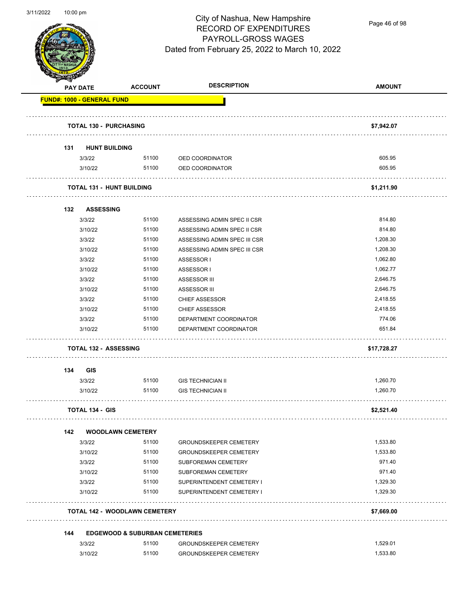

Page 46 of 98

|     | <b>PAY DATE</b>                   | <b>ACCOUNT</b>                            | <b>DESCRIPTION</b>            | <b>AMOUNT</b> |
|-----|-----------------------------------|-------------------------------------------|-------------------------------|---------------|
|     | <b>FUND#: 1000 - GENERAL FUND</b> |                                           |                               |               |
|     | <b>TOTAL 130 - PURCHASING</b>     |                                           |                               | \$7,942.07    |
| 131 | <b>HUNT BUILDING</b>              |                                           |                               |               |
|     | 3/3/22                            | 51100                                     | OED COORDINATOR               | 605.95        |
|     | 3/10/22                           | 51100                                     | OED COORDINATOR               | 605.95        |
|     | <b>TOTAL 131 - HUNT BUILDING</b>  |                                           |                               | \$1,211.90    |
| 132 | <b>ASSESSING</b>                  |                                           |                               |               |
|     | 3/3/22                            | 51100                                     | ASSESSING ADMIN SPEC II CSR   | 814.80        |
|     | 3/10/22                           | 51100                                     | ASSESSING ADMIN SPEC II CSR   | 814.80        |
|     | 3/3/22                            | 51100                                     | ASSESSING ADMIN SPEC III CSR  | 1,208.30      |
|     | 3/10/22                           | 51100                                     | ASSESSING ADMIN SPEC III CSR  | 1,208.30      |
|     | 3/3/22                            | 51100                                     | ASSESSOR I                    | 1,062.80      |
|     | 3/10/22                           | 51100                                     | ASSESSOR I                    | 1,062.77      |
|     | 3/3/22                            | 51100                                     | ASSESSOR III                  | 2,646.75      |
|     | 3/10/22                           | 51100                                     | <b>ASSESSOR III</b>           | 2,646.75      |
|     | 3/3/22                            | 51100                                     | <b>CHIEF ASSESSOR</b>         | 2,418.55      |
|     | 3/10/22                           | 51100                                     | <b>CHIEF ASSESSOR</b>         | 2,418.55      |
|     | 3/3/22                            | 51100                                     | DEPARTMENT COORDINATOR        | 774.06        |
|     | 3/10/22                           | 51100                                     | DEPARTMENT COORDINATOR        | 651.84        |
|     | <b>TOTAL 132 - ASSESSING</b>      |                                           |                               | \$17,728.27   |
| 134 | GIS                               |                                           |                               |               |
|     | 3/3/22                            | 51100                                     | <b>GIS TECHNICIAN II</b>      | 1,260.70      |
|     | 3/10/22                           | 51100                                     | <b>GIS TECHNICIAN II</b>      | 1,260.70      |
|     | <b>TOTAL 134 - GIS</b>            |                                           |                               | \$2,521.40    |
| 142 |                                   | <b>WOODLAWN CEMETERY</b>                  |                               |               |
|     | 3/3/22                            | 51100                                     | <b>GROUNDSKEEPER CEMETERY</b> | 1,533.80      |
|     | 3/10/22                           | 51100                                     | <b>GROUNDSKEEPER CEMETERY</b> | 1,533.80      |
|     | 3/3/22                            | 51100                                     | SUBFOREMAN CEMETERY           | 971.40        |
|     | 3/10/22                           | 51100                                     | SUBFOREMAN CEMETERY           | 971.40        |
|     | 3/3/22                            | 51100                                     | SUPERINTENDENT CEMETERY I     | 1,329.30      |
|     | 3/10/22                           | 51100                                     | SUPERINTENDENT CEMETERY I     | 1,329.30      |
|     |                                   | <b>TOTAL 142 - WOODLAWN CEMETERY</b>      |                               | \$7,669.00    |
| 144 |                                   | <b>EDGEWOOD &amp; SUBURBAN CEMETERIES</b> |                               |               |
|     | 3/3/22                            | 51100                                     | <b>GROUNDSKEEPER CEMETERY</b> | 1,529.01      |
|     | 3/10/22                           | 51100                                     | <b>GROUNDSKEEPER CEMETERY</b> | 1,533.80      |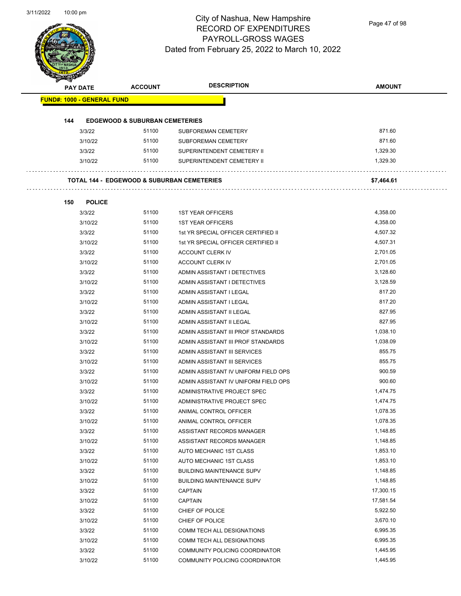Page 47 of 98

|     | PAY DATE                          | <b>ACCOUNT</b>                            | <b>DESCRIPTION</b>                                    | <b>AMOUNT</b>         |
|-----|-----------------------------------|-------------------------------------------|-------------------------------------------------------|-----------------------|
|     | <b>FUND#: 1000 - GENERAL FUND</b> |                                           |                                                       |                       |
|     |                                   |                                           |                                                       |                       |
| 144 |                                   | <b>EDGEWOOD &amp; SUBURBAN CEMETERIES</b> |                                                       |                       |
|     | 3/3/22                            | 51100                                     | SUBFOREMAN CEMETERY                                   | 871.60                |
|     | 3/10/22                           | 51100                                     | SUBFOREMAN CEMETERY                                   | 871.60                |
|     | 3/3/22                            | 51100                                     | SUPERINTENDENT CEMETERY II                            | 1,329.30              |
|     | 3/10/22                           | 51100                                     | SUPERINTENDENT CEMETERY II                            | 1,329.30              |
|     |                                   |                                           | <b>TOTAL 144 - EDGEWOOD &amp; SUBURBAN CEMETERIES</b> | \$7,464.61            |
| 150 | <b>POLICE</b>                     |                                           |                                                       |                       |
|     | 3/3/22                            | 51100                                     | <b>1ST YEAR OFFICERS</b>                              | 4,358.00              |
|     | 3/10/22                           | 51100                                     | <b>1ST YEAR OFFICERS</b>                              | 4,358.00              |
|     | 3/3/22                            | 51100                                     | 1st YR SPECIAL OFFICER CERTIFIED II                   | 4,507.32              |
|     | 3/10/22                           | 51100                                     | 1st YR SPECIAL OFFICER CERTIFIED II                   | 4,507.31              |
|     | 3/3/22                            | 51100                                     | ACCOUNT CLERK IV                                      | 2,701.05              |
|     | 3/10/22                           | 51100                                     | ACCOUNT CLERK IV                                      | 2,701.05              |
|     | 3/3/22                            | 51100                                     | ADMIN ASSISTANT I DETECTIVES                          | 3,128.60              |
|     | 3/10/22                           | 51100                                     | ADMIN ASSISTANT I DETECTIVES                          | 3,128.59              |
|     | 3/3/22                            | 51100                                     | ADMIN ASSISTANT I LEGAL                               | 817.20                |
|     | 3/10/22                           | 51100                                     | ADMIN ASSISTANT I LEGAL                               | 817.20                |
|     | 3/3/22                            | 51100                                     | ADMIN ASSISTANT II LEGAL                              | 827.95                |
|     | 3/10/22                           | 51100                                     | ADMIN ASSISTANT II LEGAL                              | 827.95                |
|     | 3/3/22                            | 51100                                     | ADMIN ASSISTANT III PROF STANDARDS                    | 1,038.10              |
|     | 3/10/22                           | 51100                                     | ADMIN ASSISTANT III PROF STANDARDS                    | 1,038.09              |
|     | 3/3/22                            | 51100                                     | ADMIN ASSISTANT III SERVICES                          | 855.75                |
|     | 3/10/22                           | 51100                                     | ADMIN ASSISTANT III SERVICES                          | 855.75                |
|     | 3/3/22                            | 51100                                     | ADMIN ASSISTANT IV UNIFORM FIELD OPS                  | 900.59                |
|     | 3/10/22                           | 51100                                     | ADMIN ASSISTANT IV UNIFORM FIELD OPS                  | 900.60                |
|     | 3/3/22                            | 51100                                     | ADMINISTRATIVE PROJECT SPEC                           | 1,474.75              |
|     | 3/10/22                           | 51100                                     | ADMINISTRATIVE PROJECT SPEC                           | 1,474.75              |
|     | 3/3/22                            | 51100                                     | ANIMAL CONTROL OFFICER                                | 1,078.35              |
|     | 3/10/22                           | 51100                                     | ANIMAL CONTROL OFFICER                                | 1,078.35              |
|     | 3/3/22                            | 51100                                     | ASSISTANT RECORDS MANAGER                             | 1,148.85              |
|     | 3/10/22                           | 51100                                     | ASSISTANT RECORDS MANAGER                             | 1,148.85              |
|     | 3/3/22                            | 51100                                     | AUTO MECHANIC 1ST CLASS                               | 1,853.10              |
|     | 3/10/22                           | 51100                                     | AUTO MECHANIC 1ST CLASS                               | 1,853.10              |
|     | 3/3/22                            | 51100                                     | <b>BUILDING MAINTENANCE SUPV</b>                      | 1,148.85              |
|     | 3/10/22                           | 51100                                     | <b>BUILDING MAINTENANCE SUPV</b>                      | 1,148.85              |
|     | 3/3/22                            | 51100                                     | <b>CAPTAIN</b>                                        | 17,300.15             |
|     |                                   | 51100                                     |                                                       |                       |
|     | 3/10/22<br>3/3/22                 | 51100                                     | CAPTAIN                                               | 17,581.54<br>5,922.50 |
|     |                                   | 51100                                     | CHIEF OF POLICE                                       | 3,670.10              |
|     | 3/10/22                           |                                           | CHIEF OF POLICE                                       |                       |
|     | 3/3/22                            | 51100                                     | COMM TECH ALL DESIGNATIONS                            | 6,995.35              |
|     | 3/10/22                           | 51100                                     | COMM TECH ALL DESIGNATIONS                            | 6,995.35              |
|     | 3/3/22                            | 51100                                     | COMMUNITY POLICING COORDINATOR                        | 1,445.95              |
|     | 3/10/22                           | 51100                                     | COMMUNITY POLICING COORDINATOR                        | 1,445.95              |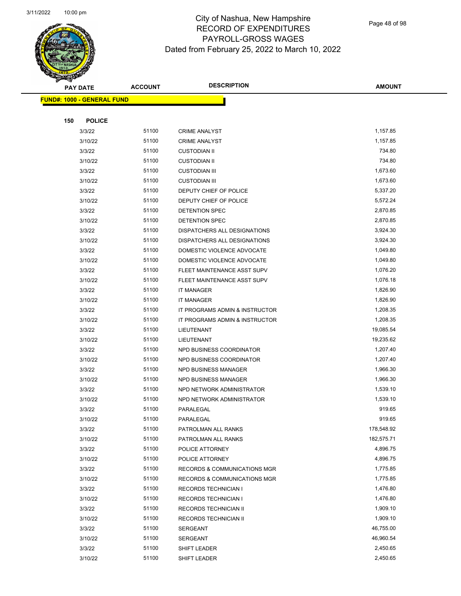

Page 48 of 98

|     | <b>PAY DATE</b>                    | <b>ACCOUNT</b> | <b>DESCRIPTION</b>                      | <b>AMOUNT</b> |
|-----|------------------------------------|----------------|-----------------------------------------|---------------|
|     | <u> FUND#: 1000 - GENERAL FUND</u> |                |                                         |               |
|     |                                    |                |                                         |               |
| 150 | <b>POLICE</b>                      |                |                                         |               |
|     | 3/3/22                             | 51100          | <b>CRIME ANALYST</b>                    | 1,157.85      |
|     | 3/10/22                            | 51100          | <b>CRIME ANALYST</b>                    | 1,157.85      |
|     | 3/3/22                             | 51100          | <b>CUSTODIAN II</b>                     | 734.80        |
|     | 3/10/22                            | 51100          | <b>CUSTODIAN II</b>                     | 734.80        |
|     | 3/3/22                             | 51100          | <b>CUSTODIAN III</b>                    | 1,673.60      |
|     | 3/10/22                            | 51100          | <b>CUSTODIAN III</b>                    | 1,673.60      |
|     | 3/3/22                             | 51100          | DEPUTY CHIEF OF POLICE                  | 5,337.20      |
|     | 3/10/22                            | 51100          | DEPUTY CHIEF OF POLICE                  | 5,572.24      |
|     | 3/3/22                             | 51100          | DETENTION SPEC                          | 2,870.85      |
|     | 3/10/22                            | 51100          | DETENTION SPEC                          | 2,870.85      |
|     | 3/3/22                             | 51100          | DISPATCHERS ALL DESIGNATIONS            | 3,924.30      |
|     | 3/10/22                            | 51100          | DISPATCHERS ALL DESIGNATIONS            | 3,924.30      |
|     | 3/3/22                             | 51100          | DOMESTIC VIOLENCE ADVOCATE              | 1,049.80      |
|     | 3/10/22                            | 51100          | DOMESTIC VIOLENCE ADVOCATE              | 1,049.80      |
|     | 3/3/22                             | 51100          | FLEET MAINTENANCE ASST SUPV             | 1,076.20      |
|     | 3/10/22                            | 51100          | FLEET MAINTENANCE ASST SUPV             | 1,076.18      |
|     | 3/3/22                             | 51100          | <b>IT MANAGER</b>                       | 1,826.90      |
|     | 3/10/22                            | 51100          | <b>IT MANAGER</b>                       | 1,826.90      |
|     | 3/3/22                             | 51100          | IT PROGRAMS ADMIN & INSTRUCTOR          | 1,208.35      |
|     | 3/10/22                            | 51100          | IT PROGRAMS ADMIN & INSTRUCTOR          | 1,208.35      |
|     | 3/3/22                             | 51100          | LIEUTENANT                              | 19,085.54     |
|     | 3/10/22                            | 51100          | LIEUTENANT                              | 19,235.62     |
|     | 3/3/22                             | 51100          | NPD BUSINESS COORDINATOR                | 1,207.40      |
|     | 3/10/22                            | 51100          | NPD BUSINESS COORDINATOR                | 1,207.40      |
|     | 3/3/22                             | 51100          | NPD BUSINESS MANAGER                    | 1,966.30      |
|     | 3/10/22                            | 51100          | NPD BUSINESS MANAGER                    | 1,966.30      |
|     | 3/3/22                             | 51100          | NPD NETWORK ADMINISTRATOR               | 1,539.10      |
|     | 3/10/22                            | 51100          | NPD NETWORK ADMINISTRATOR               | 1,539.10      |
|     | 3/3/22                             | 51100          | PARALEGAL                               | 919.65        |
|     | 3/10/22                            | 51100          | PARALEGAL                               | 919.65        |
|     | 3/3/22                             | 51100          | PATROLMAN ALL RANKS                     | 178,548.92    |
|     | 3/10/22                            | 51100          | PATROLMAN ALL RANKS                     | 182,575.71    |
|     | 3/3/22                             | 51100          | POLICE ATTORNEY                         | 4,896.75      |
|     | 3/10/22                            | 51100          | POLICE ATTORNEY                         | 4,896.75      |
|     | 3/3/22                             | 51100          | RECORDS & COMMUNICATIONS MGR            | 1,775.85      |
|     | 3/10/22                            | 51100          | <b>RECORDS &amp; COMMUNICATIONS MGR</b> | 1,775.85      |
|     | 3/3/22                             | 51100          | <b>RECORDS TECHNICIAN I</b>             | 1,476.80      |
|     | 3/10/22                            | 51100          | <b>RECORDS TECHNICIAN I</b>             | 1,476.80      |
|     | 3/3/22                             | 51100          | RECORDS TECHNICIAN II                   | 1,909.10      |
|     | 3/10/22                            | 51100          | RECORDS TECHNICIAN II                   | 1,909.10      |
|     | 3/3/22                             | 51100          | SERGEANT                                | 46,755.00     |
|     | 3/10/22                            | 51100          | SERGEANT                                | 46,960.54     |
|     | 3/3/22                             | 51100          | SHIFT LEADER                            | 2,450.65      |
|     | 3/10/22                            | 51100          | SHIFT LEADER                            | 2,450.65      |
|     |                                    |                |                                         |               |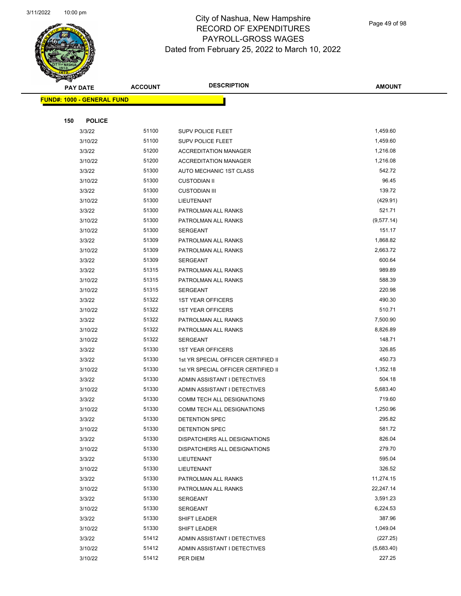

Page 49 of 98

|     | <b>PAY DATE</b>                    | <b>ACCOUNT</b> | <b>DESCRIPTION</b>                             | <b>AMOUNT</b>      |
|-----|------------------------------------|----------------|------------------------------------------------|--------------------|
|     | <u> FUND#: 1000 - GENERAL FUND</u> |                |                                                |                    |
|     |                                    |                |                                                |                    |
| 150 | <b>POLICE</b>                      |                |                                                |                    |
|     | 3/3/22                             | 51100          | <b>SUPV POLICE FLEET</b>                       | 1,459.60           |
|     | 3/10/22                            | 51100          | <b>SUPV POLICE FLEET</b>                       | 1,459.60           |
|     | 3/3/22                             | 51200          | <b>ACCREDITATION MANAGER</b>                   | 1,216.08           |
|     | 3/10/22                            | 51200          | <b>ACCREDITATION MANAGER</b>                   | 1,216.08           |
|     | 3/3/22                             | 51300          | AUTO MECHANIC 1ST CLASS                        | 542.72             |
|     | 3/10/22                            | 51300          | <b>CUSTODIAN II</b>                            | 96.45              |
|     | 3/3/22                             | 51300          | <b>CUSTODIAN III</b>                           | 139.72             |
|     | 3/10/22                            | 51300          | LIEUTENANT                                     | (429.91)           |
|     | 3/3/22                             | 51300          | PATROLMAN ALL RANKS                            | 521.71             |
|     | 3/10/22                            | 51300          | PATROLMAN ALL RANKS                            | (9, 577.14)        |
|     | 3/10/22                            | 51300          | <b>SERGEANT</b>                                | 151.17             |
|     | 3/3/22                             | 51309          | PATROLMAN ALL RANKS                            | 1,868.82           |
|     | 3/10/22                            | 51309          | PATROLMAN ALL RANKS                            | 2,663.72           |
|     | 3/3/22                             | 51309          | <b>SERGEANT</b>                                | 600.64             |
|     | 3/3/22                             | 51315          | PATROLMAN ALL RANKS                            | 989.89             |
|     | 3/10/22                            | 51315          | PATROLMAN ALL RANKS                            | 588.39             |
|     | 3/10/22                            | 51315          | <b>SERGEANT</b>                                | 220.98             |
|     | 3/3/22                             | 51322          | <b>1ST YEAR OFFICERS</b>                       | 490.30             |
|     | 3/10/22                            | 51322          | <b>1ST YEAR OFFICERS</b>                       | 510.71             |
|     | 3/3/22                             | 51322          | PATROLMAN ALL RANKS                            | 7,500.90           |
|     | 3/10/22                            | 51322          | PATROLMAN ALL RANKS                            | 8,826.89           |
|     | 3/10/22                            | 51322          | <b>SERGEANT</b>                                | 148.71             |
|     | 3/3/22                             | 51330          | <b>1ST YEAR OFFICERS</b>                       | 326.85             |
|     | 3/3/22                             | 51330          | 1st YR SPECIAL OFFICER CERTIFIED II            | 450.73             |
|     | 3/10/22                            | 51330          | 1st YR SPECIAL OFFICER CERTIFIED II            | 1,352.18           |
|     | 3/3/22                             | 51330          | ADMIN ASSISTANT I DETECTIVES                   | 504.18             |
|     | 3/10/22                            | 51330          | ADMIN ASSISTANT I DETECTIVES                   | 5,683.40           |
|     | 3/3/22                             | 51330          | COMM TECH ALL DESIGNATIONS                     | 719.60             |
|     | 3/10/22                            | 51330          | COMM TECH ALL DESIGNATIONS                     | 1,250.96<br>295.82 |
|     | 3/3/22                             | 51330<br>51330 | DETENTION SPEC                                 | 581.72             |
|     | 3/10/22<br>3/3/22                  | 51330          | DETENTION SPEC<br>DISPATCHERS ALL DESIGNATIONS | 826.04             |
|     | 3/10/22                            | 51330          | DISPATCHERS ALL DESIGNATIONS                   | 279.70             |
|     | 3/3/22                             | 51330          | LIEUTENANT                                     | 595.04             |
|     | 3/10/22                            | 51330          | LIEUTENANT                                     | 326.52             |
|     | 3/3/22                             | 51330          | PATROLMAN ALL RANKS                            | 11,274.15          |
|     | 3/10/22                            | 51330          | PATROLMAN ALL RANKS                            | 22,247.14          |
|     | 3/3/22                             | 51330          | <b>SERGEANT</b>                                | 3,591.23           |
|     | 3/10/22                            | 51330          | SERGEANT                                       | 6,224.53           |
|     | 3/3/22                             | 51330          | SHIFT LEADER                                   | 387.96             |
|     | 3/10/22                            | 51330          | SHIFT LEADER                                   | 1,049.04           |
|     | 3/3/22                             | 51412          | ADMIN ASSISTANT I DETECTIVES                   | (227.25)           |
|     | 3/10/22                            | 51412          | ADMIN ASSISTANT I DETECTIVES                   | (5,683.40)         |
|     | 3/10/22                            | 51412          | PER DIEM                                       | 227.25             |
|     |                                    |                |                                                |                    |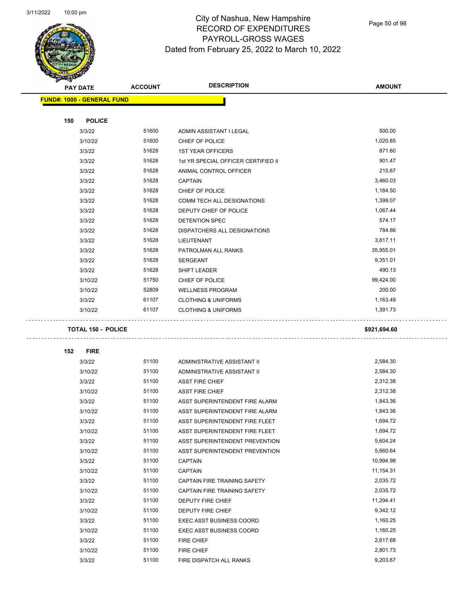$\overline{\phantom{0}}$ 



### City of Nashua, New Hampshire RECORD OF EXPENDITURES PAYROLL-GROSS WAGES Dated from February 25, 2022 to March 10, 2022

Page 50 of 98

| B.<br><b>PAY DATE</b>             | <b>ACCOUNT</b> | <b>DESCRIPTION</b>                  | <b>AMOUNT</b> |
|-----------------------------------|----------------|-------------------------------------|---------------|
| <b>FUND#: 1000 - GENERAL FUND</b> |                |                                     |               |
|                                   |                |                                     |               |
| 150<br><b>POLICE</b>              |                |                                     |               |
| 3/3/22                            | 51600          | ADMIN ASSISTANT I LEGAL             | 500.00        |
| 3/10/22                           | 51600          | CHIEF OF POLICE                     | 1,020.85      |
| 3/3/22                            | 51628          | <b>1ST YEAR OFFICERS</b>            | 871.60        |
| 3/3/22                            | 51628          | 1st YR SPECIAL OFFICER CERTIFIED II | 901.47        |
| 3/3/22                            | 51628          | ANIMAL CONTROL OFFICER              | 215.67        |
| 3/3/22                            | 51628          | <b>CAPTAIN</b>                      | 3,460.03      |
| 3/3/22                            | 51628          | CHIEF OF POLICE                     | 1,184.50      |
| 3/3/22                            | 51628          | COMM TECH ALL DESIGNATIONS          | 1,399.07      |
| 3/3/22                            | 51628          | DEPUTY CHIEF OF POLICE              | 1,067.44      |
| 3/3/22                            | 51628          | DETENTION SPEC                      | 574.17        |
| 3/3/22                            | 51628          | <b>DISPATCHERS ALL DESIGNATIONS</b> | 784.86        |
| 3/3/22                            | 51628          | LIEUTENANT                          | 3,817.11      |
| 3/3/22                            | 51628          | PATROLMAN ALL RANKS                 | 35,955.01     |
| 3/3/22                            | 51628          | SERGEANT                            | 9,351.01      |
| 3/3/22                            | 51628          | SHIFT LEADER                        | 490.13        |
| 3/10/22                           | 51750          | CHIEF OF POLICE                     | 99,424.00     |
| 3/10/22                           | 52809          | <b>WELLNESS PROGRAM</b>             | 200.00        |
| 3/3/22                            | 61107          | <b>CLOTHING &amp; UNIFORMS</b>      | 1,163.49      |
| 3/10/22                           | 61107          | <b>CLOTHING &amp; UNIFORMS</b>      | 1,391.73      |
| <b>TOTAL 150 - POLICE</b>         |                |                                     | \$921,694.60  |
| 152<br><b>FIRE</b>                |                |                                     |               |
| 3/3/22                            | 51100          | ADMINISTRATIVE ASSISTANT II         | 2,584.30      |
| 3/10/22                           | 51100          | ADMINISTRATIVE ASSISTANT II         | 2,584.30      |
| 3/3/22                            | 51100          | <b>ASST FIRE CHIEF</b>              | 2,312.38      |
| 3/10/22                           | 51100          | <b>ASST FIRE CHIEF</b>              | 2,312.38      |
| 3/3/22                            | 51100          | ASST SUPERINTENDENT FIRE ALARM      | 1,843.36      |
| 3/10/22                           | 51100          | ASST SUPERINTENDENT FIRE ALARM      | 1,843.36      |
| 3/3/22                            | 51100          | ASST SUPERINTENDENT FIRE FLEET      | 1,694.72      |
| 3/10/22                           | 51100          | ASST SUPERINTENDENT FIRE FLEET      | 1,694.72      |
| 3/3/22                            | 51100          | ASST SUPERINTENDENT PREVENTION      | 5,604.24      |
| 3/10/22                           | 51100          | ASST SUPERINTENDENT PREVENTION      | 5,660.64      |
| 3/3/22                            | 51100          | <b>CAPTAIN</b>                      | 10,994.98     |
| 3/10/22                           | 51100          | <b>CAPTAIN</b>                      | 11,154.31     |
| 3/3/22                            | 51100          | CAPTAIN FIRE TRAINING SAFETY        | 2,035.72      |
| 3/10/22                           | 51100          | CAPTAIN FIRE TRAINING SAFETY        | 2,035.72      |
| 3/3/22                            | 51100          | DEPUTY FIRE CHIEF                   | 11,294.41     |
| 3/10/22                           | 51100          | DEPUTY FIRE CHIEF                   | 9,342.12      |
| 3/3/22                            | 51100          | <b>EXEC ASST BUSINESS COORD</b>     | 1,160.25      |
| 3/10/22                           | 51100          | <b>EXEC ASST BUSINESS COORD</b>     | 1,160.25      |
| 3/3/22                            | 51100          | FIRE CHIEF                          | 2,617.68      |
| 3/10/22                           | 51100          | FIRE CHIEF                          | 2,801.73      |
| 3/3/22                            | 51100          | FIRE DISPATCH ALL RANKS             | 9,203.67      |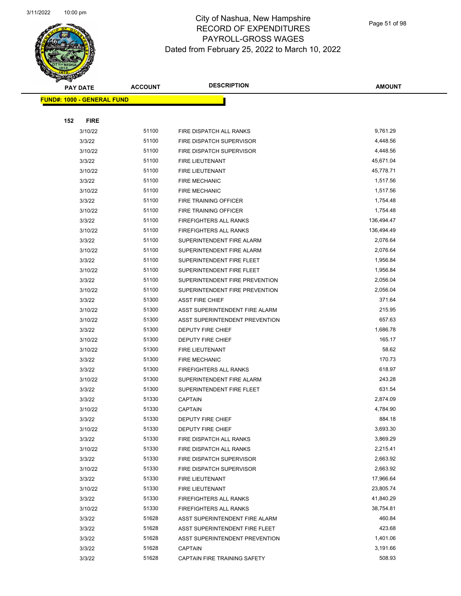

Page 51 of 98

|     | <b>PAY DATE</b>                    | <b>ACCOUNT</b> | <b>DESCRIPTION</b>             | <b>AMOUNT</b> |
|-----|------------------------------------|----------------|--------------------------------|---------------|
|     | <u> FUND#: 1000 - GENERAL FUND</u> |                |                                |               |
|     |                                    |                |                                |               |
| 152 | <b>FIRE</b>                        |                |                                |               |
|     | 3/10/22                            | 51100          | FIRE DISPATCH ALL RANKS        | 9,761.29      |
|     | 3/3/22                             | 51100          | FIRE DISPATCH SUPERVISOR       | 4,448.56      |
|     | 3/10/22                            | 51100          | FIRE DISPATCH SUPERVISOR       | 4,448.56      |
|     | 3/3/22                             | 51100          | <b>FIRE LIEUTENANT</b>         | 45,671.04     |
|     | 3/10/22                            | 51100          | FIRE LIEUTENANT                | 45,778.71     |
|     | 3/3/22                             | 51100          | <b>FIRE MECHANIC</b>           | 1,517.56      |
|     | 3/10/22                            | 51100          | <b>FIRE MECHANIC</b>           | 1,517.56      |
|     | 3/3/22                             | 51100          | FIRE TRAINING OFFICER          | 1,754.48      |
|     | 3/10/22                            | 51100          | FIRE TRAINING OFFICER          | 1,754.48      |
|     | 3/3/22                             | 51100          | FIREFIGHTERS ALL RANKS         | 136,494.47    |
|     | 3/10/22                            | 51100          | FIREFIGHTERS ALL RANKS         | 136,494.49    |
|     | 3/3/22                             | 51100          | SUPERINTENDENT FIRE ALARM      | 2,076.64      |
|     | 3/10/22                            | 51100          | SUPERINTENDENT FIRE ALARM      | 2,076.64      |
|     | 3/3/22                             | 51100          | SUPERINTENDENT FIRE FLEET      | 1,956.84      |
|     | 3/10/22                            | 51100          | SUPERINTENDENT FIRE FLEET      | 1,956.84      |
|     | 3/3/22                             | 51100          | SUPERINTENDENT FIRE PREVENTION | 2,056.04      |
|     | 3/10/22                            | 51100          | SUPERINTENDENT FIRE PREVENTION | 2,056.04      |
|     | 3/3/22                             | 51300          | <b>ASST FIRE CHIEF</b>         | 371.64        |
|     | 3/10/22                            | 51300          | ASST SUPERINTENDENT FIRE ALARM | 215.95        |
|     | 3/10/22                            | 51300          | ASST SUPERINTENDENT PREVENTION | 657.63        |
|     | 3/3/22                             | 51300          | DEPUTY FIRE CHIEF              | 1,686.78      |
|     | 3/10/22                            | 51300          | <b>DEPUTY FIRE CHIEF</b>       | 165.17        |
|     | 3/10/22                            | 51300          | FIRE LIEUTENANT                | 58.62         |
|     | 3/3/22                             | 51300          | <b>FIRE MECHANIC</b>           | 170.73        |
|     | 3/3/22                             | 51300          | FIREFIGHTERS ALL RANKS         | 618.97        |
|     | 3/10/22                            | 51300          | SUPERINTENDENT FIRE ALARM      | 243.28        |
|     | 3/3/22                             | 51300          | SUPERINTENDENT FIRE FLEET      | 631.54        |
|     | 3/3/22                             | 51330          | <b>CAPTAIN</b>                 | 2,874.09      |
|     | 3/10/22                            | 51330          | <b>CAPTAIN</b>                 | 4,784.90      |
|     | 3/3/22                             | 51330          | <b>DEPUTY FIRE CHIEF</b>       | 884.18        |
|     | 3/10/22                            | 51330          | DEPUTY FIRE CHIEF              | 3,693.30      |
|     | 3/3/22                             | 51330          | FIRE DISPATCH ALL RANKS        | 3,869.29      |
|     | 3/10/22                            | 51330          | FIRE DISPATCH ALL RANKS        | 2,215.41      |
|     | 3/3/22                             | 51330          | FIRE DISPATCH SUPERVISOR       | 2,663.92      |
|     | 3/10/22                            | 51330          | FIRE DISPATCH SUPERVISOR       | 2,663.92      |
|     | 3/3/22                             | 51330          | FIRE LIEUTENANT                | 17,966.64     |
|     | 3/10/22                            | 51330          | FIRE LIEUTENANT                | 23,805.74     |
|     | 3/3/22                             | 51330          | FIREFIGHTERS ALL RANKS         | 41,840.29     |
|     | 3/10/22                            | 51330          | FIREFIGHTERS ALL RANKS         | 38,754.81     |
|     | 3/3/22                             | 51628          | ASST SUPERINTENDENT FIRE ALARM | 460.84        |
|     | 3/3/22                             | 51628          | ASST SUPERINTENDENT FIRE FLEET | 423.68        |
|     | 3/3/22                             | 51628          | ASST SUPERINTENDENT PREVENTION | 1,401.06      |
|     | 3/3/22                             | 51628          | <b>CAPTAIN</b>                 | 3,191.66      |
|     | 3/3/22                             | 51628          | CAPTAIN FIRE TRAINING SAFETY   | 508.93        |
|     |                                    |                |                                |               |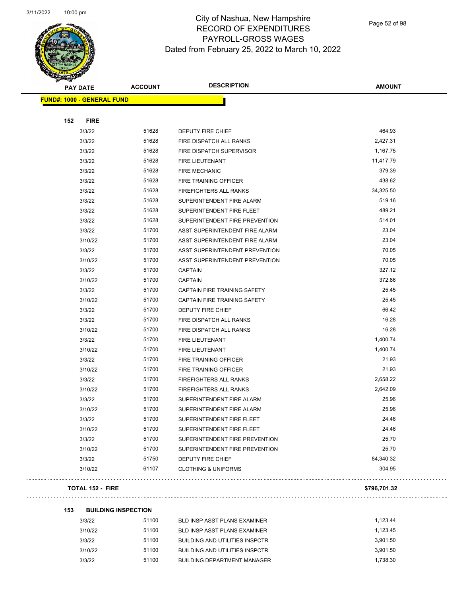

Page 52 of 98

| <b>PAY DATE</b>                   | <b>ACCOUNT</b> | <b>DESCRIPTION</b>                  | <b>AMOUNT</b> |
|-----------------------------------|----------------|-------------------------------------|---------------|
| <b>FUND#: 1000 - GENERAL FUND</b> |                |                                     |               |
|                                   |                |                                     |               |
| 152<br><b>FIRE</b>                |                |                                     |               |
| 3/3/22                            | 51628          | DEPUTY FIRE CHIEF                   | 464.93        |
| 3/3/22                            | 51628          | FIRE DISPATCH ALL RANKS             | 2,427.31      |
| 3/3/22                            | 51628          | FIRE DISPATCH SUPERVISOR            | 1,167.75      |
| 3/3/22                            | 51628          | FIRE LIEUTENANT                     | 11,417.79     |
| 3/3/22                            | 51628          | <b>FIRE MECHANIC</b>                | 379.39        |
| 3/3/22                            | 51628          | <b>FIRE TRAINING OFFICER</b>        | 438.62        |
| 3/3/22                            | 51628          | <b>FIREFIGHTERS ALL RANKS</b>       | 34,325.50     |
| 3/3/22                            | 51628          | SUPERINTENDENT FIRE ALARM           | 519.16        |
| 3/3/22                            | 51628          | SUPERINTENDENT FIRE FLEET           | 489.21        |
| 3/3/22                            | 51628          | SUPERINTENDENT FIRE PREVENTION      | 514.01        |
| 3/3/22                            | 51700          | ASST SUPERINTENDENT FIRE ALARM      | 23.04         |
| 3/10/22                           | 51700          | ASST SUPERINTENDENT FIRE ALARM      | 23.04         |
| 3/3/22                            | 51700          | ASST SUPERINTENDENT PREVENTION      | 70.05         |
| 3/10/22                           | 51700          | ASST SUPERINTENDENT PREVENTION      | 70.05         |
| 3/3/22                            | 51700          | <b>CAPTAIN</b>                      | 327.12        |
| 3/10/22                           | 51700          | <b>CAPTAIN</b>                      | 372.86        |
| 3/3/22                            | 51700          | CAPTAIN FIRE TRAINING SAFETY        | 25.45         |
| 3/10/22                           | 51700          | <b>CAPTAIN FIRE TRAINING SAFETY</b> | 25.45         |
| 3/3/22                            | 51700          | DEPUTY FIRE CHIEF                   | 66.42         |
| 3/3/22                            | 51700          | FIRE DISPATCH ALL RANKS             | 16.28         |
| 3/10/22                           | 51700          | FIRE DISPATCH ALL RANKS             | 16.28         |
| 3/3/22                            | 51700          | FIRE LIEUTENANT                     | 1,400.74      |
| 3/10/22                           | 51700          | FIRE LIEUTENANT                     | 1,400.74      |
| 3/3/22                            | 51700          | FIRE TRAINING OFFICER               | 21.93         |
| 3/10/22                           | 51700          | FIRE TRAINING OFFICER               | 21.93         |
| 3/3/22                            | 51700          | <b>FIREFIGHTERS ALL RANKS</b>       | 2,658.22      |
| 3/10/22                           | 51700          | FIREFIGHTERS ALL RANKS              | 2,642.09      |
| 3/3/22                            | 51700          | SUPERINTENDENT FIRE ALARM           | 25.96         |
| 3/10/22                           | 51700          | SUPERINTENDENT FIRE ALARM           | 25.96         |
| 3/3/22                            | 51700          | SUPERINTENDENT FIRE FLEET           | 24.46         |
| 3/10/22                           | 51700          | SUPERINTENDENT FIRE FLEET           | 24.46         |
| 3/3/22                            | 51700          | SUPERINTENDENT FIRE PREVENTION      | 25.70         |
| 3/10/22                           | 51700          | SUPERINTENDENT FIRE PREVENTION      | 25.70         |
| 3/3/22                            | 51750          | <b>DEPUTY FIRE CHIEF</b>            | 84,340.32     |
| 3/10/22                           | 61107          | <b>CLOTHING &amp; UNIFORMS</b>      | 304.95        |
| <b>TOTAL 152 - FIRE</b>           |                |                                     | \$796,701.32  |

| 153 | <b>BUILDING INSPECTION</b> |
|-----|----------------------------|
|-----|----------------------------|

| 3/3/22  | 51100 | BLD INSP ASST PLANS EXAMINER       | 1.123.44 |
|---------|-------|------------------------------------|----------|
| 3/10/22 | 51100 | BLD INSP ASST PLANS EXAMINER       | 1.123.45 |
| 3/3/22  | 51100 | BUILDING AND UTILITIES INSPCTR     | 3.901.50 |
| 3/10/22 | 51100 | BUILDING AND UTILITIES INSPCTR     | 3.901.50 |
| 3/3/22  | 51100 | <b>BUILDING DEPARTMENT MANAGER</b> | 1.738.30 |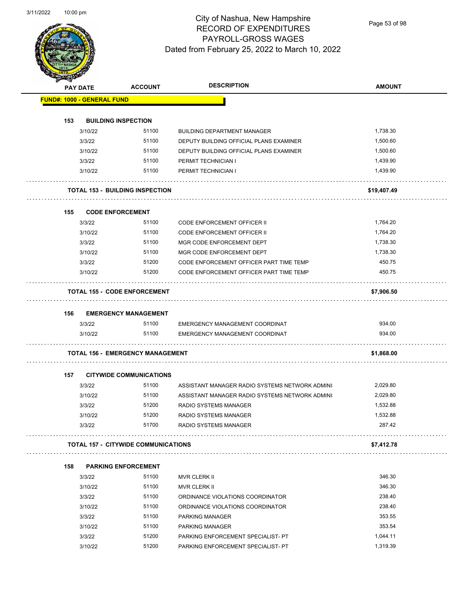Page 53 of 98

|     | <b>PAY DATE</b>                   | <b>ACCOUNT</b>                             | <b>DESCRIPTION</b>                                             | <b>AMOUNT</b>        |
|-----|-----------------------------------|--------------------------------------------|----------------------------------------------------------------|----------------------|
|     | <b>FUND#: 1000 - GENERAL FUND</b> |                                            |                                                                |                      |
|     |                                   |                                            |                                                                |                      |
| 153 |                                   | <b>BUILDING INSPECTION</b>                 |                                                                |                      |
|     | 3/10/22                           | 51100                                      | <b>BUILDING DEPARTMENT MANAGER</b>                             | 1,738.30             |
|     | 3/3/22                            | 51100                                      | DEPUTY BUILDING OFFICIAL PLANS EXAMINER                        | 1,500.60             |
|     | 3/10/22                           | 51100                                      | DEPUTY BUILDING OFFICIAL PLANS EXAMINER<br>PERMIT TECHNICIAN I | 1,500.60             |
|     | 3/3/22                            | 51100<br>51100                             |                                                                | 1,439.90<br>1,439.90 |
|     | 3/10/22                           |                                            | PERMIT TECHNICIAN I                                            |                      |
|     |                                   | <b>TOTAL 153 - BUILDING INSPECTION</b>     |                                                                | \$19,407.49          |
| 155 |                                   | <b>CODE ENFORCEMENT</b>                    |                                                                |                      |
|     | 3/3/22                            | 51100                                      | <b>CODE ENFORCEMENT OFFICER II</b>                             | 1,764.20             |
|     | 3/10/22                           | 51100                                      | <b>CODE ENFORCEMENT OFFICER II</b>                             | 1,764.20             |
|     | 3/3/22                            | 51100                                      | MGR CODE ENFORCEMENT DEPT                                      | 1,738.30             |
|     | 3/10/22                           | 51100                                      | MGR CODE ENFORCEMENT DEPT                                      | 1,738.30             |
|     | 3/3/22                            | 51200                                      | CODE ENFORCEMENT OFFICER PART TIME TEMP                        | 450.75               |
|     | 3/10/22                           | 51200                                      | CODE ENFORCEMENT OFFICER PART TIME TEMP                        | 450.75               |
|     |                                   | <b>TOTAL 155 - CODE ENFORCEMENT</b>        |                                                                | \$7,906.50           |
|     |                                   |                                            |                                                                |                      |
| 156 | 3/3/22                            | <b>EMERGENCY MANAGEMENT</b><br>51100       | EMERGENCY MANAGEMENT COORDINAT                                 | 934.00               |
|     | 3/10/22                           | 51100                                      | EMERGENCY MANAGEMENT COORDINAT                                 | 934.00               |
|     |                                   |                                            |                                                                |                      |
|     |                                   | <b>TOTAL 156 - EMERGENCY MANAGEMENT</b>    |                                                                | \$1,868.00           |
| 157 |                                   | <b>CITYWIDE COMMUNICATIONS</b>             |                                                                |                      |
|     | 3/3/22                            | 51100                                      | ASSISTANT MANAGER RADIO SYSTEMS NETWORK ADMINI                 | 2,029.80             |
|     | 3/10/22                           | 51100                                      | ASSISTANT MANAGER RADIO SYSTEMS NETWORK ADMINI                 | 2,029.80             |
|     | 3/3/22                            | 51200                                      | <b>RADIO SYSTEMS MANAGER</b>                                   | 1,532.88             |
|     | 3/10/22                           | 51200                                      | RADIO SYSTEMS MANAGER                                          | 1,532.88             |
|     | 3/3/22                            | 51700                                      | <b>RADIO SYSTEMS MANAGER</b>                                   | 287.42               |
|     |                                   | <b>TOTAL 157 - CITYWIDE COMMUNICATIONS</b> |                                                                | \$7,412.78           |
| 158 |                                   | <b>PARKING ENFORCEMENT</b>                 |                                                                |                      |
|     | 3/3/22                            | 51100                                      | <b>MVR CLERK II</b>                                            | 346.30               |
|     | 3/10/22                           |                                            | MVR CLERK II                                                   | 346.30               |
|     |                                   | 51100                                      |                                                                |                      |
|     | 3/3/22                            | 51100                                      | ORDINANCE VIOLATIONS COORDINATOR                               | 238.40               |
|     | 3/10/22                           | 51100                                      | ORDINANCE VIOLATIONS COORDINATOR                               | 238.40               |
|     | 3/3/22                            | 51100                                      | PARKING MANAGER                                                | 353.55               |
|     |                                   | 51100                                      |                                                                | 353.54               |
|     | 3/10/22<br>3/3/22                 | 51200                                      | PARKING MANAGER<br>PARKING ENFORCEMENT SPECIALIST- PT          | 1,044.11             |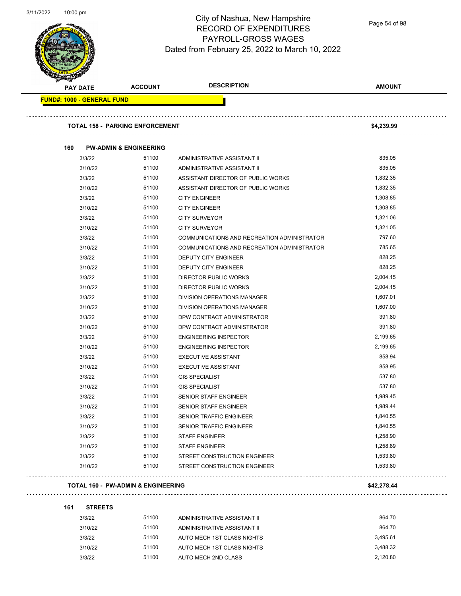

Page 54 of 98

| <b>FUND#: 1000 - GENERAL FUND</b><br><b>TOTAL 158 - PARKING ENFORCEMENT</b><br>160<br>3/3/22<br>3/10/22<br>3/3/22<br>3/10/22<br>3/3/22<br>3/10/22<br>3/3/22<br>3/10/22<br>3/3/22<br>3/10/22<br>3/3/22<br>3/10/22<br>3/3/22<br>3/10/22<br>3/3/22<br>3/10/22<br>3/3/22<br>3/10/22<br>3/3/22 | <b>PW-ADMIN &amp; ENGINEERING</b><br>51100<br>51100<br>51100<br>51100<br>51100<br>51100<br>51100<br>51100<br>51100<br>51100<br>51100<br>51100<br>51100<br>51100<br>51100 | ADMINISTRATIVE ASSISTANT II<br>ADMINISTRATIVE ASSISTANT II<br>ASSISTANT DIRECTOR OF PUBLIC WORKS<br>ASSISTANT DIRECTOR OF PUBLIC WORKS<br><b>CITY ENGINEER</b><br><b>CITY ENGINEER</b><br><b>CITY SURVEYOR</b><br><b>CITY SURVEYOR</b><br>COMMUNICATIONS AND RECREATION ADMINISTRATOR<br>COMMUNICATIONS AND RECREATION ADMINISTRATOR<br><b>DEPUTY CITY ENGINEER</b><br>DEPUTY CITY ENGINEER<br><b>DIRECTOR PUBLIC WORKS</b><br>DIRECTOR PUBLIC WORKS | \$4,239.99<br>835.05<br>835.05<br>1,832.35<br>1,832.35<br>1,308.85<br>1,308.85<br>1,321.06<br>1,321.05<br>797.60<br>785.65<br>828.25<br>828.25<br>2,004.15<br>2,004.15 |
|-------------------------------------------------------------------------------------------------------------------------------------------------------------------------------------------------------------------------------------------------------------------------------------------|--------------------------------------------------------------------------------------------------------------------------------------------------------------------------|------------------------------------------------------------------------------------------------------------------------------------------------------------------------------------------------------------------------------------------------------------------------------------------------------------------------------------------------------------------------------------------------------------------------------------------------------|------------------------------------------------------------------------------------------------------------------------------------------------------------------------|
|                                                                                                                                                                                                                                                                                           |                                                                                                                                                                          |                                                                                                                                                                                                                                                                                                                                                                                                                                                      |                                                                                                                                                                        |
|                                                                                                                                                                                                                                                                                           |                                                                                                                                                                          |                                                                                                                                                                                                                                                                                                                                                                                                                                                      |                                                                                                                                                                        |
|                                                                                                                                                                                                                                                                                           |                                                                                                                                                                          |                                                                                                                                                                                                                                                                                                                                                                                                                                                      |                                                                                                                                                                        |
|                                                                                                                                                                                                                                                                                           |                                                                                                                                                                          |                                                                                                                                                                                                                                                                                                                                                                                                                                                      |                                                                                                                                                                        |
|                                                                                                                                                                                                                                                                                           |                                                                                                                                                                          |                                                                                                                                                                                                                                                                                                                                                                                                                                                      |                                                                                                                                                                        |
|                                                                                                                                                                                                                                                                                           |                                                                                                                                                                          |                                                                                                                                                                                                                                                                                                                                                                                                                                                      |                                                                                                                                                                        |
|                                                                                                                                                                                                                                                                                           |                                                                                                                                                                          |                                                                                                                                                                                                                                                                                                                                                                                                                                                      |                                                                                                                                                                        |
|                                                                                                                                                                                                                                                                                           |                                                                                                                                                                          |                                                                                                                                                                                                                                                                                                                                                                                                                                                      |                                                                                                                                                                        |
|                                                                                                                                                                                                                                                                                           |                                                                                                                                                                          |                                                                                                                                                                                                                                                                                                                                                                                                                                                      |                                                                                                                                                                        |
|                                                                                                                                                                                                                                                                                           |                                                                                                                                                                          |                                                                                                                                                                                                                                                                                                                                                                                                                                                      |                                                                                                                                                                        |
|                                                                                                                                                                                                                                                                                           |                                                                                                                                                                          |                                                                                                                                                                                                                                                                                                                                                                                                                                                      |                                                                                                                                                                        |
|                                                                                                                                                                                                                                                                                           |                                                                                                                                                                          |                                                                                                                                                                                                                                                                                                                                                                                                                                                      |                                                                                                                                                                        |
|                                                                                                                                                                                                                                                                                           |                                                                                                                                                                          |                                                                                                                                                                                                                                                                                                                                                                                                                                                      |                                                                                                                                                                        |
|                                                                                                                                                                                                                                                                                           |                                                                                                                                                                          |                                                                                                                                                                                                                                                                                                                                                                                                                                                      |                                                                                                                                                                        |
|                                                                                                                                                                                                                                                                                           |                                                                                                                                                                          |                                                                                                                                                                                                                                                                                                                                                                                                                                                      |                                                                                                                                                                        |
|                                                                                                                                                                                                                                                                                           |                                                                                                                                                                          |                                                                                                                                                                                                                                                                                                                                                                                                                                                      |                                                                                                                                                                        |
|                                                                                                                                                                                                                                                                                           |                                                                                                                                                                          |                                                                                                                                                                                                                                                                                                                                                                                                                                                      |                                                                                                                                                                        |
|                                                                                                                                                                                                                                                                                           |                                                                                                                                                                          | DIVISION OPERATIONS MANAGER                                                                                                                                                                                                                                                                                                                                                                                                                          | 1,607.01                                                                                                                                                               |
|                                                                                                                                                                                                                                                                                           | 51100                                                                                                                                                                    | DIVISION OPERATIONS MANAGER                                                                                                                                                                                                                                                                                                                                                                                                                          | 1,607.00                                                                                                                                                               |
|                                                                                                                                                                                                                                                                                           | 51100                                                                                                                                                                    | DPW CONTRACT ADMINISTRATOR                                                                                                                                                                                                                                                                                                                                                                                                                           | 391.80                                                                                                                                                                 |
|                                                                                                                                                                                                                                                                                           | 51100                                                                                                                                                                    | DPW CONTRACT ADMINISTRATOR                                                                                                                                                                                                                                                                                                                                                                                                                           | 391.80                                                                                                                                                                 |
|                                                                                                                                                                                                                                                                                           | 51100                                                                                                                                                                    | <b>ENGINEERING INSPECTOR</b>                                                                                                                                                                                                                                                                                                                                                                                                                         | 2,199.65                                                                                                                                                               |
| 3/10/22                                                                                                                                                                                                                                                                                   | 51100                                                                                                                                                                    | <b>ENGINEERING INSPECTOR</b>                                                                                                                                                                                                                                                                                                                                                                                                                         | 2,199.65                                                                                                                                                               |
| 3/3/22                                                                                                                                                                                                                                                                                    | 51100                                                                                                                                                                    | <b>EXECUTIVE ASSISTANT</b>                                                                                                                                                                                                                                                                                                                                                                                                                           | 858.94                                                                                                                                                                 |
| 3/10/22                                                                                                                                                                                                                                                                                   | 51100                                                                                                                                                                    | <b>EXECUTIVE ASSISTANT</b>                                                                                                                                                                                                                                                                                                                                                                                                                           | 858.95                                                                                                                                                                 |
| 3/3/22                                                                                                                                                                                                                                                                                    | 51100                                                                                                                                                                    | <b>GIS SPECIALIST</b>                                                                                                                                                                                                                                                                                                                                                                                                                                | 537.80                                                                                                                                                                 |
| 3/10/22                                                                                                                                                                                                                                                                                   | 51100                                                                                                                                                                    | <b>GIS SPECIALIST</b>                                                                                                                                                                                                                                                                                                                                                                                                                                | 537.80                                                                                                                                                                 |
| 3/3/22                                                                                                                                                                                                                                                                                    | 51100                                                                                                                                                                    | SENIOR STAFF ENGINEER                                                                                                                                                                                                                                                                                                                                                                                                                                | 1,989.45                                                                                                                                                               |
| 3/10/22                                                                                                                                                                                                                                                                                   | 51100                                                                                                                                                                    | SENIOR STAFF ENGINEER                                                                                                                                                                                                                                                                                                                                                                                                                                | 1,989.44                                                                                                                                                               |
| 3/3/22                                                                                                                                                                                                                                                                                    | 51100                                                                                                                                                                    | SENIOR TRAFFIC ENGINEER                                                                                                                                                                                                                                                                                                                                                                                                                              | 1,840.55                                                                                                                                                               |
| 3/10/22                                                                                                                                                                                                                                                                                   | 51100                                                                                                                                                                    | SENIOR TRAFFIC ENGINEER                                                                                                                                                                                                                                                                                                                                                                                                                              | 1,840.55                                                                                                                                                               |
| 3/3/22                                                                                                                                                                                                                                                                                    | 51100                                                                                                                                                                    | <b>STAFF ENGINEER</b>                                                                                                                                                                                                                                                                                                                                                                                                                                | 1,258.90                                                                                                                                                               |
| 3/10/22                                                                                                                                                                                                                                                                                   | 51100                                                                                                                                                                    | <b>STAFF ENGINEER</b>                                                                                                                                                                                                                                                                                                                                                                                                                                | 1,258.89                                                                                                                                                               |
| 3/3/22                                                                                                                                                                                                                                                                                    | 51100                                                                                                                                                                    | STREET CONSTRUCTION ENGINEER                                                                                                                                                                                                                                                                                                                                                                                                                         | 1,533.80                                                                                                                                                               |
| 3/10/22                                                                                                                                                                                                                                                                                   | 51100                                                                                                                                                                    | STREET CONSTRUCTION ENGINEER                                                                                                                                                                                                                                                                                                                                                                                                                         | 1,533.80                                                                                                                                                               |

### **161 STREETS**

| 3/3/22  | 51100 | ADMINISTRATIVE ASSISTANT II | 864.70   |
|---------|-------|-----------------------------|----------|
| 3/10/22 | 51100 | ADMINISTRATIVE ASSISTANT II | 864.70   |
| 3/3/22  | 51100 | AUTO MECH 1ST CLASS NIGHTS  | 3.495.61 |
| 3/10/22 | 51100 | AUTO MECH 1ST CLASS NIGHTS  | 3.488.32 |
| 3/3/22  | 51100 | AUTO MECH 2ND CLASS         | 2.120.80 |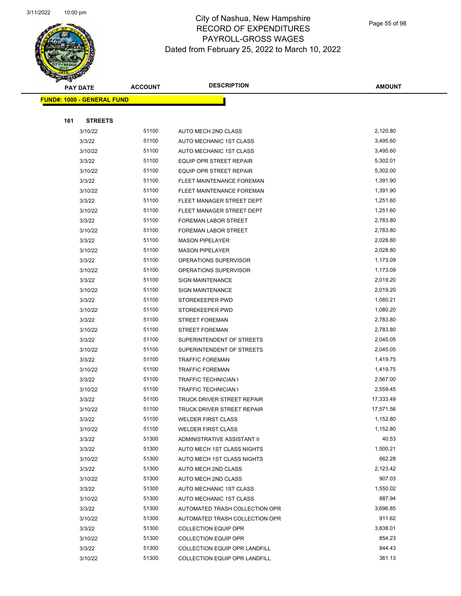

Page 55 of 98

|     | <b>PAY DATE</b>                   | <b>ACCOUNT</b> | <b>DESCRIPTION</b>                                       | <b>AMOUNT</b>         |
|-----|-----------------------------------|----------------|----------------------------------------------------------|-----------------------|
|     | <b>FUND#: 1000 - GENERAL FUND</b> |                |                                                          |                       |
|     |                                   |                |                                                          |                       |
| 161 | <b>STREETS</b>                    |                |                                                          |                       |
|     | 3/10/22                           | 51100          | AUTO MECH 2ND CLASS                                      | 2,120.80              |
|     | 3/3/22                            | 51100          | AUTO MECHANIC 1ST CLASS                                  | 3,495.60              |
|     | 3/10/22                           | 51100          | AUTO MECHANIC 1ST CLASS                                  | 3,495.60              |
|     | 3/3/22                            | 51100          | EQUIP OPR STREET REPAIR                                  | 5,302.01              |
|     | 3/10/22                           | 51100          | EQUIP OPR STREET REPAIR                                  | 5,302.00              |
|     | 3/3/22                            | 51100          | <b>FLEET MAINTENANCE FOREMAN</b>                         | 1,391.90              |
|     | 3/10/22                           | 51100          | FLEET MAINTENANCE FOREMAN                                | 1,391.90              |
|     | 3/3/22                            | 51100          | FLEET MANAGER STREET DEPT                                | 1,251.60              |
|     | 3/10/22                           | 51100          | FLEET MANAGER STREET DEPT                                | 1,251.60              |
|     | 3/3/22                            | 51100          | FOREMAN LABOR STREET                                     | 2,783.80              |
|     | 3/10/22                           | 51100          | FOREMAN LABOR STREET                                     | 2,783.80              |
|     | 3/3/22                            | 51100          | <b>MASON PIPELAYER</b>                                   | 2,028.80              |
|     | 3/10/22                           | 51100          | <b>MASON PIPELAYER</b>                                   | 2,028.80              |
|     | 3/3/22                            | 51100          | OPERATIONS SUPERVISOR                                    | 1,173.09              |
|     | 3/10/22                           | 51100          | OPERATIONS SUPERVISOR                                    | 1,173.09              |
|     | 3/3/22                            | 51100          | <b>SIGN MAINTENANCE</b>                                  | 2,019.20              |
|     | 3/10/22                           | 51100          | <b>SIGN MAINTENANCE</b>                                  | 2,019.20              |
|     | 3/3/22                            | 51100          | STOREKEEPER PWD                                          | 1,080.21              |
|     | 3/10/22                           | 51100          | STOREKEEPER PWD                                          | 1,080.20              |
|     | 3/3/22                            | 51100          | <b>STREET FOREMAN</b>                                    | 2,783.80              |
|     | 3/10/22                           | 51100          | <b>STREET FOREMAN</b>                                    | 2,783.80              |
|     | 3/3/22                            | 51100          | SUPERINTENDENT OF STREETS                                | 2,045.05              |
|     | 3/10/22                           | 51100          | SUPERINTENDENT OF STREETS                                | 2,045.05              |
|     | 3/3/22                            | 51100          | <b>TRAFFIC FOREMAN</b>                                   | 1,419.75              |
|     | 3/10/22                           | 51100          | <b>TRAFFIC FOREMAN</b>                                   | 1,419.75              |
|     | 3/3/22                            | 51100          | <b>TRAFFIC TECHNICIAN I</b>                              | 2,567.00              |
|     | 3/10/22                           | 51100          | <b>TRAFFIC TECHNICIAN I</b>                              | 2,559.45              |
|     | 3/3/22                            | 51100          | <b>TRUCK DRIVER STREET REPAIR</b>                        | 17,333.49             |
|     | 3/10/22                           | 51100<br>51100 | TRUCK DRIVER STREET REPAIR                               | 17,571.56<br>1,152.80 |
|     | 3/3/22                            | 51100          | <b>WELDER FIRST CLASS</b>                                | 1,152.80              |
|     | 3/10/22<br>3/3/22                 | 51300          | <b>WELDER FIRST CLASS</b><br>ADMINISTRATIVE ASSISTANT II | 40.53                 |
|     | 3/3/22                            | 51300          | AUTO MECH 1ST CLASS NIGHTS                               | 1,500.21              |
|     | 3/10/22                           | 51300          | AUTO MECH 1ST CLASS NIGHTS                               | 662.28                |
|     | 3/3/22                            | 51300          | AUTO MECH 2ND CLASS                                      | 2,123.42              |
|     | 3/10/22                           | 51300          | AUTO MECH 2ND CLASS                                      | 907.03                |
|     | 3/3/22                            | 51300          | AUTO MECHANIC 1ST CLASS                                  | 1,550.02              |
|     | 3/10/22                           | 51300          | AUTO MECHANIC 1ST CLASS                                  | 887.94                |
|     | 3/3/22                            | 51300          | AUTOMATED TRASH COLLECTION OPR                           | 3,696.85              |
|     | 3/10/22                           | 51300          | AUTOMATED TRASH COLLECTION OPR                           | 911.62                |
|     | 3/3/22                            | 51300          | <b>COLLECTION EQUIP OPR</b>                              | 3,838.01              |
|     | 3/10/22                           | 51300          | <b>COLLECTION EQUIP OPR</b>                              | 854.23                |
|     | 3/3/22                            | 51300          | COLLECTION EQUIP OPR LANDFILL                            | 844.43                |
|     | 3/10/22                           | 51300          | COLLECTION EQUIP OPR LANDFILL                            | 361.13                |
|     |                                   |                |                                                          |                       |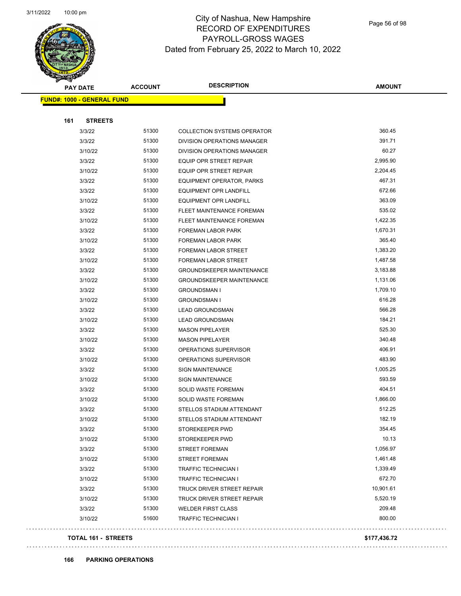

Page 56 of 98

|     | <b>PAY DATE</b>                   | <b>ACCOUNT</b> | <b>DESCRIPTION</b>                 | <b>AMOUNT</b> |
|-----|-----------------------------------|----------------|------------------------------------|---------------|
|     | <b>FUND#: 1000 - GENERAL FUND</b> |                |                                    |               |
|     |                                   |                |                                    |               |
| 161 | <b>STREETS</b>                    |                |                                    |               |
|     | 3/3/22                            | 51300          | <b>COLLECTION SYSTEMS OPERATOR</b> | 360.45        |
|     | 3/3/22                            | 51300          | DIVISION OPERATIONS MANAGER        | 391.71        |
|     | 3/10/22                           | 51300          | DIVISION OPERATIONS MANAGER        | 60.27         |
|     | 3/3/22                            | 51300          | EQUIP OPR STREET REPAIR            | 2,995.90      |
|     | 3/10/22                           | 51300          | EQUIP OPR STREET REPAIR            | 2,204.45      |
|     | 3/3/22                            | 51300          | <b>EQUIPMENT OPERATOR, PARKS</b>   | 467.31        |
|     | 3/3/22                            | 51300          | <b>EQUIPMENT OPR LANDFILL</b>      | 672.66        |
|     | 3/10/22                           | 51300          | <b>EQUIPMENT OPR LANDFILL</b>      | 363.09        |
|     | 3/3/22                            | 51300          | FLEET MAINTENANCE FOREMAN          | 535.02        |
|     | 3/10/22                           | 51300          | FLEET MAINTENANCE FOREMAN          | 1,422.35      |
|     | 3/3/22                            | 51300          | FOREMAN LABOR PARK                 | 1,670.31      |
|     | 3/10/22                           | 51300          | FOREMAN LABOR PARK                 | 365.40        |
|     | 3/3/22                            | 51300          | FOREMAN LABOR STREET               | 1,383.20      |
|     | 3/10/22                           | 51300          | FOREMAN LABOR STREET               | 1,487.58      |
|     | 3/3/22                            | 51300          | <b>GROUNDSKEEPER MAINTENANCE</b>   | 3,183.88      |
|     | 3/10/22                           | 51300          | <b>GROUNDSKEEPER MAINTENANCE</b>   | 1,131.06      |
|     | 3/3/22                            | 51300          | <b>GROUNDSMAN I</b>                | 1,709.10      |
|     | 3/10/22                           | 51300          | <b>GROUNDSMAN I</b>                | 616.28        |
|     | 3/3/22                            | 51300          | <b>LEAD GROUNDSMAN</b>             | 566.28        |
|     | 3/10/22                           | 51300          | <b>LEAD GROUNDSMAN</b>             | 184.21        |
|     | 3/3/22                            | 51300          | <b>MASON PIPELAYER</b>             | 525.30        |
|     | 3/10/22                           | 51300          | <b>MASON PIPELAYER</b>             | 340.48        |
|     | 3/3/22                            | 51300          | OPERATIONS SUPERVISOR              | 406.91        |
|     | 3/10/22                           | 51300          | OPERATIONS SUPERVISOR              | 483.90        |
|     | 3/3/22                            | 51300          | <b>SIGN MAINTENANCE</b>            | 1,005.25      |
|     | 3/10/22                           | 51300          | <b>SIGN MAINTENANCE</b>            | 593.59        |
|     | 3/3/22                            | 51300          | SOLID WASTE FOREMAN                | 404.51        |
|     | 3/10/22                           | 51300          | SOLID WASTE FOREMAN                | 1,866.00      |
|     | 3/3/22                            | 51300          | STELLOS STADIUM ATTENDANT          | 512.25        |
|     | 3/10/22                           | 51300          | STELLOS STADIUM ATTENDANT          | 182.19        |
|     | 3/3/22                            | 51300          | STOREKEEPER PWD                    | 354.45        |
|     | 3/10/22                           | 51300          | STOREKEEPER PWD                    | 10.13         |
|     | 3/3/22                            | 51300          | <b>STREET FOREMAN</b>              | 1,056.97      |
|     | 3/10/22                           | 51300          | <b>STREET FOREMAN</b>              | 1,461.48      |
|     | 3/3/22                            | 51300          | <b>TRAFFIC TECHNICIAN I</b>        | 1,339.49      |
|     | 3/10/22                           | 51300          | <b>TRAFFIC TECHNICIAN I</b>        | 672.70        |
|     | 3/3/22                            | 51300          | TRUCK DRIVER STREET REPAIR         | 10,901.61     |
|     | 3/10/22                           | 51300          | TRUCK DRIVER STREET REPAIR         | 5,520.19      |
|     | 3/3/22                            | 51300          | <b>WELDER FIRST CLASS</b>          | 209.48        |
|     | 3/10/22                           | 51600          | TRAFFIC TECHNICIAN I               | 800.00        |
|     |                                   |                |                                    |               |

### **TOTAL 161 - STREETS \$177,436.72**

 $\bar{\psi}$  .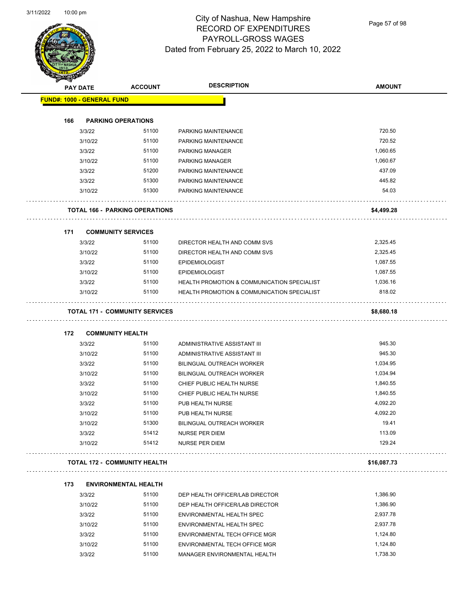

Page 57 of 98

| <b>REAL PROPERTY</b>              |                 |                                       |                                             |               |
|-----------------------------------|-----------------|---------------------------------------|---------------------------------------------|---------------|
|                                   | <b>PAY DATE</b> | <b>ACCOUNT</b>                        | <b>DESCRIPTION</b>                          | <b>AMOUNT</b> |
| <b>FUND#: 1000 - GENERAL FUND</b> |                 |                                       |                                             |               |
|                                   |                 |                                       |                                             |               |
| 166                               |                 | <b>PARKING OPERATIONS</b>             |                                             |               |
|                                   | 3/3/22          | 51100                                 | PARKING MAINTENANCE                         | 720.50        |
|                                   | 3/10/22         | 51100                                 | PARKING MAINTENANCE                         | 720.52        |
|                                   | 3/3/22          | 51100                                 | <b>PARKING MANAGER</b>                      | 1,060.65      |
|                                   | 3/10/22         | 51100                                 | <b>PARKING MANAGER</b>                      | 1,060.67      |
|                                   | 3/3/22          | 51200                                 | PARKING MAINTENANCE                         | 437.09        |
|                                   | 3/3/22          | 51300                                 | PARKING MAINTENANCE                         | 445.82        |
|                                   | 3/10/22         | 51300                                 | PARKING MAINTENANCE                         | 54.03         |
|                                   |                 | <b>TOTAL 166 - PARKING OPERATIONS</b> |                                             | \$4,499.28    |
| 171                               |                 | <b>COMMUNITY SERVICES</b>             |                                             |               |
|                                   | 3/3/22          | 51100                                 | DIRECTOR HEALTH AND COMM SVS                | 2,325.45      |
|                                   | 3/10/22         | 51100                                 | DIRECTOR HEALTH AND COMM SVS                | 2,325.45      |
|                                   | 3/3/22          | 51100                                 | <b>EPIDEMIOLOGIST</b>                       | 1,087.55      |
|                                   | 3/10/22         | 51100                                 | <b>EPIDEMIOLOGIST</b>                       | 1,087.55      |
|                                   | 3/3/22          | 51100                                 | HEALTH PROMOTION & COMMUNICATION SPECIALIST | 1,036.16      |
|                                   | 3/10/22         | 51100                                 | HEALTH PROMOTION & COMMUNICATION SPECIALIST | 818.02        |
|                                   |                 | <b>TOTAL 171 - COMMUNITY SERVICES</b> |                                             | \$8,680.18    |
| 172                               |                 | <b>COMMUNITY HEALTH</b>               |                                             |               |
|                                   | 3/3/22          | 51100                                 | ADMINISTRATIVE ASSISTANT III                | 945.30        |
|                                   | 3/10/22         | 51100                                 | ADMINISTRATIVE ASSISTANT III                | 945.30        |
|                                   | 3/3/22          | 51100                                 | <b>BILINGUAL OUTREACH WORKER</b>            | 1,034.95      |
|                                   | 3/10/22         | 51100                                 | <b>BILINGUAL OUTREACH WORKER</b>            | 1,034.94      |
|                                   | 3/3/22          | 51100                                 | CHIEF PUBLIC HEALTH NURSE                   | 1,840.55      |
|                                   | 3/10/22         | 51100                                 | CHIEF PUBLIC HEALTH NURSE                   | 1,840.55      |
|                                   | 3/3/22          | 51100                                 | PUB HEALTH NURSE                            | 4,092.20      |
|                                   | 3/10/22         | 51100                                 | PUB HEALTH NURSE                            | 4,092.20      |
|                                   | 3/10/22         | 51300                                 | BILINGUAL OUTREACH WORKER                   | 19.41         |
|                                   | 3/3/22          | 51412                                 | NURSE PER DIEM                              | 113.09        |
|                                   | 3/10/22         | 51412                                 | NURSE PER DIEM                              | 129.24        |
|                                   |                 | <b>TOTAL 172 - COMMUNITY HEALTH</b>   |                                             | \$16,087.73   |
|                                   |                 |                                       |                                             |               |
| 173                               |                 | <b>ENVIRONMENTAL HEALTH</b>           |                                             |               |
|                                   | 3/3/22          | 51100                                 | DEP HEALTH OFFICER/LAB DIRECTOR             | 1,386.90      |
|                                   | 3/10/22         | 51100                                 | DEP HEALTH OFFICER/LAB DIRECTOR             | 1,386.90      |
|                                   | 3/3/22          | 51100                                 | ENVIRONMENTAL HEALTH SPEC                   | 2,937.78      |
|                                   | 3/10/22         | 51100                                 | ENVIRONMENTAL HEALTH SPEC                   | 2,937.78      |
|                                   | 3/3/22          | 51100                                 | ENVIRONMENTAL TECH OFFICE MGR               | 1,124.80      |
|                                   | 3/10/22         | 51100                                 | ENVIRONMENTAL TECH OFFICE MGR               | 1,124.80      |
|                                   | 3/3/22          | 51100                                 | MANAGER ENVIRONMENTAL HEALTH                | 1,738.30      |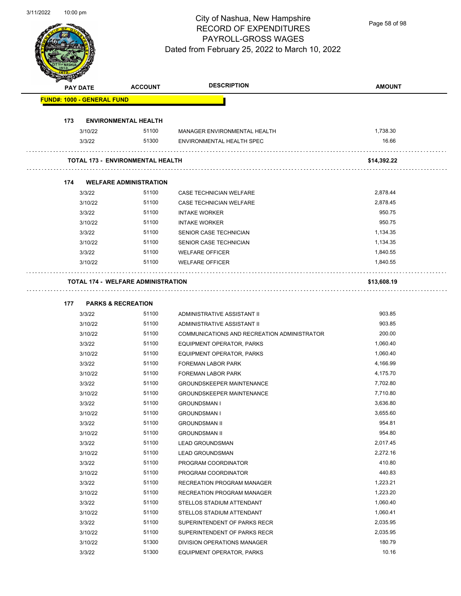

Page 58 of 98

|     | <b>PAY DATE</b>                           | <b>ACCOUNT</b> | <b>DESCRIPTION</b>                          | <b>AMOUNT</b> |
|-----|-------------------------------------------|----------------|---------------------------------------------|---------------|
|     | <b>FUND#: 1000 - GENERAL FUND</b>         |                |                                             |               |
|     |                                           |                |                                             |               |
| 173 | <b>ENVIRONMENTAL HEALTH</b>               |                |                                             |               |
|     | 3/10/22                                   | 51100          | MANAGER ENVIRONMENTAL HEALTH                | 1,738.30      |
|     | 3/3/22                                    | 51300          | ENVIRONMENTAL HEALTH SPEC                   | 16.66         |
|     | <b>TOTAL 173 - ENVIRONMENTAL HEALTH</b>   |                |                                             | \$14,392.22   |
|     |                                           |                |                                             |               |
| 174 | <b>WELFARE ADMINISTRATION</b>             |                |                                             |               |
|     | 3/3/22                                    | 51100          | CASE TECHNICIAN WELFARE                     | 2,878.44      |
|     | 3/10/22                                   | 51100          | CASE TECHNICIAN WELFARE                     | 2,878.45      |
|     | 3/3/22                                    | 51100          | <b>INTAKE WORKER</b>                        | 950.75        |
|     | 3/10/22                                   | 51100          | <b>INTAKE WORKER</b>                        | 950.75        |
|     | 3/3/22                                    | 51100          | <b>SENIOR CASE TECHNICIAN</b>               | 1,134.35      |
|     | 3/10/22                                   | 51100          | SENIOR CASE TECHNICIAN                      | 1,134.35      |
|     | 3/3/22                                    | 51100          | <b>WELFARE OFFICER</b>                      | 1,840.55      |
|     | 3/10/22                                   | 51100          | <b>WELFARE OFFICER</b>                      | 1,840.55      |
|     | <b>TOTAL 174 - WELFARE ADMINISTRATION</b> |                |                                             | \$13,608.19   |
|     | .                                         |                |                                             |               |
| 177 | <b>PARKS &amp; RECREATION</b>             |                |                                             |               |
|     | 3/3/22                                    | 51100          | ADMINISTRATIVE ASSISTANT II                 | 903.85        |
|     | 3/10/22                                   | 51100          | ADMINISTRATIVE ASSISTANT II                 | 903.85        |
|     | 3/10/22                                   | 51100          | COMMUNICATIONS AND RECREATION ADMINISTRATOR | 200.00        |
|     | 3/3/22                                    | 51100          | EQUIPMENT OPERATOR, PARKS                   | 1,060.40      |
|     | 3/10/22                                   | 51100          | EQUIPMENT OPERATOR, PARKS                   | 1,060.40      |
|     | 3/3/22                                    | 51100          | <b>FOREMAN LABOR PARK</b>                   | 4,166.99      |
|     | 3/10/22                                   | 51100          | <b>FOREMAN LABOR PARK</b>                   | 4,175.70      |
|     | 3/3/22                                    | 51100          | <b>GROUNDSKEEPER MAINTENANCE</b>            | 7,702.80      |
|     | 3/10/22                                   | 51100          | <b>GROUNDSKEEPER MAINTENANCE</b>            | 7,710.80      |
|     | 3/3/22                                    | 51100          | <b>GROUNDSMAN I</b>                         | 3,636.80      |
|     | 3/10/22                                   | 51100          | <b>GROUNDSMAN I</b>                         | 3,655.60      |
|     | 3/3/22                                    | 51100          | <b>GROUNDSMAN II</b>                        | 954.81        |
|     | 3/10/22                                   | 51100          | <b>GROUNDSMAN II</b>                        | 954.80        |
|     | 3/3/22                                    | 51100          | <b>LEAD GROUNDSMAN</b>                      | 2,017.45      |
|     | 3/10/22                                   | 51100          | <b>LEAD GROUNDSMAN</b>                      | 2,272.16      |
|     | 3/3/22                                    | 51100          | PROGRAM COORDINATOR                         | 410.80        |
|     | 3/10/22                                   | 51100          | PROGRAM COORDINATOR                         | 440.83        |
|     | 3/3/22                                    | 51100          | RECREATION PROGRAM MANAGER                  | 1,223.21      |
|     | 3/10/22                                   | 51100          | RECREATION PROGRAM MANAGER                  | 1,223.20      |
|     | 3/3/22                                    | 51100          | STELLOS STADIUM ATTENDANT                   | 1,060.40      |
|     | 3/10/22                                   | 51100          | STELLOS STADIUM ATTENDANT                   | 1,060.41      |
|     |                                           | 51100          |                                             | 2,035.95      |
|     | 3/3/22                                    |                | SUPERINTENDENT OF PARKS RECR                |               |
|     | 3/10/22                                   | 51100          | SUPERINTENDENT OF PARKS RECR                | 2,035.95      |
|     | 3/10/22                                   | 51300          | DIVISION OPERATIONS MANAGER                 | 180.79        |
|     | 3/3/22                                    | 51300          | EQUIPMENT OPERATOR, PARKS                   | 10.16         |
|     |                                           |                |                                             |               |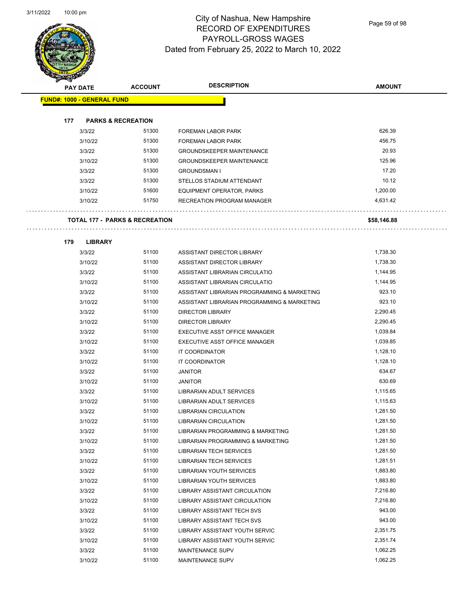

Page 59 of 98

| A.  | <b>PAY DATE</b>                           | <b>ACCOUNT</b> | <b>DESCRIPTION</b>                          | <b>AMOUNT</b> |
|-----|-------------------------------------------|----------------|---------------------------------------------|---------------|
|     | <b>FUND#: 1000 - GENERAL FUND</b>         |                |                                             |               |
|     |                                           |                |                                             |               |
| 177 | <b>PARKS &amp; RECREATION</b>             |                |                                             |               |
|     | 3/3/22                                    | 51300          | <b>FOREMAN LABOR PARK</b>                   | 626.39        |
|     | 3/10/22                                   | 51300          | FOREMAN LABOR PARK                          | 456.75        |
|     | 3/3/22                                    | 51300          | <b>GROUNDSKEEPER MAINTENANCE</b>            | 20.93         |
|     | 3/10/22                                   | 51300          | <b>GROUNDSKEEPER MAINTENANCE</b>            | 125.96        |
|     | 3/3/22                                    | 51300          | <b>GROUNDSMAN I</b>                         | 17.20         |
|     | 3/3/22                                    | 51300          | STELLOS STADIUM ATTENDANT                   | 10.12         |
|     | 3/10/22                                   | 51600          | EQUIPMENT OPERATOR, PARKS                   | 1,200.00      |
|     | 3/10/22                                   | 51750          | RECREATION PROGRAM MANAGER                  | 4,631.42      |
|     | <b>TOTAL 177 - PARKS &amp; RECREATION</b> |                |                                             | \$58,146.88   |
|     |                                           |                |                                             |               |
| 179 | <b>LIBRARY</b>                            |                |                                             |               |
|     | 3/3/22                                    | 51100          | ASSISTANT DIRECTOR LIBRARY                  | 1,738.30      |
|     | 3/10/22                                   | 51100          | ASSISTANT DIRECTOR LIBRARY                  | 1,738.30      |
|     | 3/3/22                                    | 51100          | ASSISTANT LIBRARIAN CIRCULATIO              | 1,144.95      |
|     | 3/10/22                                   | 51100          | ASSISTANT LIBRARIAN CIRCULATIO              | 1,144.95      |
|     | 3/3/22                                    | 51100          | ASSISTANT LIBRARIAN PROGRAMMING & MARKETING | 923.10        |
|     | 3/10/22                                   | 51100          | ASSISTANT LIBRARIAN PROGRAMMING & MARKETING | 923.10        |
|     | 3/3/22                                    | 51100          | <b>DIRECTOR LIBRARY</b>                     | 2,290.45      |
|     | 3/10/22                                   | 51100          | <b>DIRECTOR LIBRARY</b>                     | 2,290.45      |
|     | 3/3/22                                    | 51100          | EXECUTIVE ASST OFFICE MANAGER               | 1,039.84      |
|     | 3/10/22                                   | 51100          | EXECUTIVE ASST OFFICE MANAGER               | 1,039.85      |
|     | 3/3/22                                    | 51100          | IT COORDINATOR                              | 1,128.10      |
|     | 3/10/22                                   | 51100          | IT COORDINATOR                              | 1,128.10      |
|     | 3/3/22                                    | 51100          | <b>JANITOR</b>                              | 634.67        |
|     | 3/10/22                                   | 51100          | <b>JANITOR</b>                              | 630.69        |
|     | 3/3/22                                    | 51100          | LIBRARIAN ADULT SERVICES                    | 1,115.65      |
|     | 3/10/22                                   | 51100          | LIBRARIAN ADULT SERVICES                    | 1,115.63      |
|     | 3/3/22                                    | 51100          | <b>LIBRARIAN CIRCULATION</b>                | 1,281.50      |
|     | 3/10/22                                   | 51100          | <b>LIBRARIAN CIRCULATION</b>                | 1,281.50      |
|     | 3/3/22                                    | 51100          | LIBRARIAN PROGRAMMING & MARKETING           | 1,281.50      |
|     | 3/10/22                                   | 51100          | LIBRARIAN PROGRAMMING & MARKETING           | 1,281.50      |
|     | 3/3/22                                    | 51100          | <b>LIBRARIAN TECH SERVICES</b>              | 1,281.50      |
|     | 3/10/22                                   | 51100          | <b>LIBRARIAN TECH SERVICES</b>              | 1,281.51      |
|     | 3/3/22                                    | 51100          | LIBRARIAN YOUTH SERVICES                    | 1,883.80      |
|     | 3/10/22                                   | 51100          | LIBRARIAN YOUTH SERVICES                    | 1,883.80      |
|     | 3/3/22                                    | 51100          | LIBRARY ASSISTANT CIRCULATION               | 7,216.80      |
|     | 3/10/22                                   | 51100          | <b>LIBRARY ASSISTANT CIRCULATION</b>        | 7,216.80      |
|     | 3/3/22                                    | 51100          | LIBRARY ASSISTANT TECH SVS                  | 943.00        |
|     | 3/10/22                                   | 51100          | LIBRARY ASSISTANT TECH SVS                  | 943.00        |
|     | 3/3/22                                    | 51100          | LIBRARY ASSISTANT YOUTH SERVIC              | 2,351.75      |

3/10/22 51100 LIBRARY ASSISTANT YOUTH SERVIC 2,351.74 3/3/22 51100 MAINTENANCE SUPV 1,062.25 3/10/22 51100 MAINTENANCE SUPV 1,062.25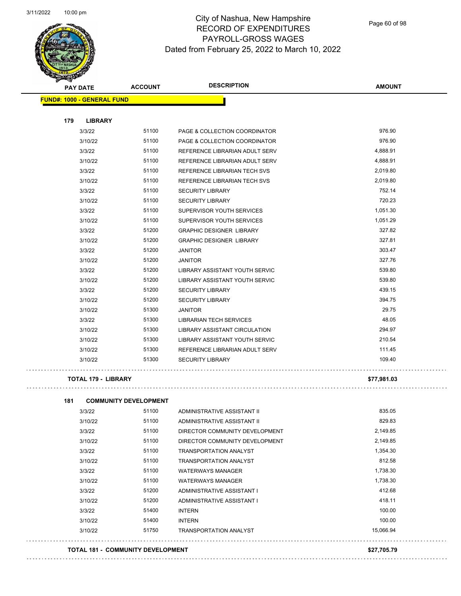

Page 60 of 98

|     | <b>PAY DATE</b>                   | <b>ACCOUNT</b> | <b>DESCRIPTION</b>                    | <b>AMOUNT</b> |
|-----|-----------------------------------|----------------|---------------------------------------|---------------|
|     | <b>FUND#: 1000 - GENERAL FUND</b> |                |                                       |               |
| 179 | <b>LIBRARY</b>                    |                |                                       |               |
|     | 3/3/22                            | 51100          | PAGE & COLLECTION COORDINATOR         | 976.90        |
|     | 3/10/22                           | 51100          | PAGE & COLLECTION COORDINATOR         | 976.90        |
|     | 3/3/22                            | 51100          | REFERENCE LIBRARIAN ADULT SERV        | 4,888.91      |
|     | 3/10/22                           | 51100          | REFERENCE LIBRARIAN ADULT SERV        | 4,888.91      |
|     | 3/3/22                            | 51100          | <b>REFERENCE LIBRARIAN TECH SVS</b>   | 2,019.80      |
|     | 3/10/22                           | 51100          | REFERENCE LIBRARIAN TECH SVS          | 2,019.80      |
|     | 3/3/22                            | 51100          | <b>SECURITY LIBRARY</b>               | 752.14        |
|     | 3/10/22                           | 51100          | <b>SECURITY LIBRARY</b>               | 720.23        |
|     | 3/3/22                            | 51100          | SUPERVISOR YOUTH SERVICES             | 1,051.30      |
|     | 3/10/22                           | 51100          | SUPERVISOR YOUTH SERVICES             | 1,051.29      |
|     | 3/3/22                            | 51200          | <b>GRAPHIC DESIGNER LIBRARY</b>       | 327.82        |
|     | 3/10/22                           | 51200          | <b>GRAPHIC DESIGNER LIBRARY</b>       | 327.81        |
|     | 3/3/22                            | 51200          | <b>JANITOR</b>                        | 303.47        |
|     | 3/10/22                           | 51200          | <b>JANITOR</b>                        | 327.76        |
|     | 3/3/22                            | 51200          | LIBRARY ASSISTANT YOUTH SERVIC        | 539.80        |
|     | 3/10/22                           | 51200          | LIBRARY ASSISTANT YOUTH SERVIC        | 539.80        |
|     | 3/3/22                            | 51200          | <b>SECURITY LIBRARY</b>               | 439.15        |
|     | 3/10/22                           | 51200          | <b>SECURITY LIBRARY</b>               | 394.75        |
|     | 3/10/22                           | 51300          | <b>JANITOR</b>                        | 29.75         |
|     | 3/3/22                            | 51300          | <b>LIBRARIAN TECH SERVICES</b>        | 48.05         |
|     | 3/10/22                           | 51300          | <b>LIBRARY ASSISTANT CIRCULATION</b>  | 294.97        |
|     | 3/10/22                           | 51300          | <b>LIBRARY ASSISTANT YOUTH SERVIC</b> | 210.54        |
|     | 3/10/22                           | 51300          | REFERENCE LIBRARIAN ADULT SERV        | 111.45        |
|     | 3/10/22                           | 51300          | <b>SECURITY LIBRARY</b>               | 109.40        |

### **TOTAL 179 - LIBRARY \$77,981.03**

 $\ldots$  .

| 181 |         | <b>COMMUNITY DEVELOPMENT</b> |                                |           |
|-----|---------|------------------------------|--------------------------------|-----------|
|     | 3/3/22  | 51100                        | ADMINISTRATIVE ASSISTANT II    | 835.05    |
|     | 3/10/22 | 51100                        | ADMINISTRATIVE ASSISTANT II    | 829.83    |
|     | 3/3/22  | 51100                        | DIRECTOR COMMUNITY DEVELOPMENT | 2,149.85  |
|     | 3/10/22 | 51100                        | DIRECTOR COMMUNITY DEVELOPMENT | 2,149.85  |
|     | 3/3/22  | 51100                        | <b>TRANSPORTATION ANALYST</b>  | 1,354.30  |
|     | 3/10/22 | 51100                        | <b>TRANSPORTATION ANALYST</b>  | 812.58    |
|     | 3/3/22  | 51100                        | <b>WATERWAYS MANAGER</b>       | 1,738.30  |
|     | 3/10/22 | 51100                        | <b>WATERWAYS MANAGER</b>       | 1,738.30  |
|     | 3/3/22  | 51200                        | ADMINISTRATIVE ASSISTANT I     | 412.68    |
|     | 3/10/22 | 51200                        | ADMINISTRATIVE ASSISTANT I     | 418.11    |
|     | 3/3/22  | 51400                        | <b>INTERN</b>                  | 100.00    |
|     | 3/10/22 | 51400                        | <b>INTERN</b>                  | 100.00    |
|     | 3/10/22 | 51750                        | <b>TRANSPORTATION ANALYST</b>  | 15,066.94 |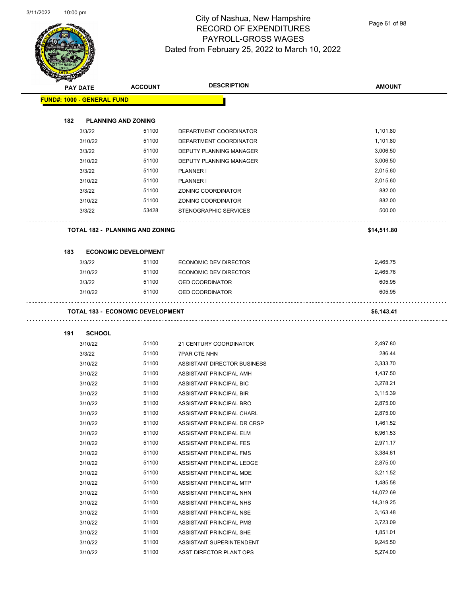

Page 61 of 98

| <b>PAY DATE</b>                   |               | <b>ACCOUNT</b>                          | <b>DESCRIPTION</b>          | <b>AMOUNT</b> |
|-----------------------------------|---------------|-----------------------------------------|-----------------------------|---------------|
| <b>FUND#: 1000 - GENERAL FUND</b> |               |                                         |                             |               |
|                                   |               |                                         |                             |               |
| 182                               |               | <b>PLANNING AND ZONING</b>              |                             |               |
|                                   | 3/3/22        | 51100                                   | DEPARTMENT COORDINATOR      | 1,101.80      |
|                                   | 3/10/22       | 51100                                   | DEPARTMENT COORDINATOR      | 1,101.80      |
|                                   | 3/3/22        | 51100                                   | DEPUTY PLANNING MANAGER     | 3,006.50      |
|                                   | 3/10/22       | 51100                                   | DEPUTY PLANNING MANAGER     | 3,006.50      |
|                                   | 3/3/22        | 51100                                   | PLANNER I                   | 2,015.60      |
|                                   | 3/10/22       | 51100                                   | PLANNER I                   | 2,015.60      |
|                                   | 3/3/22        | 51100                                   | ZONING COORDINATOR          | 882.00        |
|                                   | 3/10/22       | 51100                                   | ZONING COORDINATOR          | 882.00        |
|                                   | 3/3/22        | 53428                                   | STENOGRAPHIC SERVICES       | 500.00        |
|                                   |               | <b>TOTAL 182 - PLANNING AND ZONING</b>  |                             | \$14,511.80   |
| 183                               |               | <b>ECONOMIC DEVELOPMENT</b>             |                             |               |
|                                   | 3/3/22        | 51100                                   | ECONOMIC DEV DIRECTOR       | 2,465.75      |
|                                   | 3/10/22       | 51100                                   | ECONOMIC DEV DIRECTOR       | 2,465.76      |
|                                   | 3/3/22        | 51100                                   | OED COORDINATOR             | 605.95        |
|                                   | 3/10/22       | 51100                                   | OED COORDINATOR             | 605.95        |
|                                   |               | <b>TOTAL 183 - ECONOMIC DEVELOPMENT</b> |                             | \$6,143.41    |
| 191                               | <b>SCHOOL</b> |                                         |                             |               |
|                                   | 3/10/22       | 51100                                   | 21 CENTURY COORDINATOR      | 2,497.80      |
|                                   | 3/3/22        | 51100                                   | <b>7PAR CTE NHN</b>         | 286.44        |
|                                   | 3/10/22       | 51100                                   | ASSISTANT DIRECTOR BUSINESS | 3,333.70      |
|                                   | 3/10/22       | 51100                                   | ASSISTANT PRINCIPAL AMH     | 1,437.50      |
|                                   | 3/10/22       | 51100                                   | ASSISTANT PRINCIPAL BIC     | 3,278.21      |
|                                   | 3/10/22       | 51100                                   | ASSISTANT PRINCIPAL BIR     | 3,115.39      |
|                                   | 3/10/22       | 51100                                   | ASSISTANT PRINCIPAL BRO     | 2,875.00      |
|                                   | 3/10/22       | 51100                                   | ASSISTANT PRINCIPAL CHARL   | 2,875.00      |
|                                   | 3/10/22       | 51100                                   | ASSISTANT PRINCIPAL DR CRSP | 1,461.52      |
|                                   | 3/10/22       | 51100                                   | ASSISTANT PRINCIPAL ELM     | 6,961.53      |
|                                   | 3/10/22       | 51100                                   | ASSISTANT PRINCIPAL FES     | 2,971.17      |
|                                   | 3/10/22       | 51100                                   | ASSISTANT PRINCIPAL FMS     | 3,384.61      |
|                                   | 3/10/22       | 51100                                   | ASSISTANT PRINCIPAL LEDGE   | 2,875.00      |
|                                   | 3/10/22       | 51100                                   | ASSISTANT PRINCIPAL MDE     | 3,211.52      |
|                                   | 3/10/22       | 51100                                   | ASSISTANT PRINCIPAL MTP     | 1,485.58      |
|                                   | 3/10/22       | 51100                                   | ASSISTANT PRINCIPAL NHN     | 14,072.69     |
|                                   | 3/10/22       | 51100                                   | ASSISTANT PRINCIPAL NHS     | 14,319.25     |
|                                   | 3/10/22       | 51100                                   | ASSISTANT PRINCIPAL NSE     | 3,163.48      |
|                                   | 3/10/22       | 51100                                   | ASSISTANT PRINCIPAL PMS     | 3,723.09      |
|                                   | 3/10/22       | 51100                                   | ASSISTANT PRINCIPAL SHE     | 1,851.01      |
|                                   | 3/10/22       | 51100                                   | ASSISTANT SUPERINTENDENT    | 9,245.50      |
|                                   |               |                                         |                             | 5,274.00      |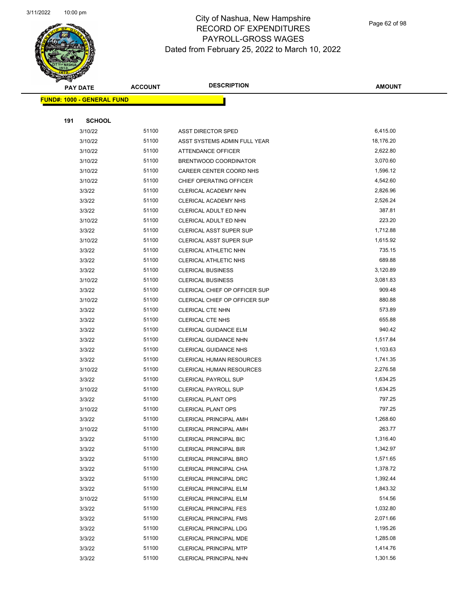

Page 62 of 98

| <b>PAY DATE</b>                    | <b>ACCOUNT</b> | <b>DESCRIPTION</b>                                      | AMOUNT             |
|------------------------------------|----------------|---------------------------------------------------------|--------------------|
| <u> FUND#: 1000 - GENERAL FUND</u> |                |                                                         |                    |
|                                    |                |                                                         |                    |
| 191<br><b>SCHOOL</b>               |                |                                                         |                    |
| 3/10/22                            | 51100          | ASST DIRECTOR SPED                                      | 6,415.00           |
| 3/10/22                            | 51100          | ASST SYSTEMS ADMIN FULL YEAR                            | 18,176.20          |
| 3/10/22                            | 51100          | ATTENDANCE OFFICER                                      | 2,622.80           |
| 3/10/22                            | 51100          | BRENTWOOD COORDINATOR                                   | 3,070.60           |
| 3/10/22                            | 51100          | CAREER CENTER COORD NHS                                 | 1,596.12           |
| 3/10/22                            | 51100          | CHIEF OPERATING OFFICER                                 | 4,542.60           |
| 3/3/22                             | 51100          | CLERICAL ACADEMY NHN                                    | 2,826.96           |
| 3/3/22                             | 51100          | CLERICAL ACADEMY NHS                                    | 2,526.24           |
| 3/3/22                             | 51100          | CLERICAL ADULT ED NHN                                   | 387.81             |
| 3/10/22                            | 51100          | CLERICAL ADULT ED NHN                                   | 223.20             |
| 3/3/22                             | 51100          | <b>CLERICAL ASST SUPER SUP</b>                          | 1,712.88           |
| 3/10/22                            | 51100          | <b>CLERICAL ASST SUPER SUP</b>                          | 1,615.92           |
| 3/3/22                             | 51100          | CLERICAL ATHLETIC NHN                                   | 735.15             |
| 3/3/22                             | 51100          | <b>CLERICAL ATHLETIC NHS</b>                            | 689.88             |
| 3/3/22                             | 51100          | <b>CLERICAL BUSINESS</b>                                | 3,120.89           |
| 3/10/22                            | 51100          | <b>CLERICAL BUSINESS</b>                                | 3,081.83           |
| 3/3/22                             | 51100          | CLERICAL CHIEF OP OFFICER SUP                           | 909.48             |
| 3/10/22                            | 51100          | CLERICAL CHIEF OP OFFICER SUP                           | 880.88             |
| 3/3/22                             | 51100          | <b>CLERICAL CTE NHN</b>                                 | 573.89             |
| 3/3/22                             | 51100          | <b>CLERICAL CTE NHS</b>                                 | 655.88             |
| 3/3/22                             | 51100          | CLERICAL GUIDANCE ELM                                   | 940.42             |
| 3/3/22                             | 51100          | <b>CLERICAL GUIDANCE NHN</b>                            | 1,517.84           |
| 3/3/22                             | 51100          | <b>CLERICAL GUIDANCE NHS</b>                            | 1,103.63           |
| 3/3/22                             | 51100          | <b>CLERICAL HUMAN RESOURCES</b>                         | 1,741.35           |
| 3/10/22                            | 51100          | <b>CLERICAL HUMAN RESOURCES</b>                         | 2,276.58           |
| 3/3/22                             | 51100          | <b>CLERICAL PAYROLL SUP</b>                             | 1,634.25           |
| 3/10/22                            | 51100          | <b>CLERICAL PAYROLL SUP</b>                             | 1,634.25           |
| 3/3/22                             | 51100          | <b>CLERICAL PLANT OPS</b>                               | 797.25             |
| 3/10/22                            | 51100          | <b>CLERICAL PLANT OPS</b>                               | 797.25             |
| 3/3/22                             | 51100          | <b>CLERICAL PRINCIPAL AMH</b>                           | 1,268.60           |
| 3/10/22                            | 51100          | <b>CLERICAL PRINCIPAL AMH</b>                           | 263.77             |
| 3/3/22                             | 51100          | <b>CLERICAL PRINCIPAL BIC</b>                           | 1,316.40           |
| 3/3/22                             | 51100          | <b>CLERICAL PRINCIPAL BIR</b>                           | 1,342.97           |
| 3/3/22                             | 51100          | CLERICAL PRINCIPAL BRO                                  | 1,571.65           |
| 3/3/22                             | 51100          | CLERICAL PRINCIPAL CHA                                  | 1,378.72           |
| 3/3/22                             | 51100          | CLERICAL PRINCIPAL DRC                                  | 1,392.44           |
| 3/3/22                             | 51100          | <b>CLERICAL PRINCIPAL ELM</b>                           | 1,843.32           |
| 3/10/22                            | 51100<br>51100 | CLERICAL PRINCIPAL ELM                                  | 514.56<br>1,032.80 |
| 3/3/22                             | 51100          | CLERICAL PRINCIPAL FES                                  | 2,071.66           |
| 3/3/22                             | 51100          | <b>CLERICAL PRINCIPAL FMS</b>                           | 1,195.26           |
| 3/3/22                             | 51100          | <b>CLERICAL PRINCIPAL LDG</b>                           | 1,285.08           |
| 3/3/22<br>3/3/22                   | 51100          | CLERICAL PRINCIPAL MDE<br><b>CLERICAL PRINCIPAL MTP</b> | 1,414.76           |
| 3/3/22                             | 51100          | CLERICAL PRINCIPAL NHN                                  | 1,301.56           |
|                                    |                |                                                         |                    |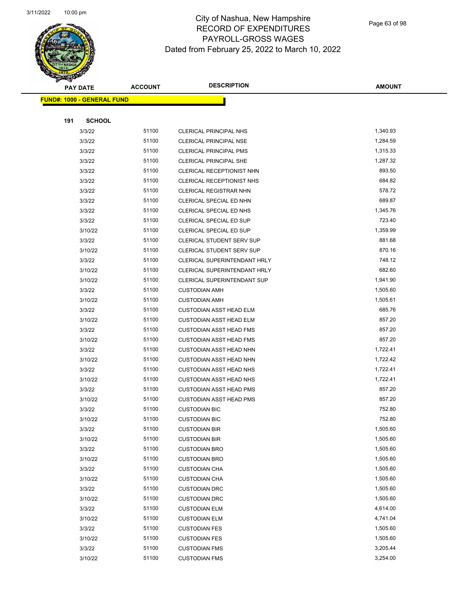

Page 63 of 98

|     | <b>PAY DATE</b>                    | <b>ACCOUNT</b> | <b>DESCRIPTION</b>               | <b>AMOUNT</b> |  |
|-----|------------------------------------|----------------|----------------------------------|---------------|--|
|     | <u> FUND#: 1000 - GENERAL FUND</u> |                |                                  |               |  |
|     |                                    |                |                                  |               |  |
| 191 | <b>SCHOOL</b>                      |                |                                  |               |  |
|     | 3/3/22                             | 51100          | <b>CLERICAL PRINCIPAL NHS</b>    | 1,340.93      |  |
|     | 3/3/22                             | 51100          | <b>CLERICAL PRINCIPAL NSE</b>    | 1,284.59      |  |
|     | 3/3/22                             | 51100          | <b>CLERICAL PRINCIPAL PMS</b>    | 1,315.33      |  |
|     | 3/3/22                             | 51100          | CLERICAL PRINCIPAL SHE           | 1,287.32      |  |
|     | 3/3/22                             | 51100          | CLERICAL RECEPTIONIST NHN        | 893.50        |  |
|     | 3/3/22                             | 51100          | CLERICAL RECEPTIONIST NHS        | 684.82        |  |
|     | 3/3/22                             | 51100          | <b>CLERICAL REGISTRAR NHN</b>    | 578.72        |  |
|     | 3/3/22                             | 51100          | CLERICAL SPECIAL ED NHN          | 689.87        |  |
|     | 3/3/22                             | 51100          | CLERICAL SPECIAL ED NHS          | 1,345.76      |  |
|     | 3/3/22                             | 51100          | CLERICAL SPECIAL ED SUP          | 723.40        |  |
|     | 3/10/22                            | 51100          | CLERICAL SPECIAL ED SUP          | 1,359.99      |  |
|     | 3/3/22                             | 51100          | <b>CLERICAL STUDENT SERV SUP</b> | 881.68        |  |
|     | 3/10/22                            | 51100          | <b>CLERICAL STUDENT SERV SUP</b> | 870.16        |  |
|     | 3/3/22                             | 51100          | CLERICAL SUPERINTENDANT HRLY     | 748.12        |  |
|     | 3/10/22                            | 51100          | CLERICAL SUPERINTENDANT HRLY     | 682.60        |  |
|     | 3/10/22                            | 51100          | CLERICAL SUPERINTENDANT SUP      | 1,941.90      |  |
|     | 3/3/22                             | 51100          | <b>CUSTODIAN AMH</b>             | 1,505.60      |  |
|     | 3/10/22                            | 51100          | <b>CUSTODIAN AMH</b>             | 1,505.61      |  |
|     | 3/3/22                             | 51100          | <b>CUSTODIAN ASST HEAD ELM</b>   | 685.76        |  |
|     | 3/10/22                            | 51100          | <b>CUSTODIAN ASST HEAD ELM</b>   | 857.20        |  |
|     | 3/3/22                             | 51100          | <b>CUSTODIAN ASST HEAD FMS</b>   | 857.20        |  |
|     | 3/10/22                            | 51100          | <b>CUSTODIAN ASST HEAD FMS</b>   | 857.20        |  |
|     | 3/3/22                             | 51100          | <b>CUSTODIAN ASST HEAD NHN</b>   | 1,722.41      |  |
|     | 3/10/22                            | 51100          | <b>CUSTODIAN ASST HEAD NHN</b>   | 1,722.42      |  |
|     | 3/3/22                             | 51100          | <b>CUSTODIAN ASST HEAD NHS</b>   | 1,722.41      |  |
|     | 3/10/22                            | 51100          | <b>CUSTODIAN ASST HEAD NHS</b>   | 1,722.41      |  |
|     | 3/3/22                             | 51100          | <b>CUSTODIAN ASST HEAD PMS</b>   | 857.20        |  |
|     | 3/10/22                            | 51100          | <b>CUSTODIAN ASST HEAD PMS</b>   | 857.20        |  |
|     | 3/3/22                             | 51100          | <b>CUSTODIAN BIC</b>             | 752.80        |  |
|     | 3/10/22                            | 51100          | <b>CUSTODIAN BIC</b>             | 752.80        |  |
|     | 3/3/22                             | 51100          | <b>CUSTODIAN BIR</b>             | 1,505.60      |  |
|     | 3/10/22                            | 51100          | <b>CUSTODIAN BIR</b>             | 1,505.60      |  |
|     | 3/3/22                             | 51100          | <b>CUSTODIAN BRO</b>             | 1,505.60      |  |
|     | 3/10/22                            | 51100          | <b>CUSTODIAN BRO</b>             | 1,505.60      |  |
|     | 3/3/22                             | 51100          | <b>CUSTODIAN CHA</b>             | 1,505.60      |  |
|     | 3/10/22                            | 51100          | <b>CUSTODIAN CHA</b>             | 1,505.60      |  |
|     | 3/3/22                             | 51100          | <b>CUSTODIAN DRC</b>             | 1,505.60      |  |
|     | 3/10/22                            | 51100          | <b>CUSTODIAN DRC</b>             | 1,505.60      |  |
|     | 3/3/22                             | 51100          | <b>CUSTODIAN ELM</b>             | 4,614.00      |  |
|     | 3/10/22                            | 51100          | <b>CUSTODIAN ELM</b>             | 4,741.04      |  |
|     | 3/3/22                             | 51100          | <b>CUSTODIAN FES</b>             | 1,505.60      |  |
|     | 3/10/22                            | 51100          | <b>CUSTODIAN FES</b>             | 1,505.60      |  |
|     | 3/3/22                             | 51100          | <b>CUSTODIAN FMS</b>             | 3,205.44      |  |
|     | 3/10/22                            | 51100          | <b>CUSTODIAN FMS</b>             | 3,254.00      |  |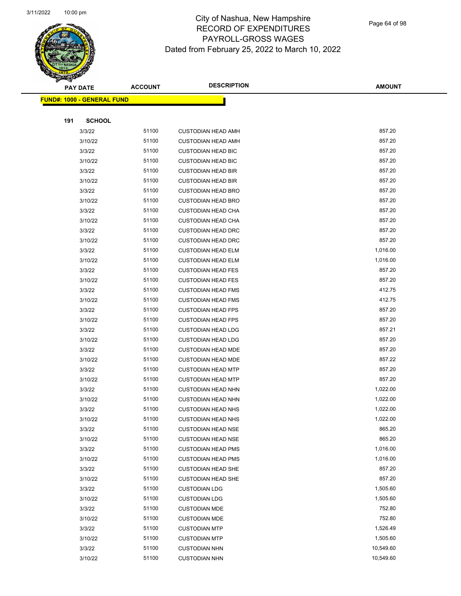

Page 64 of 98

| <b>PAY DATE</b>                    | <b>ACCOUNT</b> | <b>DESCRIPTION</b>        | <b>AMOUNT</b> |
|------------------------------------|----------------|---------------------------|---------------|
| <u> FUND#: 1000 - GENERAL FUND</u> |                |                           |               |
|                                    |                |                           |               |
| 191                                | <b>SCHOOL</b>  |                           |               |
| 3/3/22                             | 51100          | <b>CUSTODIAN HEAD AMH</b> | 857.20        |
| 3/10/22                            | 51100          | <b>CUSTODIAN HEAD AMH</b> | 857.20        |
| 3/3/22                             | 51100          | <b>CUSTODIAN HEAD BIC</b> | 857.20        |
| 3/10/22                            | 51100          | <b>CUSTODIAN HEAD BIC</b> | 857.20        |
| 3/3/22                             | 51100          | <b>CUSTODIAN HEAD BIR</b> | 857.20        |
| 3/10/22                            | 51100          | <b>CUSTODIAN HEAD BIR</b> | 857.20        |
| 3/3/22                             | 51100          | <b>CUSTODIAN HEAD BRO</b> | 857.20        |
| 3/10/22                            | 51100          | <b>CUSTODIAN HEAD BRO</b> | 857.20        |
| 3/3/22                             | 51100          | <b>CUSTODIAN HEAD CHA</b> | 857.20        |
| 3/10/22                            | 51100          | <b>CUSTODIAN HEAD CHA</b> | 857.20        |
| 3/3/22                             | 51100          | <b>CUSTODIAN HEAD DRC</b> | 857.20        |
| 3/10/22                            | 51100          | <b>CUSTODIAN HEAD DRC</b> | 857.20        |
| 3/3/22                             | 51100          | <b>CUSTODIAN HEAD ELM</b> | 1,016.00      |
| 3/10/22                            | 51100          | <b>CUSTODIAN HEAD ELM</b> | 1,016.00      |
| 3/3/22                             | 51100          | <b>CUSTODIAN HEAD FES</b> | 857.20        |
| 3/10/22                            | 51100          | <b>CUSTODIAN HEAD FES</b> | 857.20        |
| 3/3/22                             | 51100          | <b>CUSTODIAN HEAD FMS</b> | 412.75        |
| 3/10/22                            | 51100          | <b>CUSTODIAN HEAD FMS</b> | 412.75        |
| 3/3/22                             | 51100          | <b>CUSTODIAN HEAD FPS</b> | 857.20        |
| 3/10/22                            | 51100          | <b>CUSTODIAN HEAD FPS</b> | 857.20        |
| 3/3/22                             | 51100          | <b>CUSTODIAN HEAD LDG</b> | 857.21        |
| 3/10/22                            | 51100          | <b>CUSTODIAN HEAD LDG</b> | 857.20        |
| 3/3/22                             | 51100          | <b>CUSTODIAN HEAD MDE</b> | 857.20        |
| 3/10/22                            | 51100          | <b>CUSTODIAN HEAD MDE</b> | 857.22        |
| 3/3/22                             | 51100          | <b>CUSTODIAN HEAD MTP</b> | 857.20        |
| 3/10/22                            | 51100          | <b>CUSTODIAN HEAD MTP</b> | 857.20        |
| 3/3/22                             | 51100          | <b>CUSTODIAN HEAD NHN</b> | 1,022.00      |
| 3/10/22                            | 51100          | <b>CUSTODIAN HEAD NHN</b> | 1,022.00      |
| 3/3/22                             | 51100          | <b>CUSTODIAN HEAD NHS</b> | 1,022.00      |
| 3/10/22                            | 51100          | <b>CUSTODIAN HEAD NHS</b> | 1,022.00      |
| 3/3/22                             | 51100          | <b>CUSTODIAN HEAD NSE</b> | 865.20        |
| 3/10/22                            | 51100          | <b>CUSTODIAN HEAD NSE</b> | 865.20        |
| 3/3/22                             | 51100          | <b>CUSTODIAN HEAD PMS</b> | 1,016.00      |
| 3/10/22                            | 51100          | <b>CUSTODIAN HEAD PMS</b> | 1,016.00      |
| 3/3/22                             | 51100          | <b>CUSTODIAN HEAD SHE</b> | 857.20        |
| 3/10/22                            | 51100          | <b>CUSTODIAN HEAD SHE</b> | 857.20        |
| 3/3/22                             | 51100          | <b>CUSTODIAN LDG</b>      | 1,505.60      |
| 3/10/22                            | 51100          | <b>CUSTODIAN LDG</b>      | 1,505.60      |
| 3/3/22                             | 51100          | <b>CUSTODIAN MDE</b>      | 752.80        |
| 3/10/22                            | 51100          | <b>CUSTODIAN MDE</b>      | 752.80        |
| 3/3/22                             | 51100          | <b>CUSTODIAN MTP</b>      | 1,526.49      |
| 3/10/22                            | 51100          | <b>CUSTODIAN MTP</b>      | 1,505.60      |
| 3/3/22                             | 51100          | <b>CUSTODIAN NHN</b>      | 10,549.60     |
| 3/10/22                            | 51100          | <b>CUSTODIAN NHN</b>      | 10,549.60     |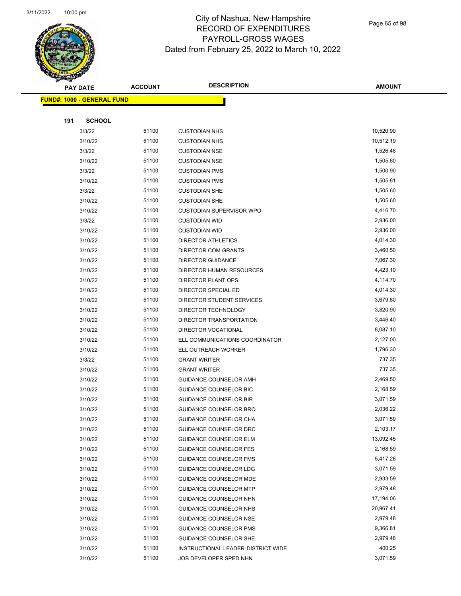

Page 65 of 98

|     | <b>PAY DATE</b>                   | <b>ACCOUNT</b> | <b>DESCRIPTION</b>                 | <b>AMOUNT</b> |
|-----|-----------------------------------|----------------|------------------------------------|---------------|
|     | <b>FUND#: 1000 - GENERAL FUND</b> |                |                                    |               |
|     |                                   |                |                                    |               |
| 191 | <b>SCHOOL</b>                     |                |                                    |               |
|     | 3/3/22                            | 51100          | <b>CUSTODIAN NHS</b>               | 10,520.90     |
|     | 3/10/22                           | 51100          | <b>CUSTODIAN NHS</b>               | 10,512.19     |
|     | 3/3/22                            | 51100          | <b>CUSTODIAN NSE</b>               | 1,526.48      |
|     | 3/10/22                           | 51100          | <b>CUSTODIAN NSE</b>               | 1,505.60      |
|     | 3/3/22                            | 51100          | <b>CUSTODIAN PMS</b>               | 1,500.90      |
|     | 3/10/22                           | 51100          | <b>CUSTODIAN PMS</b>               | 1,505.61      |
|     | 3/3/22                            | 51100          | <b>CUSTODIAN SHE</b>               | 1,505.60      |
|     | 3/10/22                           | 51100          | <b>CUSTODIAN SHE</b>               | 1,505.60      |
|     | 3/10/22                           | 51100          | <b>CUSTODIAN SUPERVISOR WPO</b>    | 4,416.70      |
|     | 3/3/22                            | 51100          | <b>CUSTODIAN WID</b>               | 2,936.00      |
|     | 3/10/22                           | 51100          | <b>CUSTODIAN WID</b>               | 2,936.00      |
|     | 3/10/22                           | 51100          | DIRECTOR ATHLETICS                 | 4,014.30      |
|     | 3/10/22                           | 51100          | <b>DIRECTOR COM GRANTS</b>         | 3,460.50      |
|     | 3/10/22                           | 51100          | <b>DIRECTOR GUIDANCE</b>           | 7,067.30      |
|     | 3/10/22                           | 51100          | DIRECTOR HUMAN RESOURCES           | 4,423.10      |
|     | 3/10/22                           | 51100          | <b>DIRECTOR PLANT OPS</b>          | 4,114.70      |
|     | 3/10/22                           | 51100          | DIRECTOR SPECIAL ED                | 4,014.30      |
|     | 3/10/22                           | 51100          | DIRECTOR STUDENT SERVICES          | 3,679.80      |
|     | 3/10/22                           | 51100          | DIRECTOR TECHNOLOGY                | 3,820.90      |
|     | 3/10/22                           | 51100          | DIRECTOR TRANSPORTATION            | 3,446.40      |
|     | 3/10/22                           | 51100          | <b>DIRECTOR VOCATIONAL</b>         | 8,087.10      |
|     | 3/10/22                           | 51100          | ELL COMMUNICATIONS COORDINATOR     | 2,127.00      |
|     | 3/10/22                           | 51100          | ELL OUTREACH WORKER                | 1,796.30      |
|     | 3/3/22                            | 51100          | <b>GRANT WRITER</b>                | 737.35        |
|     | 3/10/22                           | 51100          | <b>GRANT WRITER</b>                | 737.35        |
|     | 3/10/22                           | 51100          | GUIDANCE COUNSELOR AMH             | 2,469.50      |
|     | 3/10/22                           | 51100          | GUIDANCE COUNSELOR BIC             | 2,168.59      |
|     | 3/10/22                           | 51100          | <b>GUIDANCE COUNSELOR BIR</b>      | 3,071.59      |
|     | 3/10/22                           | 51100          | <b>GUIDANCE COUNSELOR BRO</b>      | 2,036.22      |
|     | 3/10/22                           | 51100          | <b>GUIDANCE COUNSELOR CHA</b>      | 3,071.59      |
|     | 3/10/22                           | 51100          | GUIDANCE COUNSELOR DRC             | 2,103.17      |
|     | 3/10/22                           | 51100          | <b>GUIDANCE COUNSELOR ELM</b>      | 13,092.45     |
|     | 3/10/22                           | 51100          | <b>GUIDANCE COUNSELOR FES</b>      | 2,168.59      |
|     | 3/10/22                           | 51100          | <b>GUIDANCE COUNSELOR FMS</b>      | 5,417.26      |
|     | 3/10/22                           | 51100          | GUIDANCE COUNSELOR LDG             | 3,071.59      |
|     | 3/10/22                           | 51100          | GUIDANCE COUNSELOR MDE             | 2,933.59      |
|     | 3/10/22                           | 51100          | <b>GUIDANCE COUNSELOR MTP</b>      | 2,979.48      |
|     | 3/10/22                           | 51100          | GUIDANCE COUNSELOR NHN             | 17,194.06     |
|     | 3/10/22                           | 51100          | GUIDANCE COUNSELOR NHS             | 20,967.41     |
|     | 3/10/22                           | 51100          | GUIDANCE COUNSELOR NSE             | 2,979.48      |
|     | 3/10/22                           | 51100          | GUIDANCE COUNSELOR PMS             | 9,366.81      |
|     | 3/10/22                           | 51100          | GUIDANCE COUNSELOR SHE             | 2,979.48      |
|     | 3/10/22                           | 51100          | INSTRUCTIONAL LEADER-DISTRICT WIDE | 400.25        |
|     | 3/10/22                           | 51100          | JOB DEVELOPER SPED NHN             | 3,071.59      |
|     |                                   |                |                                    |               |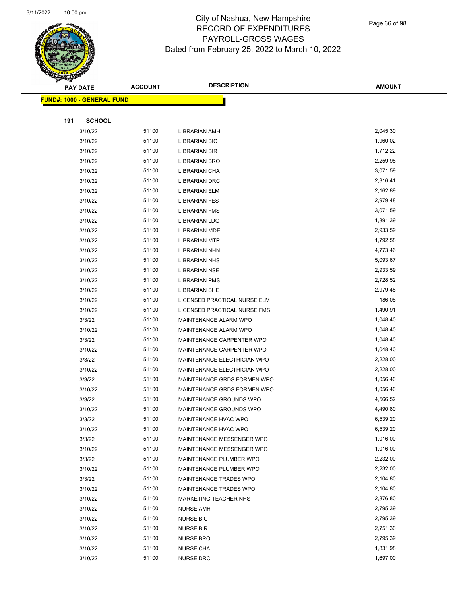Page 66 of 98

| <b>Anthony</b> |                                   |                |                                                            |                      |
|----------------|-----------------------------------|----------------|------------------------------------------------------------|----------------------|
|                | <b>PAY DATE</b>                   | <b>ACCOUNT</b> | <b>DESCRIPTION</b>                                         | <b>AMOUNT</b>        |
|                | <b>FUND#: 1000 - GENERAL FUND</b> |                |                                                            |                      |
|                |                                   |                |                                                            |                      |
| 191            | <b>SCHOOL</b>                     |                |                                                            |                      |
|                | 3/10/22                           | 51100          | LIBRARIAN AMH                                              | 2,045.30             |
|                | 3/10/22                           | 51100          | <b>LIBRARIAN BIC</b>                                       | 1,960.02             |
|                | 3/10/22                           | 51100          | LIBRARIAN BIR                                              | 1,712.22             |
|                | 3/10/22                           | 51100          | LIBRARIAN BRO                                              | 2,259.98             |
|                | 3/10/22                           | 51100          | LIBRARIAN CHA                                              | 3,071.59             |
|                | 3/10/22                           | 51100          | <b>LIBRARIAN DRC</b>                                       | 2,316.41             |
|                | 3/10/22                           | 51100          | LIBRARIAN ELM                                              | 2,162.89             |
|                | 3/10/22                           | 51100          | <b>LIBRARIAN FES</b>                                       | 2,979.48             |
|                | 3/10/22                           | 51100          | <b>LIBRARIAN FMS</b>                                       | 3,071.59             |
|                | 3/10/22                           | 51100          | <b>LIBRARIAN LDG</b>                                       | 1,891.39             |
|                | 3/10/22                           | 51100          | LIBRARIAN MDE                                              | 2,933.59             |
|                | 3/10/22                           | 51100          | <b>LIBRARIAN MTP</b>                                       | 1,792.58             |
|                | 3/10/22                           | 51100          | LIBRARIAN NHN                                              | 4,773.46             |
|                | 3/10/22                           | 51100          | <b>LIBRARIAN NHS</b>                                       | 5,093.67             |
|                | 3/10/22                           | 51100          | <b>LIBRARIAN NSE</b>                                       | 2,933.59             |
|                | 3/10/22                           | 51100          | <b>LIBRARIAN PMS</b>                                       | 2,728.52             |
|                | 3/10/22                           | 51100          | <b>LIBRARIAN SHE</b>                                       | 2,979.48             |
|                | 3/10/22                           | 51100          | LICENSED PRACTICAL NURSE ELM                               | 186.08               |
|                | 3/10/22                           | 51100          | LICENSED PRACTICAL NURSE FMS                               | 1,490.91             |
|                | 3/3/22                            | 51100          | MAINTENANCE ALARM WPO                                      | 1,048.40             |
|                | 3/10/22                           | 51100          | MAINTENANCE ALARM WPO                                      | 1,048.40             |
|                | 3/3/22                            | 51100          | MAINTENANCE CARPENTER WPO                                  | 1,048.40             |
|                | 3/10/22                           | 51100          | MAINTENANCE CARPENTER WPO                                  | 1,048.40             |
|                | 3/3/22                            | 51100          | MAINTENANCE ELECTRICIAN WPO                                | 2,228.00             |
|                |                                   | 51100          |                                                            | 2,228.00             |
|                | 3/10/22                           | 51100          | MAINTENANCE ELECTRICIAN WPO<br>MAINTENANCE GRDS FORMEN WPO | 1,056.40             |
|                | 3/3/22                            |                |                                                            |                      |
|                | 3/10/22                           | 51100          | MAINTENANCE GRDS FORMEN WPO                                | 1,056.40             |
|                | 3/3/22                            | 51100          | MAINTENANCE GROUNDS WPO                                    | 4,566.52<br>4,490.80 |
|                | 3/10/22                           | 51100          | MAINTENANCE GROUNDS WPO                                    |                      |
|                | 3/3/22                            | 51100          | MAINTENANCE HVAC WPO                                       | 6,539.20             |
|                | 3/10/22                           | 51100          | MAINTENANCE HVAC WPO                                       | 6,539.20             |
|                | 3/3/22                            | 51100          | MAINTENANCE MESSENGER WPO                                  | 1,016.00             |
|                | 3/10/22                           | 51100          | MAINTENANCE MESSENGER WPO                                  | 1,016.00             |
|                | 3/3/22                            | 51100          | MAINTENANCE PLUMBER WPO                                    | 2,232.00             |
|                | 3/10/22                           | 51100          | MAINTENANCE PLUMBER WPO                                    | 2,232.00             |
|                | 3/3/22                            | 51100          | MAINTENANCE TRADES WPO                                     | 2,104.80             |
|                | 3/10/22                           | 51100          | MAINTENANCE TRADES WPO                                     | 2,104.80             |
|                | 3/10/22                           | 51100          | MARKETING TEACHER NHS                                      | 2,876.80             |
|                | 3/10/22                           | 51100          | <b>NURSE AMH</b>                                           | 2,795.39             |
|                | 3/10/22                           | 51100          | <b>NURSE BIC</b>                                           | 2,795.39             |
|                | 3/10/22                           | 51100          | <b>NURSE BIR</b>                                           | 2,751.30             |
|                | 3/10/22                           | 51100          | <b>NURSE BRO</b>                                           | 2,795.39             |
|                | 3/10/22                           | 51100          | <b>NURSE CHA</b>                                           | 1,831.98             |
|                | 3/10/22                           | 51100          | <b>NURSE DRC</b>                                           | 1,697.00             |
|                |                                   |                |                                                            |                      |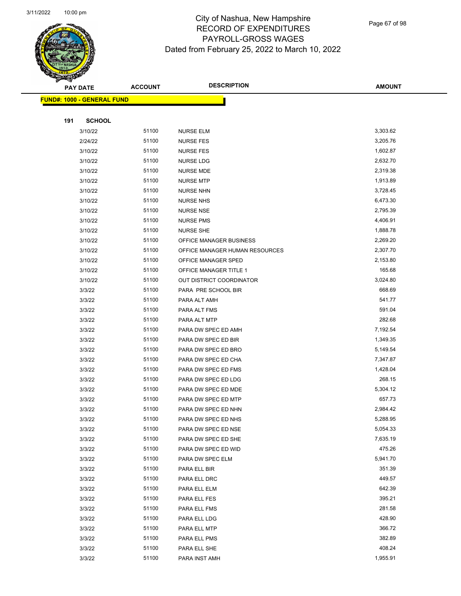

Page 67 of 98

|     | <b>PAY DATE</b>                    | <b>ACCOUNT</b> | <b>DESCRIPTION</b>                         | <b>AMOUNT</b>        |
|-----|------------------------------------|----------------|--------------------------------------------|----------------------|
|     | <u> FUND#: 1000 - GENERAL FUND</u> |                |                                            |                      |
|     |                                    |                |                                            |                      |
| 191 | <b>SCHOOL</b>                      |                |                                            |                      |
|     | 3/10/22                            | 51100          | NURSE ELM                                  | 3,303.62             |
|     | 2/24/22                            | 51100          | <b>NURSE FES</b>                           | 3,205.76             |
|     | 3/10/22                            | 51100          | <b>NURSE FES</b>                           | 1,602.87             |
|     | 3/10/22                            | 51100          | <b>NURSE LDG</b>                           | 2,632.70             |
|     | 3/10/22                            | 51100          | <b>NURSE MDE</b>                           | 2,319.38             |
|     | 3/10/22                            | 51100          | <b>NURSE MTP</b>                           | 1,913.89             |
|     | 3/10/22                            | 51100          | <b>NURSE NHN</b>                           | 3,728.45             |
|     | 3/10/22                            | 51100          | <b>NURSE NHS</b>                           | 6,473.30             |
|     | 3/10/22                            | 51100          | <b>NURSE NSE</b>                           | 2,795.39             |
|     | 3/10/22                            | 51100          | <b>NURSE PMS</b>                           | 4,406.91             |
|     | 3/10/22                            | 51100          | <b>NURSE SHE</b>                           | 1,888.78             |
|     | 3/10/22                            | 51100          | OFFICE MANAGER BUSINESS                    | 2,269.20             |
|     | 3/10/22                            | 51100          | OFFICE MANAGER HUMAN RESOURCES             | 2,307.70             |
|     | 3/10/22                            | 51100          | OFFICE MANAGER SPED                        | 2,153.80             |
|     | 3/10/22                            | 51100          | OFFICE MANAGER TITLE 1                     | 165.68               |
|     | 3/10/22                            | 51100          | OUT DISTRICT COORDINATOR                   | 3,024.80             |
|     | 3/3/22                             | 51100          | PARA PRE SCHOOL BIR                        | 668.69               |
|     | 3/3/22                             | 51100          | PARA ALT AMH                               | 541.77               |
|     | 3/3/22                             | 51100          | PARA ALT FMS                               | 591.04               |
|     | 3/3/22                             | 51100          | PARA ALT MTP                               | 282.68               |
|     | 3/3/22                             | 51100          | PARA DW SPEC ED AMH                        | 7,192.54             |
|     | 3/3/22                             | 51100          | PARA DW SPEC ED BIR                        | 1,349.35             |
|     | 3/3/22                             | 51100          | PARA DW SPEC ED BRO                        | 5,149.54             |
|     | 3/3/22                             | 51100          | PARA DW SPEC ED CHA                        | 7,347.87             |
|     | 3/3/22                             | 51100          | PARA DW SPEC ED FMS                        | 1,428.04             |
|     | 3/3/22                             | 51100          | PARA DW SPEC ED LDG                        | 268.15               |
|     | 3/3/22                             | 51100          | PARA DW SPEC ED MDE                        | 5,304.12             |
|     | 3/3/22                             | 51100          | PARA DW SPEC ED MTP                        | 657.73               |
|     | 3/3/22                             | 51100          | PARA DW SPEC ED NHN                        | 2,984.42             |
|     | 3/3/22                             | 51100          | PARA DW SPEC ED NHS                        | 5,288.95<br>5,054.33 |
|     | 3/3/22<br>3/3/22                   | 51100<br>51100 | PARA DW SPEC ED NSE                        | 7,635.19             |
|     | 3/3/22                             | 51100          | PARA DW SPEC ED SHE<br>PARA DW SPEC ED WID | 475.26               |
|     | 3/3/22                             | 51100          | PARA DW SPEC ELM                           | 5,941.70             |
|     | 3/3/22                             | 51100          | PARA ELL BIR                               | 351.39               |
|     | 3/3/22                             | 51100          | PARA ELL DRC                               | 449.57               |
|     | 3/3/22                             | 51100          | PARA ELL ELM                               | 642.39               |
|     | 3/3/22                             | 51100          | PARA ELL FES                               | 395.21               |
|     | 3/3/22                             | 51100          | PARA ELL FMS                               | 281.58               |
|     | 3/3/22                             | 51100          | PARA ELL LDG                               | 428.90               |
|     | 3/3/22                             | 51100          | PARA ELL MTP                               | 366.72               |
|     | 3/3/22                             | 51100          | PARA ELL PMS                               | 382.89               |
|     | 3/3/22                             | 51100          | PARA ELL SHE                               | 408.24               |
|     | 3/3/22                             | 51100          | PARA INST AMH                              | 1,955.91             |
|     |                                    |                |                                            |                      |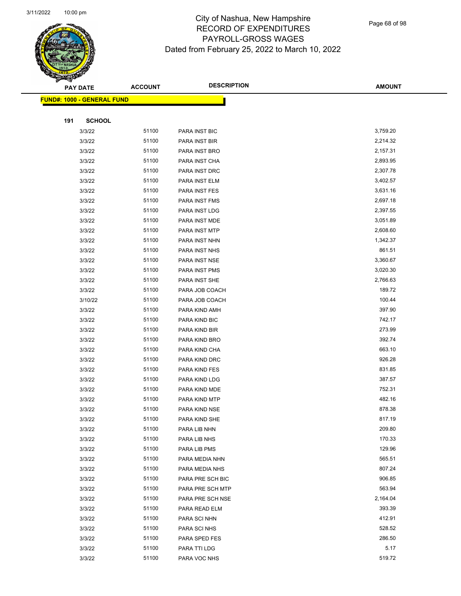

Page 68 of 98

| ॼ   | <b>PAY DATE</b>                   | <b>ACCOUNT</b> | <b>DESCRIPTION</b>                 | <b>AMOUNT</b>    |
|-----|-----------------------------------|----------------|------------------------------------|------------------|
|     | <b>FUND#: 1000 - GENERAL FUND</b> |                |                                    |                  |
|     |                                   |                |                                    |                  |
| 191 | <b>SCHOOL</b>                     |                |                                    |                  |
|     | 3/3/22                            | 51100          | PARA INST BIC                      | 3,759.20         |
|     | 3/3/22                            | 51100          | PARA INST BIR                      | 2,214.32         |
|     | 3/3/22                            | 51100          | PARA INST BRO                      | 2,157.31         |
|     | 3/3/22                            | 51100          | PARA INST CHA                      | 2,893.95         |
|     | 3/3/22                            | 51100          | PARA INST DRC                      | 2,307.78         |
|     | 3/3/22                            | 51100          | PARA INST ELM                      | 3,402.57         |
|     | 3/3/22                            | 51100          | PARA INST FES                      | 3,631.16         |
|     | 3/3/22                            | 51100          | PARA INST FMS                      | 2,697.18         |
|     | 3/3/22                            | 51100          | PARA INST LDG                      | 2,397.55         |
|     | 3/3/22                            | 51100          | PARA INST MDE                      | 3,051.89         |
|     | 3/3/22                            | 51100          | PARA INST MTP                      | 2,608.60         |
|     | 3/3/22                            | 51100          | PARA INST NHN                      | 1,342.37         |
|     | 3/3/22                            | 51100          | PARA INST NHS                      | 861.51           |
|     | 3/3/22                            | 51100          | PARA INST NSE                      | 3,360.67         |
|     | 3/3/22                            | 51100          | PARA INST PMS                      | 3,020.30         |
|     | 3/3/22                            | 51100          | PARA INST SHE                      | 2,766.63         |
|     | 3/3/22                            | 51100          | PARA JOB COACH                     | 189.72           |
|     | 3/10/22                           | 51100          | PARA JOB COACH                     | 100.44           |
|     | 3/3/22                            | 51100          | PARA KIND AMH                      | 397.90           |
|     | 3/3/22                            | 51100          | PARA KIND BIC                      | 742.17           |
|     | 3/3/22                            | 51100          | PARA KIND BIR                      | 273.99           |
|     | 3/3/22                            | 51100          | PARA KIND BRO                      | 392.74           |
|     | 3/3/22                            | 51100          | PARA KIND CHA                      | 663.10           |
|     | 3/3/22                            | 51100          | PARA KIND DRC                      | 926.28           |
|     | 3/3/22                            | 51100          | PARA KIND FES                      | 831.85           |
|     | 3/3/22                            | 51100          | PARA KIND LDG                      | 387.57           |
|     | 3/3/22                            | 51100          | PARA KIND MDE                      | 752.31           |
|     | 3/3/22                            | 51100          | PARA KIND MTP                      | 482.16           |
|     | 3/3/22                            | 51100          | PARA KIND NSE                      | 878.38           |
|     | 3/3/22                            | 51100          | PARA KIND SHE                      | 817.19           |
|     | 3/3/22                            | 51100          | PARA LIB NHN                       | 209.80           |
|     | 3/3/22                            | 51100          | PARA LIB NHS                       | 170.33           |
|     | 3/3/22                            | 51100          | PARA LIB PMS                       | 129.96<br>565.51 |
|     | 3/3/22                            | 51100<br>51100 | PARA MEDIA NHN                     | 807.24           |
|     | 3/3/22<br>3/3/22                  | 51100          | PARA MEDIA NHS<br>PARA PRE SCH BIC | 906.85           |
|     | 3/3/22                            | 51100          | PARA PRE SCH MTP                   | 563.94           |
|     | 3/3/22                            | 51100          | PARA PRE SCH NSE                   | 2,164.04         |
|     | 3/3/22                            | 51100          | PARA READ ELM                      | 393.39           |
|     | 3/3/22                            | 51100          | PARA SCI NHN                       | 412.91           |
|     | 3/3/22                            | 51100          | PARA SCI NHS                       | 528.52           |
|     | 3/3/22                            | 51100          | PARA SPED FES                      | 286.50           |
|     | 3/3/22                            | 51100          | PARA TTI LDG                       | 5.17             |
|     | 3/3/22                            | 51100          | PARA VOC NHS                       | 519.72           |
|     |                                   |                |                                    |                  |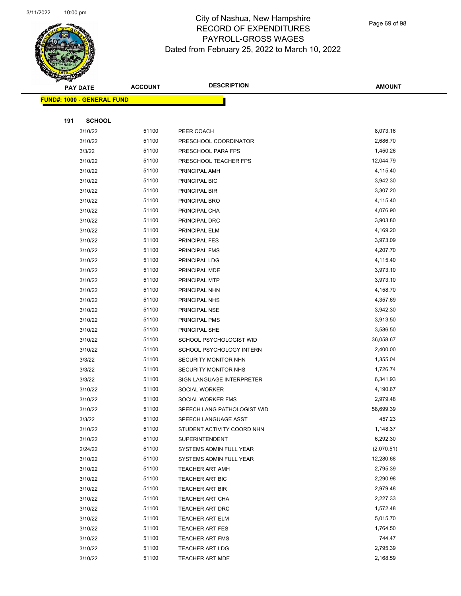

Page 69 of 98

| <b>PAY DATE</b>                    | <b>ACCOUNT</b> | <b>DESCRIPTION</b>                               | <b>AMOUNT</b>        |
|------------------------------------|----------------|--------------------------------------------------|----------------------|
| <u> FUND#: 1000 - GENERAL FUND</u> |                |                                                  |                      |
|                                    |                |                                                  |                      |
| 191<br><b>SCHOOL</b>               |                |                                                  |                      |
| 3/10/22                            | 51100          | PEER COACH                                       | 8,073.16             |
| 3/10/22                            | 51100          | PRESCHOOL COORDINATOR                            | 2,686.70             |
| 3/3/22                             | 51100          | PRESCHOOL PARA FPS                               | 1,450.26             |
| 3/10/22                            | 51100          | PRESCHOOL TEACHER FPS                            | 12,044.79            |
| 3/10/22                            | 51100          | PRINCIPAL AMH                                    | 4,115.40             |
| 3/10/22                            | 51100          | PRINCIPAL BIC                                    | 3,942.30             |
| 3/10/22                            | 51100          | PRINCIPAL BIR                                    | 3,307.20             |
| 3/10/22                            | 51100          | PRINCIPAL BRO                                    | 4,115.40             |
| 3/10/22                            | 51100          | PRINCIPAL CHA                                    | 4,076.90             |
| 3/10/22                            | 51100          | PRINCIPAL DRC                                    | 3,903.80             |
| 3/10/22                            | 51100          | PRINCIPAL ELM                                    | 4,169.20             |
| 3/10/22                            | 51100          | PRINCIPAL FES                                    | 3,973.09             |
| 3/10/22                            | 51100          | PRINCIPAL FMS                                    | 4,207.70             |
| 3/10/22                            | 51100          | PRINCIPAL LDG                                    | 4,115.40             |
| 3/10/22                            | 51100          | PRINCIPAL MDE                                    | 3,973.10             |
| 3/10/22                            | 51100          | PRINCIPAL MTP                                    | 3,973.10             |
| 3/10/22                            | 51100          | PRINCIPAL NHN                                    | 4,158.70             |
| 3/10/22                            | 51100          | PRINCIPAL NHS                                    | 4,357.69             |
| 3/10/22                            | 51100          | PRINCIPAL NSE                                    | 3,942.30             |
| 3/10/22                            | 51100          | PRINCIPAL PMS                                    | 3,913.50             |
| 3/10/22                            | 51100          | PRINCIPAL SHE                                    | 3,586.50             |
| 3/10/22                            | 51100          | SCHOOL PSYCHOLOGIST WID                          | 36,058.67            |
| 3/10/22                            | 51100          | SCHOOL PSYCHOLOGY INTERN                         | 2,400.00             |
| 3/3/22                             | 51100          | SECURITY MONITOR NHN                             | 1,355.04             |
| 3/3/22                             | 51100          | SECURITY MONITOR NHS                             | 1,726.74             |
| 3/3/22                             | 51100          | SIGN LANGUAGE INTERPRETER                        | 6,341.93             |
| 3/10/22                            | 51100          | SOCIAL WORKER                                    | 4,190.67             |
| 3/10/22                            | 51100          | SOCIAL WORKER FMS                                | 2,979.48             |
| 3/10/22                            | 51100          | SPEECH LANG PATHOLOGIST WID                      | 58,699.39            |
| 3/3/22                             | 51100          | SPEECH LANGUAGE ASST                             | 457.23               |
| 3/10/22                            | 51100          | STUDENT ACTIVITY COORD NHN                       | 1,148.37             |
| 3/10/22                            | 51100          | <b>SUPERINTENDENT</b>                            | 6,292.30             |
| 2/24/22                            | 51100          | SYSTEMS ADMIN FULL YEAR                          | (2,070.51)           |
| 3/10/22                            | 51100          | SYSTEMS ADMIN FULL YEAR                          | 12,280.68            |
| 3/10/22                            | 51100          | <b>TEACHER ART AMH</b>                           | 2,795.39             |
| 3/10/22                            | 51100          | TEACHER ART BIC                                  | 2,290.98             |
| 3/10/22                            | 51100          | <b>TEACHER ART BIR</b>                           | 2,979.48             |
| 3/10/22                            | 51100          | TEACHER ART CHA                                  | 2,227.33             |
| 3/10/22                            | 51100          | TEACHER ART DRC                                  | 1,572.48             |
| 3/10/22                            | 51100          | TEACHER ART ELM                                  | 5,015.70             |
| 3/10/22                            | 51100          | <b>TEACHER ART FES</b>                           | 1,764.50<br>744.47   |
| 3/10/22                            | 51100          | <b>TEACHER ART FMS</b>                           |                      |
| 3/10/22<br>3/10/22                 | 51100<br>51100 | <b>TEACHER ART LDG</b><br><b>TEACHER ART MDE</b> | 2,795.39<br>2,168.59 |
|                                    |                |                                                  |                      |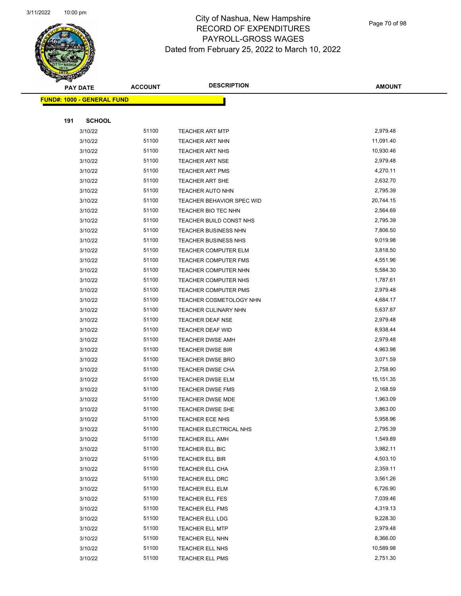

Page 70 of 98

|     | <b>PAY DATE</b>                    | <b>ACCOUNT</b> | <b>DESCRIPTION</b>          | <b>AMOUNT</b> |
|-----|------------------------------------|----------------|-----------------------------|---------------|
|     | <u> FUND#: 1000 - GENERAL FUND</u> |                |                             |               |
|     |                                    |                |                             |               |
| 191 | <b>SCHOOL</b>                      |                |                             |               |
|     | 3/10/22                            | 51100          | <b>TEACHER ART MTP</b>      | 2,979.48      |
|     | 3/10/22                            | 51100          | <b>TEACHER ART NHN</b>      | 11,091.40     |
|     | 3/10/22                            | 51100          | <b>TEACHER ART NHS</b>      | 10,930.46     |
|     | 3/10/22                            | 51100          | <b>TEACHER ART NSE</b>      | 2,979.48      |
|     | 3/10/22                            | 51100          | <b>TEACHER ART PMS</b>      | 4,270.11      |
|     | 3/10/22                            | 51100          | <b>TEACHER ART SHE</b>      | 2,632.70      |
|     | 3/10/22                            | 51100          | <b>TEACHER AUTO NHN</b>     | 2,795.39      |
|     | 3/10/22                            | 51100          | TEACHER BEHAVIOR SPEC WID   | 20,744.15     |
|     | 3/10/22                            | 51100          | TEACHER BIO TEC NHN         | 2,564.69      |
|     | 3/10/22                            | 51100          | TEACHER BUILD CONST NHS     | 2,795.39      |
|     | 3/10/22                            | 51100          | <b>TEACHER BUSINESS NHN</b> | 7,806.50      |
|     | 3/10/22                            | 51100          | TEACHER BUSINESS NHS        | 9,019.98      |
|     | 3/10/22                            | 51100          | <b>TEACHER COMPUTER ELM</b> | 3,818.50      |
|     | 3/10/22                            | 51100          | <b>TEACHER COMPUTER FMS</b> | 4,551.96      |
|     | 3/10/22                            | 51100          | TEACHER COMPUTER NHN        | 5,584.30      |
|     | 3/10/22                            | 51100          | TEACHER COMPUTER NHS        | 1,787.61      |
|     | 3/10/22                            | 51100          | <b>TEACHER COMPUTER PMS</b> | 2,979.48      |
|     | 3/10/22                            | 51100          | TEACHER COSMETOLOGY NHN     | 4,684.17      |
|     | 3/10/22                            | 51100          | <b>TEACHER CULINARY NHN</b> | 5,637.87      |
|     | 3/10/22                            | 51100          | <b>TEACHER DEAF NSE</b>     | 2,979.48      |
|     | 3/10/22                            | 51100          | <b>TEACHER DEAF WID</b>     | 8,938.44      |
|     | 3/10/22                            | 51100          | <b>TEACHER DWSE AMH</b>     | 2,979.48      |
|     | 3/10/22                            | 51100          | <b>TEACHER DWSE BIR</b>     | 4,963.98      |
|     | 3/10/22                            | 51100          | <b>TEACHER DWSE BRO</b>     | 3,071.59      |
|     | 3/10/22                            | 51100          | <b>TEACHER DWSE CHA</b>     | 2,758.90      |
|     | 3/10/22                            | 51100          | <b>TEACHER DWSE ELM</b>     | 15,151.35     |
|     | 3/10/22                            | 51100          | <b>TEACHER DWSE FMS</b>     | 2,168.59      |
|     | 3/10/22                            | 51100          | <b>TEACHER DWSE MDE</b>     | 1,963.09      |
|     | 3/10/22                            | 51100          | TEACHER DWSE SHE            | 3,863.00      |
|     | 3/10/22                            | 51100          | TEACHER ECE NHS             | 5,958.96      |
|     | 3/10/22                            | 51100          | TEACHER ELECTRICAL NHS      | 2,795.39      |
|     | 3/10/22                            | 51100          | <b>TEACHER ELL AMH</b>      | 1,549.89      |
|     | 3/10/22                            | 51100          | TEACHER ELL BIC             | 3,982.11      |
|     | 3/10/22                            | 51100          | TEACHER ELL BIR             | 4,503.10      |
|     | 3/10/22                            | 51100          | TEACHER ELL CHA             | 2,359.11      |
|     | 3/10/22                            | 51100          | TEACHER ELL DRC             | 3,561.26      |
|     | 3/10/22                            | 51100          | TEACHER ELL ELM             | 6,726.90      |
|     | 3/10/22                            | 51100          | TEACHER ELL FES             | 7,039.46      |
|     | 3/10/22                            | 51100          | TEACHER ELL FMS             | 4,319.13      |
|     | 3/10/22                            | 51100          | TEACHER ELL LDG             | 9,228.30      |
|     | 3/10/22                            | 51100          | TEACHER ELL MTP             | 2,979.48      |
|     | 3/10/22                            | 51100          | TEACHER ELL NHN             | 8,366.00      |
|     | 3/10/22                            | 51100          | TEACHER ELL NHS             | 10,589.98     |
|     | 3/10/22                            | 51100          | TEACHER ELL PMS             | 2,751.30      |
|     |                                    |                |                             |               |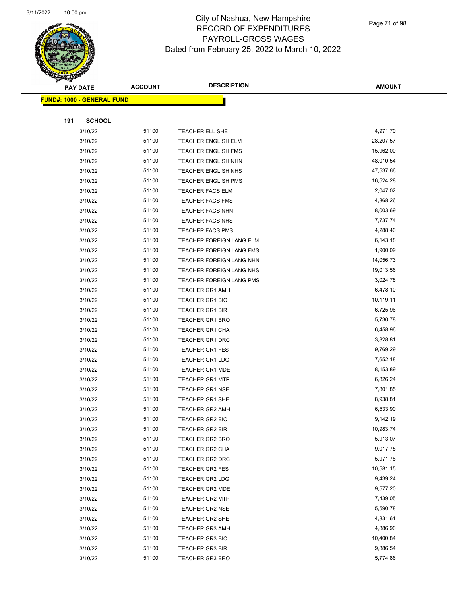

Page 71 of 98

|     | <b>PAY DATE</b>                    | <b>ACCOUNT</b> | <b>DESCRIPTION</b>         | <b>AMOUNT</b> |
|-----|------------------------------------|----------------|----------------------------|---------------|
|     | <u> FUND#: 1000 - GENERAL FUND</u> |                |                            |               |
|     |                                    |                |                            |               |
| 191 | <b>SCHOOL</b>                      |                |                            |               |
|     | 3/10/22                            | 51100          | TEACHER ELL SHE            | 4,971.70      |
|     | 3/10/22                            | 51100          | <b>TEACHER ENGLISH ELM</b> | 28,207.57     |
|     | 3/10/22                            | 51100          | <b>TEACHER ENGLISH FMS</b> | 15,962.00     |
|     | 3/10/22                            | 51100          | <b>TEACHER ENGLISH NHN</b> | 48,010.54     |
|     | 3/10/22                            | 51100          | <b>TEACHER ENGLISH NHS</b> | 47,537.66     |
|     | 3/10/22                            | 51100          | <b>TEACHER ENGLISH PMS</b> | 16,524.28     |
|     | 3/10/22                            | 51100          | <b>TEACHER FACS ELM</b>    | 2,047.02      |
|     | 3/10/22                            | 51100          | <b>TEACHER FACS FMS</b>    | 4,868.26      |
|     | 3/10/22                            | 51100          | <b>TEACHER FACS NHN</b>    | 8,003.69      |
|     | 3/10/22                            | 51100          | <b>TEACHER FACS NHS</b>    | 7,737.74      |
|     | 3/10/22                            | 51100          | <b>TEACHER FACS PMS</b>    | 4,288.40      |
|     | 3/10/22                            | 51100          | TEACHER FOREIGN LANG ELM   | 6,143.18      |
|     | 3/10/22                            | 51100          | TEACHER FOREIGN LANG FMS   | 1,900.09      |
|     | 3/10/22                            | 51100          | TEACHER FOREIGN LANG NHN   | 14,056.73     |
|     | 3/10/22                            | 51100          | TEACHER FOREIGN LANG NHS   | 19,013.56     |
|     | 3/10/22                            | 51100          | TEACHER FOREIGN LANG PMS   | 3,024.78      |
|     | 3/10/22                            | 51100          | <b>TEACHER GR1 AMH</b>     | 6,478.10      |
|     | 3/10/22                            | 51100          | <b>TEACHER GR1 BIC</b>     | 10,119.11     |
|     | 3/10/22                            | 51100          | <b>TEACHER GR1 BIR</b>     | 6,725.96      |
|     | 3/10/22                            | 51100          | <b>TEACHER GR1 BRO</b>     | 5,730.78      |
|     | 3/10/22                            | 51100          | TEACHER GR1 CHA            | 6,458.96      |
|     | 3/10/22                            | 51100          | <b>TEACHER GR1 DRC</b>     | 3,828.81      |
|     | 3/10/22                            | 51100          | <b>TEACHER GR1 FES</b>     | 9,769.29      |
|     | 3/10/22                            | 51100          | <b>TEACHER GR1 LDG</b>     | 7,652.18      |
|     | 3/10/22                            | 51100          | <b>TEACHER GR1 MDE</b>     | 8,153.89      |
|     | 3/10/22                            | 51100          | <b>TEACHER GR1 MTP</b>     | 6,826.24      |
|     | 3/10/22                            | 51100          | <b>TEACHER GR1 NSE</b>     | 7,801.85      |
|     | 3/10/22                            | 51100          | <b>TEACHER GR1 SHE</b>     | 8,938.81      |
|     | 3/10/22                            | 51100          | <b>TEACHER GR2 AMH</b>     | 6,533.90      |
|     | 3/10/22                            | 51100          | TEACHER GR2 BIC            | 9,142.19      |
|     | 3/10/22                            | 51100          | <b>TEACHER GR2 BIR</b>     | 10,983.74     |
|     | 3/10/22                            | 51100          | <b>TEACHER GR2 BRO</b>     | 5,913.07      |
|     | 3/10/22                            | 51100          | TEACHER GR2 CHA            | 9,017.75      |
|     | 3/10/22                            | 51100          | TEACHER GR2 DRC            | 5,971.78      |
|     | 3/10/22                            | 51100          | <b>TEACHER GR2 FES</b>     | 10,581.15     |
|     | 3/10/22                            | 51100          | <b>TEACHER GR2 LDG</b>     | 9,439.24      |
|     | 3/10/22                            | 51100          | <b>TEACHER GR2 MDE</b>     | 9,577.20      |
|     | 3/10/22                            | 51100          | <b>TEACHER GR2 MTP</b>     | 7,439.05      |
|     | 3/10/22                            | 51100          | <b>TEACHER GR2 NSE</b>     | 5,590.78      |
|     | 3/10/22                            | 51100          | <b>TEACHER GR2 SHE</b>     | 4,831.61      |
|     | 3/10/22                            | 51100          | <b>TEACHER GR3 AMH</b>     | 4,886.90      |
|     | 3/10/22                            | 51100          | <b>TEACHER GR3 BIC</b>     | 10,400.84     |
|     | 3/10/22                            | 51100          | <b>TEACHER GR3 BIR</b>     | 9,886.54      |
|     | 3/10/22                            | 51100          | <b>TEACHER GR3 BRO</b>     | 5,774.86      |
|     |                                    |                |                            |               |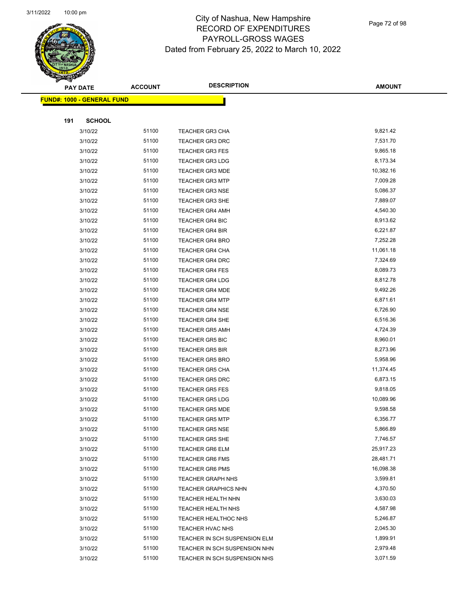

Page 72 of 98

|     | <b>PAY DATE</b>                    | <b>ACCOUNT</b> | <b>DESCRIPTION</b>            | <b>AMOUNT</b> |
|-----|------------------------------------|----------------|-------------------------------|---------------|
|     | <u> FUND#: 1000 - GENERAL FUND</u> |                |                               |               |
|     |                                    |                |                               |               |
| 191 | <b>SCHOOL</b>                      |                |                               |               |
|     | 3/10/22                            | 51100          | TEACHER GR3 CHA               | 9,821.42      |
|     | 3/10/22                            | 51100          | <b>TEACHER GR3 DRC</b>        | 7,531.70      |
|     | 3/10/22                            | 51100          | <b>TEACHER GR3 FES</b>        | 9,865.18      |
|     | 3/10/22                            | 51100          | <b>TEACHER GR3 LDG</b>        | 8,173.34      |
|     | 3/10/22                            | 51100          | <b>TEACHER GR3 MDE</b>        | 10,382.16     |
|     | 3/10/22                            | 51100          | <b>TEACHER GR3 MTP</b>        | 7,009.28      |
|     | 3/10/22                            | 51100          | <b>TEACHER GR3 NSE</b>        | 5,086.37      |
|     | 3/10/22                            | 51100          | <b>TEACHER GR3 SHE</b>        | 7,889.07      |
|     | 3/10/22                            | 51100          | <b>TEACHER GR4 AMH</b>        | 4,540.30      |
|     | 3/10/22                            | 51100          | <b>TEACHER GR4 BIC</b>        | 8,913.62      |
|     | 3/10/22                            | 51100          | <b>TEACHER GR4 BIR</b>        | 6,221.87      |
|     | 3/10/22                            | 51100          | <b>TEACHER GR4 BRO</b>        | 7,252.28      |
|     | 3/10/22                            | 51100          | <b>TEACHER GR4 CHA</b>        | 11,061.18     |
|     | 3/10/22                            | 51100          | <b>TEACHER GR4 DRC</b>        | 7,324.69      |
|     | 3/10/22                            | 51100          | <b>TEACHER GR4 FES</b>        | 8,089.73      |
|     | 3/10/22                            | 51100          | <b>TEACHER GR4 LDG</b>        | 8,812.78      |
|     | 3/10/22                            | 51100          | <b>TEACHER GR4 MDE</b>        | 9,492.26      |
|     | 3/10/22                            | 51100          | <b>TEACHER GR4 MTP</b>        | 6,871.61      |
|     | 3/10/22                            | 51100          | <b>TEACHER GR4 NSE</b>        | 6,726.90      |
|     | 3/10/22                            | 51100          | <b>TEACHER GR4 SHE</b>        | 6,516.36      |
|     | 3/10/22                            | 51100          | <b>TEACHER GR5 AMH</b>        | 4,724.39      |
|     | 3/10/22                            | 51100          | <b>TEACHER GR5 BIC</b>        | 8,960.01      |
|     | 3/10/22                            | 51100          | <b>TEACHER GR5 BIR</b>        | 8,273.96      |
|     | 3/10/22                            | 51100          | <b>TEACHER GR5 BRO</b>        | 5,958.96      |
|     | 3/10/22                            | 51100          | <b>TEACHER GR5 CHA</b>        | 11,374.45     |
|     | 3/10/22                            | 51100          | <b>TEACHER GR5 DRC</b>        | 6,873.15      |
|     | 3/10/22                            | 51100          | <b>TEACHER GR5 FES</b>        | 9,818.05      |
|     | 3/10/22                            | 51100          | <b>TEACHER GR5 LDG</b>        | 10,089.96     |
|     | 3/10/22                            | 51100          | <b>TEACHER GR5 MDE</b>        | 9,598.58      |
|     | 3/10/22                            | 51100          | TEACHER GR5 MTP               | 6,356.77      |
|     | 3/10/22                            | 51100          | <b>TEACHER GR5 NSE</b>        | 5,866.89      |
|     | 3/10/22                            | 51100          | <b>TEACHER GR5 SHE</b>        | 7,746.57      |
|     | 3/10/22                            | 51100          | <b>TEACHER GR6 ELM</b>        | 25,917.23     |
|     | 3/10/22                            | 51100          | <b>TEACHER GR6 FMS</b>        | 28,481.71     |
|     | 3/10/22                            | 51100          | <b>TEACHER GR6 PMS</b>        | 16,098.38     |
|     | 3/10/22                            | 51100          | <b>TEACHER GRAPH NHS</b>      | 3,599.81      |
|     | 3/10/22                            | 51100          | <b>TEACHER GRAPHICS NHN</b>   | 4,370.50      |
|     | 3/10/22                            | 51100          | <b>TEACHER HEALTH NHN</b>     | 3,630.03      |
|     | 3/10/22                            | 51100          | <b>TEACHER HEALTH NHS</b>     | 4,587.98      |
|     | 3/10/22                            | 51100          | TEACHER HEALTHOC NHS          | 5,246.87      |
|     | 3/10/22                            | 51100          | TEACHER HVAC NHS              | 2,045.30      |
|     | 3/10/22                            | 51100          | TEACHER IN SCH SUSPENSION ELM | 1,899.91      |
|     | 3/10/22                            | 51100          | TEACHER IN SCH SUSPENSION NHN | 2,979.48      |
|     | 3/10/22                            | 51100          | TEACHER IN SCH SUSPENSION NHS | 3,071.59      |
|     |                                    |                |                               |               |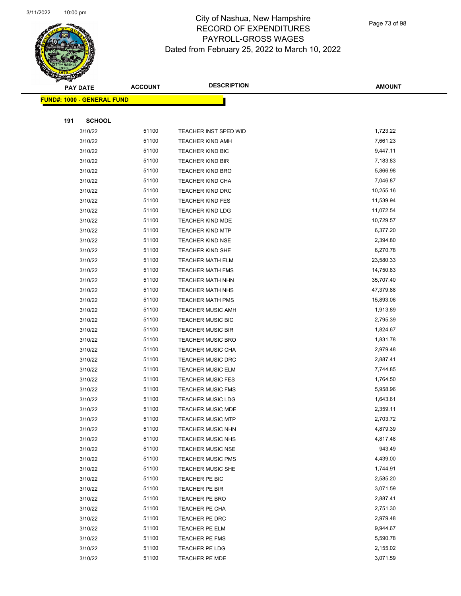

Page 73 of 98

|     | <b>PAY DATE</b>                    | <b>ACCOUNT</b> | <b>DESCRIPTION</b>               | <b>AMOUNT</b>        |
|-----|------------------------------------|----------------|----------------------------------|----------------------|
|     | <u> FUND#: 1000 - GENERAL FUND</u> |                |                                  |                      |
|     |                                    |                |                                  |                      |
| 191 | <b>SCHOOL</b>                      |                |                                  |                      |
|     | 3/10/22                            | 51100          | TEACHER INST SPED WID            | 1,723.22             |
|     | 3/10/22                            | 51100          | <b>TEACHER KIND AMH</b>          | 7,661.23             |
|     | 3/10/22                            | 51100          | <b>TEACHER KIND BIC</b>          | 9,447.11             |
|     | 3/10/22                            | 51100          | <b>TEACHER KIND BIR</b>          | 7,183.83             |
|     | 3/10/22                            | 51100          | <b>TEACHER KIND BRO</b>          | 5,866.98             |
|     | 3/10/22                            | 51100          | TEACHER KIND CHA                 | 7,046.87             |
|     | 3/10/22                            | 51100          | <b>TEACHER KIND DRC</b>          | 10,255.16            |
|     | 3/10/22                            | 51100          | <b>TEACHER KIND FES</b>          | 11,539.94            |
|     | 3/10/22                            | 51100          | <b>TEACHER KIND LDG</b>          | 11,072.54            |
|     | 3/10/22                            | 51100          | <b>TEACHER KIND MDE</b>          | 10,729.57            |
|     | 3/10/22                            | 51100          | <b>TEACHER KIND MTP</b>          | 6,377.20             |
|     | 3/10/22                            | 51100          | <b>TEACHER KIND NSE</b>          | 2,394.80             |
|     | 3/10/22                            | 51100          | <b>TEACHER KIND SHE</b>          | 6,270.78             |
|     | 3/10/22                            | 51100          | <b>TEACHER MATH ELM</b>          | 23,580.33            |
|     | 3/10/22                            | 51100          | <b>TEACHER MATH FMS</b>          | 14,750.83            |
|     | 3/10/22                            | 51100          | <b>TEACHER MATH NHN</b>          | 35,707.40            |
|     | 3/10/22                            | 51100          | <b>TEACHER MATH NHS</b>          | 47,379.88            |
|     | 3/10/22                            | 51100          | <b>TEACHER MATH PMS</b>          | 15,893.06            |
|     | 3/10/22                            | 51100          | <b>TEACHER MUSIC AMH</b>         | 1,913.89             |
|     | 3/10/22                            | 51100          | <b>TEACHER MUSIC BIC</b>         | 2,795.39             |
|     | 3/10/22                            | 51100          | <b>TEACHER MUSIC BIR</b>         | 1,824.67             |
|     | 3/10/22                            | 51100          | <b>TEACHER MUSIC BRO</b>         | 1,831.78             |
|     | 3/10/22                            | 51100          | <b>TEACHER MUSIC CHA</b>         | 2,979.48             |
|     | 3/10/22                            | 51100          | <b>TEACHER MUSIC DRC</b>         | 2,887.41             |
|     | 3/10/22                            | 51100          | <b>TEACHER MUSIC ELM</b>         | 7,744.85             |
|     | 3/10/22                            | 51100          | <b>TEACHER MUSIC FES</b>         | 1,764.50             |
|     | 3/10/22                            | 51100          | <b>TEACHER MUSIC FMS</b>         | 5,958.96             |
|     | 3/10/22                            | 51100          | <b>TEACHER MUSIC LDG</b>         | 1,643.61             |
|     | 3/10/22                            | 51100          | <b>TEACHER MUSIC MDE</b>         | 2,359.11             |
|     | 3/10/22                            | 51100          | <b>TEACHER MUSIC MTP</b>         | 2,703.72             |
|     | 3/10/22                            | 51100          | <b>TEACHER MUSIC NHN</b>         | 4,879.39             |
|     | 3/10/22                            | 51100          | <b>TEACHER MUSIC NHS</b>         | 4,817.48             |
|     | 3/10/22                            | 51100<br>51100 | <b>TEACHER MUSIC NSE</b>         | 943.49               |
|     | 3/10/22                            | 51100          | <b>TEACHER MUSIC PMS</b>         | 4,439.00<br>1,744.91 |
|     | 3/10/22                            | 51100          | <b>TEACHER MUSIC SHE</b>         | 2,585.20             |
|     | 3/10/22<br>3/10/22                 | 51100          | TEACHER PE BIC<br>TEACHER PE BIR | 3,071.59             |
|     | 3/10/22                            | 51100          | TEACHER PE BRO                   | 2,887.41             |
|     | 3/10/22                            | 51100          | TEACHER PE CHA                   | 2,751.30             |
|     | 3/10/22                            | 51100          | TEACHER PE DRC                   | 2,979.48             |
|     | 3/10/22                            | 51100          | TEACHER PE ELM                   | 9,944.67             |
|     | 3/10/22                            | 51100          | TEACHER PE FMS                   | 5,590.78             |
|     | 3/10/22                            | 51100          | TEACHER PE LDG                   | 2,155.02             |
|     | 3/10/22                            | 51100          | TEACHER PE MDE                   | 3,071.59             |
|     |                                    |                |                                  |                      |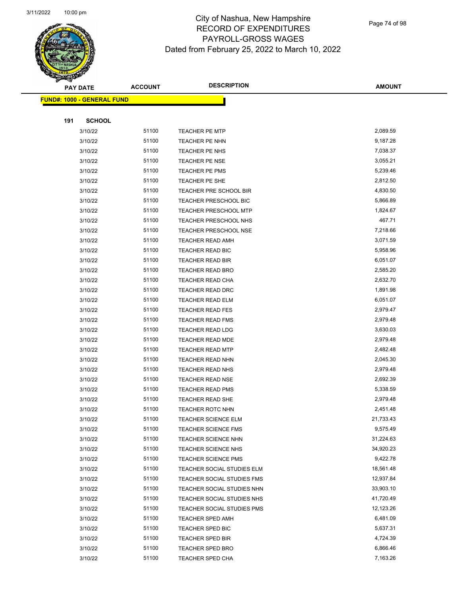

Page 74 of 98

|     | <b>PAY DATE</b>            | <b>ACCOUNT</b> | <b>DESCRIPTION</b>           | <b>AMOUNT</b> |
|-----|----------------------------|----------------|------------------------------|---------------|
|     | FUND#: 1000 - GENERAL FUND |                |                              |               |
|     |                            |                |                              |               |
| 191 | <b>SCHOOL</b>              |                |                              |               |
|     | 3/10/22                    | 51100          | <b>TEACHER PE MTP</b>        | 2,089.59      |
|     | 3/10/22                    | 51100          | <b>TEACHER PE NHN</b>        | 9,187.28      |
|     | 3/10/22                    | 51100          | TEACHER PE NHS               | 7,038.37      |
|     | 3/10/22                    | 51100          | TEACHER PE NSE               | 3,055.21      |
|     | 3/10/22                    | 51100          | <b>TEACHER PE PMS</b>        | 5,239.46      |
|     | 3/10/22                    | 51100          | TEACHER PE SHE               | 2,812.50      |
|     | 3/10/22                    | 51100          | TEACHER PRE SCHOOL BIR       | 4,830.50      |
|     | 3/10/22                    | 51100          | TEACHER PRESCHOOL BIC        | 5,866.89      |
|     | 3/10/22                    | 51100          | <b>TEACHER PRESCHOOL MTP</b> | 1,824.67      |
|     | 3/10/22                    | 51100          | TEACHER PRESCHOOL NHS        | 467.71        |
|     | 3/10/22                    | 51100          | TEACHER PRESCHOOL NSE        | 7,218.66      |
|     | 3/10/22                    | 51100          | <b>TEACHER READ AMH</b>      | 3,071.59      |
|     | 3/10/22                    | 51100          | TEACHER READ BIC             | 5,958.96      |
|     | 3/10/22                    | 51100          | <b>TEACHER READ BIR</b>      | 6,051.07      |
|     | 3/10/22                    | 51100          | <b>TEACHER READ BRO</b>      | 2,585.20      |
|     | 3/10/22                    | 51100          | TEACHER READ CHA             | 2,632.70      |
|     | 3/10/22                    | 51100          | TEACHER READ DRC             | 1,891.98      |
|     | 3/10/22                    | 51100          | <b>TEACHER READ ELM</b>      | 6,051.07      |
|     | 3/10/22                    | 51100          | <b>TEACHER READ FES</b>      | 2,979.47      |
|     | 3/10/22                    | 51100          | <b>TEACHER READ FMS</b>      | 2,979.48      |
|     | 3/10/22                    | 51100          | <b>TEACHER READ LDG</b>      | 3,630.03      |
|     | 3/10/22                    | 51100          | TEACHER READ MDE             | 2,979.48      |
|     | 3/10/22                    | 51100          | <b>TEACHER READ MTP</b>      | 2,482.48      |
|     | 3/10/22                    | 51100          | TEACHER READ NHN             | 2,045.30      |
|     | 3/10/22                    | 51100          | <b>TEACHER READ NHS</b>      | 2,979.48      |
|     | 3/10/22                    | 51100          | <b>TEACHER READ NSE</b>      | 2,692.39      |
|     | 3/10/22                    | 51100          | <b>TEACHER READ PMS</b>      | 5,338.59      |
|     | 3/10/22                    | 51100          | <b>TEACHER READ SHE</b>      | 2,979.48      |
|     | 3/10/22                    | 51100          | <b>TEACHER ROTC NHN</b>      | 2,451.48      |
|     | 3/10/22                    | 51100          | TEACHER SCIENCE ELM          | 21,733.43     |
|     | 3/10/22                    | 51100          | <b>TEACHER SCIENCE FMS</b>   | 9,575.49      |
|     | 3/10/22                    | 51100          | <b>TEACHER SCIENCE NHN</b>   | 31,224.63     |
|     | 3/10/22                    | 51100          | TEACHER SCIENCE NHS          | 34,920.23     |
|     | 3/10/22                    | 51100          | TEACHER SCIENCE PMS          | 9,422.78      |
|     | 3/10/22                    | 51100          | TEACHER SOCIAL STUDIES ELM   | 18,561.48     |
|     | 3/10/22                    | 51100          | TEACHER SOCIAL STUDIES FMS   | 12,937.84     |
|     | 3/10/22                    | 51100          | TEACHER SOCIAL STUDIES NHN   | 33,903.10     |
|     | 3/10/22                    | 51100          | TEACHER SOCIAL STUDIES NHS   | 41,720.49     |
|     | 3/10/22                    | 51100          | TEACHER SOCIAL STUDIES PMS   | 12,123.26     |
|     | 3/10/22                    | 51100          | <b>TEACHER SPED AMH</b>      | 6,481.09      |
|     | 3/10/22                    | 51100          | <b>TEACHER SPED BIC</b>      | 5,637.31      |
|     | 3/10/22                    | 51100          | <b>TEACHER SPED BIR</b>      | 4,724.39      |
|     | 3/10/22                    | 51100          | <b>TEACHER SPED BRO</b>      | 6,866.46      |
|     | 3/10/22                    | 51100          | <b>TEACHER SPED CHA</b>      | 7,163.26      |
|     |                            |                |                              |               |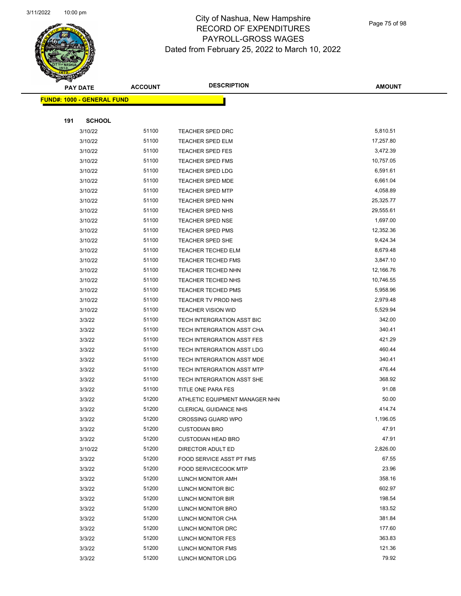

Page 75 of 98

|     | <b>PAY DATE</b>                    | <b>ACCOUNT</b> | <b>DESCRIPTION</b>             | <b>AMOUNT</b> |  |
|-----|------------------------------------|----------------|--------------------------------|---------------|--|
|     | <u> FUND#: 1000 - GENERAL FUND</u> |                |                                |               |  |
|     |                                    |                |                                |               |  |
| 191 | <b>SCHOOL</b>                      |                |                                |               |  |
|     | 3/10/22                            | 51100          | <b>TEACHER SPED DRC</b>        | 5,810.51      |  |
|     | 3/10/22                            | 51100          | <b>TEACHER SPED ELM</b>        | 17,257.80     |  |
|     | 3/10/22                            | 51100          | <b>TEACHER SPED FES</b>        | 3,472.39      |  |
|     | 3/10/22                            | 51100          | <b>TEACHER SPED FMS</b>        | 10,757.05     |  |
|     | 3/10/22                            | 51100          | <b>TEACHER SPED LDG</b>        | 6,591.61      |  |
|     | 3/10/22                            | 51100          | TEACHER SPED MDE               | 6,661.04      |  |
|     | 3/10/22                            | 51100          | <b>TEACHER SPED MTP</b>        | 4,058.89      |  |
|     | 3/10/22                            | 51100          | <b>TEACHER SPED NHN</b>        | 25,325.77     |  |
|     | 3/10/22                            | 51100          | <b>TEACHER SPED NHS</b>        | 29,555.61     |  |
|     | 3/10/22                            | 51100          | <b>TEACHER SPED NSE</b>        | 1,697.00      |  |
|     | 3/10/22                            | 51100          | <b>TEACHER SPED PMS</b>        | 12,352.36     |  |
|     | 3/10/22                            | 51100          | <b>TEACHER SPED SHE</b>        | 9,424.34      |  |
|     | 3/10/22                            | 51100          | <b>TEACHER TECHED ELM</b>      | 8,679.48      |  |
|     | 3/10/22                            | 51100          | <b>TEACHER TECHED FMS</b>      | 3,847.10      |  |
|     | 3/10/22                            | 51100          | TEACHER TECHED NHN             | 12,166.76     |  |
|     | 3/10/22                            | 51100          | <b>TEACHER TECHED NHS</b>      | 10,746.55     |  |
|     | 3/10/22                            | 51100          | <b>TEACHER TECHED PMS</b>      | 5,958.96      |  |
|     | 3/10/22                            | 51100          | TEACHER TV PROD NHS            | 2,979.48      |  |
|     | 3/10/22                            | 51100          | <b>TEACHER VISION WID</b>      | 5,529.94      |  |
|     | 3/3/22                             | 51100          | TECH INTERGRATION ASST BIC     | 342.00        |  |
|     | 3/3/22                             | 51100          | TECH INTERGRATION ASST CHA     | 340.41        |  |
|     | 3/3/22                             | 51100          | TECH INTERGRATION ASST FES     | 421.29        |  |
|     | 3/3/22                             | 51100          | TECH INTERGRATION ASST LDG     | 460.44        |  |
|     | 3/3/22                             | 51100          | TECH INTERGRATION ASST MDE     | 340.41        |  |
|     | 3/3/22                             | 51100          | TECH INTERGRATION ASST MTP     | 476.44        |  |
|     | 3/3/22                             | 51100          | TECH INTERGRATION ASST SHE     | 368.92        |  |
|     | 3/3/22                             | 51100          | TITLE ONE PARA FES             | 91.08         |  |
|     | 3/3/22                             | 51200          | ATHLETIC EQUIPMENT MANAGER NHN | 50.00         |  |
|     | 3/3/22                             | 51200          | <b>CLERICAL GUIDANCE NHS</b>   | 414.74        |  |
|     | 3/3/22                             | 51200          | <b>CROSSING GUARD WPO</b>      | 1,196.05      |  |
|     | 3/3/22                             | 51200          | <b>CUSTODIAN BRO</b>           | 47.91         |  |
|     | 3/3/22                             | 51200          | <b>CUSTODIAN HEAD BRO</b>      | 47.91         |  |
|     | 3/10/22                            | 51200          | DIRECTOR ADULT ED              | 2,826.00      |  |
|     | 3/3/22                             | 51200          | FOOD SERVICE ASST PT FMS       | 67.55         |  |
|     | 3/3/22                             | 51200          | <b>FOOD SERVICECOOK MTP</b>    | 23.96         |  |
|     | 3/3/22                             | 51200          | LUNCH MONITOR AMH              | 358.16        |  |
|     | 3/3/22                             | 51200          | LUNCH MONITOR BIC              | 602.97        |  |
|     | 3/3/22                             | 51200          | LUNCH MONITOR BIR              | 198.54        |  |
|     | 3/3/22                             | 51200          | LUNCH MONITOR BRO              | 183.52        |  |
|     | 3/3/22                             | 51200          | LUNCH MONITOR CHA              | 381.84        |  |
|     | 3/3/22                             | 51200          | LUNCH MONITOR DRC              | 177.60        |  |
|     | 3/3/22                             | 51200          | LUNCH MONITOR FES              | 363.83        |  |
|     | 3/3/22                             | 51200          | LUNCH MONITOR FMS              | 121.36        |  |
|     | 3/3/22                             | 51200          | LUNCH MONITOR LDG              | 79.92         |  |
|     |                                    |                |                                |               |  |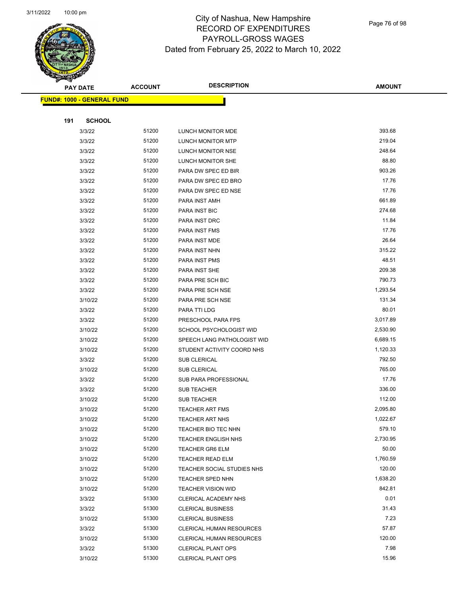

Page 76 of 98

|     | <b>PAY DATE</b>                    | <b>ACCOUNT</b> | <b>DESCRIPTION</b>              | <b>AMOUNT</b> |  |
|-----|------------------------------------|----------------|---------------------------------|---------------|--|
|     | <u> FUND#: 1000 - GENERAL FUND</u> |                |                                 |               |  |
|     |                                    |                |                                 |               |  |
| 191 | <b>SCHOOL</b>                      |                |                                 |               |  |
|     | 3/3/22                             | 51200          | LUNCH MONITOR MDE               | 393.68        |  |
|     | 3/3/22                             | 51200          | LUNCH MONITOR MTP               | 219.04        |  |
|     | 3/3/22                             | 51200          | LUNCH MONITOR NSE               | 248.64        |  |
|     | 3/3/22                             | 51200          | LUNCH MONITOR SHE               | 88.80         |  |
|     | 3/3/22                             | 51200          | PARA DW SPEC ED BIR             | 903.26        |  |
|     | 3/3/22                             | 51200          | PARA DW SPEC ED BRO             | 17.76         |  |
|     | 3/3/22                             | 51200          | PARA DW SPEC ED NSE             | 17.76         |  |
|     | 3/3/22                             | 51200          | PARA INST AMH                   | 661.89        |  |
|     | 3/3/22                             | 51200          | PARA INST BIC                   | 274.68        |  |
|     | 3/3/22                             | 51200          | PARA INST DRC                   | 11.84         |  |
|     | 3/3/22                             | 51200          | PARA INST FMS                   | 17.76         |  |
|     | 3/3/22                             | 51200          | PARA INST MDE                   | 26.64         |  |
|     | 3/3/22                             | 51200          | PARA INST NHN                   | 315.22        |  |
|     | 3/3/22                             | 51200          | PARA INST PMS                   | 48.51         |  |
|     | 3/3/22                             | 51200          | PARA INST SHE                   | 209.38        |  |
|     | 3/3/22                             | 51200          | PARA PRE SCH BIC                | 790.73        |  |
|     | 3/3/22                             | 51200          | PARA PRE SCH NSE                | 1,293.54      |  |
|     | 3/10/22                            | 51200          | PARA PRE SCH NSE                | 131.34        |  |
|     | 3/3/22                             | 51200          | PARA TTI LDG                    | 80.01         |  |
|     | 3/3/22                             | 51200          | PRESCHOOL PARA FPS              | 3,017.89      |  |
|     | 3/10/22                            | 51200          | SCHOOL PSYCHOLOGIST WID         | 2,530.90      |  |
|     | 3/10/22                            | 51200          | SPEECH LANG PATHOLOGIST WID     | 6,689.15      |  |
|     | 3/10/22                            | 51200          | STUDENT ACTIVITY COORD NHS      | 1,120.33      |  |
|     | 3/3/22                             | 51200          | <b>SUB CLERICAL</b>             | 792.50        |  |
|     | 3/10/22                            | 51200          | <b>SUB CLERICAL</b>             | 765.00        |  |
|     | 3/3/22                             | 51200          | SUB PARA PROFESSIONAL           | 17.76         |  |
|     | 3/3/22                             | 51200          | <b>SUB TEACHER</b>              | 336.00        |  |
|     | 3/10/22                            | 51200          | <b>SUB TEACHER</b>              | 112.00        |  |
|     | 3/10/22                            | 51200          | <b>TEACHER ART FMS</b>          | 2,095.80      |  |
|     | 3/10/22                            | 51200          | <b>TEACHER ART NHS</b>          | 1,022.67      |  |
|     | 3/10/22                            | 51200          | TEACHER BIO TEC NHN             | 579.10        |  |
|     | 3/10/22                            | 51200          | <b>TEACHER ENGLISH NHS</b>      | 2,730.95      |  |
|     | 3/10/22                            | 51200          | <b>TEACHER GR6 ELM</b>          | 50.00         |  |
|     | 3/10/22                            | 51200          | <b>TEACHER READ ELM</b>         | 1,760.59      |  |
|     | 3/10/22                            | 51200          | TEACHER SOCIAL STUDIES NHS      | 120.00        |  |
|     | 3/10/22                            | 51200          | <b>TEACHER SPED NHN</b>         | 1,638.20      |  |
|     | 3/10/22                            | 51200          | <b>TEACHER VISION WID</b>       | 842.81        |  |
|     | 3/3/22                             | 51300          | CLERICAL ACADEMY NHS            | 0.01          |  |
|     | 3/3/22                             | 51300          | <b>CLERICAL BUSINESS</b>        | 31.43         |  |
|     | 3/10/22                            | 51300          | <b>CLERICAL BUSINESS</b>        | 7.23          |  |
|     | 3/3/22                             | 51300          | <b>CLERICAL HUMAN RESOURCES</b> | 57.87         |  |
|     | 3/10/22                            | 51300          | CLERICAL HUMAN RESOURCES        | 120.00        |  |
|     | 3/3/22                             | 51300          | <b>CLERICAL PLANT OPS</b>       | 7.98          |  |
|     | 3/10/22                            | 51300          | <b>CLERICAL PLANT OPS</b>       | 15.96         |  |
|     |                                    |                |                                 |               |  |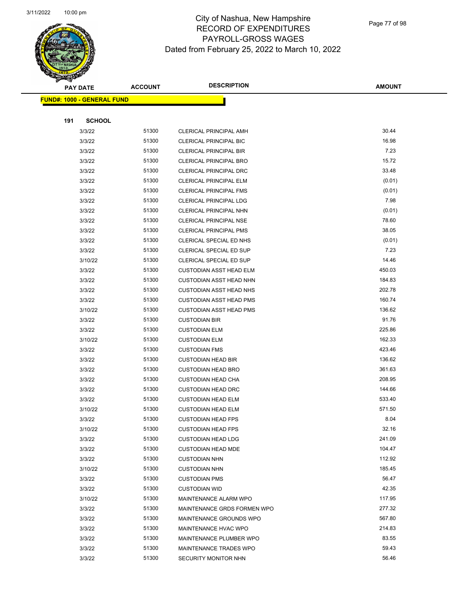

Page 77 of 98

|     | <b>PAY DATE</b>                         | <b>ACCOUNT</b> | <b>DESCRIPTION</b>             | <b>AMOUNT</b> |
|-----|-----------------------------------------|----------------|--------------------------------|---------------|
|     | <mark>FUND#: 1000 - GENERAL FUND</mark> |                |                                |               |
|     |                                         |                |                                |               |
| 191 | <b>SCHOOL</b>                           |                |                                |               |
|     | 3/3/22                                  | 51300          | CLERICAL PRINCIPAL AMH         | 30.44         |
|     | 3/3/22                                  | 51300          | <b>CLERICAL PRINCIPAL BIC</b>  | 16.98         |
|     | 3/3/22                                  | 51300          | <b>CLERICAL PRINCIPAL BIR</b>  | 7.23          |
|     | 3/3/22                                  | 51300          | <b>CLERICAL PRINCIPAL BRO</b>  | 15.72         |
|     | 3/3/22                                  | 51300          | CLERICAL PRINCIPAL DRC         | 33.48         |
|     | 3/3/22                                  | 51300          | CLERICAL PRINCIPAL ELM         | (0.01)        |
|     | 3/3/22                                  | 51300          | <b>CLERICAL PRINCIPAL FMS</b>  | (0.01)        |
|     | 3/3/22                                  | 51300          | <b>CLERICAL PRINCIPAL LDG</b>  | 7.98          |
|     | 3/3/22                                  | 51300          | CLERICAL PRINCIPAL NHN         | (0.01)        |
|     | 3/3/22                                  | 51300          | <b>CLERICAL PRINCIPAL NSE</b>  | 78.60         |
|     | 3/3/22                                  | 51300          | <b>CLERICAL PRINCIPAL PMS</b>  | 38.05         |
|     | 3/3/22                                  | 51300          | CLERICAL SPECIAL ED NHS        | (0.01)        |
|     | 3/3/22                                  | 51300          | CLERICAL SPECIAL ED SUP        | 7.23          |
|     | 3/10/22                                 | 51300          | CLERICAL SPECIAL ED SUP        | 14.46         |
|     | 3/3/22                                  | 51300          | <b>CUSTODIAN ASST HEAD ELM</b> | 450.03        |
|     | 3/3/22                                  | 51300          | <b>CUSTODIAN ASST HEAD NHN</b> | 184.83        |
|     | 3/3/22                                  | 51300          | <b>CUSTODIAN ASST HEAD NHS</b> | 202.78        |
|     | 3/3/22                                  | 51300          | <b>CUSTODIAN ASST HEAD PMS</b> | 160.74        |
|     | 3/10/22                                 | 51300          | <b>CUSTODIAN ASST HEAD PMS</b> | 136.62        |
|     | 3/3/22                                  | 51300          | <b>CUSTODIAN BIR</b>           | 91.76         |
|     | 3/3/22                                  | 51300          | <b>CUSTODIAN ELM</b>           | 225.86        |
|     | 3/10/22                                 | 51300          | <b>CUSTODIAN ELM</b>           | 162.33        |
|     | 3/3/22                                  | 51300          | <b>CUSTODIAN FMS</b>           | 423.46        |
|     | 3/3/22                                  | 51300          | <b>CUSTODIAN HEAD BIR</b>      | 136.62        |
|     | 3/3/22                                  | 51300          | <b>CUSTODIAN HEAD BRO</b>      | 361.63        |
|     | 3/3/22                                  | 51300          | <b>CUSTODIAN HEAD CHA</b>      | 208.95        |
|     | 3/3/22                                  | 51300          | <b>CUSTODIAN HEAD DRC</b>      | 144.66        |
|     | 3/3/22                                  | 51300          | <b>CUSTODIAN HEAD ELM</b>      | 533.40        |
|     | 3/10/22                                 | 51300          | <b>CUSTODIAN HEAD ELM</b>      | 571.50        |
|     | 3/3/22                                  | 51300          | <b>CUSTODIAN HEAD FPS</b>      | 8.04          |
|     | 3/10/22                                 | 51300          | <b>CUSTODIAN HEAD FPS</b>      | 32.16         |
|     | 3/3/22                                  | 51300          | <b>CUSTODIAN HEAD LDG</b>      | 241.09        |
|     | 3/3/22                                  | 51300          | <b>CUSTODIAN HEAD MDE</b>      | 104.47        |
|     | 3/3/22                                  | 51300          | <b>CUSTODIAN NHN</b>           | 112.92        |
|     | 3/10/22                                 | 51300          | <b>CUSTODIAN NHN</b>           | 185.45        |
|     | 3/3/22                                  | 51300          | <b>CUSTODIAN PMS</b>           | 56.47         |
|     | 3/3/22                                  | 51300          | <b>CUSTODIAN WID</b>           | 42.35         |
|     | 3/10/22                                 | 51300          | MAINTENANCE ALARM WPO          | 117.95        |
|     | 3/3/22                                  | 51300          | MAINTENANCE GRDS FORMEN WPO    | 277.32        |
|     | 3/3/22                                  | 51300          | MAINTENANCE GROUNDS WPO        | 567.80        |
|     | 3/3/22                                  | 51300          | MAINTENANCE HVAC WPO           | 214.83        |
|     | 3/3/22                                  | 51300          | MAINTENANCE PLUMBER WPO        | 83.55         |
|     | 3/3/22                                  | 51300          | MAINTENANCE TRADES WPO         | 59.43         |
|     | 3/3/22                                  | 51300          | SECURITY MONITOR NHN           | 56.46         |
|     |                                         |                |                                |               |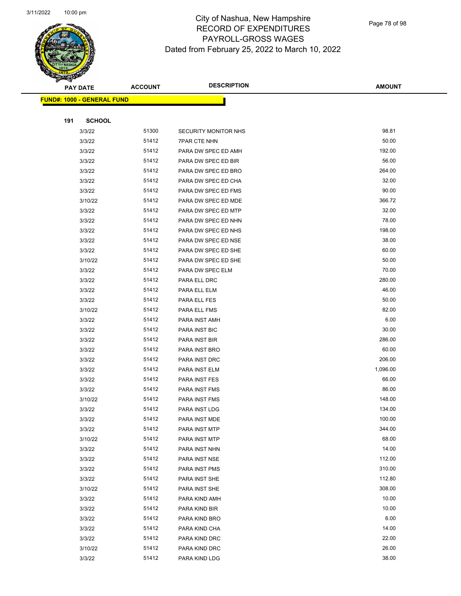

Page 78 of 98

|     | <b>PAY DATE</b>                    | <b>ACCOUNT</b> | <b>DESCRIPTION</b>             | <b>AMOUNT</b>    |
|-----|------------------------------------|----------------|--------------------------------|------------------|
|     | <u> FUND#: 1000 - GENERAL FUND</u> |                |                                |                  |
|     |                                    |                |                                |                  |
| 191 | <b>SCHOOL</b>                      |                |                                |                  |
|     | 3/3/22                             | 51300          | SECURITY MONITOR NHS           | 98.81            |
|     | 3/3/22                             | 51412          | <b>7PAR CTE NHN</b>            | 50.00            |
|     | 3/3/22                             | 51412          | PARA DW SPEC ED AMH            | 192.00           |
|     | 3/3/22                             | 51412          | PARA DW SPEC ED BIR            | 56.00            |
|     | 3/3/22                             | 51412          | PARA DW SPEC ED BRO            | 264.00           |
|     | 3/3/22                             | 51412          | PARA DW SPEC ED CHA            | 32.00            |
|     | 3/3/22                             | 51412          | PARA DW SPEC ED FMS            | 90.00            |
|     | 3/10/22                            | 51412          | PARA DW SPEC ED MDE            | 366.72           |
|     | 3/3/22                             | 51412          | PARA DW SPEC ED MTP            | 32.00            |
|     | 3/3/22                             | 51412          | PARA DW SPEC ED NHN            | 78.00            |
|     | 3/3/22                             | 51412          | PARA DW SPEC ED NHS            | 198.00           |
|     | 3/3/22                             | 51412          | PARA DW SPEC ED NSE            | 38.00            |
|     | 3/3/22                             | 51412          | PARA DW SPEC ED SHE            | 60.00            |
|     | 3/10/22                            | 51412          | PARA DW SPEC ED SHE            | 50.00            |
|     | 3/3/22                             | 51412          | PARA DW SPEC ELM               | 70.00            |
|     | 3/3/22                             | 51412          | PARA ELL DRC                   | 280.00           |
|     | 3/3/22                             | 51412          | PARA ELL ELM                   | 46.00            |
|     | 3/3/22                             | 51412          | PARA ELL FES                   | 50.00            |
|     | 3/10/22                            | 51412          | PARA ELL FMS                   | 82.00            |
|     | 3/3/22                             | 51412          | PARA INST AMH                  | 6.00             |
|     | 3/3/22                             | 51412          | PARA INST BIC                  | 30.00            |
|     | 3/3/22                             | 51412          | PARA INST BIR                  | 286.00           |
|     | 3/3/22                             | 51412          | PARA INST BRO                  | 60.00            |
|     | 3/3/22                             | 51412          | PARA INST DRC                  | 206.00           |
|     | 3/3/22                             | 51412          | PARA INST ELM                  | 1,096.00         |
|     | 3/3/22                             | 51412          | PARA INST FES                  | 66.00            |
|     | 3/3/22                             | 51412          | PARA INST FMS                  | 86.00            |
|     | 3/10/22                            | 51412          | PARA INST FMS                  | 148.00           |
|     | 3/3/22                             | 51412          | PARA INST LDG                  | 134.00           |
|     | 3/3/22                             | 51412          | PARA INST MDE                  | 100.00           |
|     | 3/3/22                             | 51412          | PARA INST MTP                  | 344.00           |
|     | 3/10/22                            | 51412          | PARA INST MTP                  | 68.00            |
|     | 3/3/22                             | 51412          | PARA INST NHN                  | 14.00            |
|     | 3/3/22                             | 51412          | PARA INST NSE                  | 112.00           |
|     | 3/3/22                             | 51412          | PARA INST PMS                  | 310.00           |
|     | 3/3/22                             | 51412          | PARA INST SHE                  | 112.80<br>308.00 |
|     | 3/10/22                            | 51412          | PARA INST SHE                  |                  |
|     | 3/3/22<br>3/3/22                   | 51412<br>51412 | PARA KIND AMH<br>PARA KIND BIR | 10.00<br>10.00   |
|     |                                    | 51412          |                                | 6.00             |
|     | 3/3/22<br>3/3/22                   | 51412          | PARA KIND BRO                  | 14.00            |
|     | 3/3/22                             | 51412          | PARA KIND CHA<br>PARA KIND DRC | 22.00            |
|     | 3/10/22                            | 51412          | PARA KIND DRC                  | 26.00            |
|     | 3/3/22                             | 51412          | PARA KIND LDG                  | 38.00            |
|     |                                    |                |                                |                  |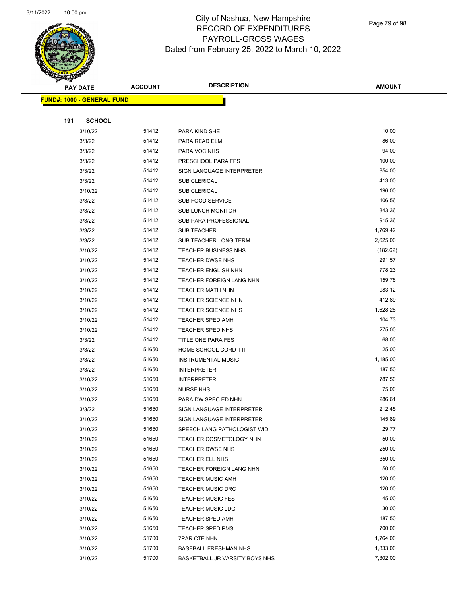

Page 79 of 98

| <b>ACCOUNT</b> | <b>DESCRIPTION</b>                                                                     | <b>AMOUNT</b>                                                                                                                                 |
|----------------|----------------------------------------------------------------------------------------|-----------------------------------------------------------------------------------------------------------------------------------------------|
|                |                                                                                        |                                                                                                                                               |
|                |                                                                                        |                                                                                                                                               |
|                |                                                                                        |                                                                                                                                               |
| 51412          | PARA KIND SHE                                                                          | 10.00                                                                                                                                         |
| 51412          | PARA READ ELM                                                                          | 86.00                                                                                                                                         |
| 51412          | PARA VOC NHS                                                                           | 94.00                                                                                                                                         |
| 51412          | PRESCHOOL PARA FPS                                                                     | 100.00                                                                                                                                        |
| 51412          | SIGN LANGUAGE INTERPRETER                                                              | 854.00                                                                                                                                        |
| 51412          | <b>SUB CLERICAL</b>                                                                    | 413.00                                                                                                                                        |
| 51412          | <b>SUB CLERICAL</b>                                                                    | 196.00                                                                                                                                        |
| 51412          | SUB FOOD SERVICE                                                                       | 106.56                                                                                                                                        |
| 51412          | <b>SUB LUNCH MONITOR</b>                                                               | 343.36                                                                                                                                        |
| 51412          | SUB PARA PROFESSIONAL                                                                  | 915.36                                                                                                                                        |
| 51412          | <b>SUB TEACHER</b>                                                                     | 1,769.42                                                                                                                                      |
| 51412          | SUB TEACHER LONG TERM                                                                  | 2,625.00                                                                                                                                      |
| 51412          | <b>TEACHER BUSINESS NHS</b>                                                            | (182.62)                                                                                                                                      |
| 51412          | TEACHER DWSE NHS                                                                       | 291.57                                                                                                                                        |
| 51412          | <b>TEACHER ENGLISH NHN</b>                                                             | 778.23                                                                                                                                        |
| 51412          | TEACHER FOREIGN LANG NHN                                                               | 159.78                                                                                                                                        |
| 51412          | <b>TEACHER MATH NHN</b>                                                                | 983.12                                                                                                                                        |
| 51412          | <b>TEACHER SCIENCE NHN</b>                                                             | 412.89                                                                                                                                        |
| 51412          | <b>TEACHER SCIENCE NHS</b>                                                             | 1,628.28                                                                                                                                      |
| 51412          | <b>TEACHER SPED AMH</b>                                                                | 104.73                                                                                                                                        |
| 51412          | <b>TEACHER SPED NHS</b>                                                                | 275.00                                                                                                                                        |
| 51412          | TITLE ONE PARA FES                                                                     | 68.00                                                                                                                                         |
| 51650          | HOME SCHOOL CORD TTI                                                                   | 25.00                                                                                                                                         |
| 51650          | <b>INSTRUMENTAL MUSIC</b>                                                              | 1,185.00                                                                                                                                      |
| 51650          | <b>INTERPRETER</b>                                                                     | 187.50                                                                                                                                        |
| 51650          | <b>INTERPRETER</b>                                                                     | 787.50                                                                                                                                        |
| 51650          | <b>NURSE NHS</b>                                                                       | 75.00                                                                                                                                         |
| 51650          | PARA DW SPEC ED NHN                                                                    | 286.61                                                                                                                                        |
| 51650          | SIGN LANGUAGE INTERPRETER                                                              | 212.45                                                                                                                                        |
| 51650          | SIGN LANGUAGE INTERPRETER                                                              | 145.89                                                                                                                                        |
| 51650          | SPEECH LANG PATHOLOGIST WID                                                            | 29.77                                                                                                                                         |
| 51650          | <b>TEACHER COSMETOLOGY NHN</b>                                                         | 50.00                                                                                                                                         |
| 51650          | <b>TEACHER DWSE NHS</b>                                                                | 250.00                                                                                                                                        |
| 51650          | TEACHER ELL NHS                                                                        | 350.00                                                                                                                                        |
|                | TEACHER FOREIGN LANG NHN                                                               | 50.00                                                                                                                                         |
|                | <b>TEACHER MUSIC AMH</b>                                                               | 120.00                                                                                                                                        |
|                | <b>TEACHER MUSIC DRC</b>                                                               | 120.00                                                                                                                                        |
|                |                                                                                        | 45.00                                                                                                                                         |
|                |                                                                                        | 30.00                                                                                                                                         |
|                | <b>TEACHER SPED AMH</b>                                                                | 187.50                                                                                                                                        |
|                | <b>TEACHER SPED PMS</b>                                                                | 700.00                                                                                                                                        |
|                |                                                                                        | 1,764.00                                                                                                                                      |
|                |                                                                                        | 1,833.00                                                                                                                                      |
|                |                                                                                        | 7,302.00                                                                                                                                      |
|                | 51650<br>51650<br>51650<br>51650<br>51650<br>51650<br>51650<br>51700<br>51700<br>51700 | <b>TEACHER MUSIC FES</b><br><b>TEACHER MUSIC LDG</b><br><b>7PAR CTE NHN</b><br><b>BASEBALL FRESHMAN NHS</b><br>BASKETBALL JR VARSITY BOYS NHS |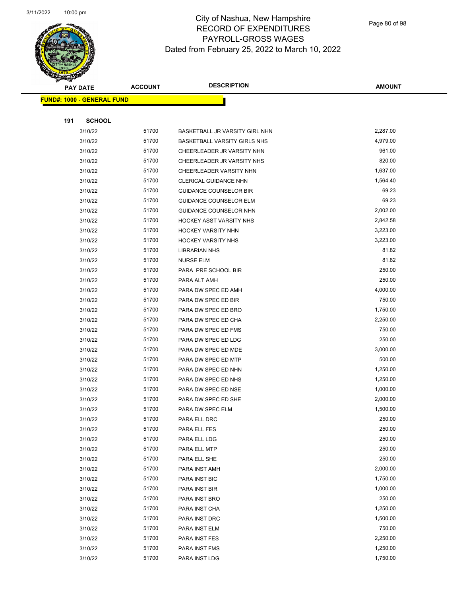

Page 80 of 98

|     | <b>PAY DATE</b>                   | <b>ACCOUNT</b> | <b>DESCRIPTION</b>                  | <b>AMOUNT</b>        |
|-----|-----------------------------------|----------------|-------------------------------------|----------------------|
|     | <b>FUND#: 1000 - GENERAL FUND</b> |                |                                     |                      |
|     |                                   |                |                                     |                      |
| 191 | <b>SCHOOL</b>                     |                |                                     |                      |
|     | 3/10/22                           | 51700          | BASKETBALL JR VARSITY GIRL NHN      | 2,287.00             |
|     | 3/10/22                           | 51700          | <b>BASKETBALL VARSITY GIRLS NHS</b> | 4,979.00             |
|     | 3/10/22                           | 51700          | CHEERLEADER JR VARSITY NHN          | 961.00               |
|     | 3/10/22                           | 51700          | CHEERLEADER JR VARSITY NHS          | 820.00               |
|     | 3/10/22                           | 51700          | CHEERLEADER VARSITY NHN             | 1,637.00             |
|     | 3/10/22                           | 51700          | CLERICAL GUIDANCE NHN               | 1,564.40             |
|     | 3/10/22                           | 51700          | <b>GUIDANCE COUNSELOR BIR</b>       | 69.23                |
|     | 3/10/22                           | 51700          | <b>GUIDANCE COUNSELOR ELM</b>       | 69.23                |
|     | 3/10/22                           | 51700          | GUIDANCE COUNSELOR NHN              | 2,002.00             |
|     | 3/10/22                           | 51700          | <b>HOCKEY ASST VARSITY NHS</b>      | 2,842.58             |
|     | 3/10/22                           | 51700          | HOCKEY VARSITY NHN                  | 3,223.00             |
|     | 3/10/22                           | 51700          | <b>HOCKEY VARSITY NHS</b>           | 3,223.00             |
|     | 3/10/22                           | 51700          | <b>LIBRARIAN NHS</b>                | 81.82                |
|     | 3/10/22                           | 51700          | <b>NURSE ELM</b>                    | 81.82                |
|     | 3/10/22                           | 51700          | PARA PRE SCHOOL BIR                 | 250.00               |
|     | 3/10/22                           | 51700          | PARA ALT AMH                        | 250.00               |
|     | 3/10/22                           | 51700          | PARA DW SPEC ED AMH                 | 4,000.00             |
|     | 3/10/22                           | 51700          | PARA DW SPEC ED BIR                 | 750.00               |
|     | 3/10/22                           | 51700          | PARA DW SPEC ED BRO                 | 1,750.00             |
|     | 3/10/22                           | 51700          | PARA DW SPEC ED CHA                 | 2,250.00             |
|     | 3/10/22                           | 51700          | PARA DW SPEC ED FMS                 | 750.00               |
|     | 3/10/22                           | 51700          | PARA DW SPEC ED LDG                 | 250.00               |
|     | 3/10/22                           | 51700          | PARA DW SPEC ED MDE                 | 3,000.00             |
|     | 3/10/22                           | 51700          | PARA DW SPEC ED MTP                 | 500.00               |
|     | 3/10/22                           | 51700          | PARA DW SPEC ED NHN                 | 1,250.00             |
|     | 3/10/22                           | 51700          | PARA DW SPEC ED NHS                 | 1,250.00             |
|     | 3/10/22                           | 51700          | PARA DW SPEC ED NSE                 | 1,000.00             |
|     | 3/10/22                           | 51700          | PARA DW SPEC ED SHE                 | 2,000.00             |
|     | 3/10/22                           | 51700          | PARA DW SPEC ELM                    | 1,500.00             |
|     | 3/10/22                           | 51700          | PARA ELL DRC                        | 250.00               |
|     | 3/10/22                           | 51700          | PARA ELL FES                        | 250.00               |
|     | 3/10/22                           | 51700          | PARA ELL LDG                        | 250.00               |
|     | 3/10/22                           | 51700          | PARA ELL MTP                        | 250.00               |
|     | 3/10/22                           | 51700          | PARA ELL SHE                        | 250.00               |
|     | 3/10/22                           | 51700          | PARA INST AMH                       | 2,000.00<br>1,750.00 |
|     | 3/10/22                           | 51700<br>51700 | PARA INST BIC                       | 1,000.00             |
|     | 3/10/22                           | 51700          | PARA INST BIR                       | 250.00               |
|     | 3/10/22<br>3/10/22                | 51700          | PARA INST BRO                       | 1,250.00             |
|     | 3/10/22                           | 51700          | PARA INST CHA<br>PARA INST DRC      | 1,500.00             |
|     | 3/10/22                           | 51700          | PARA INST ELM                       | 750.00               |
|     | 3/10/22                           | 51700          | PARA INST FES                       | 2,250.00             |
|     | 3/10/22                           | 51700          | PARA INST FMS                       | 1,250.00             |
|     | 3/10/22                           | 51700          | PARA INST LDG                       | 1,750.00             |
|     |                                   |                |                                     |                      |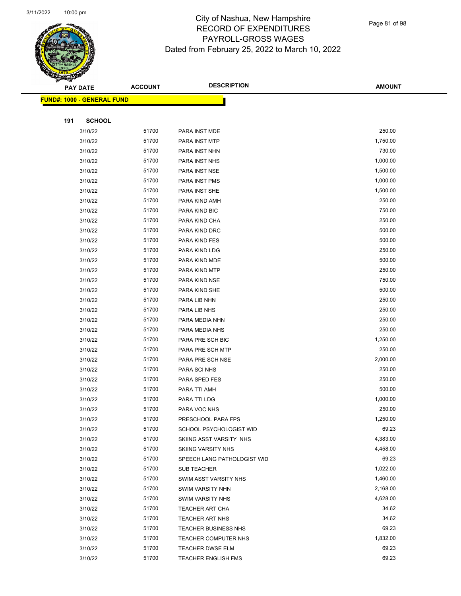

Page 81 of 98

|     | <b>PAY DATE</b>                    | <b>ACCOUNT</b> | <b>DESCRIPTION</b>          | <b>AMOUNT</b> |
|-----|------------------------------------|----------------|-----------------------------|---------------|
|     | <u> FUND#: 1000 - GENERAL FUND</u> |                |                             |               |
|     |                                    |                |                             |               |
| 191 | <b>SCHOOL</b>                      |                |                             |               |
|     | 3/10/22                            | 51700          | PARA INST MDE               | 250.00        |
|     | 3/10/22                            | 51700          | PARA INST MTP               | 1,750.00      |
|     | 3/10/22                            | 51700          | PARA INST NHN               | 730.00        |
|     | 3/10/22                            | 51700          | PARA INST NHS               | 1,000.00      |
|     | 3/10/22                            | 51700          | PARA INST NSE               | 1,500.00      |
|     | 3/10/22                            | 51700          | PARA INST PMS               | 1,000.00      |
|     | 3/10/22                            | 51700          | PARA INST SHE               | 1,500.00      |
|     | 3/10/22                            | 51700          | PARA KIND AMH               | 250.00        |
|     | 3/10/22                            | 51700          | PARA KIND BIC               | 750.00        |
|     | 3/10/22                            | 51700          | PARA KIND CHA               | 250.00        |
|     | 3/10/22                            | 51700          | PARA KIND DRC               | 500.00        |
|     | 3/10/22                            | 51700          | PARA KIND FES               | 500.00        |
|     | 3/10/22                            | 51700          | PARA KIND LDG               | 250.00        |
|     | 3/10/22                            | 51700          | PARA KIND MDE               | 500.00        |
|     | 3/10/22                            | 51700          | PARA KIND MTP               | 250.00        |
|     | 3/10/22                            | 51700          | PARA KIND NSE               | 750.00        |
|     | 3/10/22                            | 51700          | PARA KIND SHE               | 500.00        |
|     | 3/10/22                            | 51700          | PARA LIB NHN                | 250.00        |
|     | 3/10/22                            | 51700          | PARA LIB NHS                | 250.00        |
|     | 3/10/22                            | 51700          | PARA MEDIA NHN              | 250.00        |
|     | 3/10/22                            | 51700          | PARA MEDIA NHS              | 250.00        |
|     | 3/10/22                            | 51700          | PARA PRE SCH BIC            | 1,250.00      |
|     | 3/10/22                            | 51700          | PARA PRE SCH MTP            | 250.00        |
|     | 3/10/22                            | 51700          | PARA PRE SCH NSE            | 2,000.00      |
|     | 3/10/22                            | 51700          | PARA SCI NHS                | 250.00        |
|     | 3/10/22                            | 51700          | PARA SPED FES               | 250.00        |
|     | 3/10/22                            | 51700          | PARA TTI AMH                | 500.00        |
|     | 3/10/22                            | 51700          | PARA TTI LDG                | 1,000.00      |
|     | 3/10/22                            | 51700          | PARA VOC NHS                | 250.00        |
|     | 3/10/22                            | 51700          | PRESCHOOL PARA FPS          | 1,250.00      |
|     | 3/10/22                            | 51700          | SCHOOL PSYCHOLOGIST WID     | 69.23         |
|     | 3/10/22                            | 51700          | SKIING ASST VARSITY NHS     | 4,383.00      |
|     | 3/10/22                            | 51700          | <b>SKIING VARSITY NHS</b>   | 4,458.00      |
|     | 3/10/22                            | 51700          | SPEECH LANG PATHOLOGIST WID | 69.23         |
|     | 3/10/22                            | 51700          | <b>SUB TEACHER</b>          | 1,022.00      |
|     | 3/10/22                            | 51700          | SWIM ASST VARSITY NHS       | 1,460.00      |
|     | 3/10/22                            | 51700          | <b>SWIM VARSITY NHN</b>     | 2,168.00      |
|     | 3/10/22                            | 51700          | <b>SWIM VARSITY NHS</b>     | 4,628.00      |
|     | 3/10/22                            | 51700          | <b>TEACHER ART CHA</b>      | 34.62         |
|     | 3/10/22                            | 51700          | <b>TEACHER ART NHS</b>      | 34.62         |
|     | 3/10/22                            | 51700          | <b>TEACHER BUSINESS NHS</b> | 69.23         |
|     | 3/10/22                            | 51700          | TEACHER COMPUTER NHS        | 1,832.00      |
|     | 3/10/22                            | 51700          | TEACHER DWSE ELM            | 69.23         |
|     | 3/10/22                            | 51700          | <b>TEACHER ENGLISH FMS</b>  | 69.23         |
|     |                                    |                |                             |               |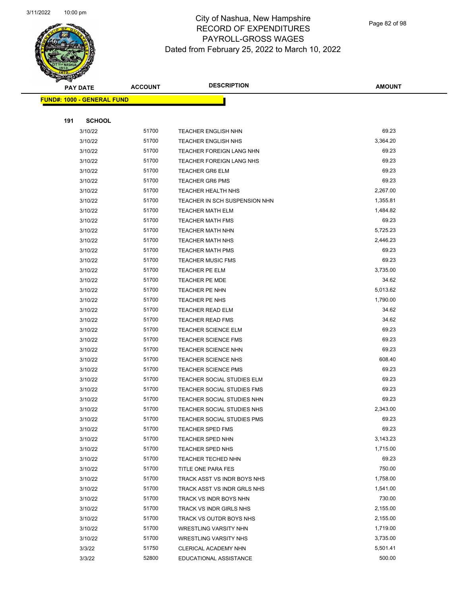

Page 82 of 98

|     | <b>PAY DATE</b>                    | <b>ACCOUNT</b> | <b>DESCRIPTION</b>                | <b>AMOUNT</b> |
|-----|------------------------------------|----------------|-----------------------------------|---------------|
|     | <u> FUND#: 1000 - GENERAL FUND</u> |                |                                   |               |
|     |                                    |                |                                   |               |
| 191 | <b>SCHOOL</b>                      |                |                                   |               |
|     | 3/10/22                            | 51700          | <b>TEACHER ENGLISH NHN</b>        | 69.23         |
|     | 3/10/22                            | 51700          | <b>TEACHER ENGLISH NHS</b>        | 3,364.20      |
|     | 3/10/22                            | 51700          | <b>TEACHER FOREIGN LANG NHN</b>   | 69.23         |
|     | 3/10/22                            | 51700          | TEACHER FOREIGN LANG NHS          | 69.23         |
|     | 3/10/22                            | 51700          | <b>TEACHER GR6 ELM</b>            | 69.23         |
|     | 3/10/22                            | 51700          | <b>TEACHER GR6 PMS</b>            | 69.23         |
|     | 3/10/22                            | 51700          | <b>TEACHER HEALTH NHS</b>         | 2,267.00      |
|     | 3/10/22                            | 51700          | TEACHER IN SCH SUSPENSION NHN     | 1,355.81      |
|     | 3/10/22                            | 51700          | TEACHER MATH ELM                  | 1,484.82      |
|     | 3/10/22                            | 51700          | <b>TEACHER MATH FMS</b>           | 69.23         |
|     | 3/10/22                            | 51700          | <b>TEACHER MATH NHN</b>           | 5,725.23      |
|     | 3/10/22                            | 51700          | <b>TEACHER MATH NHS</b>           | 2,446.23      |
|     | 3/10/22                            | 51700          | <b>TEACHER MATH PMS</b>           | 69.23         |
|     | 3/10/22                            | 51700          | <b>TEACHER MUSIC FMS</b>          | 69.23         |
|     | 3/10/22                            | 51700          | <b>TEACHER PE ELM</b>             | 3,735.00      |
|     | 3/10/22                            | 51700          | TEACHER PE MDE                    | 34.62         |
|     | 3/10/22                            | 51700          | <b>TEACHER PE NHN</b>             | 5,013.62      |
|     | 3/10/22                            | 51700          | TEACHER PE NHS                    | 1,790.00      |
|     | 3/10/22                            | 51700          | <b>TEACHER READ ELM</b>           | 34.62         |
|     | 3/10/22                            | 51700          | <b>TEACHER READ FMS</b>           | 34.62         |
|     | 3/10/22                            | 51700          | <b>TEACHER SCIENCE ELM</b>        | 69.23         |
|     | 3/10/22                            | 51700          | <b>TEACHER SCIENCE FMS</b>        | 69.23         |
|     | 3/10/22                            | 51700          | <b>TEACHER SCIENCE NHN</b>        | 69.23         |
|     | 3/10/22                            | 51700          | <b>TEACHER SCIENCE NHS</b>        | 608.40        |
|     | 3/10/22                            | 51700          | <b>TEACHER SCIENCE PMS</b>        | 69.23         |
|     | 3/10/22                            | 51700          | TEACHER SOCIAL STUDIES ELM        | 69.23         |
|     | 3/10/22                            | 51700          | <b>TEACHER SOCIAL STUDIES FMS</b> | 69.23         |
|     | 3/10/22                            | 51700          | TEACHER SOCIAL STUDIES NHN        | 69.23         |
|     | 3/10/22                            | 51700          | TEACHER SOCIAL STUDIES NHS        | 2,343.00      |
|     | 3/10/22                            | 51700          | TEACHER SOCIAL STUDIES PMS        | 69.23         |
|     | 3/10/22                            | 51700          | <b>TEACHER SPED FMS</b>           | 69.23         |
|     | 3/10/22                            | 51700          | <b>TEACHER SPED NHN</b>           | 3,143.23      |
|     | 3/10/22                            | 51700          | <b>TEACHER SPED NHS</b>           | 1,715.00      |
|     | 3/10/22                            | 51700          | TEACHER TECHED NHN                | 69.23         |
|     | 3/10/22                            | 51700          | TITLE ONE PARA FES                | 750.00        |
|     | 3/10/22                            | 51700          | TRACK ASST VS INDR BOYS NHS       | 1,758.00      |
|     | 3/10/22                            | 51700          | TRACK ASST VS INDR GRLS NHS       | 1,541.00      |
|     | 3/10/22                            | 51700          | TRACK VS INDR BOYS NHN            | 730.00        |
|     | 3/10/22                            | 51700          | TRACK VS INDR GIRLS NHS           | 2,155.00      |
|     | 3/10/22                            | 51700          | TRACK VS OUTDR BOYS NHS           | 2,155.00      |
|     | 3/10/22                            | 51700          | <b>WRESTLING VARSITY NHN</b>      | 1,719.00      |
|     | 3/10/22                            | 51700          | <b>WRESTLING VARSITY NHS</b>      | 3,735.00      |
|     | 3/3/22                             | 51750          | CLERICAL ACADEMY NHN              | 5,501.41      |
|     | 3/3/22                             | 52800          | EDUCATIONAL ASSISTANCE            | 500.00        |
|     |                                    |                |                                   |               |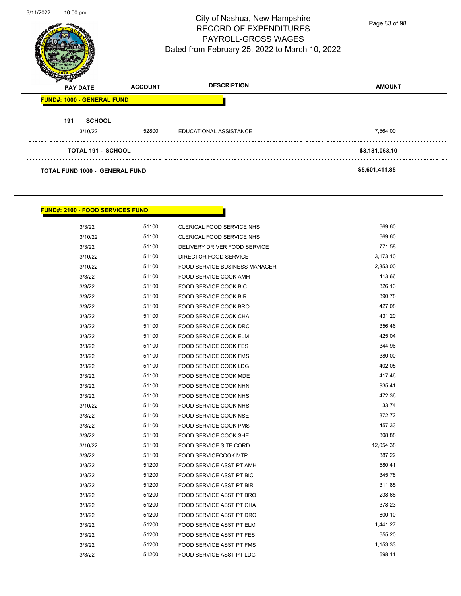

Page 83 of 98

|     | <b>PAY DATE</b>                       | <b>ACCOUNT</b> | <b>DESCRIPTION</b>     | <b>AMOUNT</b>  |
|-----|---------------------------------------|----------------|------------------------|----------------|
|     | <b>FUND#: 1000 - GENERAL FUND</b>     |                |                        |                |
| 191 | <b>SCHOOL</b>                         |                |                        |                |
|     | 3/10/22                               | 52800          | EDUCATIONAL ASSISTANCE | 7,564.00       |
|     | <b>TOTAL 191 - SCHOOL</b>             |                |                        | \$3,181,053.10 |
|     | <b>TOTAL FUND 1000 - GENERAL FUND</b> |                |                        | \$5,601,411.85 |

#### **FUND#: 2100 - FOOD SERVICES FUND**

| 3/3/22  | 51100 | CLERICAL FOOD SERVICE NHS            | 669.60    |
|---------|-------|--------------------------------------|-----------|
| 3/10/22 | 51100 | <b>CLERICAL FOOD SERVICE NHS</b>     | 669.60    |
| 3/3/22  | 51100 | DELIVERY DRIVER FOOD SERVICE         | 771.58    |
| 3/10/22 | 51100 | DIRECTOR FOOD SERVICE                | 3,173.10  |
| 3/10/22 | 51100 | <b>FOOD SERVICE BUSINESS MANAGER</b> | 2,353.00  |
| 3/3/22  | 51100 | FOOD SERVICE COOK AMH                | 413.66    |
| 3/3/22  | 51100 | FOOD SERVICE COOK BIC                | 326.13    |
| 3/3/22  | 51100 | FOOD SERVICE COOK BIR                | 390.78    |
| 3/3/22  | 51100 | FOOD SERVICE COOK BRO                | 427.08    |
| 3/3/22  | 51100 | FOOD SERVICE COOK CHA                | 431.20    |
| 3/3/22  | 51100 | FOOD SERVICE COOK DRC                | 356.46    |
| 3/3/22  | 51100 | FOOD SERVICE COOK ELM                | 425.04    |
| 3/3/22  | 51100 | <b>FOOD SERVICE COOK FES</b>         | 344.96    |
| 3/3/22  | 51100 | FOOD SERVICE COOK FMS                | 380.00    |
| 3/3/22  | 51100 | FOOD SERVICE COOK LDG                | 402.05    |
| 3/3/22  | 51100 | FOOD SERVICE COOK MDE                | 417.46    |
| 3/3/22  | 51100 | FOOD SERVICE COOK NHN                | 935.41    |
| 3/3/22  | 51100 | <b>FOOD SERVICE COOK NHS</b>         | 472.36    |
| 3/10/22 | 51100 | FOOD SERVICE COOK NHS                | 33.74     |
| 3/3/22  | 51100 | FOOD SERVICE COOK NSE                | 372.72    |
| 3/3/22  | 51100 | FOOD SERVICE COOK PMS                | 457.33    |
| 3/3/22  | 51100 | FOOD SERVICE COOK SHE                | 308.88    |
| 3/10/22 | 51100 | FOOD SERVICE SITE CORD               | 12,054.38 |
| 3/3/22  | 51100 | FOOD SERVICECOOK MTP                 | 387.22    |
| 3/3/22  | 51200 | FOOD SERVICE ASST PT AMH             | 580.41    |
| 3/3/22  | 51200 | FOOD SERVICE ASST PT BIC             | 345.78    |
| 3/3/22  | 51200 | FOOD SERVICE ASST PT BIR             | 311.85    |
| 3/3/22  | 51200 | FOOD SERVICE ASST PT BRO             | 238.68    |
| 3/3/22  | 51200 | FOOD SERVICE ASST PT CHA             | 378.23    |
| 3/3/22  | 51200 | FOOD SERVICE ASST PT DRC             | 800.10    |
| 3/3/22  | 51200 | <b>FOOD SERVICE ASST PT ELM</b>      | 1,441.27  |
| 3/3/22  | 51200 | FOOD SERVICE ASST PT FES             | 655.20    |
| 3/3/22  | 51200 | FOOD SERVICE ASST PT FMS             | 1,153.33  |
| 3/3/22  | 51200 | FOOD SERVICE ASST PT LDG             | 698.11    |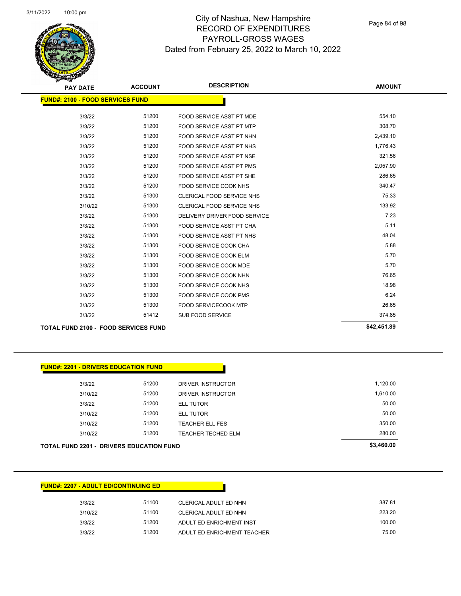Page 84 of 98

| <b>PAY DATE</b>                         | <b>ACCOUNT</b> | <b>DESCRIPTION</b>               | <b>AMOUNT</b> |  |  |
|-----------------------------------------|----------------|----------------------------------|---------------|--|--|
| <b>FUND#: 2100 - FOOD SERVICES FUND</b> |                |                                  |               |  |  |
| 3/3/22                                  | 51200          | FOOD SERVICE ASST PT MDE         | 554.10        |  |  |
| 3/3/22                                  | 51200          | <b>FOOD SERVICE ASST PT MTP</b>  | 308.70        |  |  |
| 3/3/22                                  | 51200          | FOOD SERVICE ASST PT NHN         | 2,439.10      |  |  |
| 3/3/22                                  | 51200          | <b>FOOD SERVICE ASST PT NHS</b>  | 1,776.43      |  |  |
| 3/3/22                                  | 51200          | FOOD SERVICE ASST PT NSE         | 321.56        |  |  |
| 3/3/22                                  | 51200          | <b>FOOD SERVICE ASST PT PMS</b>  | 2,057.90      |  |  |
| 3/3/22                                  | 51200          | FOOD SERVICE ASST PT SHE         | 286.65        |  |  |
| 3/3/22                                  | 51200          | FOOD SERVICE COOK NHS            | 340.47        |  |  |
| 3/3/22                                  | 51300          | CLERICAL FOOD SERVICE NHS        | 75.33         |  |  |
| 3/10/22                                 | 51300          | <b>CLERICAL FOOD SERVICE NHS</b> | 133.92        |  |  |
| 3/3/22                                  | 51300          | DELIVERY DRIVER FOOD SERVICE     | 7.23          |  |  |
| 3/3/22                                  | 51300          | <b>FOOD SERVICE ASST PT CHA</b>  | 5.11          |  |  |
| 3/3/22                                  | 51300          | <b>FOOD SERVICE ASST PT NHS</b>  | 48.04         |  |  |
| 3/3/22                                  | 51300          | <b>FOOD SERVICE COOK CHA</b>     | 5.88          |  |  |
| 3/3/22                                  | 51300          | <b>FOOD SERVICE COOK ELM</b>     | 5.70          |  |  |
| 3/3/22                                  | 51300          | FOOD SERVICE COOK MDE            | 5.70          |  |  |
| 3/3/22                                  | 51300          | FOOD SERVICE COOK NHN            | 76.65         |  |  |
| 3/3/22                                  | 51300          | FOOD SERVICE COOK NHS            | 18.98         |  |  |
| 3/3/22                                  | 51300          | <b>FOOD SERVICE COOK PMS</b>     | 6.24          |  |  |
| 3/3/22                                  | 51300          | <b>FOOD SERVICECOOK MTP</b>      | 26.65         |  |  |
| 3/3/22                                  | 51412          | <b>SUB FOOD SERVICE</b>          | 374.85        |  |  |
| TOTAL FUND 2100 - FOOD SERVICES FUND    |                |                                  | \$42,451.89   |  |  |

**TOTAL FUND 2100 - FOOD SERVICES FUND \$42,451.89** 

| <b>FUND#: 2201 - DRIVERS EDUCATION FUND</b>     |            |                           |          |
|-------------------------------------------------|------------|---------------------------|----------|
| 3/3/22                                          | 51200      | DRIVER INSTRUCTOR         | 1,120.00 |
| 3/10/22                                         | 51200      | DRIVER INSTRUCTOR         | 1,610.00 |
| 3/3/22                                          | 51200      | <b>ELL TUTOR</b>          | 50.00    |
| 3/10/22                                         | 51200      | <b>ELL TUTOR</b>          | 50.00    |
| 3/10/22                                         | 51200      | <b>TEACHER ELL FES</b>    | 350.00   |
| 3/10/22                                         | 51200      | <b>TEACHER TECHED ELM</b> | 280.00   |
| <b>TOTAL FUND 2201 - DRIVERS EDUCATION FUND</b> | \$3,460.00 |                           |          |

| <b>FUND#: 2207 - ADULT ED/CONTINUING ED</b> |       |                             |        |
|---------------------------------------------|-------|-----------------------------|--------|
| 3/3/22                                      | 51100 | CLERICAL ADULT ED NHN       | 387.81 |
| 3/10/22                                     | 51100 | CLERICAL ADULT ED NHN       | 223.20 |
| 3/3/22                                      | 51200 | ADULT ED ENRICHMENT INST    | 100.00 |
| 3/3/22                                      | 51200 | ADULT ED ENRICHMENT TEACHER | 75.00  |
|                                             |       |                             |        |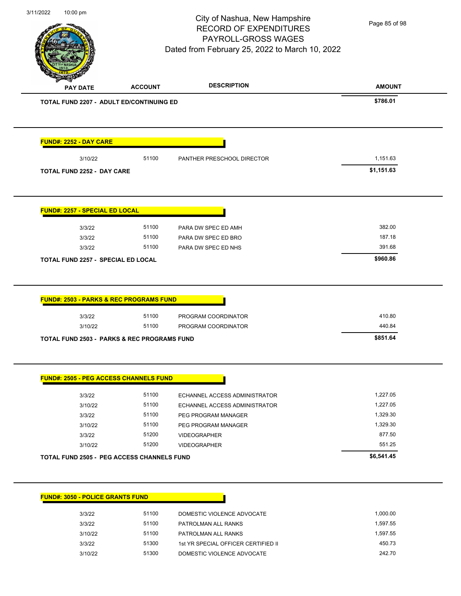

Page 85 of 98

|                                                                                                                                                                                                         |                |                                                   | <b>AMOUNT</b>        |
|---------------------------------------------------------------------------------------------------------------------------------------------------------------------------------------------------------|----------------|---------------------------------------------------|----------------------|
| <b>TOTAL FUND 2207 - ADULT ED/CONTINUING ED</b>                                                                                                                                                         |                |                                                   | \$786.01             |
| <u> FUND#: 2252 - DAY CARE</u>                                                                                                                                                                          |                |                                                   |                      |
| 3/10/22                                                                                                                                                                                                 | 51100          | PANTHER PRESCHOOL DIRECTOR                        | 1,151.63             |
| <b>TOTAL FUND 2252 - DAY CARE</b>                                                                                                                                                                       |                |                                                   | \$1,151.63           |
| <b>FUND#: 2257 - SPECIAL ED LOCAL</b>                                                                                                                                                                   |                |                                                   |                      |
| 3/3/22                                                                                                                                                                                                  | 51100          | PARA DW SPEC ED AMH                               | 382.00               |
| 3/3/22                                                                                                                                                                                                  | 51100          | PARA DW SPEC ED BRO                               | 187.18               |
| 3/3/22                                                                                                                                                                                                  | 51100          | PARA DW SPEC ED NHS                               | 391.68               |
| <b>TOTAL FUND 2257 - SPECIAL ED LOCAL</b>                                                                                                                                                               |                |                                                   | \$960.86             |
| <b>FUND#: 2503 - PARKS &amp; REC PROGRAMS FUND</b>                                                                                                                                                      |                |                                                   |                      |
| 3/3/22                                                                                                                                                                                                  | 51100<br>51100 | PROGRAM COORDINATOR                               | 410.80<br>440.84     |
| 3/10/22                                                                                                                                                                                                 |                | PROGRAM COORDINATOR                               | \$851.64             |
|                                                                                                                                                                                                         |                |                                                   |                      |
|                                                                                                                                                                                                         |                |                                                   |                      |
|                                                                                                                                                                                                         |                |                                                   |                      |
| 3/3/22                                                                                                                                                                                                  | 51100          | ECHANNEL ACCESS ADMINISTRATOR                     | 1,227.05             |
| 3/10/22                                                                                                                                                                                                 | 51100          | ECHANNEL ACCESS ADMINISTRATOR                     | 1.227.05             |
| 3/3/22                                                                                                                                                                                                  | 51100          | PEG PROGRAM MANAGER                               | 1,329.30             |
| 3/10/22                                                                                                                                                                                                 | 51100          | PEG PROGRAM MANAGER                               | 1,329.30             |
| 3/3/22                                                                                                                                                                                                  | 51200          | <b>VIDEOGRAPHER</b>                               | 877.50               |
| 3/10/22                                                                                                                                                                                                 | 51200          | <b>VIDEOGRAPHER</b>                               | 551.25               |
|                                                                                                                                                                                                         |                |                                                   | \$6,541.45           |
|                                                                                                                                                                                                         |                |                                                   |                      |
| <b>TOTAL FUND 2503 - PARKS &amp; REC PROGRAMS FUND</b><br><b>FUND#: 2505 - PEG ACCESS CHANNELS FUND</b><br><b>TOTAL FUND 2505 - PEG ACCESS CHANNELS FUND</b><br><b>FUND#: 3050 - POLICE GRANTS FUND</b> |                |                                                   |                      |
| 3/3/22<br>3/3/22                                                                                                                                                                                        | 51100<br>51100 | DOMESTIC VIOLENCE ADVOCATE<br>PATROLMAN ALL RANKS | 1,000.00<br>1,597.55 |

3/3/22 51300 1st YR SPECIAL OFFICER CERTIFIED II 450.73 3/10/22 51300 DOMESTIC VIOLENCE ADVOCATE 242.70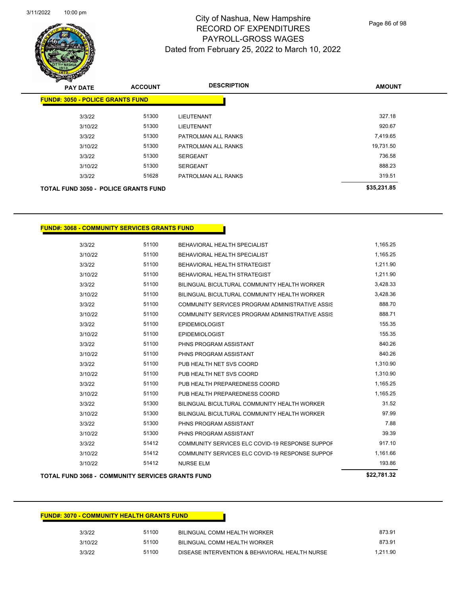

Page 86 of 98

| <b>PAY DATE</b> | <b>ACCOUNT</b>                              | <b>DESCRIPTION</b>  | <b>AMOUNT</b> |
|-----------------|---------------------------------------------|---------------------|---------------|
|                 | <b>FUND#: 3050 - POLICE GRANTS FUND</b>     |                     |               |
| 3/3/22          | 51300                                       | <b>LIEUTENANT</b>   | 327.18        |
|                 | 51300<br>3/10/22                            | <b>LIEUTENANT</b>   | 920.67        |
| 3/3/22          | 51300                                       | PATROLMAN ALL RANKS | 7,419.65      |
|                 | 51300<br>3/10/22                            | PATROLMAN ALL RANKS | 19,731.50     |
| 3/3/22          | 51300                                       | <b>SERGEANT</b>     | 736.58        |
| 3/10/22         | 51300                                       | <b>SERGEANT</b>     | 888.23        |
| 3/3/22          | 51628                                       | PATROLMAN ALL RANKS | 319.51        |
|                 | <b>TOTAL FUND 3050 - POLICE GRANTS FUND</b> |                     | \$35,231.85   |

#### **FUND#: 3068 - COMMUNITY SERVICES GRANTS FUND**

|         | <b>TOTAL FUND 3068 - COMMUNITY SERVICES GRANTS FUND</b> |                                                 | \$22,781.32 |
|---------|---------------------------------------------------------|-------------------------------------------------|-------------|
| 3/10/22 | 51412                                                   | <b>NURSE ELM</b>                                | 193.86      |
| 3/10/22 | 51412                                                   | COMMUNITY SERVICES ELC COVID-19 RESPONSE SUPPOF | 1,161.66    |
| 3/3/22  | 51412                                                   | COMMUNITY SERVICES ELC COVID-19 RESPONSE SUPPOF | 917.10      |
| 3/10/22 | 51300                                                   | PHNS PROGRAM ASSISTANT                          | 39.39       |
| 3/3/22  | 51300                                                   | PHNS PROGRAM ASSISTANT                          | 7.88        |
| 3/10/22 | 51300                                                   | BILINGUAL BICULTURAL COMMUNITY HEALTH WORKER    | 97.99       |
| 3/3/22  | 51300                                                   | BILINGUAL BICULTURAL COMMUNITY HEALTH WORKER    | 31.52       |
| 3/10/22 | 51100                                                   | PUB HEALTH PREPAREDNESS COORD                   | 1,165.25    |
| 3/3/22  | 51100                                                   | PUB HEALTH PREPAREDNESS COORD                   | 1,165.25    |
| 3/10/22 | 51100                                                   | PUB HEALTH NET SVS COORD                        | 1,310.90    |
| 3/3/22  | 51100                                                   | PUB HEALTH NET SVS COORD                        | 1,310.90    |
| 3/10/22 | 51100                                                   | PHNS PROGRAM ASSISTANT                          | 840.26      |
| 3/3/22  | 51100                                                   | PHNS PROGRAM ASSISTANT                          | 840.26      |
| 3/10/22 | 51100                                                   | <b>EPIDEMIOLOGIST</b>                           | 155.35      |
| 3/3/22  | 51100                                                   | <b>EPIDEMIOLOGIST</b>                           | 155.35      |
| 3/10/22 | 51100                                                   | COMMUNITY SERVICES PROGRAM ADMINISTRATIVE ASSIS | 888.71      |
| 3/3/22  | 51100                                                   | COMMUNITY SERVICES PROGRAM ADMINISTRATIVE ASSIS | 888.70      |
| 3/10/22 | 51100                                                   | BILINGUAL BICULTURAL COMMUNITY HEALTH WORKER    | 3,428.36    |
| 3/3/22  | 51100                                                   | BILINGUAL BICULTURAL COMMUNITY HEALTH WORKER    | 3,428.33    |
| 3/10/22 | 51100                                                   | BEHAVIORAL HEALTH STRATEGIST                    | 1,211.90    |
| 3/3/22  | 51100                                                   | BEHAVIORAL HEALTH STRATEGIST                    | 1,211.90    |
| 3/10/22 | 51100                                                   | BEHAVIORAL HEALTH SPECIALIST                    | 1,165.25    |
| 3/3/22  | 51100                                                   | BEHAVIORAL HEALTH SPECIALIST                    | 1,165.25    |

| <b>FUND#: 3070 - COMMUNITY HEALTH GRANTS FUND</b> |       |                                                |          |
|---------------------------------------------------|-------|------------------------------------------------|----------|
| 3/3/22                                            | 51100 | BILINGUAL COMM HEALTH WORKER                   | 873.91   |
| 3/10/22                                           | 51100 | BILINGUAL COMM HEALTH WORKER                   | 873.91   |
| 3/3/22                                            | 51100 | DISEASE INTERVENTION & BEHAVIORAL HEALTH NURSE | 1,211.90 |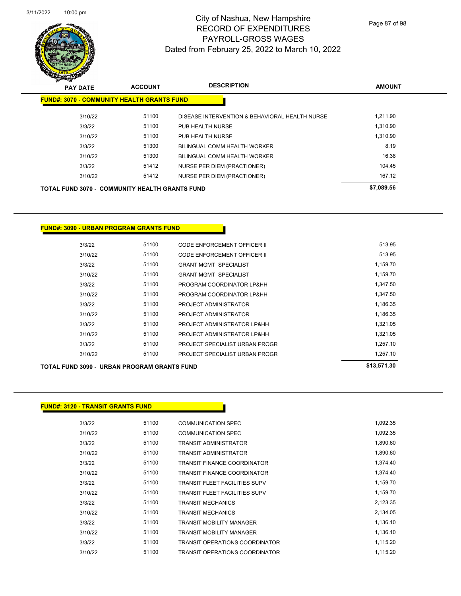

Page 87 of 98

| $\mathscr{D} \rightarrow \mathscr{D}$ |                 |                                                       |                                                |               |  |
|---------------------------------------|-----------------|-------------------------------------------------------|------------------------------------------------|---------------|--|
|                                       | <b>PAY DATE</b> | <b>ACCOUNT</b>                                        | <b>DESCRIPTION</b>                             | <b>AMOUNT</b> |  |
|                                       |                 | <b>FUND#: 3070 - COMMUNITY HEALTH GRANTS FUND</b>     |                                                |               |  |
|                                       | 3/10/22         | 51100                                                 | DISEASE INTERVENTION & BEHAVIORAL HEALTH NURSE | 1,211.90      |  |
|                                       | 3/3/22          | 51100                                                 | PUB HEALTH NURSE                               | 1,310.90      |  |
|                                       | 3/10/22         | 51100                                                 | PUB HEALTH NURSE                               | 1,310.90      |  |
|                                       | 3/3/22          | 51300                                                 | BILINGUAL COMM HEALTH WORKER                   | 8.19          |  |
|                                       | 3/10/22         | 51300                                                 | <b>BILINGUAL COMM HEALTH WORKER</b>            | 16.38         |  |
|                                       | 3/3/22          | 51412                                                 | <b>NURSE PER DIEM (PRACTIONER)</b>             | 104.45        |  |
|                                       | 3/10/22         | 51412                                                 | <b>NURSE PER DIEM (PRACTIONER)</b>             | 167.12        |  |
|                                       |                 | <b>TOTAL FUND 3070 - COMMUNITY HEALTH GRANTS FUND</b> |                                                | \$7,089.56    |  |

**FUND#: 3090 - URBAN PROGRAM GRANTS FUND**

|         |       |                                | *** ==* ** |
|---------|-------|--------------------------------|------------|
| 3/10/22 | 51100 | PROJECT SPECIALIST URBAN PROGR | 1,257.10   |
| 3/3/22  | 51100 | PROJECT SPECIALIST URBAN PROGR | 1.257.10   |
| 3/10/22 | 51100 | PROJECT ADMINISTRATOR LP&HH    | 1.321.05   |
| 3/3/22  | 51100 | PROJECT ADMINISTRATOR LP&HH    | 1,321.05   |
| 3/10/22 | 51100 | PROJECT ADMINISTRATOR          | 1.186.35   |
| 3/3/22  | 51100 | PROJECT ADMINISTRATOR          | 1.186.35   |
| 3/10/22 | 51100 | PROGRAM COORDINATOR LP&HH      | 1.347.50   |
| 3/3/22  | 51100 | PROGRAM COORDINATOR LP&HH      | 1,347.50   |
| 3/10/22 | 51100 | <b>GRANT MGMT SPECIALIST</b>   | 1,159.70   |
| 3/3/22  | 51100 | <b>GRANT MGMT SPECIALIST</b>   | 1,159.70   |
| 3/10/22 | 51100 | CODE ENFORCEMENT OFFICER II    | 513.95     |
| 3/3/22  | 51100 | CODE ENFORCEMENT OFFICER II    | 513.95     |
|         |       |                                |            |

**TOTAL FUND 3090 - URBAN PROGRAM GRANTS FUND \$13,571.30** 

| <b>FUND#: 3120 - TRANSIT GRANTS FUND</b> |       |                                      |          |
|------------------------------------------|-------|--------------------------------------|----------|
|                                          |       |                                      |          |
| 3/3/22                                   | 51100 | <b>COMMUNICATION SPEC</b>            | 1,092.35 |
| 3/10/22                                  | 51100 | <b>COMMUNICATION SPEC</b>            | 1,092.35 |
| 3/3/22                                   | 51100 | <b>TRANSIT ADMINISTRATOR</b>         | 1,890.60 |
| 3/10/22                                  | 51100 | <b>TRANSIT ADMINISTRATOR</b>         | 1,890.60 |
| 3/3/22                                   | 51100 | <b>TRANSIT FINANCE COORDINATOR</b>   | 1,374.40 |
| 3/10/22                                  | 51100 | <b>TRANSIT FINANCE COORDINATOR</b>   | 1,374.40 |
| 3/3/22                                   | 51100 | <b>TRANSIT FLEET FACILITIES SUPV</b> | 1,159.70 |
| 3/10/22                                  | 51100 | <b>TRANSIT FLEET FACILITIES SUPV</b> | 1,159.70 |
| 3/3/22                                   | 51100 | <b>TRANSIT MECHANICS</b>             | 2,123.35 |
| 3/10/22                                  | 51100 | <b>TRANSIT MECHANICS</b>             | 2,134.05 |
| 3/3/22                                   | 51100 | <b>TRANSIT MOBILITY MANAGER</b>      | 1,136.10 |
| 3/10/22                                  | 51100 | <b>TRANSIT MOBILITY MANAGER</b>      | 1,136.10 |
| 3/3/22                                   | 51100 | TRANSIT OPERATIONS COORDINATOR       | 1,115.20 |
| 3/10/22                                  | 51100 | TRANSIT OPERATIONS COORDINATOR       | 1,115.20 |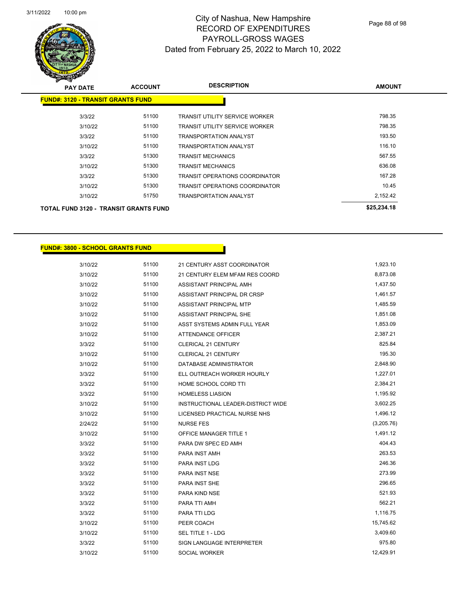

| <b>PAY DATE</b>                              | <b>ACCOUNT</b> | <b>DESCRIPTION</b>                    | <b>AMOUNT</b> |
|----------------------------------------------|----------------|---------------------------------------|---------------|
| <b>FUND#: 3120 - TRANSIT GRANTS FUND</b>     |                |                                       |               |
| 3/3/22                                       | 51100          | TRANSIT UTILITY SERVICE WORKER        | 798.35        |
| 3/10/22                                      | 51100          | TRANSIT UTILITY SERVICE WORKER        | 798.35        |
| 3/3/22                                       | 51100          | <b>TRANSPORTATION ANALYST</b>         | 193.50        |
| 3/10/22                                      | 51100          | <b>TRANSPORTATION ANALYST</b>         | 116.10        |
| 3/3/22                                       | 51300          | <b>TRANSIT MECHANICS</b>              | 567.55        |
| 3/10/22                                      | 51300          | <b>TRANSIT MECHANICS</b>              | 636.08        |
| 3/3/22                                       | 51300          | <b>TRANSIT OPERATIONS COORDINATOR</b> | 167.28        |
| 3/10/22                                      | 51300          | TRANSIT OPERATIONS COORDINATOR        | 10.45         |
| 3/10/22                                      | 51750          | <b>TRANSPORTATION ANALYST</b>         | 2,152.42      |
| <b>TOTAL FUND 3120 - TRANSIT GRANTS FUND</b> |                |                                       | \$25,234.18   |

#### **FUND#: 3800 - SCHOOL GRANTS FUND**

| 3/10/22 | 51100 | 21 CENTURY ASST COORDINATOR        | 1,923.10   |
|---------|-------|------------------------------------|------------|
| 3/10/22 | 51100 | 21 CENTURY ELEM MFAM RES COORD     | 8,873.08   |
| 3/10/22 | 51100 | ASSISTANT PRINCIPAL AMH            | 1,437.50   |
| 3/10/22 | 51100 | ASSISTANT PRINCIPAL DR CRSP        | 1,461.57   |
| 3/10/22 | 51100 | ASSISTANT PRINCIPAL MTP            | 1,485.59   |
| 3/10/22 | 51100 | <b>ASSISTANT PRINCIPAL SHE</b>     | 1,851.08   |
| 3/10/22 | 51100 | ASST SYSTEMS ADMIN FULL YEAR       | 1,853.09   |
| 3/10/22 | 51100 | <b>ATTENDANCE OFFICER</b>          | 2,387.21   |
| 3/3/22  | 51100 | <b>CLERICAL 21 CENTURY</b>         | 825.84     |
| 3/10/22 | 51100 | <b>CLERICAL 21 CENTURY</b>         | 195.30     |
| 3/10/22 | 51100 | DATABASE ADMINISTRATOR             | 2,848.90   |
| 3/3/22  | 51100 | ELL OUTREACH WORKER HOURLY         | 1,227.01   |
| 3/3/22  | 51100 | HOME SCHOOL CORD TTI               | 2,384.21   |
| 3/3/22  | 51100 | <b>HOMELESS LIASION</b>            | 1,195.92   |
| 3/10/22 | 51100 | INSTRUCTIONAL LEADER-DISTRICT WIDE | 3,602.25   |
| 3/10/22 | 51100 | LICENSED PRACTICAL NURSE NHS       | 1,496.12   |
| 2/24/22 | 51100 | <b>NURSE FES</b>                   | (3,205.76) |
| 3/10/22 | 51100 | <b>OFFICE MANAGER TITLE 1</b>      | 1,491.12   |
| 3/3/22  | 51100 | PARA DW SPEC ED AMH                | 404.43     |
| 3/3/22  | 51100 | PARA INST AMH                      | 263.53     |
| 3/3/22  | 51100 | PARA INST LDG                      | 246.36     |
| 3/3/22  | 51100 | PARA INST NSE                      | 273.99     |
| 3/3/22  | 51100 | <b>PARA INST SHE</b>               | 296.65     |
| 3/3/22  | 51100 | PARA KIND NSE                      | 521.93     |
| 3/3/22  | 51100 | PARA TTI AMH                       | 562.21     |
| 3/3/22  | 51100 | <b>PARA TTI LDG</b>                | 1,116.75   |
| 3/10/22 | 51100 | PEER COACH                         | 15,745.62  |
| 3/10/22 | 51100 | SEL TITLE 1 - LDG                  | 3,409.60   |
| 3/3/22  | 51100 | <b>SIGN LANGUAGE INTERPRETER</b>   | 975.80     |
| 3/10/22 | 51100 | <b>SOCIAL WORKER</b>               | 12,429.91  |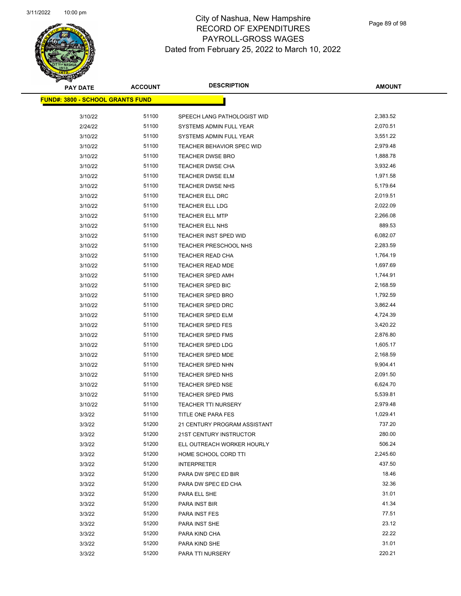

| <b>PAY DATE</b>                          | <b>ACCOUNT</b> | <b>DESCRIPTION</b>           | <b>AMOUNT</b> |
|------------------------------------------|----------------|------------------------------|---------------|
| <u> FUND#: 3800 - SCHOOL GRANTS FUND</u> |                |                              |               |
|                                          |                |                              |               |
| 3/10/22                                  | 51100          | SPEECH LANG PATHOLOGIST WID  | 2,383.52      |
| 2/24/22                                  | 51100          | SYSTEMS ADMIN FULL YEAR      | 2,070.51      |
| 3/10/22                                  | 51100          | SYSTEMS ADMIN FULL YEAR      | 3,551.22      |
| 3/10/22                                  | 51100          | TEACHER BEHAVIOR SPEC WID    | 2,979.48      |
| 3/10/22                                  | 51100          | <b>TEACHER DWSE BRO</b>      | 1,888.78      |
| 3/10/22                                  | 51100          | TEACHER DWSE CHA             | 3,932.46      |
| 3/10/22                                  | 51100          | <b>TEACHER DWSE ELM</b>      | 1,971.58      |
| 3/10/22                                  | 51100          | TEACHER DWSE NHS             | 5,179.64      |
| 3/10/22                                  | 51100          | TEACHER ELL DRC              | 2,019.51      |
| 3/10/22                                  | 51100          | TEACHER ELL LDG              | 2,022.09      |
| 3/10/22                                  | 51100          | <b>TEACHER ELL MTP</b>       | 2,266.08      |
| 3/10/22                                  | 51100          | TEACHER ELL NHS              | 889.53        |
| 3/10/22                                  | 51100          | <b>TEACHER INST SPED WID</b> | 6,082.07      |
| 3/10/22                                  | 51100          | TEACHER PRESCHOOL NHS        | 2,283.59      |
| 3/10/22                                  | 51100          | TEACHER READ CHA             | 1,764.19      |
| 3/10/22                                  | 51100          | TEACHER READ MDE             | 1,697.69      |
| 3/10/22                                  | 51100          | <b>TEACHER SPED AMH</b>      | 1,744.91      |
| 3/10/22                                  | 51100          | <b>TEACHER SPED BIC</b>      | 2,168.59      |
| 3/10/22                                  | 51100          | <b>TEACHER SPED BRO</b>      | 1,792.59      |
| 3/10/22                                  | 51100          | <b>TEACHER SPED DRC</b>      | 3,862.44      |
| 3/10/22                                  | 51100          | <b>TEACHER SPED ELM</b>      | 4,724.39      |
| 3/10/22                                  | 51100          | <b>TEACHER SPED FES</b>      | 3,420.22      |
| 3/10/22                                  | 51100          | <b>TEACHER SPED FMS</b>      | 2,876.80      |
| 3/10/22                                  | 51100          | <b>TEACHER SPED LDG</b>      | 1,605.17      |
| 3/10/22                                  | 51100          | <b>TEACHER SPED MDE</b>      | 2,168.59      |
| 3/10/22                                  | 51100          | TEACHER SPED NHN             | 9,904.41      |
| 3/10/22                                  | 51100          | <b>TEACHER SPED NHS</b>      | 2,091.50      |
| 3/10/22                                  | 51100          | TEACHER SPED NSE             | 6,624.70      |
| 3/10/22                                  | 51100          | <b>TEACHER SPED PMS</b>      | 5,539.81      |
| 3/10/22                                  | 51100          | <b>TEACHER TTI NURSERY</b>   | 2,979.48      |
| 3/3/22                                   | 51100          | TITLE ONE PARA FES           | 1,029.41      |
| 3/3/22                                   | 51200          | 21 CENTURY PROGRAM ASSISTANT | 737.20        |
| 3/3/22                                   | 51200          | 21ST CENTURY INSTRUCTOR      | 280.00        |
| 3/3/22                                   | 51200          | ELL OUTREACH WORKER HOURLY   | 506.24        |
| 3/3/22                                   | 51200          | HOME SCHOOL CORD TTI         | 2,245.60      |
| 3/3/22                                   | 51200          | <b>INTERPRETER</b>           | 437.50        |
| 3/3/22                                   | 51200          | PARA DW SPEC ED BIR          | 18.46         |
| 3/3/22                                   | 51200          | PARA DW SPEC ED CHA          | 32.36         |
| 3/3/22                                   | 51200          | PARA ELL SHE                 | 31.01         |
| 3/3/22                                   | 51200          | PARA INST BIR                | 41.34         |
| 3/3/22                                   | 51200          | PARA INST FES                | 77.51         |
| 3/3/22                                   | 51200          | PARA INST SHE                | 23.12         |
| 3/3/22                                   | 51200          | PARA KIND CHA                | 22.22         |
| 3/3/22                                   | 51200          | PARA KIND SHE                | 31.01         |
| 3/3/22                                   | 51200          | PARA TTI NURSERY             | 220.21        |
|                                          |                |                              |               |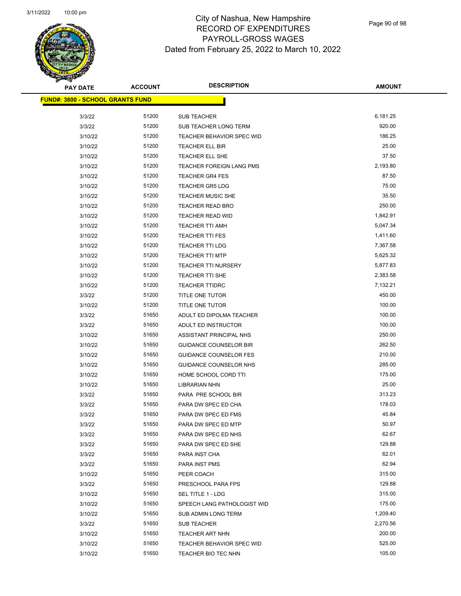

Page 90 of 98

| <b>PAY DATE</b>                          | <b>ACCOUNT</b> | <b>DESCRIPTION</b>               | <b>AMOUNT</b> |
|------------------------------------------|----------------|----------------------------------|---------------|
| <u> FUND#: 3800 - SCHOOL GRANTS FUND</u> |                |                                  |               |
|                                          |                |                                  |               |
| 3/3/22                                   | 51200          | <b>SUB TEACHER</b>               | 6,181.25      |
| 3/3/22                                   | 51200          | SUB TEACHER LONG TERM            | 920.00        |
| 3/10/22                                  | 51200          | <b>TEACHER BEHAVIOR SPEC WID</b> | 186.25        |
| 3/10/22                                  | 51200          | TEACHER ELL BIR                  | 25.00         |
| 3/10/22                                  | 51200          | TEACHER ELL SHE                  | 37.50         |
| 3/10/22                                  | 51200          | TEACHER FOREIGN LANG PMS         | 2,193.80      |
| 3/10/22                                  | 51200          | <b>TEACHER GR4 FES</b>           | 87.50         |
| 3/10/22                                  | 51200          | <b>TEACHER GR5 LDG</b>           | 75.00         |
| 3/10/22                                  | 51200          | <b>TEACHER MUSIC SHE</b>         | 35.50         |
| 3/10/22                                  | 51200          | <b>TEACHER READ BRO</b>          | 250.00        |
| 3/10/22                                  | 51200          | <b>TEACHER READ WID</b>          | 1,842.91      |
| 3/10/22                                  | 51200          | <b>TEACHER TTI AMH</b>           | 5,047.34      |
| 3/10/22                                  | 51200          | <b>TEACHER TTI FES</b>           | 1,411.60      |
| 3/10/22                                  | 51200          | <b>TEACHER TTI LDG</b>           | 7,367.58      |
| 3/10/22                                  | 51200          | <b>TEACHER TTI MTP</b>           | 5,625.32      |
| 3/10/22                                  | 51200          | <b>TEACHER TTI NURSERY</b>       | 5,877.83      |
| 3/10/22                                  | 51200          | TEACHER TTI SHE                  | 2,383.58      |
| 3/10/22                                  | 51200          | <b>TEACHER TTIDRC</b>            | 7,132.21      |
| 3/3/22                                   | 51200          | TITLE ONE TUTOR                  | 450.00        |
| 3/10/22                                  | 51200          | TITLE ONE TUTOR                  | 100.00        |
| 3/3/22                                   | 51650          | ADULT ED DIPOLMA TEACHER         | 100.00        |
| 3/3/22                                   | 51650          | ADULT ED INSTRUCTOR              | 100.00        |
| 3/10/22                                  | 51650          | ASSISTANT PRINCIPAL NHS          | 250.00        |
| 3/10/22                                  | 51650          | <b>GUIDANCE COUNSELOR BIR</b>    | 262.50        |
| 3/10/22                                  | 51650          | <b>GUIDANCE COUNSELOR FES</b>    | 210.00        |
| 3/10/22                                  | 51650          | GUIDANCE COUNSELOR NHS           | 285.00        |
| 3/10/22                                  | 51650          | HOME SCHOOL CORD TTI             | 175.00        |
| 3/10/22                                  | 51650          | <b>LIBRARIAN NHN</b>             | 25.00         |
| 3/3/22                                   | 51650          | PARA PRE SCHOOL BIR              | 313.23        |
| 3/3/22                                   | 51650          | PARA DW SPEC ED CHA              | 178.03        |
| 3/3/22                                   | 51650          | PARA DW SPEC ED FMS              | 45.84         |
| 3/3/22                                   | 51650          | PARA DW SPEC ED MTP              | 50.97         |
| 3/3/22                                   | 51650          | PARA DW SPEC ED NHS              | 62.67         |
| 3/3/22                                   | 51650          | PARA DW SPEC ED SHE              | 129.88        |
| 3/3/22                                   | 51650          | PARA INST CHA                    | 62.01         |
| 3/3/22                                   | 51650          | PARA INST PMS                    | 62.94         |
| 3/10/22                                  | 51650          | PEER COACH                       | 315.00        |
| 3/3/22                                   | 51650          | PRESCHOOL PARA FPS               | 129.88        |
| 3/10/22                                  | 51650          | SEL TITLE 1 - LDG                | 315.00        |
| 3/10/22                                  | 51650          | SPEECH LANG PATHOLOGIST WID      | 175.00        |
| 3/10/22                                  | 51650          | SUB ADMIN LONG TERM              | 1,209.40      |
| 3/3/22                                   | 51650          | SUB TEACHER                      | 2,270.56      |
| 3/10/22                                  | 51650          | TEACHER ART NHN                  | 200.00        |
| 3/10/22                                  | 51650          | TEACHER BEHAVIOR SPEC WID        | 525.00        |
| 3/10/22                                  | 51650          | TEACHER BIO TEC NHN              | 105.00        |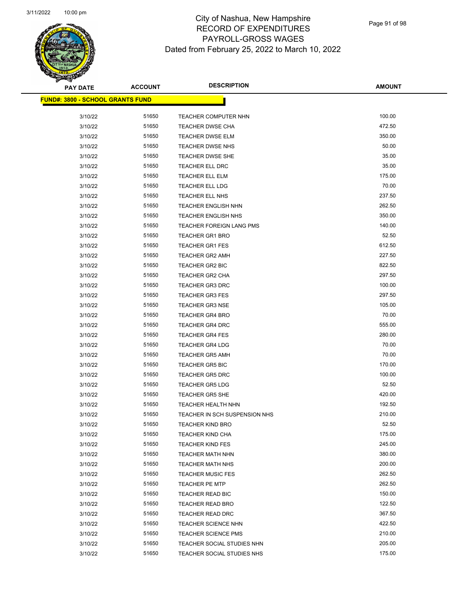

Page 91 of 98

| <b>PAY DATE</b>                               | <b>ACCOUNT</b> | <b>DESCRIPTION</b>            | <b>AMOUNT</b> |
|-----------------------------------------------|----------------|-------------------------------|---------------|
| <mark>FUND#: 3800 - SCHOOL GRANTS FUND</mark> |                |                               |               |
| 3/10/22                                       | 51650          | TEACHER COMPUTER NHN          | 100.00        |
| 3/10/22                                       | 51650          | <b>TEACHER DWSE CHA</b>       | 472.50        |
| 3/10/22                                       | 51650          | TEACHER DWSE ELM              | 350.00        |
| 3/10/22                                       | 51650          | TEACHER DWSE NHS              | 50.00         |
| 3/10/22                                       | 51650          | <b>TEACHER DWSE SHE</b>       | 35.00         |
| 3/10/22                                       | 51650          | TEACHER ELL DRC               | 35.00         |
| 3/10/22                                       | 51650          | <b>TEACHER ELL ELM</b>        | 175.00        |
| 3/10/22                                       | 51650          | TEACHER ELL LDG               | 70.00         |
| 3/10/22                                       | 51650          | TEACHER ELL NHS               | 237.50        |
| 3/10/22                                       | 51650          | <b>TEACHER ENGLISH NHN</b>    | 262.50        |
| 3/10/22                                       | 51650          | <b>TEACHER ENGLISH NHS</b>    | 350.00        |
| 3/10/22                                       | 51650          | TEACHER FOREIGN LANG PMS      | 140.00        |
| 3/10/22                                       | 51650          | TEACHER GR1 BRO               | 52.50         |
| 3/10/22                                       | 51650          | <b>TEACHER GR1 FES</b>        | 612.50        |
| 3/10/22                                       | 51650          | TEACHER GR2 AMH               | 227.50        |
| 3/10/22                                       | 51650          | TEACHER GR2 BIC               | 822.50        |
| 3/10/22                                       | 51650          | TEACHER GR2 CHA               | 297.50        |
| 3/10/22                                       | 51650          | TEACHER GR3 DRC               | 100.00        |
| 3/10/22                                       | 51650          | <b>TEACHER GR3 FES</b>        | 297.50        |
| 3/10/22                                       | 51650          | <b>TEACHER GR3 NSE</b>        | 105.00        |
| 3/10/22                                       | 51650          | <b>TEACHER GR4 BRO</b>        | 70.00         |
| 3/10/22                                       | 51650          | TEACHER GR4 DRC               | 555.00        |
| 3/10/22                                       | 51650          | <b>TEACHER GR4 FES</b>        | 280.00        |
| 3/10/22                                       | 51650          | <b>TEACHER GR4 LDG</b>        | 70.00         |
| 3/10/22                                       | 51650          | <b>TEACHER GR5 AMH</b>        | 70.00         |
| 3/10/22                                       | 51650          | <b>TEACHER GR5 BIC</b>        | 170.00        |
| 3/10/22                                       | 51650          | <b>TEACHER GR5 DRC</b>        | 100.00        |
| 3/10/22                                       | 51650          | <b>TEACHER GR5 LDG</b>        | 52.50         |
| 3/10/22                                       | 51650          | <b>TEACHER GR5 SHE</b>        | 420.00        |
| 3/10/22                                       | 51650          | TEACHER HEALTH NHN            | 192.50        |
| 3/10/22                                       | 51650          | TEACHER IN SCH SUSPENSION NHS | 210.00        |
| 3/10/22                                       | 51650          | <b>TEACHER KIND BRO</b>       | 52.50         |
| 3/10/22                                       | 51650          | <b>TEACHER KIND CHA</b>       | 175.00        |
| 3/10/22                                       | 51650          | <b>TEACHER KIND FES</b>       | 245.00        |
| 3/10/22                                       | 51650          | <b>TEACHER MATH NHN</b>       | 380.00        |
| 3/10/22                                       | 51650          | <b>TEACHER MATH NHS</b>       | 200.00        |
| 3/10/22                                       | 51650          | <b>TEACHER MUSIC FES</b>      | 262.50        |
| 3/10/22                                       | 51650          | <b>TEACHER PE MTP</b>         | 262.50        |
| 3/10/22                                       | 51650          | TEACHER READ BIC              | 150.00        |
| 3/10/22                                       | 51650          | <b>TEACHER READ BRO</b>       | 122.50        |
| 3/10/22                                       | 51650          | TEACHER READ DRC              | 367.50        |
| 3/10/22                                       | 51650          | <b>TEACHER SCIENCE NHN</b>    | 422.50        |
| 3/10/22                                       | 51650          | <b>TEACHER SCIENCE PMS</b>    | 210.00        |
| 3/10/22                                       | 51650          | TEACHER SOCIAL STUDIES NHN    | 205.00        |
| 3/10/22                                       | 51650          | TEACHER SOCIAL STUDIES NHS    | 175.00        |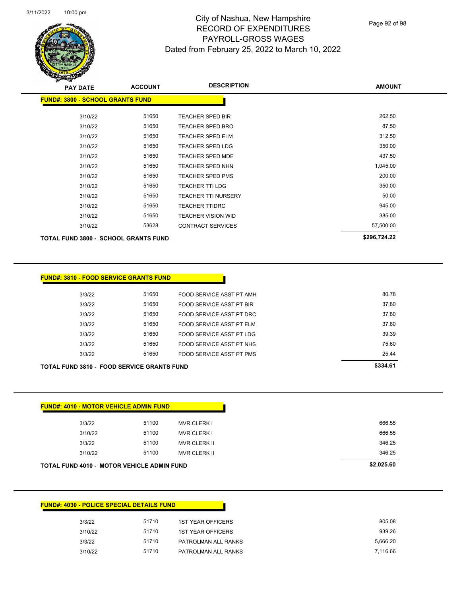

Page 92 of 98

| <b>PAY DATE</b>                             | <b>ACCOUNT</b> | <b>DESCRIPTION</b>         | <b>AMOUNT</b> |
|---------------------------------------------|----------------|----------------------------|---------------|
| <b>FUND#: 3800 - SCHOOL GRANTS FUND</b>     |                |                            |               |
| 3/10/22                                     | 51650          | <b>TEACHER SPED BIR</b>    | 262.50        |
| 3/10/22                                     | 51650          | TEACHER SPED BRO           | 87.50         |
| 3/10/22                                     | 51650          | <b>TEACHER SPED ELM</b>    | 312.50        |
| 3/10/22                                     | 51650          | <b>TEACHER SPED LDG</b>    | 350.00        |
| 3/10/22                                     | 51650          | <b>TEACHER SPED MDE</b>    | 437.50        |
| 3/10/22                                     | 51650          | TEACHER SPED NHN           | 1,045.00      |
| 3/10/22                                     | 51650          | <b>TEACHER SPED PMS</b>    | 200.00        |
| 3/10/22                                     | 51650          | TEACHER TTI LDG            | 350.00        |
| 3/10/22                                     | 51650          | <b>TEACHER TTI NURSERY</b> | 50.00         |
| 3/10/22                                     | 51650          | <b>TEACHER TTIDRC</b>      | 945.00        |
| 3/10/22                                     | 51650          | TEACHER VISION WID         | 385.00        |
| 3/10/22                                     | 53628          | <b>CONTRACT SERVICES</b>   | 57,500.00     |
| <b>TOTAL FUND 3800 - SCHOOL GRANTS FUND</b> |                |                            | \$296,724.22  |
|                                             |                |                            |               |

| <b>FUND#: 3810 - FOOD SERVICE GRANTS FUND</b>     |       |                          |          |  |
|---------------------------------------------------|-------|--------------------------|----------|--|
| 3/3/22                                            | 51650 | FOOD SERVICE ASST PT AMH | 80.78    |  |
| 3/3/22                                            | 51650 | FOOD SERVICE ASST PT BIR | 37.80    |  |
| 3/3/22                                            | 51650 | FOOD SERVICE ASST PT DRC | 37.80    |  |
| 3/3/22                                            | 51650 | FOOD SERVICE ASST PT ELM | 37.80    |  |
| 3/3/22                                            | 51650 | FOOD SERVICE ASST PT LDG | 39.39    |  |
| 3/3/22                                            | 51650 | FOOD SERVICE ASST PT NHS | 75.60    |  |
| 3/3/22                                            | 51650 | FOOD SERVICE ASST PT PMS | 25.44    |  |
| <b>TOTAL FUND 3810 - FOOD SERVICE GRANTS FUND</b> |       |                          | \$334.61 |  |

| <b>TOTAL FUND 4010 - MOTOR VEHICLE ADMIN FUND</b> |       |                     | \$2,025.60 |
|---------------------------------------------------|-------|---------------------|------------|
| 3/10/22                                           | 51100 | <b>MVR CLERK II</b> | 346.25     |
| 3/3/22                                            | 51100 | <b>MVR CLERK II</b> | 346.25     |
| 3/10/22                                           | 51100 | <b>MVR CLERK I</b>  | 666.55     |
| 3/3/22                                            | 51100 | MVR CLERK I         | 666.55     |

|         | <b>FUND#: 4030 - POLICE SPECIAL DETAILS FUND</b> |                          |
|---------|--------------------------------------------------|--------------------------|
| 3/3/22  | 51710                                            | <b>1ST YEAR OFFICERS</b> |
| 3/10/22 | 51710                                            | <b>1ST YEAR OFFICERS</b> |
| 3/3/22  | 51710                                            | PATROLMAN ALL RANKS      |
| 3/10/22 | 51710                                            | PATROLMAN ALL RANKS      |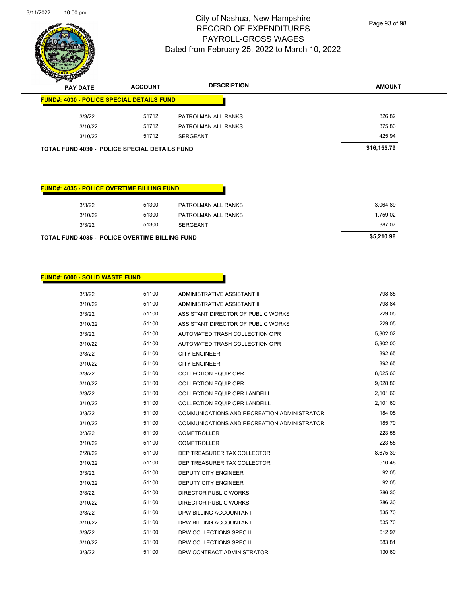

Page 93 of 98

| $\mathbf{z}$<br>∼<br><b>PAY DATE</b> | <b>ACCOUNT</b>                                       | <b>DESCRIPTION</b>  | <b>AMOUNT</b> |
|--------------------------------------|------------------------------------------------------|---------------------|---------------|
|                                      | <b>FUND#: 4030 - POLICE SPECIAL DETAILS FUND</b>     |                     |               |
| 3/3/22                               | 51712                                                | PATROLMAN ALL RANKS | 826.82        |
| 3/10/22                              | 51712                                                | PATROLMAN ALL RANKS | 375.83        |
| 3/10/22                              | 51712                                                | <b>SERGEANT</b>     | 425.94        |
|                                      | <b>TOTAL FUND 4030 - POLICE SPECIAL DETAILS FUND</b> |                     | \$16,155.79   |

#### **FUND#: 4035 - POLICE OVERTIME BILLING FUND**

| TOTAL FUND 4035 - POLICE OVERTIME BILLING FUND |         |       |                     | \$5,210.98 |
|------------------------------------------------|---------|-------|---------------------|------------|
|                                                | 3/3/22  | 51300 | <b>SERGEANT</b>     | 387.07     |
|                                                | 3/10/22 | 51300 | PATROLMAN ALL RANKS | 1.759.02   |
|                                                | 3/3/22  | 51300 | PATROLMAN ALL RANKS | 3.064.89   |
|                                                |         |       |                     |            |

#### **FUND#: 6000 - SOLID WASTE FUND**

| 3/3/22  | 51100 | ADMINISTRATIVE ASSISTANT II                 | 798.85   |
|---------|-------|---------------------------------------------|----------|
| 3/10/22 | 51100 | ADMINISTRATIVE ASSISTANT II                 | 798.84   |
| 3/3/22  | 51100 | ASSISTANT DIRECTOR OF PUBLIC WORKS          | 229.05   |
| 3/10/22 | 51100 | ASSISTANT DIRECTOR OF PUBLIC WORKS          | 229.05   |
| 3/3/22  | 51100 | AUTOMATED TRASH COLLECTION OPR              | 5,302.02 |
| 3/10/22 | 51100 | AUTOMATED TRASH COLLECTION OPR              | 5,302.00 |
| 3/3/22  | 51100 | <b>CITY ENGINEER</b>                        | 392.65   |
| 3/10/22 | 51100 | <b>CITY ENGINEER</b>                        | 392.65   |
| 3/3/22  | 51100 | <b>COLLECTION EQUIP OPR</b>                 | 8,025.60 |
| 3/10/22 | 51100 | <b>COLLECTION EQUIP OPR</b>                 | 9,028.80 |
| 3/3/22  | 51100 | <b>COLLECTION EQUIP OPR LANDFILL</b>        | 2,101.60 |
| 3/10/22 | 51100 | <b>COLLECTION EQUIP OPR LANDFILL</b>        | 2,101.60 |
| 3/3/22  | 51100 | COMMUNICATIONS AND RECREATION ADMINISTRATOR | 184.05   |
| 3/10/22 | 51100 | COMMUNICATIONS AND RECREATION ADMINISTRATOR | 185.70   |
| 3/3/22  | 51100 | <b>COMPTROLLER</b>                          | 223.55   |
| 3/10/22 | 51100 | <b>COMPTROLLER</b>                          | 223.55   |
| 2/28/22 | 51100 | DEP TREASURER TAX COLLECTOR                 | 8,675.39 |
| 3/10/22 | 51100 | DEP TREASURER TAX COLLECTOR                 | 510.48   |
| 3/3/22  | 51100 | <b>DEPUTY CITY ENGINEER</b>                 | 92.05    |
| 3/10/22 | 51100 | <b>DEPUTY CITY ENGINEER</b>                 | 92.05    |
| 3/3/22  | 51100 | DIRECTOR PUBLIC WORKS                       | 286.30   |
| 3/10/22 | 51100 | <b>DIRECTOR PUBLIC WORKS</b>                | 286.30   |
| 3/3/22  | 51100 | DPW BILLING ACCOUNTANT                      | 535.70   |
| 3/10/22 | 51100 | DPW BILLING ACCOUNTANT                      | 535.70   |
| 3/3/22  | 51100 | DPW COLLECTIONS SPEC III                    | 612.97   |
| 3/10/22 | 51100 | DPW COLLECTIONS SPEC III                    | 683.81   |
| 3/3/22  | 51100 | DPW CONTRACT ADMINISTRATOR                  | 130.60   |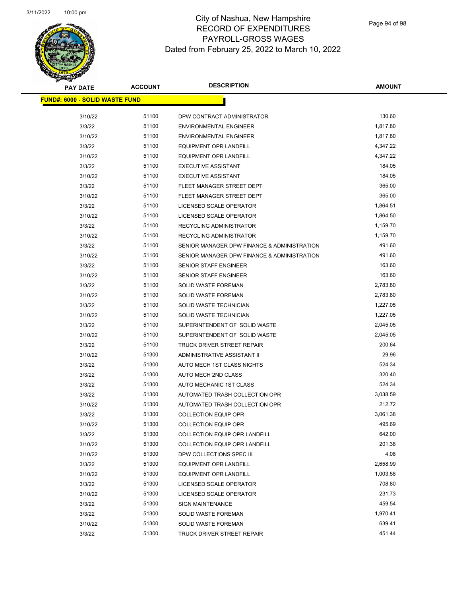

| <b>PAY DATE</b>                       | <b>ACCOUNT</b> | <b>DESCRIPTION</b>                          | <b>AMOUNT</b> |  |
|---------------------------------------|----------------|---------------------------------------------|---------------|--|
| <b>FUND#: 6000 - SOLID WASTE FUND</b> |                |                                             |               |  |
| 3/10/22                               | 51100          | DPW CONTRACT ADMINISTRATOR                  | 130.60        |  |
| 3/3/22                                | 51100          | <b>ENVIRONMENTAL ENGINEER</b>               | 1,817.80      |  |
| 3/10/22                               | 51100          | <b>ENVIRONMENTAL ENGINEER</b>               | 1,817.80      |  |
| 3/3/22                                | 51100          | <b>EQUIPMENT OPR LANDFILL</b>               | 4,347.22      |  |
| 3/10/22                               | 51100          | <b>EQUIPMENT OPR LANDFILL</b>               | 4,347.22      |  |
| 3/3/22                                | 51100          | <b>EXECUTIVE ASSISTANT</b>                  | 184.05        |  |
| 3/10/22                               | 51100          | <b>EXECUTIVE ASSISTANT</b>                  | 184.05        |  |
| 3/3/22                                | 51100          | FLEET MANAGER STREET DEPT                   | 365.00        |  |
| 3/10/22                               | 51100          | FLEET MANAGER STREET DEPT                   | 365.00        |  |
| 3/3/22                                | 51100          | LICENSED SCALE OPERATOR                     | 1,864.51      |  |
| 3/10/22                               | 51100          | LICENSED SCALE OPERATOR                     | 1,864.50      |  |
| 3/3/22                                | 51100          | RECYCLING ADMINISTRATOR                     | 1,159.70      |  |
| 3/10/22                               | 51100          | <b>RECYCLING ADMINISTRATOR</b>              | 1,159.70      |  |
| 3/3/22                                | 51100          | SENIOR MANAGER DPW FINANCE & ADMINISTRATION | 491.60        |  |
| 3/10/22                               | 51100          | SENIOR MANAGER DPW FINANCE & ADMINISTRATION | 491.60        |  |
| 3/3/22                                | 51100          | SENIOR STAFF ENGINEER                       | 163.60        |  |
| 3/10/22                               | 51100          | <b>SENIOR STAFF ENGINEER</b>                | 163.60        |  |
| 3/3/22                                | 51100          | SOLID WASTE FOREMAN                         | 2,783.80      |  |
| 3/10/22                               | 51100          | <b>SOLID WASTE FOREMAN</b>                  | 2,783.80      |  |
| 3/3/22                                | 51100          | SOLID WASTE TECHNICIAN                      | 1,227.05      |  |
| 3/10/22                               | 51100          | SOLID WASTE TECHNICIAN                      | 1,227.05      |  |
| 3/3/22                                | 51100          | SUPERINTENDENT OF SOLID WASTE               | 2,045.05      |  |
| 3/10/22                               | 51100          | SUPERINTENDENT OF SOLID WASTE               | 2,045.05      |  |
| 3/3/22                                | 51100          | TRUCK DRIVER STREET REPAIR                  | 200.64        |  |
| 3/10/22                               | 51300          | ADMINISTRATIVE ASSISTANT II                 | 29.96         |  |
| 3/3/22                                | 51300          | AUTO MECH 1ST CLASS NIGHTS                  | 524.34        |  |
| 3/3/22                                | 51300          | AUTO MECH 2ND CLASS                         | 320.40        |  |
| 3/3/22                                | 51300          | AUTO MECHANIC 1ST CLASS                     | 524.34        |  |
| 3/3/22                                | 51300          | AUTOMATED TRASH COLLECTION OPR              | 3,038.59      |  |
| 3/10/22                               | 51300          | AUTOMATED TRASH COLLECTION OPR              | 212.72        |  |
| 3/3/22                                | 51300          | <b>COLLECTION EQUIP OPR</b>                 | 3,061.38      |  |
| 3/10/22                               | 51300          | <b>COLLECTION EQUIP OPR</b>                 | 495.69        |  |
| 3/3/22                                | 51300          | <b>COLLECTION EQUIP OPR LANDFILL</b>        | 642.00        |  |
| 3/10/22                               | 51300          | COLLECTION EQUIP OPR LANDFILL               | 201.38        |  |
| 3/10/22                               | 51300          | DPW COLLECTIONS SPEC III                    | 4.08          |  |
| 3/3/22                                | 51300          | <b>EQUIPMENT OPR LANDFILL</b>               | 2,658.99      |  |
| 3/10/22                               | 51300          | <b>EQUIPMENT OPR LANDFILL</b>               | 1,003.58      |  |
| 3/3/22                                | 51300          | LICENSED SCALE OPERATOR                     | 708.80        |  |
| 3/10/22                               | 51300          | LICENSED SCALE OPERATOR                     | 231.73        |  |
| 3/3/22                                | 51300          | <b>SIGN MAINTENANCE</b>                     | 459.54        |  |
| 3/3/22                                | 51300          | SOLID WASTE FOREMAN                         | 1,970.41      |  |
| 3/10/22                               | 51300          | SOLID WASTE FOREMAN                         | 639.41        |  |
| 3/3/22                                | 51300          | TRUCK DRIVER STREET REPAIR                  | 451.44        |  |
|                                       |                |                                             |               |  |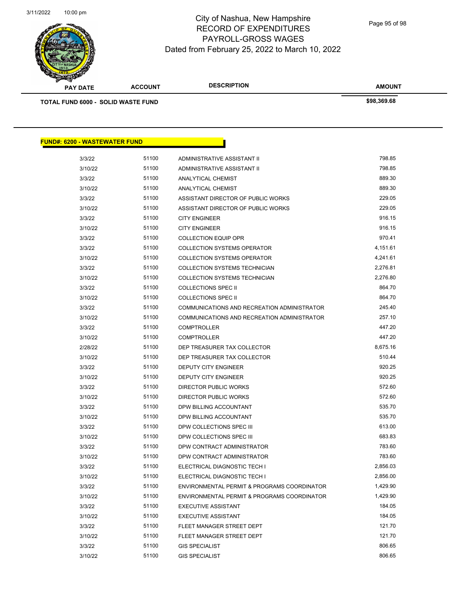

Page 95 of 98

| <b>PAY DATE</b>                           | <b>ACCOUNT</b> | <b>DESCRIPTION</b>                          | <b>AMOUNT</b> |  |
|-------------------------------------------|----------------|---------------------------------------------|---------------|--|
| <b>TOTAL FUND 6000 - SOLID WASTE FUND</b> |                |                                             | \$98,369.68   |  |
|                                           |                |                                             |               |  |
|                                           |                |                                             |               |  |
| <u> FUND#: 6200 - WASTEWATER FUND</u>     |                |                                             |               |  |
| 3/3/22                                    | 51100          | ADMINISTRATIVE ASSISTANT II                 | 798.85        |  |
| 3/10/22                                   | 51100          | ADMINISTRATIVE ASSISTANT II                 | 798.85        |  |
| 3/3/22                                    | 51100          | ANALYTICAL CHEMIST                          | 889.30        |  |
| 3/10/22                                   | 51100          | ANALYTICAL CHEMIST                          | 889.30        |  |
| 3/3/22                                    | 51100          | ASSISTANT DIRECTOR OF PUBLIC WORKS          | 229.05        |  |
| 3/10/22                                   | 51100          | ASSISTANT DIRECTOR OF PUBLIC WORKS          | 229.05        |  |
| 3/3/22                                    | 51100          | <b>CITY ENGINEER</b>                        | 916.15        |  |
| 3/10/22                                   | 51100          | <b>CITY ENGINEER</b>                        | 916.15        |  |
| 3/3/22                                    | 51100          | <b>COLLECTION EQUIP OPR</b>                 | 970.41        |  |
| 3/3/22                                    | 51100          | <b>COLLECTION SYSTEMS OPERATOR</b>          | 4,151.61      |  |
| 3/10/22                                   | 51100          | <b>COLLECTION SYSTEMS OPERATOR</b>          | 4,241.61      |  |
| 3/3/22                                    | 51100          | COLLECTION SYSTEMS TECHNICIAN               | 2,276.81      |  |
| 3/10/22                                   | 51100          | COLLECTION SYSTEMS TECHNICIAN               | 2,276.80      |  |
| 3/3/22                                    | 51100          | <b>COLLECTIONS SPEC II</b>                  | 864.70        |  |
| 3/10/22                                   | 51100          | <b>COLLECTIONS SPEC II</b>                  | 864.70        |  |
| 3/3/22                                    | 51100          | COMMUNICATIONS AND RECREATION ADMINISTRATOR | 245.40        |  |
| 3/10/22                                   | 51100          | COMMUNICATIONS AND RECREATION ADMINISTRATOR | 257.10        |  |
| 3/3/22                                    | 51100          | <b>COMPTROLLER</b>                          | 447.20        |  |
| 3/10/22                                   | 51100          | <b>COMPTROLLER</b>                          | 447.20        |  |
| 2/28/22                                   | 51100          | DEP TREASURER TAX COLLECTOR                 | 8,675.16      |  |
| 3/10/22                                   | 51100          | DEP TREASURER TAX COLLECTOR                 | 510.44        |  |
| 3/3/22                                    | 51100          | <b>DEPUTY CITY ENGINEER</b>                 | 920.25        |  |
| 3/10/22                                   | 51100          | <b>DEPUTY CITY ENGINEER</b>                 | 920.25        |  |
| 3/3/22                                    | 51100          | DIRECTOR PUBLIC WORKS                       | 572.60        |  |
| 3/10/22                                   | 51100          | <b>DIRECTOR PUBLIC WORKS</b>                | 572.60        |  |
| 3/3/22                                    | 51100          | DPW BILLING ACCOUNTANT                      | 535.70        |  |
| 3/10/22                                   | 51100          | DPW BILLING ACCOUNTANT                      | 535.70        |  |
| 3/3/22                                    | 51100          | DPW COLLECTIONS SPEC III                    | 613.00        |  |
| 3/10/22                                   | 51100          | DPW COLLECTIONS SPEC III                    | 683.83        |  |
| 3/3/22                                    | 51100          | DPW CONTRACT ADMINISTRATOR                  | 783.60        |  |
| 3/10/22                                   | 51100          | DPW CONTRACT ADMINISTRATOR                  | 783.60        |  |
| 3/3/22                                    | 51100          | ELECTRICAL DIAGNOSTIC TECH I                | 2,856.03      |  |

3/10/22 51100 ELECTRICAL DIAGNOSTIC TECH I 2,856.00 3/3/22 51100 ENVIRONMENTAL PERMIT & PROGRAMS COORDINATOR 1,429.90 3/10/22 51100 ENVIRONMENTAL PERMIT & PROGRAMS COORDINATOR 1,429.90 3/3/22 51100 EXECUTIVE ASSISTANT 184.05 3/10/22 51100 EXECUTIVE ASSISTANT 184.05 3/3/22 51100 FLEET MANAGER STREET DEPT 121.70 3/10/22 51100 FLEET MANAGER STREET DEPT 121.70 3/3/22 51100 GIS SPECIALIST 806.65 3/10/22 51100 GIS SPECIALIST 806.65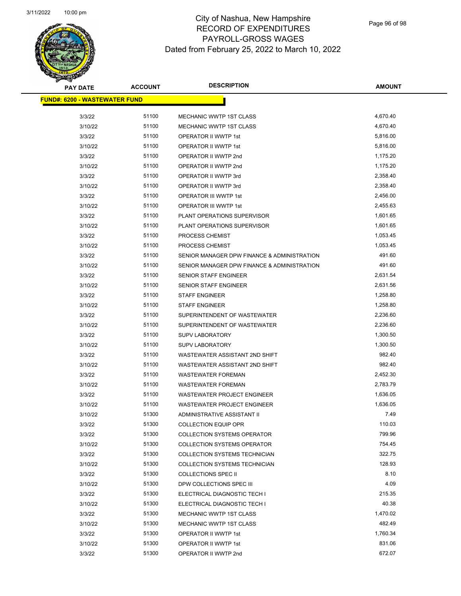

Page 96 of 98

| <b>PAY DATE</b>                       | <b>ACCOUNT</b> | <b>DESCRIPTION</b>                          | AMOUNT   |
|---------------------------------------|----------------|---------------------------------------------|----------|
| <u> FUND#: 6200 - WASTEWATER FUND</u> |                |                                             |          |
|                                       |                |                                             |          |
| 3/3/22                                | 51100          | MECHANIC WWTP 1ST CLASS                     | 4,670.40 |
| 3/10/22                               | 51100          | <b>MECHANIC WWTP 1ST CLASS</b>              | 4,670.40 |
| 3/3/22                                | 51100          | OPERATOR II WWTP 1st                        | 5,816.00 |
| 3/10/22                               | 51100          | OPERATOR II WWTP 1st                        | 5,816.00 |
| 3/3/22                                | 51100          | OPERATOR II WWTP 2nd                        | 1,175.20 |
| 3/10/22                               | 51100          | OPERATOR II WWTP 2nd                        | 1,175.20 |
| 3/3/22                                | 51100          | OPERATOR II WWTP 3rd                        | 2,358.40 |
| 3/10/22                               | 51100          | OPERATOR II WWTP 3rd                        | 2,358.40 |
| 3/3/22                                | 51100          | OPERATOR III WWTP 1st                       | 2,456.00 |
| 3/10/22                               | 51100          | OPERATOR III WWTP 1st                       | 2,455.63 |
| 3/3/22                                | 51100          | PLANT OPERATIONS SUPERVISOR                 | 1,601.65 |
| 3/10/22                               | 51100          | PLANT OPERATIONS SUPERVISOR                 | 1,601.65 |
| 3/3/22                                | 51100          | PROCESS CHEMIST                             | 1,053.45 |
| 3/10/22                               | 51100          | PROCESS CHEMIST                             | 1,053.45 |
| 3/3/22                                | 51100          | SENIOR MANAGER DPW FINANCE & ADMINISTRATION | 491.60   |
| 3/10/22                               | 51100          | SENIOR MANAGER DPW FINANCE & ADMINISTRATION | 491.60   |
| 3/3/22                                | 51100          | SENIOR STAFF ENGINEER                       | 2,631.54 |
| 3/10/22                               | 51100          | <b>SENIOR STAFF ENGINEER</b>                | 2,631.56 |
| 3/3/22                                | 51100          | <b>STAFF ENGINEER</b>                       | 1,258.80 |
| 3/10/22                               | 51100          | <b>STAFF ENGINEER</b>                       | 1,258.80 |
| 3/3/22                                | 51100          | SUPERINTENDENT OF WASTEWATER                | 2,236.60 |
| 3/10/22                               | 51100          | SUPERINTENDENT OF WASTEWATER                | 2,236.60 |
| 3/3/22                                | 51100          | <b>SUPV LABORATORY</b>                      | 1,300.50 |
| 3/10/22                               | 51100          | <b>SUPV LABORATORY</b>                      | 1,300.50 |
| 3/3/22                                | 51100          | WASTEWATER ASSISTANT 2ND SHIFT              | 982.40   |
| 3/10/22                               | 51100          | WASTEWATER ASSISTANT 2ND SHIFT              | 982.40   |
| 3/3/22                                | 51100          | <b>WASTEWATER FOREMAN</b>                   | 2,452.30 |
| 3/10/22                               | 51100          | <b>WASTEWATER FOREMAN</b>                   | 2,783.79 |
| 3/3/22                                | 51100          | <b>WASTEWATER PROJECT ENGINEER</b>          | 1,636.05 |
| 3/10/22                               | 51100          | WASTEWATER PROJECT ENGINEER                 | 1,636.05 |
| 3/10/22                               | 51300          | <b>ADMINISTRATIVE ASSISTANT II</b>          | 7.49     |
| 3/3/22                                | 51300          | <b>COLLECTION EQUIP OPR</b>                 | 110.03   |
| 3/3/22                                | 51300          | <b>COLLECTION SYSTEMS OPERATOR</b>          | 799.96   |
| 3/10/22                               | 51300          | <b>COLLECTION SYSTEMS OPERATOR</b>          | 754.45   |
| 3/3/22                                | 51300          | COLLECTION SYSTEMS TECHNICIAN               | 322.75   |
| 3/10/22                               | 51300          | COLLECTION SYSTEMS TECHNICIAN               | 128.93   |
| 3/3/22                                | 51300          | <b>COLLECTIONS SPEC II</b>                  | 8.10     |
| 3/10/22                               | 51300          | DPW COLLECTIONS SPEC III                    | 4.09     |
| 3/3/22                                | 51300          | ELECTRICAL DIAGNOSTIC TECH I                | 215.35   |
| 3/10/22                               | 51300          | ELECTRICAL DIAGNOSTIC TECH I                | 40.38    |
| 3/3/22                                | 51300          | MECHANIC WWTP 1ST CLASS                     | 1,470.02 |
| 3/10/22                               | 51300          | <b>MECHANIC WWTP 1ST CLASS</b>              | 482.49   |
| 3/3/22                                | 51300          | OPERATOR II WWTP 1st                        | 1,760.34 |
| 3/10/22                               | 51300          | OPERATOR II WWTP 1st                        | 831.06   |
| 3/3/22                                | 51300          | OPERATOR II WWTP 2nd                        | 672.07   |
|                                       |                |                                             |          |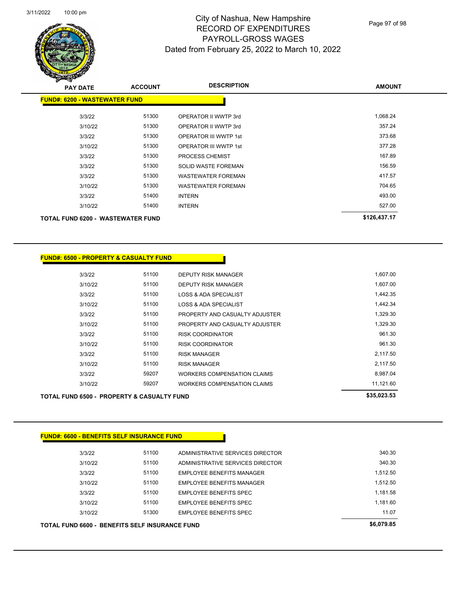

Page 97 of 98

| <b>PAY DATE</b>                          | <b>ACCOUNT</b> | <b>DESCRIPTION</b>           | <b>AMOUNT</b> |
|------------------------------------------|----------------|------------------------------|---------------|
| <b>FUND#: 6200 - WASTEWATER FUND</b>     |                |                              |               |
| 3/3/22                                   | 51300          | OPERATOR II WWTP 3rd         | 1,068.24      |
| 3/10/22                                  | 51300          | OPERATOR II WWTP 3rd         | 357.24        |
| 3/3/22                                   | 51300          | <b>OPERATOR III WWTP 1st</b> | 373.68        |
| 3/10/22                                  | 51300          | <b>OPERATOR III WWTP 1st</b> | 377.28        |
| 3/3/22                                   | 51300          | PROCESS CHEMIST              | 167.89        |
| 3/3/22                                   | 51300          | <b>SOLID WASTE FOREMAN</b>   | 156.59        |
| 3/3/22                                   | 51300          | <b>WASTEWATER FOREMAN</b>    | 417.57        |
| 3/10/22                                  | 51300          | <b>WASTEWATER FOREMAN</b>    | 704.65        |
| 3/3/22                                   | 51400          | <b>INTERN</b>                | 493.00        |
| 3/10/22                                  | 51400          | <b>INTERN</b>                | 527.00        |
| <b>TOTAL FUND 6200 - WASTEWATER FUND</b> |                |                              | \$126,437.17  |

| <b>FUND#: 6500 - PROPERTY &amp; CASUALTY FUND</b> |  |
|---------------------------------------------------|--|
|---------------------------------------------------|--|

| <b>TOTAL FUND 6500 - PROPERTY &amp; CASUALTY FUND</b> |         |       |                                | \$35,023.53 |
|-------------------------------------------------------|---------|-------|--------------------------------|-------------|
|                                                       | 3/10/22 | 59207 | WORKERS COMPENSATION CLAIMS    | 11,121.60   |
|                                                       | 3/3/22  | 59207 | WORKERS COMPENSATION CLAIMS    | 8,987.04    |
|                                                       | 3/10/22 | 51100 | <b>RISK MANAGER</b>            | 2,117.50    |
|                                                       | 3/3/22  | 51100 | <b>RISK MANAGER</b>            | 2,117.50    |
|                                                       | 3/10/22 | 51100 | <b>RISK COORDINATOR</b>        | 961.30      |
|                                                       | 3/3/22  | 51100 | <b>RISK COORDINATOR</b>        | 961.30      |
|                                                       | 3/10/22 | 51100 | PROPERTY AND CASUALTY ADJUSTER | 1,329.30    |
|                                                       | 3/3/22  | 51100 | PROPERTY AND CASUALTY ADJUSTER | 1,329.30    |
|                                                       | 3/10/22 | 51100 | LOSS & ADA SPECIALIST          | 1,442.34    |
|                                                       | 3/3/22  | 51100 | LOSS & ADA SPECIALIST          | 1,442.35    |
|                                                       | 3/10/22 | 51100 | <b>DEPUTY RISK MANAGER</b>     | 1,607.00    |
|                                                       | 3/3/22  | 51100 | <b>DEPUTY RISK MANAGER</b>     | 1,607.00    |

| <b>TOTAL FUND 6600 - BENEFITS SELF INSURANCE FUND</b> |         |       |                                  | \$6,079.85 |
|-------------------------------------------------------|---------|-------|----------------------------------|------------|
|                                                       | 3/10/22 | 51300 | EMPLOYEE BENEFITS SPEC           | 11.07      |
|                                                       | 3/10/22 | 51100 | <b>EMPLOYEE BENEFITS SPEC</b>    | 1.181.60   |
|                                                       | 3/3/22  | 51100 | EMPLOYEE BENEFITS SPEC           | 1,181.58   |
|                                                       | 3/10/22 | 51100 | EMPLOYEE BENEFITS MANAGER        | 1,512.50   |
|                                                       | 3/3/22  | 51100 | <b>EMPLOYEE BENEFITS MANAGER</b> | 1,512.50   |
|                                                       | 3/10/22 | 51100 | ADMINISTRATIVE SERVICES DIRECTOR | 340.30     |
|                                                       | 3/3/22  | 51100 | ADMINISTRATIVE SERVICES DIRECTOR | 340.30     |